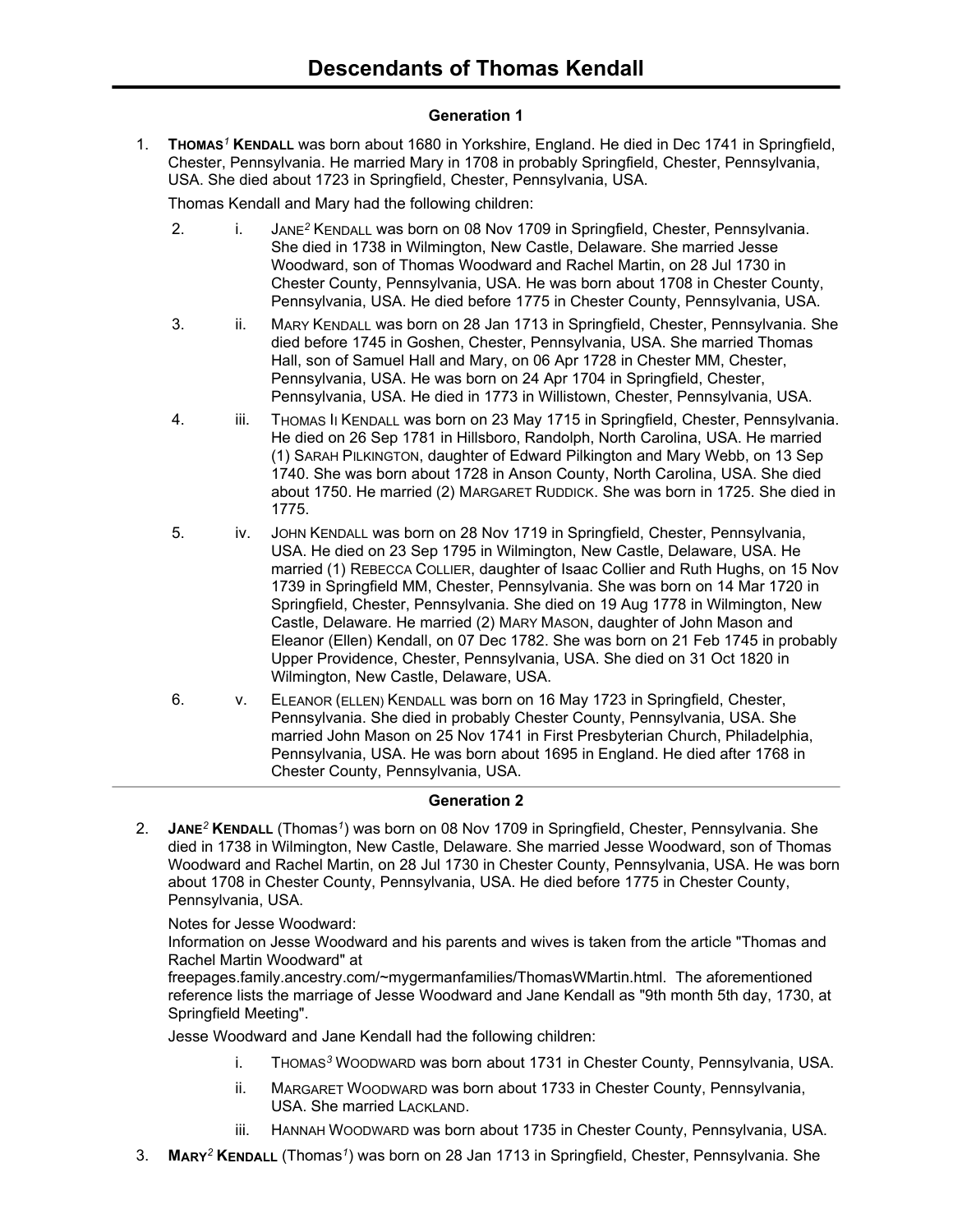# **Generation 1**

1. **THOMAS***<sup>1</sup>* **KENDALL** was born about 1680 in Yorkshire, England. He died in Dec 1741 in Springfield, Chester, Pennsylvania. He married Mary in 1708 in probably Springfield, Chester, Pennsylvania, USA. She died about 1723 in Springfield, Chester, Pennsylvania, USA.

Thomas Kendall and Mary had the following children:

- 2. i. JANE*<sup>2</sup>* KENDALL was born on 08 Nov 1709 in Springfield, Chester, Pennsylvania. She died in 1738 in Wilmington, New Castle, Delaware. She married Jesse Woodward, son of Thomas Woodward and Rachel Martin, on 28 Jul 1730 in Chester County, Pennsylvania, USA. He was born about 1708 in Chester County, Pennsylvania, USA. He died before 1775 in Chester County, Pennsylvania, USA.
- 3. ii. MARY KENDALL was born on 28 Jan 1713 in Springfield, Chester, Pennsylvania. She died before 1745 in Goshen, Chester, Pennsylvania, USA. She married Thomas Hall, son of Samuel Hall and Mary, on 06 Apr 1728 in Chester MM, Chester, Pennsylvania, USA. He was born on 24 Apr 1704 in Springfield, Chester, Pennsylvania, USA. He died in 1773 in Willistown, Chester, Pennsylvania, USA.
- 4. iii. THOMAS II KENDALL was born on 23 May 1715 in Springfield, Chester, Pennsylvania. He died on 26 Sep 1781 in Hillsboro, Randolph, North Carolina, USA. He married (1) SARAH PILKINGTON, daughter of Edward Pilkington and Mary Webb, on 13 Sep 1740. She was born about 1728 in Anson County, North Carolina, USA. She died about 1750. He married (2) MARGARET RUDDICK. She was born in 1725. She died in 1775.
- 5. iv. JOHN KENDALL was born on 28 Nov 1719 in Springfield, Chester, Pennsylvania, USA. He died on 23 Sep 1795 in Wilmington, New Castle, Delaware, USA. He married (1) REBECCA COLLIER, daughter of Isaac Collier and Ruth Hughs, on 15 Nov 1739 in Springfield MM, Chester, Pennsylvania. She was born on 14 Mar 1720 in Springfield, Chester, Pennsylvania. She died on 19 Aug 1778 in Wilmington, New Castle, Delaware. He married (2) MARY MASON, daughter of John Mason and Eleanor (Ellen) Kendall, on 07 Dec 1782. She was born on 21 Feb 1745 in probably Upper Providence, Chester, Pennsylvania, USA. She died on 31 Oct 1820 in Wilmington, New Castle, Delaware, USA.
- 6. v. ELEANOR (ELLEN) KENDALL was born on 16 May 1723 in Springfield, Chester, Pennsylvania. She died in probably Chester County, Pennsylvania, USA. She married John Mason on 25 Nov 1741 in First Presbyterian Church, Philadelphia, Pennsylvania, USA. He was born about 1695 in England. He died after 1768 in Chester County, Pennsylvania, USA.

# **Generation 2**

2. **JANE***<sup>2</sup>* **KENDALL** (Thomas*<sup>1</sup>* ) was born on 08 Nov 1709 in Springfield, Chester, Pennsylvania. She died in 1738 in Wilmington, New Castle, Delaware. She married Jesse Woodward, son of Thomas Woodward and Rachel Martin, on 28 Jul 1730 in Chester County, Pennsylvania, USA. He was born about 1708 in Chester County, Pennsylvania, USA. He died before 1775 in Chester County, Pennsylvania, USA.

Notes for Jesse Woodward:

Information on Jesse Woodward and his parents and wives is taken from the article "Thomas and Rachel Martin Woodward" at

freepages.family.ancestry.com/~mygermanfamilies/ThomasWMartin.html. The aforementioned reference lists the marriage of Jesse Woodward and Jane Kendall as "9th month 5th day, 1730, at Springfield Meeting".

Jesse Woodward and Jane Kendall had the following children:

- i. THOMAS*<sup>3</sup>* WOODWARD was born about 1731 in Chester County, Pennsylvania, USA.
- ii. MARGARET WOODWARD was born about 1733 in Chester County, Pennsylvania, USA. She married LACKLAND.
- iii. HANNAH WOODWARD was born about 1735 in Chester County, Pennsylvania, USA.
- 3. **MARY***<sup>2</sup>* **KENDALL** (Thomas*<sup>1</sup>* ) was born on 28 Jan 1713 in Springfield, Chester, Pennsylvania. She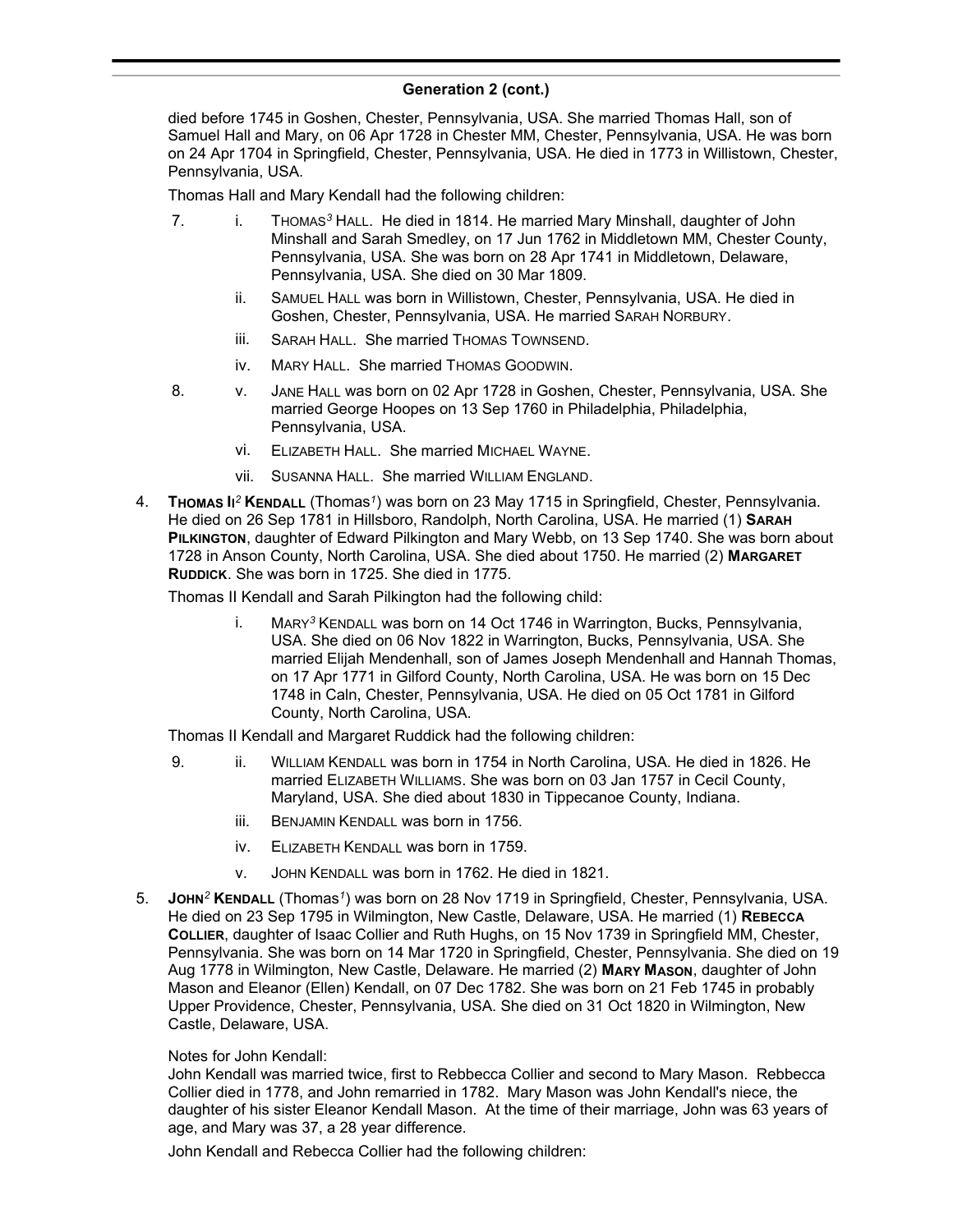### **Generation 2 (cont.)** ) was born on 28 Jan 1713 in Springfield, Chester, Pennsylvania. She

died before 1745 in Goshen, Chester, Pennsylvania, USA. She married Thomas Hall, son of Samuel Hall and Mary, on 06 Apr 1728 in Chester MM, Chester, Pennsylvania, USA. He was born on 24 Apr 1704 in Springfield, Chester, Pennsylvania, USA. He died in 1773 in Willistown, Chester, Pennsylvania, USA.

Thomas Hall and Mary Kendall had the following children:

- 7. i. THOMAS*<sup>3</sup>* HALL. He died in 1814. He married Mary Minshall, daughter of John Minshall and Sarah Smedley, on 17 Jun 1762 in Middletown MM, Chester County, Pennsylvania, USA. She was born on 28 Apr 1741 in Middletown, Delaware, Pennsylvania, USA. She died on 30 Mar 1809.
	- ii. SAMUEL HALL was born in Willistown, Chester, Pennsylvania, USA. He died in Goshen, Chester, Pennsylvania, USA. He married SARAH NORBURY.
	- iii. SARAH HALL. She married THOMAS TOWNSEND.
	- iv. MARY HALL. She married THOMAS GOODWIN.
- 8. v. JANE HALL was born on 02 Apr 1728 in Goshen, Chester, Pennsylvania, USA. She married George Hoopes on 13 Sep 1760 in Philadelphia, Philadelphia, Pennsylvania, USA.
	- vi. ELIZABETH HALL. She married MICHAEL WAYNE.
	- vii. SUSANNA HALL. She married WILLIAM ENGLAND.
- 4. **THOMAS II** *<sup>2</sup>* **KENDALL** (Thomas*<sup>1</sup>* ) was born on 23 May 1715 in Springfield, Chester, Pennsylvania. He died on 26 Sep 1781 in Hillsboro, Randolph, North Carolina, USA. He married (1) **SARAH PILKINGTON**, daughter of Edward Pilkington and Mary Webb, on 13 Sep 1740. She was born about 1728 in Anson County, North Carolina, USA. She died about 1750. He married (2) **MARGARET RUDDICK**. She was born in 1725. She died in 1775.

Thomas II Kendall and Sarah Pilkington had the following child:

i. MARY*<sup>3</sup>* KENDALL was born on 14 Oct 1746 in Warrington, Bucks, Pennsylvania, USA. She died on 06 Nov 1822 in Warrington, Bucks, Pennsylvania, USA. She married Elijah Mendenhall, son of James Joseph Mendenhall and Hannah Thomas, on 17 Apr 1771 in Gilford County, North Carolina, USA. He was born on 15 Dec 1748 in Caln, Chester, Pennsylvania, USA. He died on 05 Oct 1781 in Gilford County, North Carolina, USA.

Thomas II Kendall and Margaret Ruddick had the following children:

- 9. ii. WILLIAM KENDALL was born in 1754 in North Carolina, USA. He died in 1826. He married ELIZABETH WILLIAMS. She was born on 03 Jan 1757 in Cecil County, Maryland, USA. She died about 1830 in Tippecanoe County, Indiana.
	- iii. BENJAMIN KENDALL was born in 1756.
	- iv. ELIZABETH KENDALL was born in 1759.
	- v. JOHN KENDALL was born in 1762. He died in 1821.
- 5. **JOHN***<sup>2</sup>* **KENDALL** (Thomas*<sup>1</sup>* ) was born on 28 Nov 1719 in Springfield, Chester, Pennsylvania, USA. He died on 23 Sep 1795 in Wilmington, New Castle, Delaware, USA. He married (1) **REBECCA COLLIER**, daughter of Isaac Collier and Ruth Hughs, on 15 Nov 1739 in Springfield MM, Chester, Pennsylvania. She was born on 14 Mar 1720 in Springfield, Chester, Pennsylvania. She died on 19 Aug 1778 in Wilmington, New Castle, Delaware. He married (2) **MARY MASON**, daughter of John Mason and Eleanor (Ellen) Kendall, on 07 Dec 1782. She was born on 21 Feb 1745 in probably Upper Providence, Chester, Pennsylvania, USA. She died on 31 Oct 1820 in Wilmington, New Castle, Delaware, USA.

### Notes for John Kendall:

John Kendall was married twice, first to Rebbecca Collier and second to Mary Mason. Rebbecca Collier died in 1778, and John remarried in 1782. Mary Mason was John Kendall's niece, the daughter of his sister Eleanor Kendall Mason. At the time of their marriage, John was 63 years of age, and Mary was 37, a 28 year difference.

John Kendall and Rebecca Collier had the following children: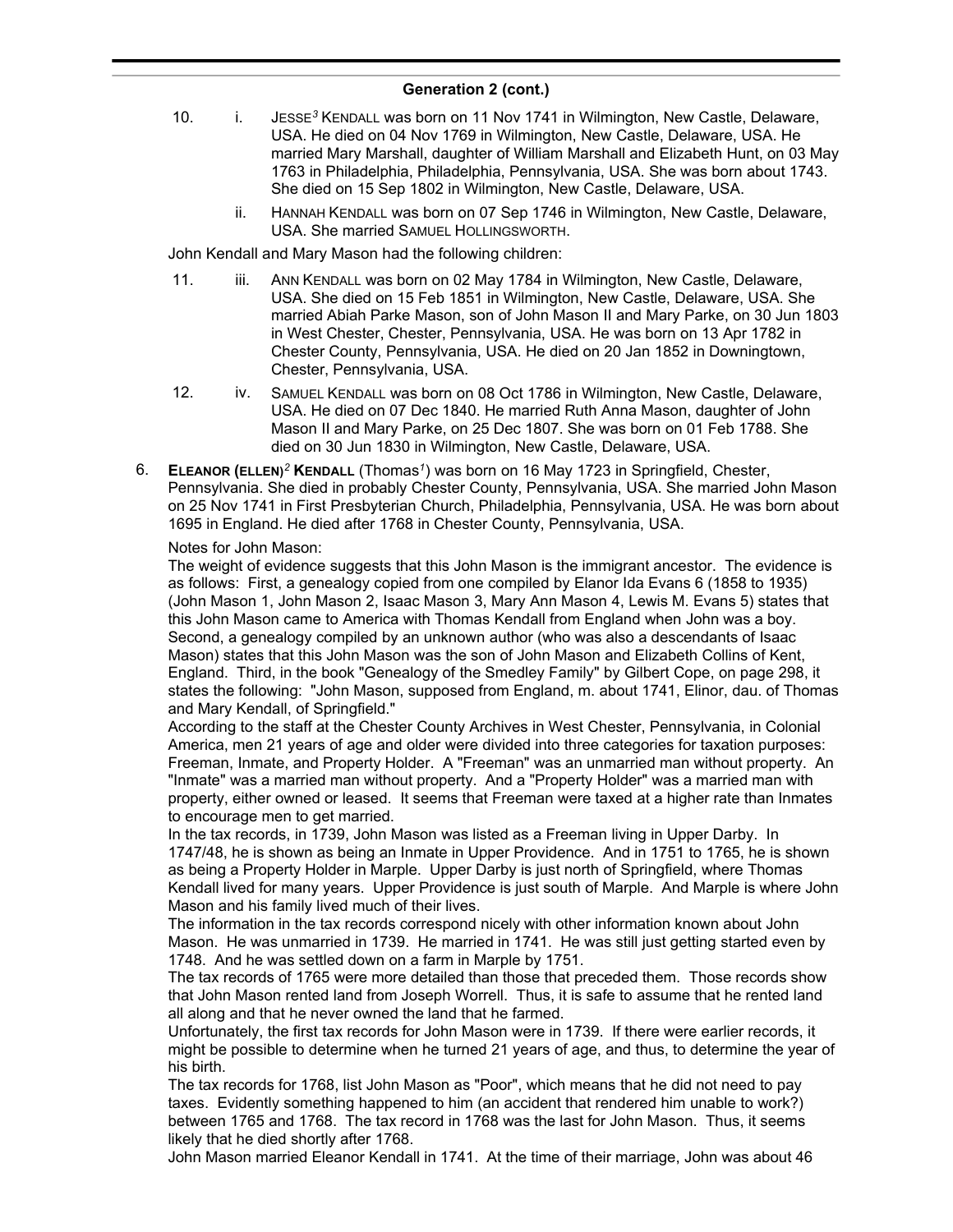- 10. i. JESSE*<sup>3</sup>* KENDALL was born on 11 Nov 1741 in Wilmington, New Castle, Delaware, USA. He died on 04 Nov 1769 in Wilmington, New Castle, Delaware, USA. He married Mary Marshall, daughter of William Marshall and Elizabeth Hunt, on 03 May 1763 in Philadelphia, Philadelphia, Pennsylvania, USA. She was born about 1743. She died on 15 Sep 1802 in Wilmington, New Castle, Delaware, USA.
	- ii. HANNAH KENDALL was born on 07 Sep 1746 in Wilmington, New Castle, Delaware, USA. She married SAMUEL HOLLINGSWORTH.

John Kendall and Mary Mason had the following children:

- 11. iii. ANN KENDALL was born on 02 May 1784 in Wilmington, New Castle, Delaware, USA. She died on 15 Feb 1851 in Wilmington, New Castle, Delaware, USA. She married Abiah Parke Mason, son of John Mason II and Mary Parke, on 30 Jun 1803 in West Chester, Chester, Pennsylvania, USA. He was born on 13 Apr 1782 in Chester County, Pennsylvania, USA. He died on 20 Jan 1852 in Downingtown, Chester, Pennsylvania, USA.
- 12. iv. SAMUEL KENDALL was born on 08 Oct 1786 in Wilmington, New Castle, Delaware, USA. He died on 07 Dec 1840. He married Ruth Anna Mason, daughter of John Mason II and Mary Parke, on 25 Dec 1807. She was born on 01 Feb 1788. She died on 30 Jun 1830 in Wilmington, New Castle, Delaware, USA.
- 6. **ELEANOR (ELLEN)***<sup>2</sup>* **KENDALL** (Thomas*<sup>1</sup>* ) was born on 16 May 1723 in Springfield, Chester, Pennsylvania. She died in probably Chester County, Pennsylvania, USA. She married John Mason on 25 Nov 1741 in First Presbyterian Church, Philadelphia, Pennsylvania, USA. He was born about 1695 in England. He died after 1768 in Chester County, Pennsylvania, USA.

### Notes for John Mason:

The weight of evidence suggests that this John Mason is the immigrant ancestor. The evidence is as follows: First, a genealogy copied from one compiled by Elanor Ida Evans 6 (1858 to 1935) (John Mason 1, John Mason 2, Isaac Mason 3, Mary Ann Mason 4, Lewis M. Evans 5) states that this John Mason came to America with Thomas Kendall from England when John was a boy. Second, a genealogy compiled by an unknown author (who was also a descendants of Isaac Mason) states that this John Mason was the son of John Mason and Elizabeth Collins of Kent, England. Third, in the book "Genealogy of the Smedley Family" by Gilbert Cope, on page 298, it states the following: "John Mason, supposed from England, m. about 1741, Elinor, dau. of Thomas and Mary Kendall, of Springfield."

According to the staff at the Chester County Archives in West Chester, Pennsylvania, in Colonial America, men 21 years of age and older were divided into three categories for taxation purposes: Freeman, Inmate, and Property Holder. A "Freeman" was an unmarried man without property. An "Inmate" was a married man without property. And a "Property Holder" was a married man with property, either owned or leased. It seems that Freeman were taxed at a higher rate than Inmates to encourage men to get married.

In the tax records, in 1739, John Mason was listed as a Freeman living in Upper Darby. In 1747/48, he is shown as being an Inmate in Upper Providence. And in 1751 to 1765, he is shown as being a Property Holder in Marple. Upper Darby is just north of Springfield, where Thomas Kendall lived for many years. Upper Providence is just south of Marple. And Marple is where John Mason and his family lived much of their lives.

The information in the tax records correspond nicely with other information known about John Mason. He was unmarried in 1739. He married in 1741. He was still just getting started even by 1748. And he was settled down on a farm in Marple by 1751.

The tax records of 1765 were more detailed than those that preceded them. Those records show that John Mason rented land from Joseph Worrell. Thus, it is safe to assume that he rented land all along and that he never owned the land that he farmed.

Unfortunately, the first tax records for John Mason were in 1739. If there were earlier records, it might be possible to determine when he turned 21 years of age, and thus, to determine the year of his birth.

The tax records for 1768, list John Mason as "Poor", which means that he did not need to pay taxes. Evidently something happened to him (an accident that rendered him unable to work?) between 1765 and 1768. The tax record in 1768 was the last for John Mason. Thus, it seems likely that he died shortly after 1768.

John Mason married Eleanor Kendall in 1741. At the time of their marriage, John was about 46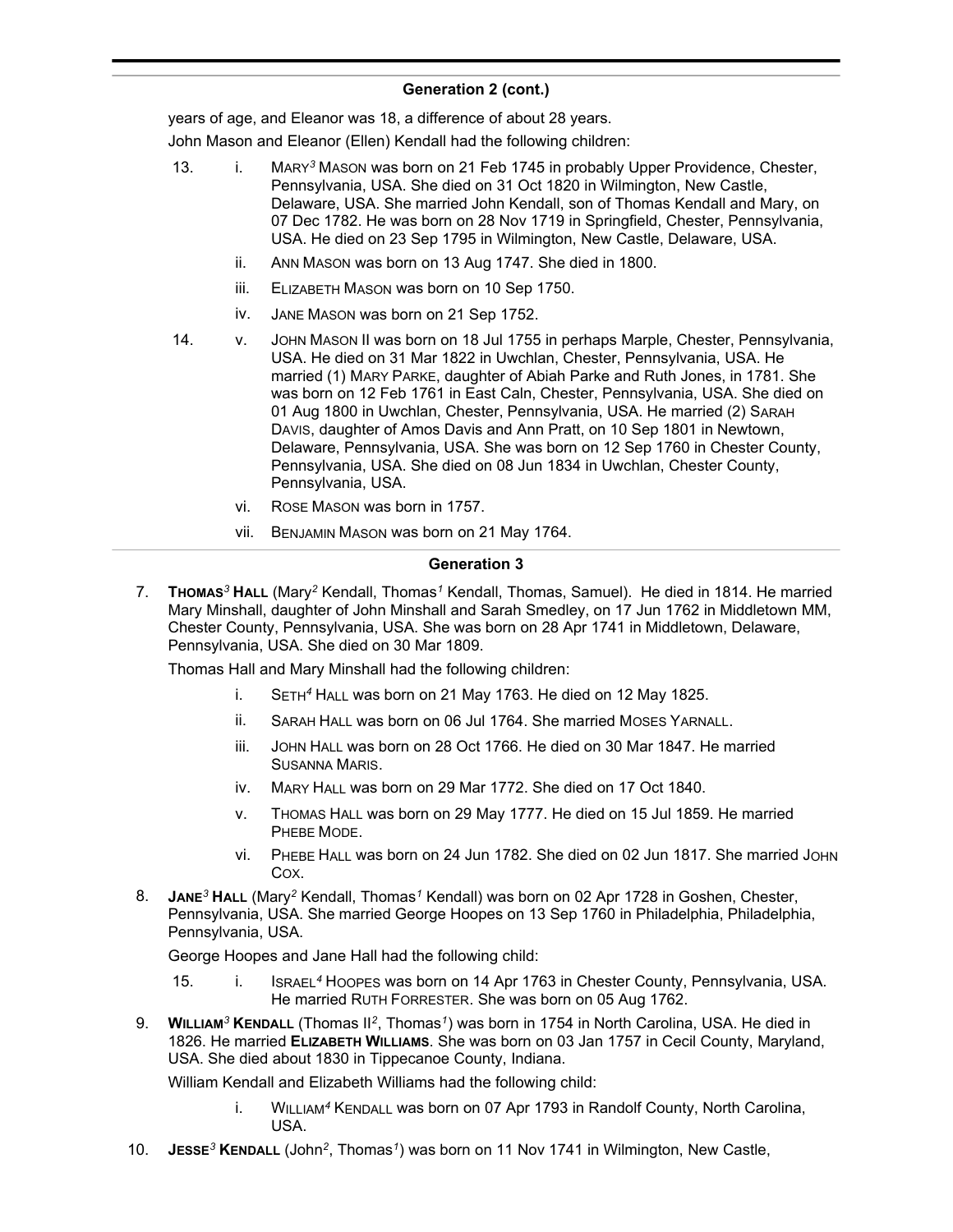years of age, and Eleanor was 18, a difference of about 28 years.

John Mason and Eleanor (Ellen) Kendall had the following children:

- 13. i. MARY*<sup>3</sup>* MASON was born on 21 Feb 1745 in probably Upper Providence, Chester, Pennsylvania, USA. She died on 31 Oct 1820 in Wilmington, New Castle, Delaware, USA. She married John Kendall, son of Thomas Kendall and Mary, on 07 Dec 1782. He was born on 28 Nov 1719 in Springfield, Chester, Pennsylvania, USA. He died on 23 Sep 1795 in Wilmington, New Castle, Delaware, USA.
	- ii. ANN MASON was born on 13 Aug 1747. She died in 1800.
	- iii. ELIZABETH MASON was born on 10 Sep 1750.
	- iv. JANE MASON was born on 21 Sep 1752.
- 14. v. JOHN MASON II was born on 18 Jul 1755 in perhaps Marple, Chester, Pennsylvania, USA. He died on 31 Mar 1822 in Uwchlan, Chester, Pennsylvania, USA. He married (1) MARY PARKE, daughter of Abiah Parke and Ruth Jones, in 1781. She was born on 12 Feb 1761 in East Caln, Chester, Pennsylvania, USA. She died on 01 Aug 1800 in Uwchlan, Chester, Pennsylvania, USA. He married (2) SARAH DAVIS, daughter of Amos Davis and Ann Pratt, on 10 Sep 1801 in Newtown, Delaware, Pennsylvania, USA. She was born on 12 Sep 1760 in Chester County, Pennsylvania, USA. She died on 08 Jun 1834 in Uwchlan, Chester County, Pennsylvania, USA.
	- vi. ROSE MASON was born in 1757.
	- vii. BENJAMIN MASON was born on 21 May 1764.

# **Generation 3**

7. **THOMAS***<sup>3</sup>* **HALL** (Mary*<sup>2</sup>* Kendall, Thomas*<sup>1</sup>* Kendall, Thomas, Samuel). He died in 1814. He married Mary Minshall, daughter of John Minshall and Sarah Smedley, on 17 Jun 1762 in Middletown MM, Chester County, Pennsylvania, USA. She was born on 28 Apr 1741 in Middletown, Delaware, Pennsylvania, USA. She died on 30 Mar 1809.

Thomas Hall and Mary Minshall had the following children:

- i. SETH*<sup>4</sup>* HALL was born on 21 May 1763. He died on 12 May 1825.
- ii. SARAH HALL was born on 06 Jul 1764. She married MOSES YARNALL.
- iii. JOHN HALL was born on 28 Oct 1766. He died on 30 Mar 1847. He married SUSANNA MARIS.
- iv. MARY HALL was born on 29 Mar 1772. She died on 17 Oct 1840.
- v. THOMAS HALL was born on 29 May 1777. He died on 15 Jul 1859. He married PHEBE MODE.
- vi. PHEBE HALL was born on 24 Jun 1782. She died on 02 Jun 1817. She married JOHN COX.
- 8. **JANE***<sup>3</sup>* **HALL** (Mary*<sup>2</sup>* Kendall, Thomas*<sup>1</sup>* Kendall) was born on 02 Apr 1728 in Goshen, Chester, Pennsylvania, USA. She married George Hoopes on 13 Sep 1760 in Philadelphia, Philadelphia, Pennsylvania, USA.

George Hoopes and Jane Hall had the following child:

- 15. i. ISRAEL*<sup>4</sup>* HOOPES was born on 14 Apr 1763 in Chester County, Pennsylvania, USA. He married RUTH FORRESTER. She was born on 05 Aug 1762.
- 9. **WILLIAM***<sup>3</sup>* **KENDALL** (Thomas II*<sup>2</sup>* , Thomas*<sup>1</sup>* ) was born in 1754 in North Carolina, USA. He died in 1826. He married **ELIZABETH WILLIAMS**. She was born on 03 Jan 1757 in Cecil County, Maryland, USA. She died about 1830 in Tippecanoe County, Indiana.

William Kendall and Elizabeth Williams had the following child:

- i. WILLIAM*<sup>4</sup>* KENDALL was born on 07 Apr 1793 in Randolf County, North Carolina, USA.
- 10. **JESSE***<sup>3</sup>* **KENDALL** (John*<sup>2</sup>* , Thomas*<sup>1</sup>* ) was born on 11 Nov 1741 in Wilmington, New Castle,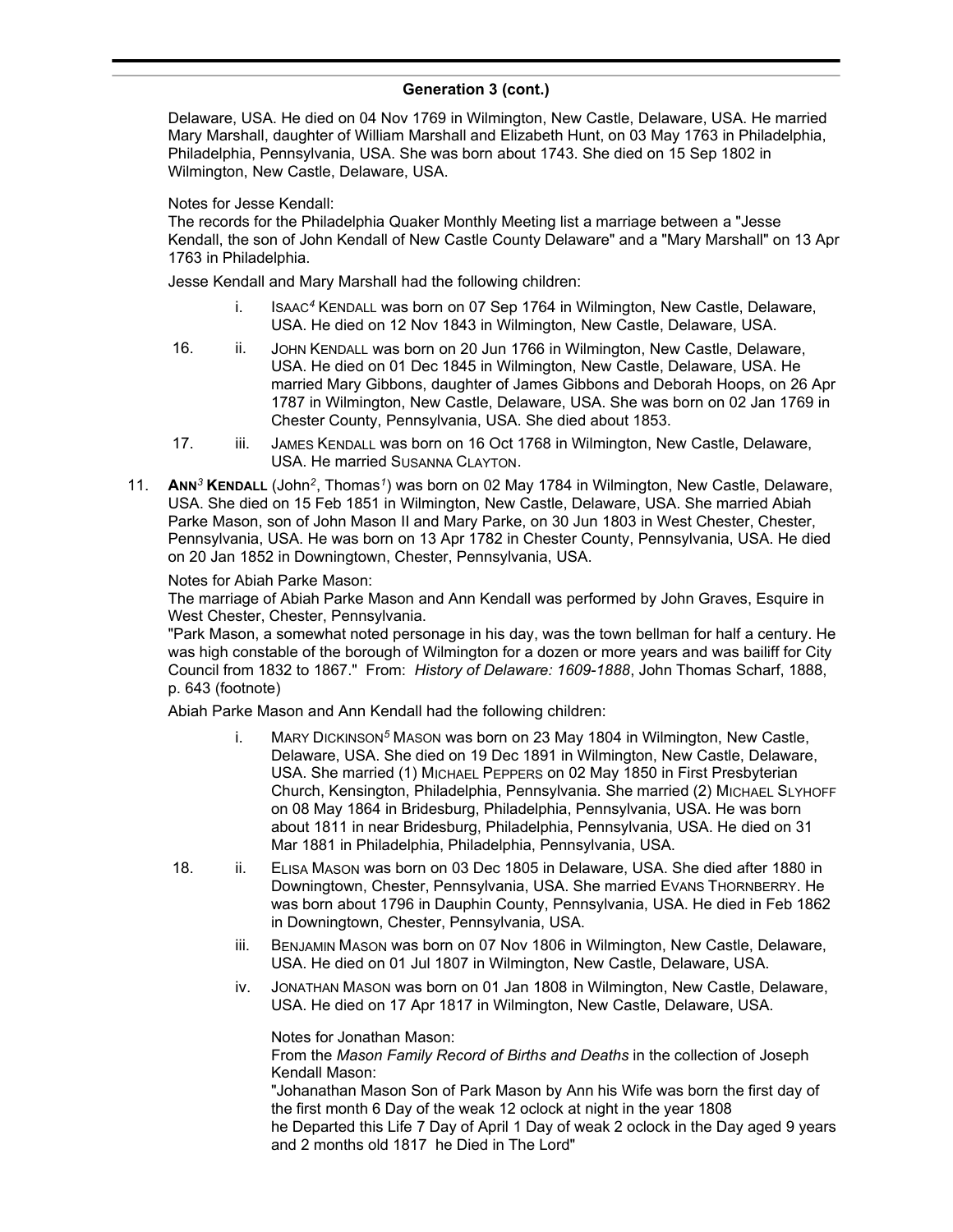#### **Generation 3 (cont.)**  $\sum_{i=1}^{n}$  was bounded by  $\sum_{i=1}^{n}$

Delaware, USA. He died on 04 Nov 1769 in Wilmington, New Castle, Delaware, USA. He married Mary Marshall, daughter of William Marshall and Elizabeth Hunt, on 03 May 1763 in Philadelphia, Philadelphia, Pennsylvania, USA. She was born about 1743. She died on 15 Sep 1802 in Wilmington, New Castle, Delaware, USA.

### Notes for Jesse Kendall:

The records for the Philadelphia Quaker Monthly Meeting list a marriage between a "Jesse Kendall, the son of John Kendall of New Castle County Delaware" and a "Mary Marshall" on 13 Apr 1763 in Philadelphia.

Jesse Kendall and Mary Marshall had the following children:

- i. ISAAC*<sup>4</sup>* KENDALL was born on 07 Sep 1764 in Wilmington, New Castle, Delaware, USA. He died on 12 Nov 1843 in Wilmington, New Castle, Delaware, USA.
- 16. ii. JOHN KENDALL was born on 20 Jun 1766 in Wilmington, New Castle, Delaware, USA. He died on 01 Dec 1845 in Wilmington, New Castle, Delaware, USA. He married Mary Gibbons, daughter of James Gibbons and Deborah Hoops, on 26 Apr 1787 in Wilmington, New Castle, Delaware, USA. She was born on 02 Jan 1769 in Chester County, Pennsylvania, USA. She died about 1853.
- 17. iii. JAMES KENDALL was born on 16 Oct 1768 in Wilmington, New Castle, Delaware, USA. He married SUSANNA CLAYTON.
- 11. **ANN***<sup>3</sup>* **KENDALL** (John*<sup>2</sup>* , Thomas*<sup>1</sup>* ) was born on 02 May 1784 in Wilmington, New Castle, Delaware, USA. She died on 15 Feb 1851 in Wilmington, New Castle, Delaware, USA. She married Abiah Parke Mason, son of John Mason II and Mary Parke, on 30 Jun 1803 in West Chester, Chester, Pennsylvania, USA. He was born on 13 Apr 1782 in Chester County, Pennsylvania, USA. He died on 20 Jan 1852 in Downingtown, Chester, Pennsylvania, USA.

### Notes for Abiah Parke Mason:

The marriage of Abiah Parke Mason and Ann Kendall was performed by John Graves, Esquire in West Chester, Chester, Pennsylvania.

"Park Mason, a somewhat noted personage in his day, was the town bellman for half a century. He was high constable of the borough of Wilmington for a dozen or more years and was bailiff for City Council from 1832 to 1867." From: *History of Delaware: 1609-1888*, John Thomas Scharf, 1888, p. 643 (footnote)

Abiah Parke Mason and Ann Kendall had the following children:

- i. MARY DICKINSON*<sup>5</sup>* MASON was born on 23 May 1804 in Wilmington, New Castle, Delaware, USA. She died on 19 Dec 1891 in Wilmington, New Castle, Delaware, USA. She married (1) MICHAEL PEPPERS on 02 May 1850 in First Presbyterian Church, Kensington, Philadelphia, Pennsylvania. She married (2) MICHAEL SLYHOFF on 08 May 1864 in Bridesburg, Philadelphia, Pennsylvania, USA. He was born about 1811 in near Bridesburg, Philadelphia, Pennsylvania, USA. He died on 31 Mar 1881 in Philadelphia, Philadelphia, Pennsylvania, USA.
- 18. ii. ELISA MASON was born on 03 Dec 1805 in Delaware, USA. She died after 1880 in Downingtown, Chester, Pennsylvania, USA. She married EVANS THORNBERRY. He was born about 1796 in Dauphin County, Pennsylvania, USA. He died in Feb 1862 in Downingtown, Chester, Pennsylvania, USA.
	- iii. BENJAMIN MASON was born on 07 Nov 1806 in Wilmington, New Castle, Delaware, USA. He died on 01 Jul 1807 in Wilmington, New Castle, Delaware, USA.
	- iv. JONATHAN MASON was born on 01 Jan 1808 in Wilmington, New Castle, Delaware, USA. He died on 17 Apr 1817 in Wilmington, New Castle, Delaware, USA.

Notes for Jonathan Mason:

From the *Mason Family Record of Births and Deaths* in the collection of Joseph Kendall Mason:

"Johanathan Mason Son of Park Mason by Ann his Wife was born the first day of the first month 6 Day of the weak 12 oclock at night in the year 1808 he Departed this Life 7 Day of April 1 Day of weak 2 oclock in the Day aged 9 years and 2 months old 1817 he Died in The Lord"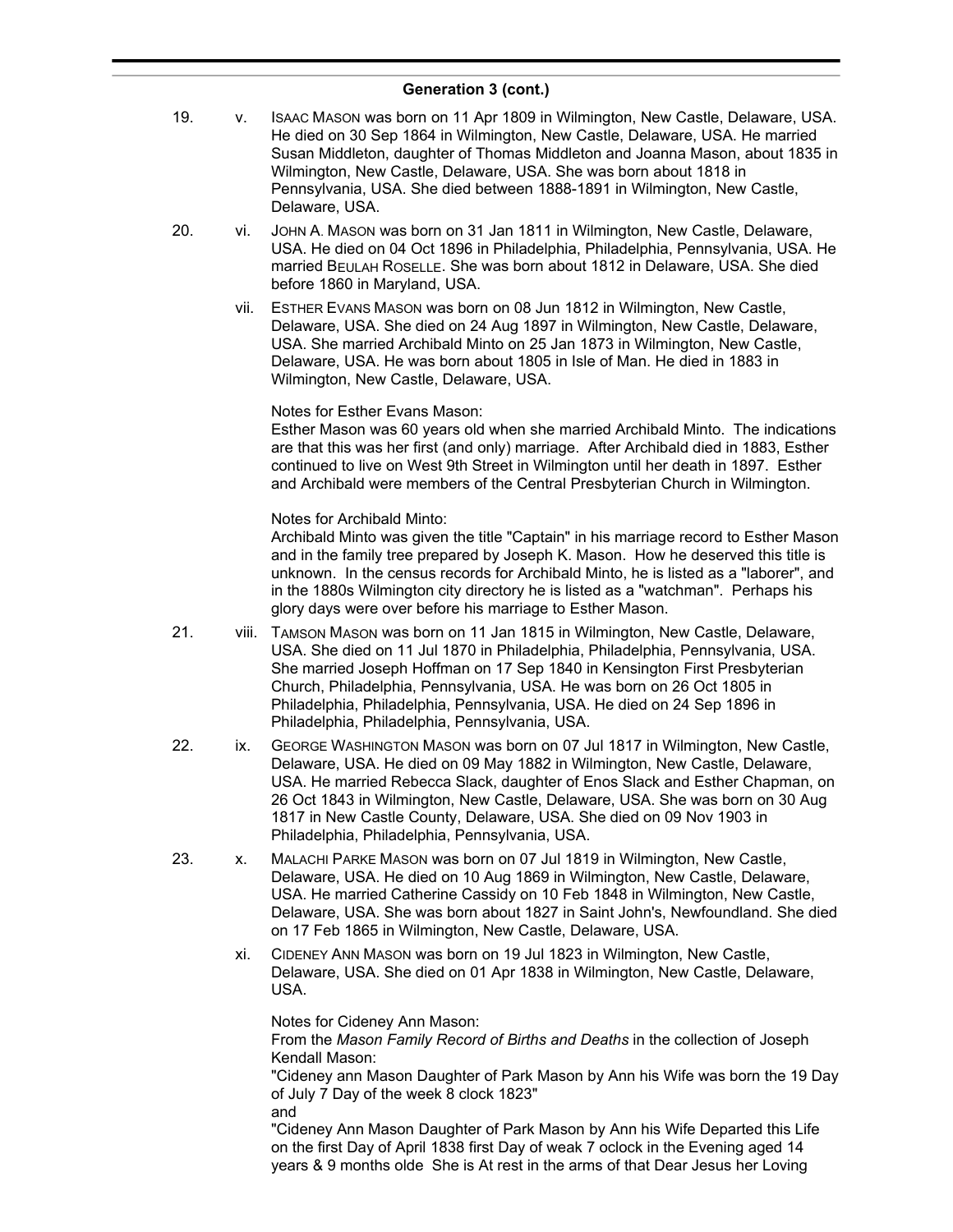- 19. v. ISAAC MASON was born on 11 Apr 1809 in Wilmington, New Castle, Delaware, USA. He died on 30 Sep 1864 in Wilmington, New Castle, Delaware, USA. He married Susan Middleton, daughter of Thomas Middleton and Joanna Mason, about 1835 in Wilmington, New Castle, Delaware, USA. She was born about 1818 in Pennsylvania, USA. She died between 1888-1891 in Wilmington, New Castle, Delaware, USA.
- 20. vi. JOHN A. MASON was born on 31 Jan 1811 in Wilmington, New Castle, Delaware, USA. He died on 04 Oct 1896 in Philadelphia, Philadelphia, Pennsylvania, USA. He married BEULAH ROSELLE. She was born about 1812 in Delaware, USA. She died before 1860 in Maryland, USA.
	- vii. ESTHER EVANS MASON was born on 08 Jun 1812 in Wilmington, New Castle, Delaware, USA. She died on 24 Aug 1897 in Wilmington, New Castle, Delaware, USA. She married Archibald Minto on 25 Jan 1873 in Wilmington, New Castle, Delaware, USA. He was born about 1805 in Isle of Man. He died in 1883 in Wilmington, New Castle, Delaware, USA.

### Notes for Esther Evans Mason:

Esther Mason was 60 years old when she married Archibald Minto. The indications are that this was her first (and only) marriage. After Archibald died in 1883, Esther continued to live on West 9th Street in Wilmington until her death in 1897. Esther and Archibald were members of the Central Presbyterian Church in Wilmington.

### Notes for Archibald Minto:

Archibald Minto was given the title "Captain" in his marriage record to Esther Mason and in the family tree prepared by Joseph K. Mason. How he deserved this title is unknown. In the census records for Archibald Minto, he is listed as a "laborer", and in the 1880s Wilmington city directory he is listed as a "watchman". Perhaps his glory days were over before his marriage to Esther Mason.

- 21. viii. TAMSON MASON was born on 11 Jan 1815 in Wilmington, New Castle, Delaware, USA. She died on 11 Jul 1870 in Philadelphia, Philadelphia, Pennsylvania, USA. She married Joseph Hoffman on 17 Sep 1840 in Kensington First Presbyterian Church, Philadelphia, Pennsylvania, USA. He was born on 26 Oct 1805 in Philadelphia, Philadelphia, Pennsylvania, USA. He died on 24 Sep 1896 in Philadelphia, Philadelphia, Pennsylvania, USA.
- 22. ix. GEORGE WASHINGTON MASON was born on 07 Jul 1817 in Wilmington, New Castle, Delaware, USA. He died on 09 May 1882 in Wilmington, New Castle, Delaware, USA. He married Rebecca Slack, daughter of Enos Slack and Esther Chapman, on 26 Oct 1843 in Wilmington, New Castle, Delaware, USA. She was born on 30 Aug 1817 in New Castle County, Delaware, USA. She died on 09 Nov 1903 in Philadelphia, Philadelphia, Pennsylvania, USA.
- 23. x. MALACHI PARKE MASON was born on 07 Jul 1819 in Wilmington, New Castle, Delaware, USA. He died on 10 Aug 1869 in Wilmington, New Castle, Delaware, USA. He married Catherine Cassidy on 10 Feb 1848 in Wilmington, New Castle, Delaware, USA. She was born about 1827 in Saint John's, Newfoundland. She died on 17 Feb 1865 in Wilmington, New Castle, Delaware, USA.
	- xi. CIDENEY ANN MASON was born on 19 Jul 1823 in Wilmington, New Castle, Delaware, USA. She died on 01 Apr 1838 in Wilmington, New Castle, Delaware, USA.

Notes for Cideney Ann Mason: From the *Mason Family Record of Births and Deaths* in the collection of Joseph Kendall Mason:

"Cideney ann Mason Daughter of Park Mason by Ann his Wife was born the 19 Day of July 7 Day of the week 8 clock 1823" and

"Cideney Ann Mason Daughter of Park Mason by Ann his Wife Departed this Life on the first Day of April 1838 first Day of weak 7 oclock in the Evening aged 14 years & 9 months olde She is At rest in the arms of that Dear Jesus her Loving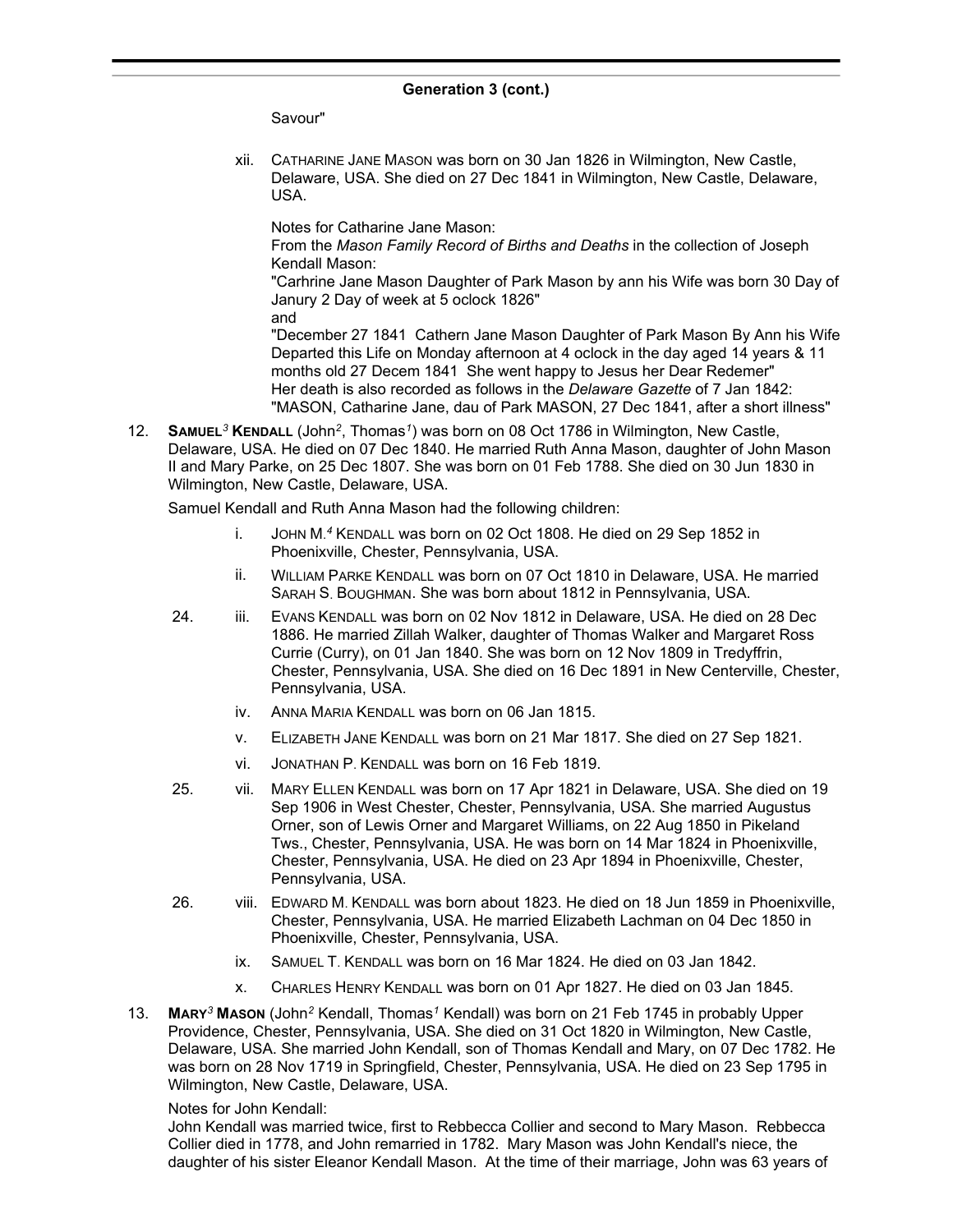### **Generation 3 (cont.)**  $\frac{1}{2}$  condition  $\frac{1}{2}$  (bond)

Savour"

xii. CATHARINE JANE MASON was born on 30 Jan 1826 in Wilmington, New Castle, Delaware, USA. She died on 27 Dec 1841 in Wilmington, New Castle, Delaware, USA.

Notes for Catharine Jane Mason:

From the *Mason Family Record of Births and Deaths* in the collection of Joseph Kendall Mason:

"Carhrine Jane Mason Daughter of Park Mason by ann his Wife was born 30 Day of Janury 2 Day of week at 5 oclock 1826"

and

"December 27 1841 Cathern Jane Mason Daughter of Park Mason By Ann his Wife Departed this Life on Monday afternoon at 4 oclock in the day aged 14 years & 11 months old 27 Decem 1841 She went happy to Jesus her Dear Redemer" Her death is also recorded as follows in the *Delaware Gazette* of 7 Jan 1842: "MASON, Catharine Jane, dau of Park MASON, 27 Dec 1841, after a short illness"

12. **SAMUEL***<sup>3</sup>* **KENDALL** (John*<sup>2</sup>* , Thomas*<sup>1</sup>* ) was born on 08 Oct 1786 in Wilmington, New Castle, Delaware, USA. He died on 07 Dec 1840. He married Ruth Anna Mason, daughter of John Mason II and Mary Parke, on 25 Dec 1807. She was born on 01 Feb 1788. She died on 30 Jun 1830 in Wilmington, New Castle, Delaware, USA.

Samuel Kendall and Ruth Anna Mason had the following children:

- i. JOHN M. *<sup>4</sup>* KENDALL was born on 02 Oct 1808. He died on 29 Sep 1852 in Phoenixville, Chester, Pennsylvania, USA.
- ii. WILLIAM PARKE KENDALL was born on 07 Oct 1810 in Delaware, USA. He married SARAH S. BOUGHMAN. She was born about 1812 in Pennsylvania, USA.
- 24. iii. EVANS KENDALL was born on 02 Nov 1812 in Delaware, USA. He died on 28 Dec 1886. He married Zillah Walker, daughter of Thomas Walker and Margaret Ross Currie (Curry), on 01 Jan 1840. She was born on 12 Nov 1809 in Tredyffrin, Chester, Pennsylvania, USA. She died on 16 Dec 1891 in New Centerville, Chester, Pennsylvania, USA.
	- iv. ANNA MARIA KENDALL was born on 06 Jan 1815.
	- v. ELIZABETH JANE KENDALL was born on 21 Mar 1817. She died on 27 Sep 1821.
	- vi. JONATHAN P. KENDALL was born on 16 Feb 1819.
- 25. vii. MARY ELLEN KENDALL was born on 17 Apr 1821 in Delaware, USA. She died on 19 Sep 1906 in West Chester, Chester, Pennsylvania, USA. She married Augustus Orner, son of Lewis Orner and Margaret Williams, on 22 Aug 1850 in Pikeland Tws., Chester, Pennsylvania, USA. He was born on 14 Mar 1824 in Phoenixville, Chester, Pennsylvania, USA. He died on 23 Apr 1894 in Phoenixville, Chester, Pennsylvania, USA.
- 26. viii. EDWARD M. KENDALL was born about 1823. He died on 18 Jun 1859 in Phoenixville, Chester, Pennsylvania, USA. He married Elizabeth Lachman on 04 Dec 1850 in Phoenixville, Chester, Pennsylvania, USA.
	- ix. SAMUEL T. KENDALL was born on 16 Mar 1824. He died on 03 Jan 1842.
	- x. CHARLES HENRY KENDALL was born on 01 Apr 1827. He died on 03 Jan 1845.
- 13. **MARY***<sup>3</sup>* **MASON** (John*<sup>2</sup>* Kendall, Thomas*<sup>1</sup>* Kendall) was born on 21 Feb 1745 in probably Upper Providence, Chester, Pennsylvania, USA. She died on 31 Oct 1820 in Wilmington, New Castle, Delaware, USA. She married John Kendall, son of Thomas Kendall and Mary, on 07 Dec 1782. He was born on 28 Nov 1719 in Springfield, Chester, Pennsylvania, USA. He died on 23 Sep 1795 in Wilmington, New Castle, Delaware, USA.

### Notes for John Kendall:

John Kendall was married twice, first to Rebbecca Collier and second to Mary Mason. Rebbecca Collier died in 1778, and John remarried in 1782. Mary Mason was John Kendall's niece, the daughter of his sister Eleanor Kendall Mason. At the time of their marriage, John was 63 years of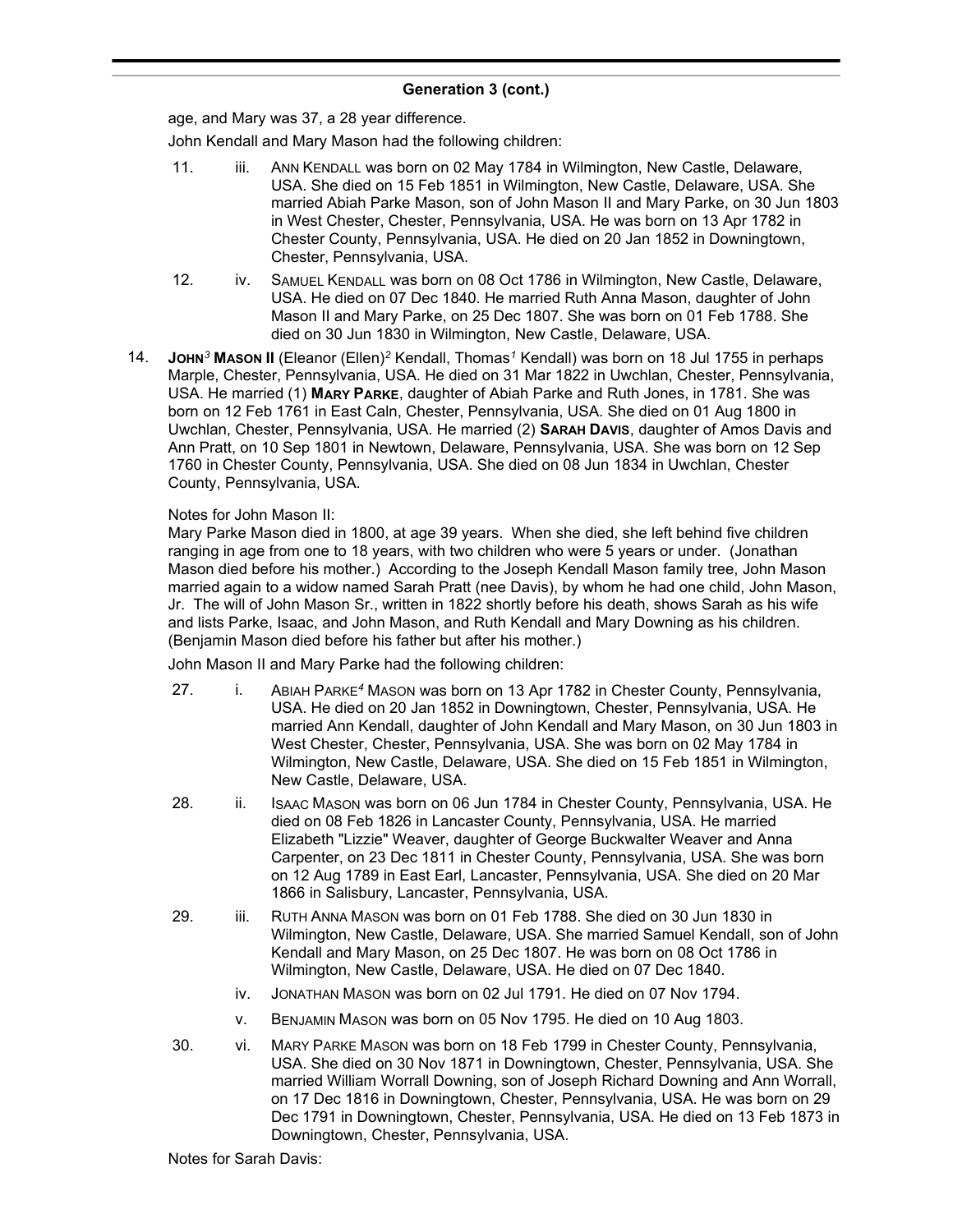age, and Mary was 37, a 28 year difference.

John Kendall and Mary Mason had the following children:

- 11. iii. ANN KENDALL was born on 02 May 1784 in Wilmington, New Castle, Delaware, USA. She died on 15 Feb 1851 in Wilmington, New Castle, Delaware, USA. She married Abiah Parke Mason, son of John Mason II and Mary Parke, on 30 Jun 1803 in West Chester, Chester, Pennsylvania, USA. He was born on 13 Apr 1782 in Chester County, Pennsylvania, USA. He died on 20 Jan 1852 in Downingtown, Chester, Pennsylvania, USA.
- 12. iv. SAMUEL KENDALL was born on 08 Oct 1786 in Wilmington, New Castle, Delaware, USA. He died on 07 Dec 1840. He married Ruth Anna Mason, daughter of John Mason II and Mary Parke, on 25 Dec 1807. She was born on 01 Feb 1788. She died on 30 Jun 1830 in Wilmington, New Castle, Delaware, USA.
- 14. **JOHN***<sup>3</sup>* **MASON II** (Eleanor (Ellen)*<sup>2</sup>* Kendall, Thomas*<sup>1</sup>* Kendall) was born on 18 Jul 1755 in perhaps Marple, Chester, Pennsylvania, USA. He died on 31 Mar 1822 in Uwchlan, Chester, Pennsylvania, USA. He married (1) **MARY PARKE**, daughter of Abiah Parke and Ruth Jones, in 1781. She was born on 12 Feb 1761 in East Caln, Chester, Pennsylvania, USA. She died on 01 Aug 1800 in Uwchlan, Chester, Pennsylvania, USA. He married (2) **SARAH DAVIS**, daughter of Amos Davis and Ann Pratt, on 10 Sep 1801 in Newtown, Delaware, Pennsylvania, USA. She was born on 12 Sep 1760 in Chester County, Pennsylvania, USA. She died on 08 Jun 1834 in Uwchlan, Chester County, Pennsylvania, USA.

### Notes for John Mason II:

Mary Parke Mason died in 1800, at age 39 years. When she died, she left behind five children ranging in age from one to 18 years, with two children who were 5 years or under. (Jonathan Mason died before his mother.) According to the Joseph Kendall Mason family tree, John Mason married again to a widow named Sarah Pratt (nee Davis), by whom he had one child, John Mason, Jr. The will of John Mason Sr., written in 1822 shortly before his death, shows Sarah as his wife and lists Parke, Isaac, and John Mason, and Ruth Kendall and Mary Downing as his children. (Benjamin Mason died before his father but after his mother.)

John Mason II and Mary Parke had the following children:

- 27. i. ABIAH PARKE*<sup>4</sup>* MASON was born on 13 Apr 1782 in Chester County, Pennsylvania, USA. He died on 20 Jan 1852 in Downingtown, Chester, Pennsylvania, USA. He married Ann Kendall, daughter of John Kendall and Mary Mason, on 30 Jun 1803 in West Chester, Chester, Pennsylvania, USA. She was born on 02 May 1784 in Wilmington, New Castle, Delaware, USA. She died on 15 Feb 1851 in Wilmington, New Castle, Delaware, USA.
- 28. ii. ISAAC MASON was born on 06 Jun 1784 in Chester County, Pennsylvania, USA. He died on 08 Feb 1826 in Lancaster County, Pennsylvania, USA. He married Elizabeth "Lizzie" Weaver, daughter of George Buckwalter Weaver and Anna Carpenter, on 23 Dec 1811 in Chester County, Pennsylvania, USA. She was born on 12 Aug 1789 in East Earl, Lancaster, Pennsylvania, USA. She died on 20 Mar 1866 in Salisbury, Lancaster, Pennsylvania, USA.
- 29. iii. RUTH ANNA MASON was born on 01 Feb 1788. She died on 30 Jun 1830 in Wilmington, New Castle, Delaware, USA. She married Samuel Kendall, son of John Kendall and Mary Mason, on 25 Dec 1807. He was born on 08 Oct 1786 in Wilmington, New Castle, Delaware, USA. He died on 07 Dec 1840.
	- iv. JONATHAN MASON was born on 02 Jul 1791. He died on 07 Nov 1794.
	- v. BENJAMIN MASON was born on 05 Nov 1795. He died on 10 Aug 1803.
- 30. vi. MARY PARKE MASON was born on 18 Feb 1799 in Chester County, Pennsylvania, USA. She died on 30 Nov 1871 in Downingtown, Chester, Pennsylvania, USA. She married William Worrall Downing, son of Joseph Richard Downing and Ann Worrall, on 17 Dec 1816 in Downingtown, Chester, Pennsylvania, USA. He was born on 29 Dec 1791 in Downingtown, Chester, Pennsylvania, USA. He died on 13 Feb 1873 in Downingtown, Chester, Pennsylvania, USA.

Notes for Sarah Davis: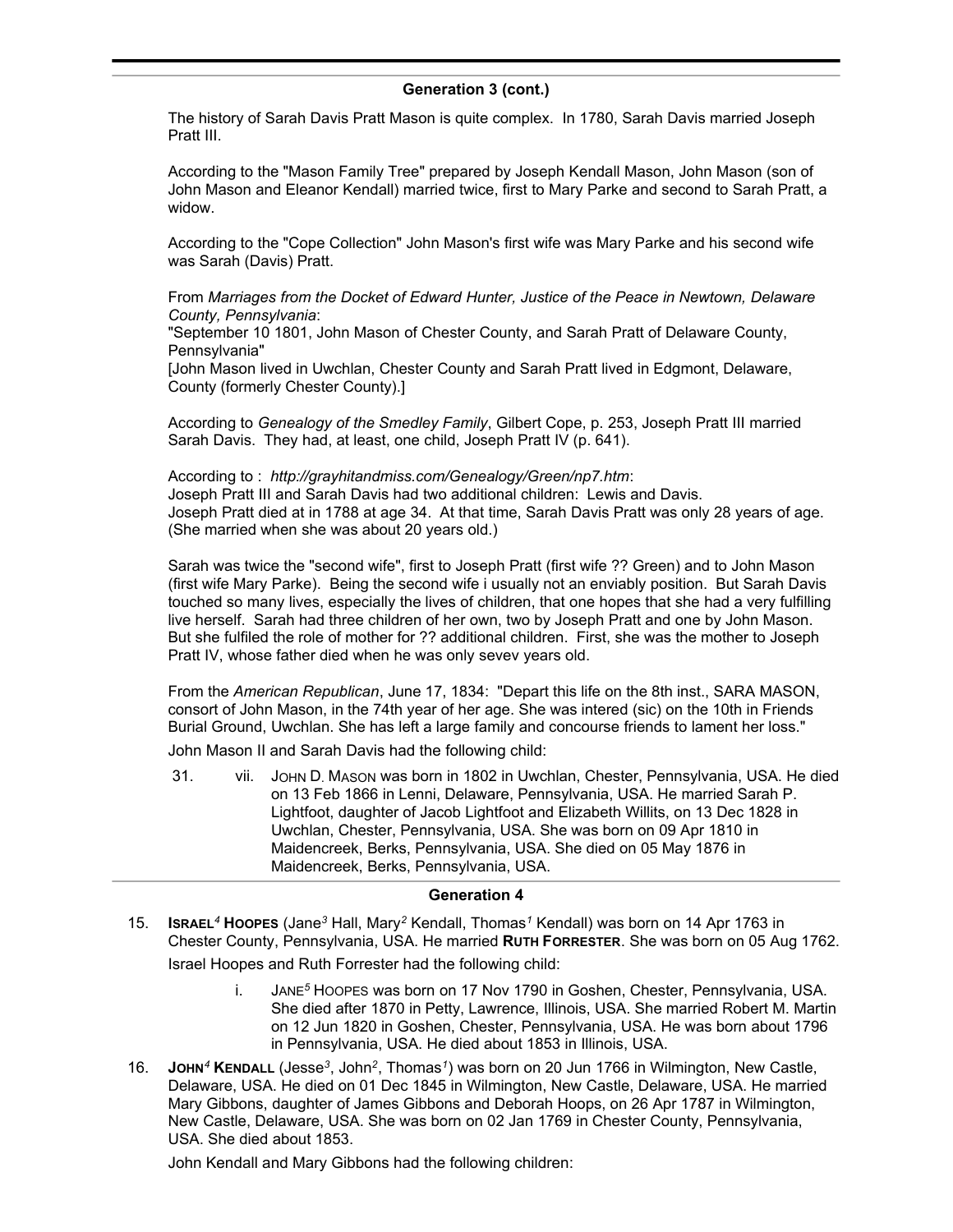The history of Sarah Davis Pratt Mason is quite complex. In 1780, Sarah Davis married Joseph Pratt III.

According to the "Mason Family Tree" prepared by Joseph Kendall Mason, John Mason (son of John Mason and Eleanor Kendall) married twice, first to Mary Parke and second to Sarah Pratt, a widow.

According to the "Cope Collection" John Mason's first wife was Mary Parke and his second wife was Sarah (Davis) Pratt.

From *Marriages from the Docket of Edward Hunter, Justice of the Peace in Newtown, Delaware County, Pennsylvania*:

"September 10 1801, John Mason of Chester County, and Sarah Pratt of Delaware County, Pennsylvania"

[John Mason lived in Uwchlan, Chester County and Sarah Pratt lived in Edgmont, Delaware, County (formerly Chester County).]

According to *Genealogy of the Smedley Family*, Gilbert Cope, p. 253, Joseph Pratt III married Sarah Davis. They had, at least, one child, Joseph Pratt IV (p. 641).

According to : *http://grayhitandmiss.com/Genealogy/Green/np7.htm*: Joseph Pratt III and Sarah Davis had two additional children: Lewis and Davis. Joseph Pratt died at in 1788 at age 34. At that time, Sarah Davis Pratt was only 28 years of age. (She married when she was about 20 years old.)

Sarah was twice the "second wife", first to Joseph Pratt (first wife ?? Green) and to John Mason (first wife Mary Parke). Being the second wife i usually not an enviably position. But Sarah Davis touched so many lives, especially the lives of children, that one hopes that she had a very fulfilling live herself. Sarah had three children of her own, two by Joseph Pratt and one by John Mason. But she fulfiled the role of mother for ?? additional children. First, she was the mother to Joseph Pratt IV, whose father died when he was only sevev years old.

From the *American Republican*, June 17, 1834: "Depart this life on the 8th inst., SARA MASON, consort of John Mason, in the 74th year of her age. She was intered (sic) on the 10th in Friends Burial Ground, Uwchlan. She has left a large family and concourse friends to lament her loss."

John Mason II and Sarah Davis had the following child:

31. vii. JOHN D. MASON was born in 1802 in Uwchlan, Chester, Pennsylvania, USA. He died on 13 Feb 1866 in Lenni, Delaware, Pennsylvania, USA. He married Sarah P. Lightfoot, daughter of Jacob Lightfoot and Elizabeth Willits, on 13 Dec 1828 in Uwchlan, Chester, Pennsylvania, USA. She was born on 09 Apr 1810 in Maidencreek, Berks, Pennsylvania, USA. She died on 05 May 1876 in Maidencreek, Berks, Pennsylvania, USA.

### **Generation 4**

- 15. **ISRAEL***<sup>4</sup>* **HOOPES** (Jane*<sup>3</sup>* Hall, Mary*<sup>2</sup>* Kendall, Thomas*<sup>1</sup>* Kendall) was born on 14 Apr 1763 in Chester County, Pennsylvania, USA. He married **RUTH FORRESTER**. She was born on 05 Aug 1762. Israel Hoopes and Ruth Forrester had the following child:
	- i. JANE*<sup>5</sup>* HOOPES was born on 17 Nov 1790 in Goshen, Chester, Pennsylvania, USA. She died after 1870 in Petty, Lawrence, Illinois, USA. She married Robert M. Martin on 12 Jun 1820 in Goshen, Chester, Pennsylvania, USA. He was born about 1796 in Pennsylvania, USA. He died about 1853 in Illinois, USA.
- 16. **JOHN***<sup>4</sup>* **KENDALL** (Jesse*<sup>3</sup>* , John*<sup>2</sup>* , Thomas*<sup>1</sup>* ) was born on 20 Jun 1766 in Wilmington, New Castle, Delaware, USA. He died on 01 Dec 1845 in Wilmington, New Castle, Delaware, USA. He married Mary Gibbons, daughter of James Gibbons and Deborah Hoops, on 26 Apr 1787 in Wilmington, New Castle, Delaware, USA. She was born on 02 Jan 1769 in Chester County, Pennsylvania, USA. She died about 1853.

John Kendall and Mary Gibbons had the following children: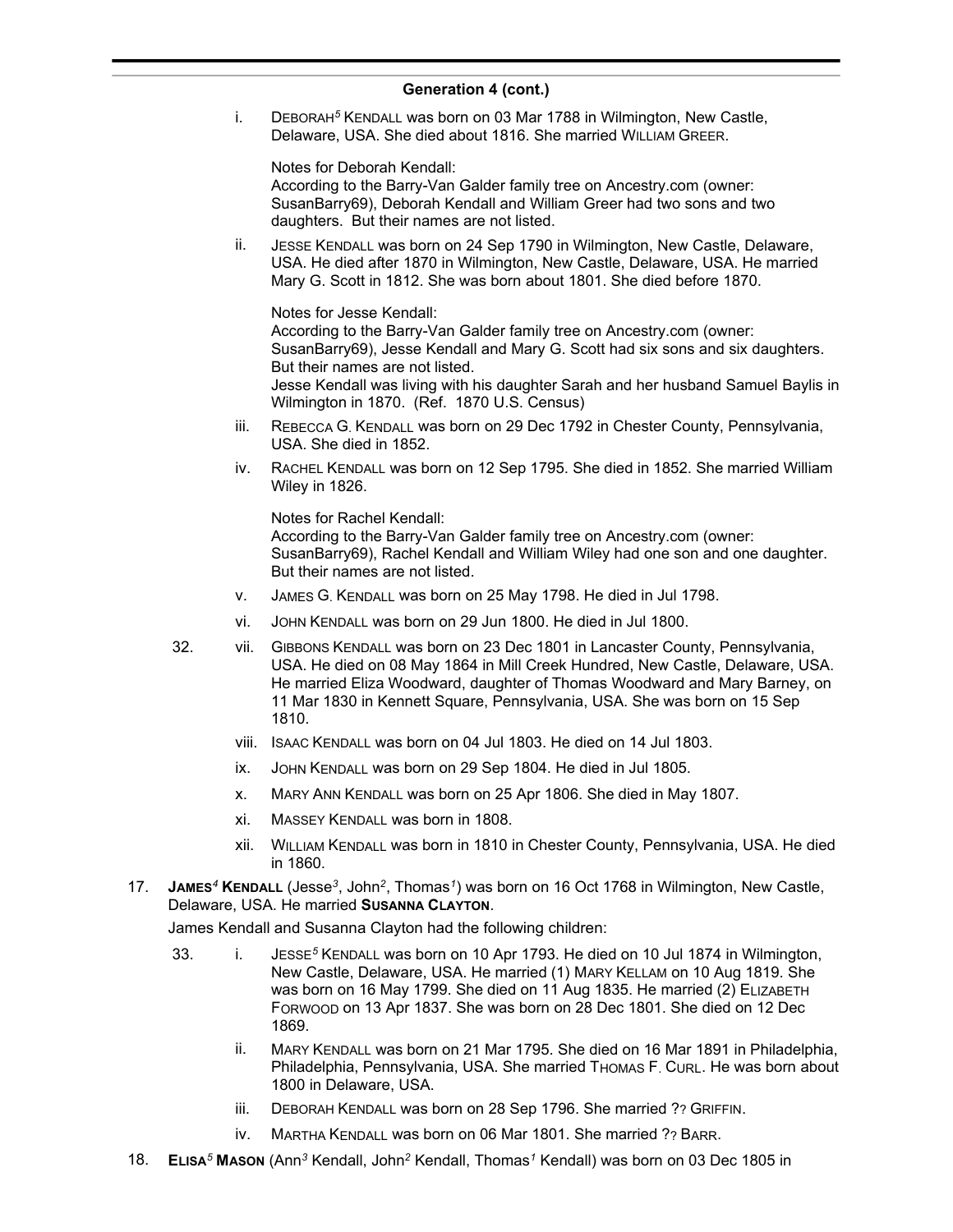i. DEBORAH*<sup>5</sup>* KENDALL was born on 03 Mar 1788 in Wilmington, New Castle, Delaware, USA. She died about 1816. She married WILLIAM GREER.

Notes for Deborah Kendall: According to the Barry-Van Galder family tree on Ancestry.com (owner: SusanBarry69), Deborah Kendall and William Greer had two sons and two daughters. But their names are not listed.

ii. JESSE KENDALL was born on 24 Sep 1790 in Wilmington, New Castle, Delaware, USA. He died after 1870 in Wilmington, New Castle, Delaware, USA. He married Mary G. Scott in 1812. She was born about 1801. She died before 1870.

Notes for Jesse Kendall: According to the Barry-Van Galder family tree on Ancestry.com (owner: SusanBarry69), Jesse Kendall and Mary G. Scott had six sons and six daughters. But their names are not listed. Jesse Kendall was living with his daughter Sarah and her husband Samuel Baylis in Wilmington in 1870. (Ref. 1870 U.S. Census)

- iii. REBECCA G. KENDALL was born on 29 Dec 1792 in Chester County, Pennsylvania, USA. She died in 1852.
- iv. RACHEL KENDALL was born on 12 Sep 1795. She died in 1852. She married William Wiley in 1826.

Notes for Rachel Kendall: According to the Barry-Van Galder family tree on Ancestry.com (owner: SusanBarry69), Rachel Kendall and William Wiley had one son and one daughter. But their names are not listed.

- v. JAMES G. KENDALL was born on 25 May 1798. He died in Jul 1798.
- vi. JOHN KENDALL was born on 29 Jun 1800. He died in Jul 1800.
- 32. vii. GIBBONS KENDALL was born on 23 Dec 1801 in Lancaster County, Pennsylvania, USA. He died on 08 May 1864 in Mill Creek Hundred, New Castle, Delaware, USA. He married Eliza Woodward, daughter of Thomas Woodward and Mary Barney, on 11 Mar 1830 in Kennett Square, Pennsylvania, USA. She was born on 15 Sep 1810.
	- viii. ISAAC KENDALL was born on 04 Jul 1803. He died on 14 Jul 1803.
	- ix. JOHN KENDALL was born on 29 Sep 1804. He died in Jul 1805.
	- x. MARY ANN KENDALL was born on 25 Apr 1806. She died in May 1807.
	- xi. MASSEY KENDALL was born in 1808.
	- xii. WILLIAM KENDALL was born in 1810 in Chester County, Pennsylvania, USA. He died in 1860.
- 17. **JAMES***<sup>4</sup>* **KENDALL** (Jesse*<sup>3</sup>* , John*<sup>2</sup>* , Thomas*<sup>1</sup>* ) was born on 16 Oct 1768 in Wilmington, New Castle, Delaware, USA. He married **SUSANNA CLAYTON**.

James Kendall and Susanna Clayton had the following children:

- 33. i. JESSE*<sup>5</sup>* KENDALL was born on 10 Apr 1793. He died on 10 Jul 1874 in Wilmington, New Castle, Delaware, USA. He married (1) MARY KELLAM on 10 Aug 1819. She was born on 16 May 1799. She died on 11 Aug 1835. He married (2) ELIZABETH FORWOOD on 13 Apr 1837. She was born on 28 Dec 1801. She died on 12 Dec 1869.
	- ii. MARY KENDALL was born on 21 Mar 1795. She died on 16 Mar 1891 in Philadelphia, Philadelphia, Pennsylvania, USA. She married THOMAS F. CURL. He was born about 1800 in Delaware, USA.
	- iii. DEBORAH KENDALL was born on 28 Sep 1796. She married ?? GRIFFIN.
	- iv. MARTHA KENDALL was born on 06 Mar 1801. She married ?? BARR.
- 18. **ELISA***<sup>5</sup>* **MASON** (Ann*<sup>3</sup>* Kendall, John*<sup>2</sup>* Kendall, Thomas*<sup>1</sup>* Kendall) was born on 03 Dec 1805 in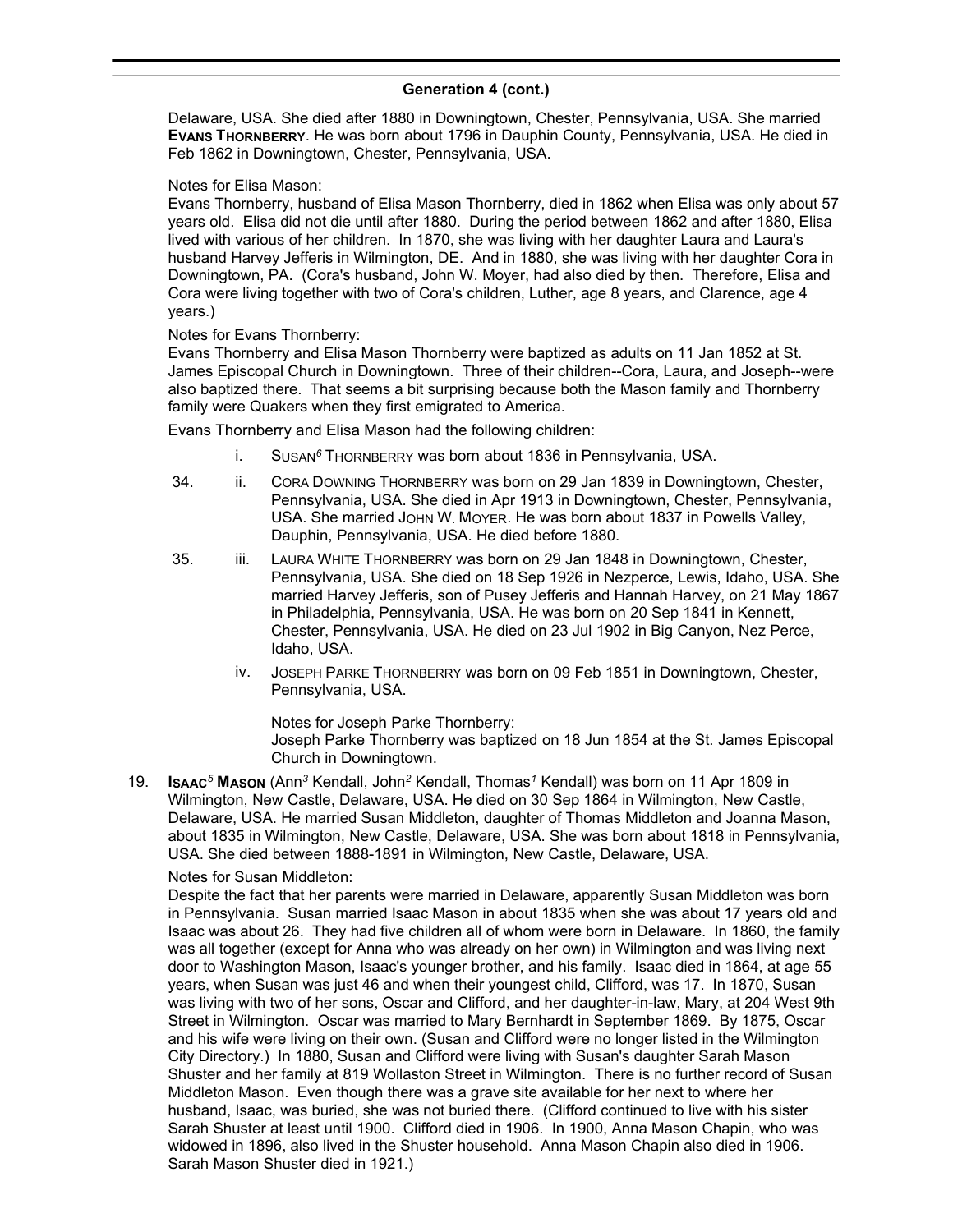Delaware, USA. She died after 1880 in Downingtown, Chester, Pennsylvania, USA. She married **EVANS THORNBERRY**. He was born about 1796 in Dauphin County, Pennsylvania, USA. He died in Feb 1862 in Downingtown, Chester, Pennsylvania, USA.

### Notes for Elisa Mason:

Evans Thornberry, husband of Elisa Mason Thornberry, died in 1862 when Elisa was only about 57 years old. Elisa did not die until after 1880. During the period between 1862 and after 1880, Elisa lived with various of her children. In 1870, she was living with her daughter Laura and Laura's husband Harvey Jefferis in Wilmington, DE. And in 1880, she was living with her daughter Cora in Downingtown, PA. (Cora's husband, John W. Moyer, had also died by then. Therefore, Elisa and Cora were living together with two of Cora's children, Luther, age 8 years, and Clarence, age 4 years.)

### Notes for Evans Thornberry:

Evans Thornberry and Elisa Mason Thornberry were baptized as adults on 11 Jan 1852 at St. James Episcopal Church in Downingtown. Three of their children--Cora, Laura, and Joseph--were also baptized there. That seems a bit surprising because both the Mason family and Thornberry family were Quakers when they first emigrated to America.

Evans Thornberry and Elisa Mason had the following children:

- i. SUSAN*<sup>6</sup>* THORNBERRY was born about 1836 in Pennsylvania, USA.
- 34. ii. CORA DOWNING THORNBERRY was born on 29 Jan 1839 in Downingtown, Chester, Pennsylvania, USA. She died in Apr 1913 in Downingtown, Chester, Pennsylvania, USA. She married JOHN W. MOYER. He was born about 1837 in Powells Valley, Dauphin, Pennsylvania, USA. He died before 1880.
- 35. iii. LAURA WHITE THORNBERRY was born on 29 Jan 1848 in Downingtown, Chester, Pennsylvania, USA. She died on 18 Sep 1926 in Nezperce, Lewis, Idaho, USA. She married Harvey Jefferis, son of Pusey Jefferis and Hannah Harvey, on 21 May 1867 in Philadelphia, Pennsylvania, USA. He was born on 20 Sep 1841 in Kennett, Chester, Pennsylvania, USA. He died on 23 Jul 1902 in Big Canyon, Nez Perce, Idaho, USA.
	- iv. JOSEPH PARKE THORNBERRY was born on 09 Feb 1851 in Downingtown, Chester, Pennsylvania, USA.

Notes for Joseph Parke Thornberry:

Joseph Parke Thornberry was baptized on 18 Jun 1854 at the St. James Episcopal Church in Downingtown.

19. **ISAAC***<sup>5</sup>* **MASON** (Ann*<sup>3</sup>* Kendall, John*<sup>2</sup>* Kendall, Thomas*<sup>1</sup>* Kendall) was born on 11 Apr 1809 in Wilmington, New Castle, Delaware, USA. He died on 30 Sep 1864 in Wilmington, New Castle, Delaware, USA. He married Susan Middleton, daughter of Thomas Middleton and Joanna Mason, about 1835 in Wilmington, New Castle, Delaware, USA. She was born about 1818 in Pennsylvania, USA. She died between 1888-1891 in Wilmington, New Castle, Delaware, USA.

# Notes for Susan Middleton:

Despite the fact that her parents were married in Delaware, apparently Susan Middleton was born in Pennsylvania. Susan married Isaac Mason in about 1835 when she was about 17 years old and Isaac was about 26. They had five children all of whom were born in Delaware. In 1860, the family was all together (except for Anna who was already on her own) in Wilmington and was living next door to Washington Mason, Isaac's younger brother, and his family. Isaac died in 1864, at age 55 years, when Susan was just 46 and when their youngest child, Clifford, was 17. In 1870, Susan was living with two of her sons, Oscar and Clifford, and her daughter-in-law, Mary, at 204 West 9th Street in Wilmington. Oscar was married to Mary Bernhardt in September 1869. By 1875, Oscar and his wife were living on their own. (Susan and Clifford were no longer listed in the Wilmington City Directory.) In 1880, Susan and Clifford were living with Susan's daughter Sarah Mason Shuster and her family at 819 Wollaston Street in Wilmington. There is no further record of Susan Middleton Mason. Even though there was a grave site available for her next to where her husband, Isaac, was buried, she was not buried there. (Clifford continued to live with his sister Sarah Shuster at least until 1900. Clifford died in 1906. In 1900, Anna Mason Chapin, who was widowed in 1896, also lived in the Shuster household. Anna Mason Chapin also died in 1906. Sarah Mason Shuster died in 1921.)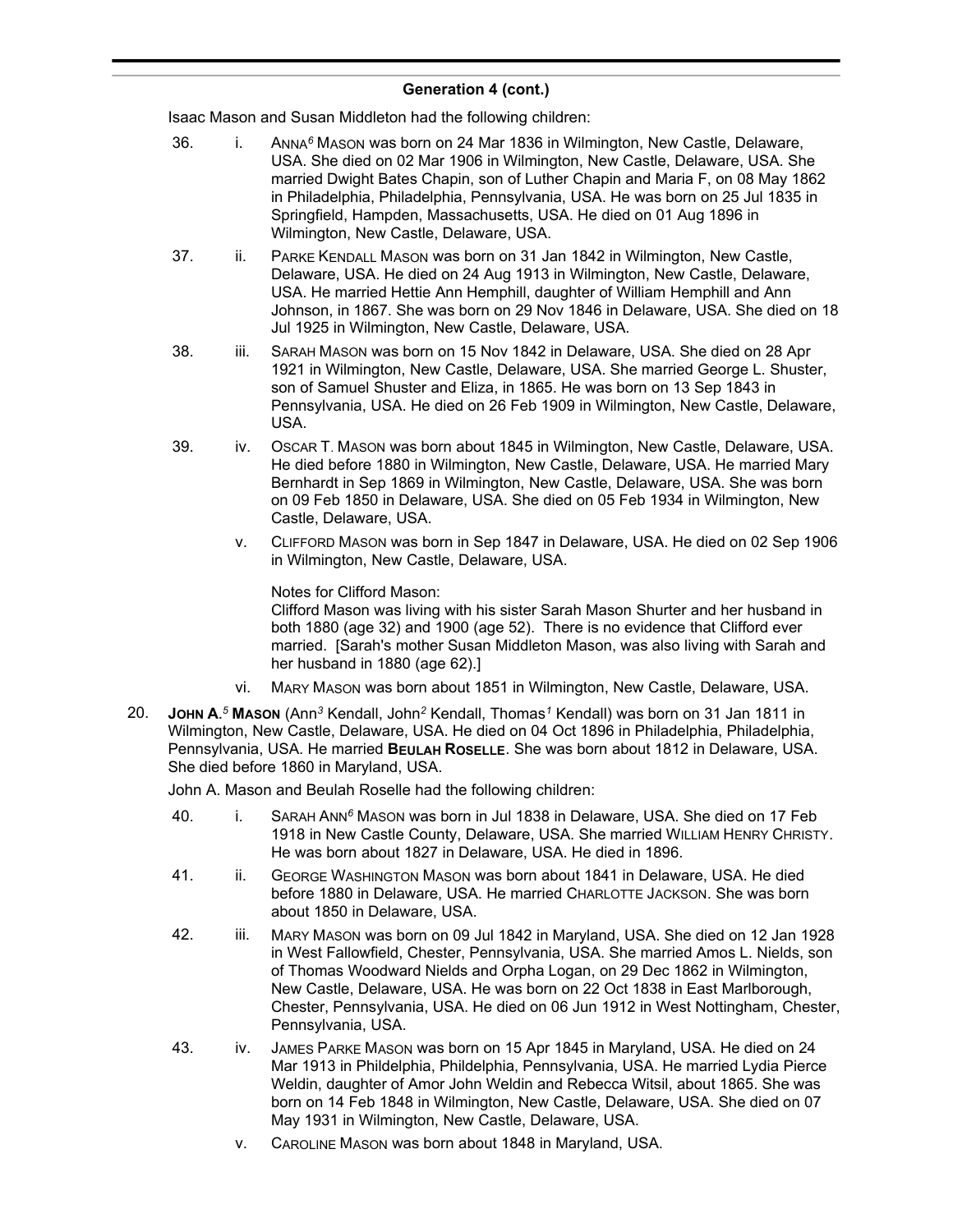Isaac Mason and Susan Middleton had the following children:

- 36. i. ANNA*<sup>6</sup>* MASON was born on 24 Mar 1836 in Wilmington, New Castle, Delaware, USA. She died on 02 Mar 1906 in Wilmington, New Castle, Delaware, USA. She married Dwight Bates Chapin, son of Luther Chapin and Maria F, on 08 May 1862 in Philadelphia, Philadelphia, Pennsylvania, USA. He was born on 25 Jul 1835 in Springfield, Hampden, Massachusetts, USA. He died on 01 Aug 1896 in Wilmington, New Castle, Delaware, USA.
- 37. ii. PARKE KENDALL MASON was born on 31 Jan 1842 in Wilmington, New Castle, Delaware, USA. He died on 24 Aug 1913 in Wilmington, New Castle, Delaware, USA. He married Hettie Ann Hemphill, daughter of William Hemphill and Ann Johnson, in 1867. She was born on 29 Nov 1846 in Delaware, USA. She died on 18 Jul 1925 in Wilmington, New Castle, Delaware, USA.
- 38. iii. SARAH MASON was born on 15 Nov 1842 in Delaware, USA. She died on 28 Apr 1921 in Wilmington, New Castle, Delaware, USA. She married George L. Shuster, son of Samuel Shuster and Eliza, in 1865. He was born on 13 Sep 1843 in Pennsylvania, USA. He died on 26 Feb 1909 in Wilmington, New Castle, Delaware, USA.
- 39. iv. OSCAR T. MASON was born about 1845 in Wilmington, New Castle, Delaware, USA. He died before 1880 in Wilmington, New Castle, Delaware, USA. He married Mary Bernhardt in Sep 1869 in Wilmington, New Castle, Delaware, USA. She was born on 09 Feb 1850 in Delaware, USA. She died on 05 Feb 1934 in Wilmington, New Castle, Delaware, USA.
	- v. CLIFFORD MASON was born in Sep 1847 in Delaware, USA. He died on 02 Sep 1906 in Wilmington, New Castle, Delaware, USA.

Notes for Clifford Mason:

Clifford Mason was living with his sister Sarah Mason Shurter and her husband in both 1880 (age 32) and 1900 (age 52). There is no evidence that Clifford ever married. [Sarah's mother Susan Middleton Mason, was also living with Sarah and her husband in 1880 (age 62).]

- vi. MARY MASON was born about 1851 in Wilmington, New Castle, Delaware, USA.
- 20. **JOHN A.** *<sup>5</sup>* **MASON** (Ann*<sup>3</sup>* Kendall, John*<sup>2</sup>* Kendall, Thomas*<sup>1</sup>* Kendall) was born on 31 Jan 1811 in Wilmington, New Castle, Delaware, USA. He died on 04 Oct 1896 in Philadelphia, Philadelphia, Pennsylvania, USA. He married **BEULAH ROSELLE**. She was born about 1812 in Delaware, USA. She died before 1860 in Maryland, USA.

John A. Mason and Beulah Roselle had the following children:

- 40. i. SARAH ANN*<sup>6</sup>* MASON was born in Jul 1838 in Delaware, USA. She died on 17 Feb 1918 in New Castle County, Delaware, USA. She married WILLIAM HENRY CHRISTY. He was born about 1827 in Delaware, USA. He died in 1896.
- 41. ii. GEORGE WASHINGTON MASON was born about 1841 in Delaware, USA. He died before 1880 in Delaware, USA. He married CHARLOTTE JACKSON. She was born about 1850 in Delaware, USA.
- 42. iii. MARY MASON was born on 09 Jul 1842 in Maryland, USA. She died on 12 Jan 1928 in West Fallowfield, Chester, Pennsylvania, USA. She married Amos L. Nields, son of Thomas Woodward Nields and Orpha Logan, on 29 Dec 1862 in Wilmington, New Castle, Delaware, USA. He was born on 22 Oct 1838 in East Marlborough, Chester, Pennsylvania, USA. He died on 06 Jun 1912 in West Nottingham, Chester, Pennsylvania, USA.
- 43. iv. JAMES PARKE MASON was born on 15 Apr 1845 in Maryland, USA. He died on 24 Mar 1913 in Phildelphia, Phildelphia, Pennsylvania, USA. He married Lydia Pierce Weldin, daughter of Amor John Weldin and Rebecca Witsil, about 1865. She was born on 14 Feb 1848 in Wilmington, New Castle, Delaware, USA. She died on 07 May 1931 in Wilmington, New Castle, Delaware, USA.
	- v. CAROLINE MASON was born about 1848 in Maryland, USA.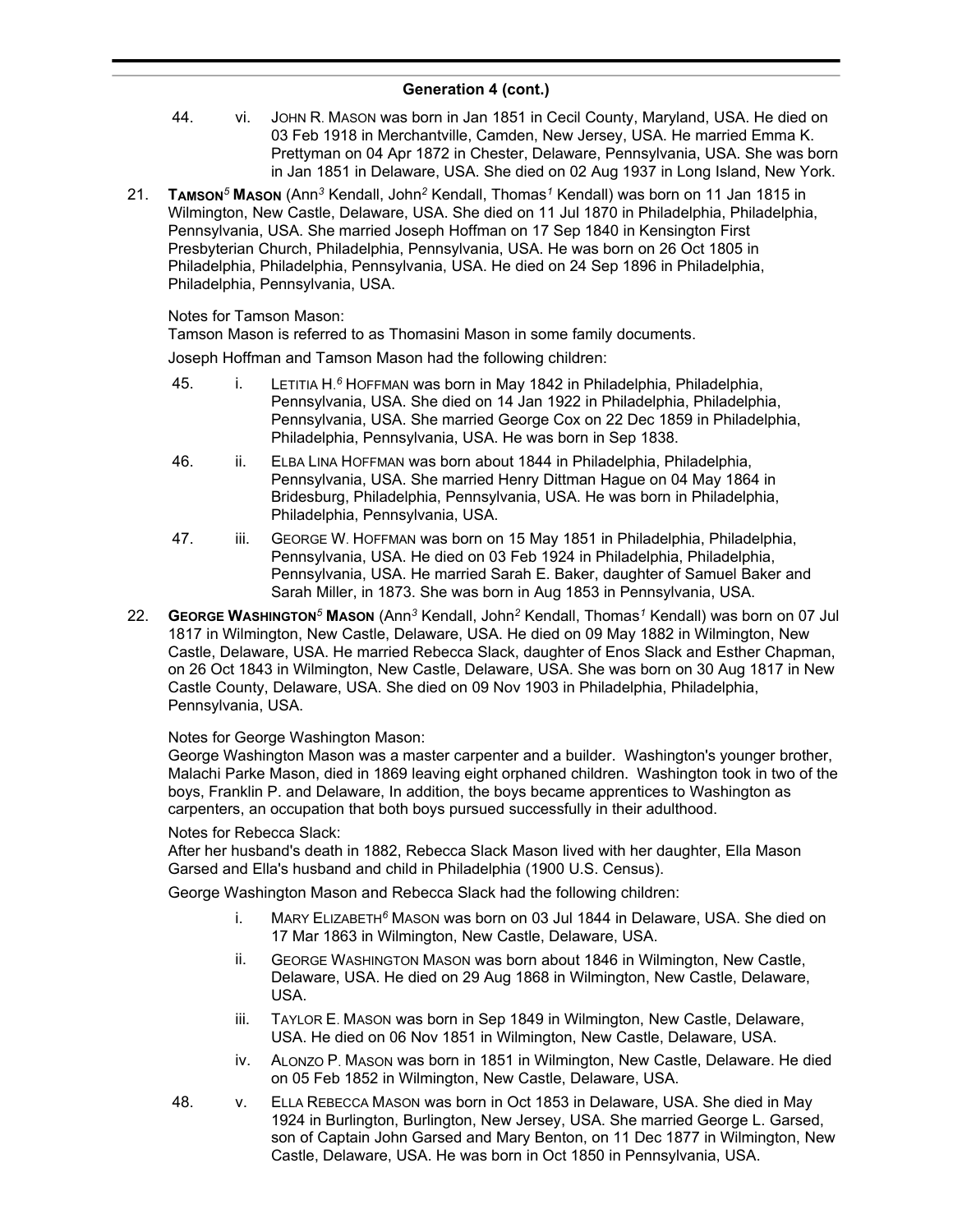- 44. vi. JOHN R. MASON was born in Jan 1851 in Cecil County, Maryland, USA. He died on 03 Feb 1918 in Merchantville, Camden, New Jersey, USA. He married Emma K. Prettyman on 04 Apr 1872 in Chester, Delaware, Pennsylvania, USA. She was born in Jan 1851 in Delaware, USA. She died on 02 Aug 1937 in Long Island, New York.
- 21. **TAMSON***<sup>5</sup>* **MASON** (Ann*<sup>3</sup>* Kendall, John*<sup>2</sup>* Kendall, Thomas*<sup>1</sup>* Kendall) was born on 11 Jan 1815 in Wilmington, New Castle, Delaware, USA. She died on 11 Jul 1870 in Philadelphia, Philadelphia, Pennsylvania, USA. She married Joseph Hoffman on 17 Sep 1840 in Kensington First Presbyterian Church, Philadelphia, Pennsylvania, USA. He was born on 26 Oct 1805 in Philadelphia, Philadelphia, Pennsylvania, USA. He died on 24 Sep 1896 in Philadelphia, Philadelphia, Pennsylvania, USA.

### Notes for Tamson Mason:

Tamson Mason is referred to as Thomasini Mason in some family documents.

Joseph Hoffman and Tamson Mason had the following children:

- 45. i. LETITIA H. *<sup>6</sup>* HOFFMAN was born in May 1842 in Philadelphia, Philadelphia, Pennsylvania, USA. She died on 14 Jan 1922 in Philadelphia, Philadelphia, Pennsylvania, USA. She married George Cox on 22 Dec 1859 in Philadelphia, Philadelphia, Pennsylvania, USA. He was born in Sep 1838.
- 46. ii. ELBA LINA HOFFMAN was born about 1844 in Philadelphia, Philadelphia, Pennsylvania, USA. She married Henry Dittman Hague on 04 May 1864 in Bridesburg, Philadelphia, Pennsylvania, USA. He was born in Philadelphia, Philadelphia, Pennsylvania, USA.
- 47. iii. GEORGE W. HOFFMAN was born on 15 May 1851 in Philadelphia, Philadelphia, Pennsylvania, USA. He died on 03 Feb 1924 in Philadelphia, Philadelphia, Pennsylvania, USA. He married Sarah E. Baker, daughter of Samuel Baker and Sarah Miller, in 1873. She was born in Aug 1853 in Pennsylvania, USA.
- 22. **GEORGE WASHINGTON***<sup>5</sup>* **MASON** (Ann*<sup>3</sup>* Kendall, John*<sup>2</sup>* Kendall, Thomas*<sup>1</sup>* Kendall) was born on 07 Jul 1817 in Wilmington, New Castle, Delaware, USA. He died on 09 May 1882 in Wilmington, New Castle, Delaware, USA. He married Rebecca Slack, daughter of Enos Slack and Esther Chapman, on 26 Oct 1843 in Wilmington, New Castle, Delaware, USA. She was born on 30 Aug 1817 in New Castle County, Delaware, USA. She died on 09 Nov 1903 in Philadelphia, Philadelphia, Pennsylvania, USA.

### Notes for George Washington Mason:

George Washington Mason was a master carpenter and a builder. Washington's younger brother, Malachi Parke Mason, died in 1869 leaving eight orphaned children. Washington took in two of the boys, Franklin P. and Delaware, In addition, the boys became apprentices to Washington as carpenters, an occupation that both boys pursued successfully in their adulthood.

### Notes for Rebecca Slack:

After her husband's death in 1882, Rebecca Slack Mason lived with her daughter, Ella Mason Garsed and Ella's husband and child in Philadelphia (1900 U.S. Census).

George Washington Mason and Rebecca Slack had the following children:

- i. MARY ELIZABETH*<sup>6</sup>* MASON was born on 03 Jul 1844 in Delaware, USA. She died on 17 Mar 1863 in Wilmington, New Castle, Delaware, USA.
- ii. GEORGE WASHINGTON MASON was born about 1846 in Wilmington, New Castle, Delaware, USA. He died on 29 Aug 1868 in Wilmington, New Castle, Delaware, USA.
- iii. TAYLOR E. MASON was born in Sep 1849 in Wilmington, New Castle, Delaware, USA. He died on 06 Nov 1851 in Wilmington, New Castle, Delaware, USA.
- iv. ALONZO P. MASON was born in 1851 in Wilmington, New Castle, Delaware. He died on 05 Feb 1852 in Wilmington, New Castle, Delaware, USA.
- 48. v. ELLA REBECCA MASON was born in Oct 1853 in Delaware, USA. She died in May 1924 in Burlington, Burlington, New Jersey, USA. She married George L. Garsed, son of Captain John Garsed and Mary Benton, on 11 Dec 1877 in Wilmington, New Castle, Delaware, USA. He was born in Oct 1850 in Pennsylvania, USA.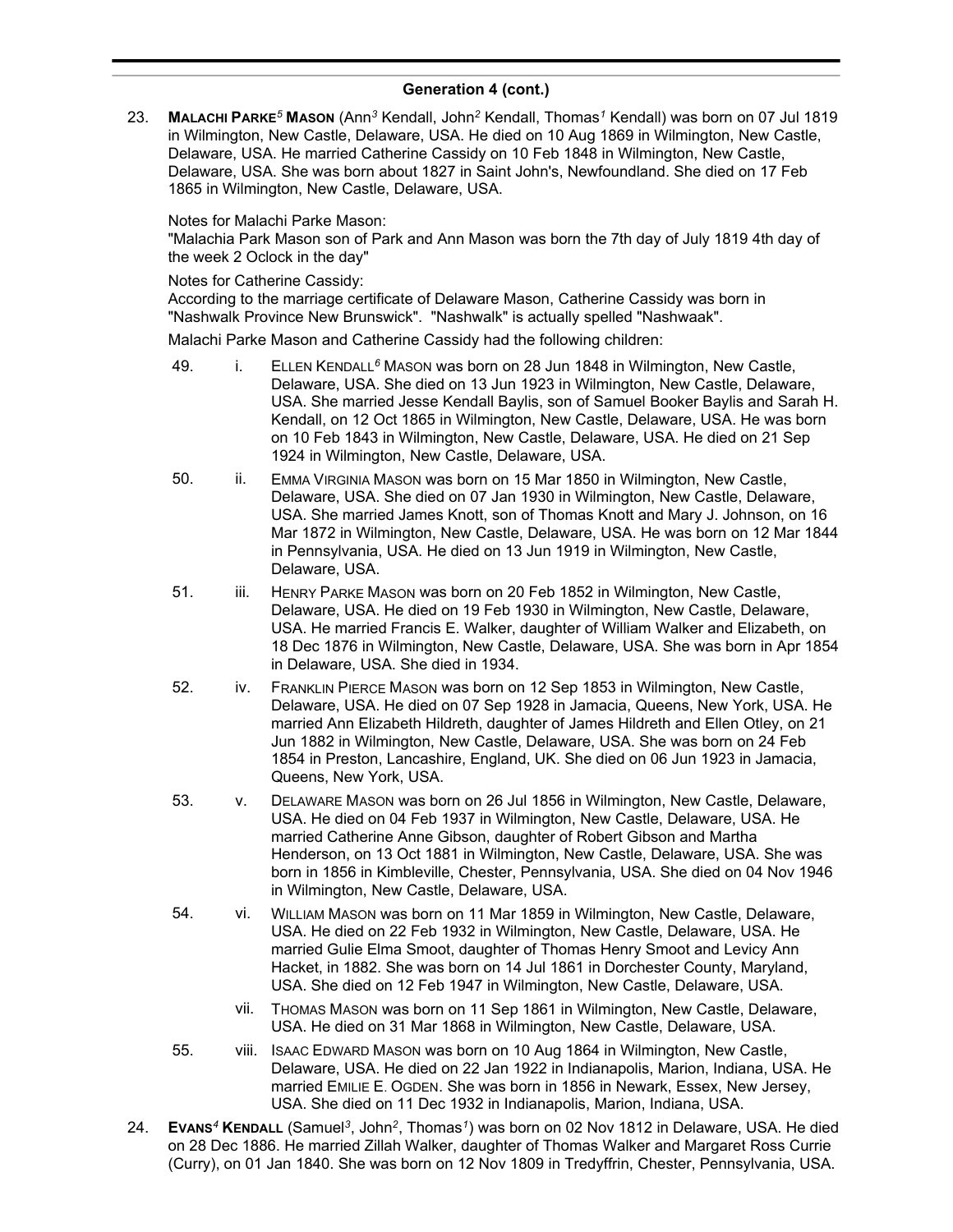23. **MALACHI PARKE***<sup>5</sup>* **MASON** (Ann*<sup>3</sup>* Kendall, John*<sup>2</sup>* Kendall, Thomas*<sup>1</sup>* Kendall) was born on 07 Jul 1819 in Wilmington, New Castle, Delaware, USA. He died on 10 Aug 1869 in Wilmington, New Castle, Delaware, USA. He married Catherine Cassidy on 10 Feb 1848 in Wilmington, New Castle, Delaware, USA. She was born about 1827 in Saint John's, Newfoundland. She died on 17 Feb 1865 in Wilmington, New Castle, Delaware, USA.

### Notes for Malachi Parke Mason:

"Malachia Park Mason son of Park and Ann Mason was born the 7th day of July 1819 4th day of the week 2 Oclock in the day"

### Notes for Catherine Cassidy:

According to the marriage certificate of Delaware Mason, Catherine Cassidy was born in "Nashwalk Province New Brunswick". "Nashwalk" is actually spelled "Nashwaak".

Malachi Parke Mason and Catherine Cassidy had the following children:

- 49. i. ELLEN KENDALL*<sup>6</sup>* MASON was born on 28 Jun 1848 in Wilmington, New Castle, Delaware, USA. She died on 13 Jun 1923 in Wilmington, New Castle, Delaware, USA. She married Jesse Kendall Baylis, son of Samuel Booker Baylis and Sarah H. Kendall, on 12 Oct 1865 in Wilmington, New Castle, Delaware, USA. He was born on 10 Feb 1843 in Wilmington, New Castle, Delaware, USA. He died on 21 Sep 1924 in Wilmington, New Castle, Delaware, USA.
- 50. ii. EMMA VIRGINIA MASON was born on 15 Mar 1850 in Wilmington, New Castle, Delaware, USA. She died on 07 Jan 1930 in Wilmington, New Castle, Delaware, USA. She married James Knott, son of Thomas Knott and Mary J. Johnson, on 16 Mar 1872 in Wilmington, New Castle, Delaware, USA. He was born on 12 Mar 1844 in Pennsylvania, USA. He died on 13 Jun 1919 in Wilmington, New Castle, Delaware, USA.
- 51. iii. HENRY PARKE MASON was born on 20 Feb 1852 in Wilmington, New Castle, Delaware, USA. He died on 19 Feb 1930 in Wilmington, New Castle, Delaware, USA. He married Francis E. Walker, daughter of William Walker and Elizabeth, on 18 Dec 1876 in Wilmington, New Castle, Delaware, USA. She was born in Apr 1854 in Delaware, USA. She died in 1934.
- 52. iv. FRANKLIN PIERCE MASON was born on 12 Sep 1853 in Wilmington, New Castle, Delaware, USA. He died on 07 Sep 1928 in Jamacia, Queens, New York, USA. He married Ann Elizabeth Hildreth, daughter of James Hildreth and Ellen Otley, on 21 Jun 1882 in Wilmington, New Castle, Delaware, USA. She was born on 24 Feb 1854 in Preston, Lancashire, England, UK. She died on 06 Jun 1923 in Jamacia, Queens, New York, USA.
- 53. v. DELAWARE MASON was born on 26 Jul 1856 in Wilmington, New Castle, Delaware, USA. He died on 04 Feb 1937 in Wilmington, New Castle, Delaware, USA. He married Catherine Anne Gibson, daughter of Robert Gibson and Martha Henderson, on 13 Oct 1881 in Wilmington, New Castle, Delaware, USA. She was born in 1856 in Kimbleville, Chester, Pennsylvania, USA. She died on 04 Nov 1946 in Wilmington, New Castle, Delaware, USA.
- 54. vi. WILLIAM MASON was born on 11 Mar 1859 in Wilmington, New Castle, Delaware, USA. He died on 22 Feb 1932 in Wilmington, New Castle, Delaware, USA. He married Gulie Elma Smoot, daughter of Thomas Henry Smoot and Levicy Ann Hacket, in 1882. She was born on 14 Jul 1861 in Dorchester County, Maryland, USA. She died on 12 Feb 1947 in Wilmington, New Castle, Delaware, USA.
	- vii. THOMAS MASON was born on 11 Sep 1861 in Wilmington, New Castle, Delaware, USA. He died on 31 Mar 1868 in Wilmington, New Castle, Delaware, USA.
- 55. viii. ISAAC EDWARD MASON was born on 10 Aug 1864 in Wilmington, New Castle, Delaware, USA. He died on 22 Jan 1922 in Indianapolis, Marion, Indiana, USA. He married EMILIE E. OGDEN. She was born in 1856 in Newark, Essex, New Jersey, USA. She died on 11 Dec 1932 in Indianapolis, Marion, Indiana, USA.
- 24. **EVANS***<sup>4</sup>* **KENDALL** (Samuel*<sup>3</sup>* , John*<sup>2</sup>* , Thomas*<sup>1</sup>* ) was born on 02 Nov 1812 in Delaware, USA. He died on 28 Dec 1886. He married Zillah Walker, daughter of Thomas Walker and Margaret Ross Currie (Curry), on 01 Jan 1840. She was born on 12 Nov 1809 in Tredyffrin, Chester, Pennsylvania, USA.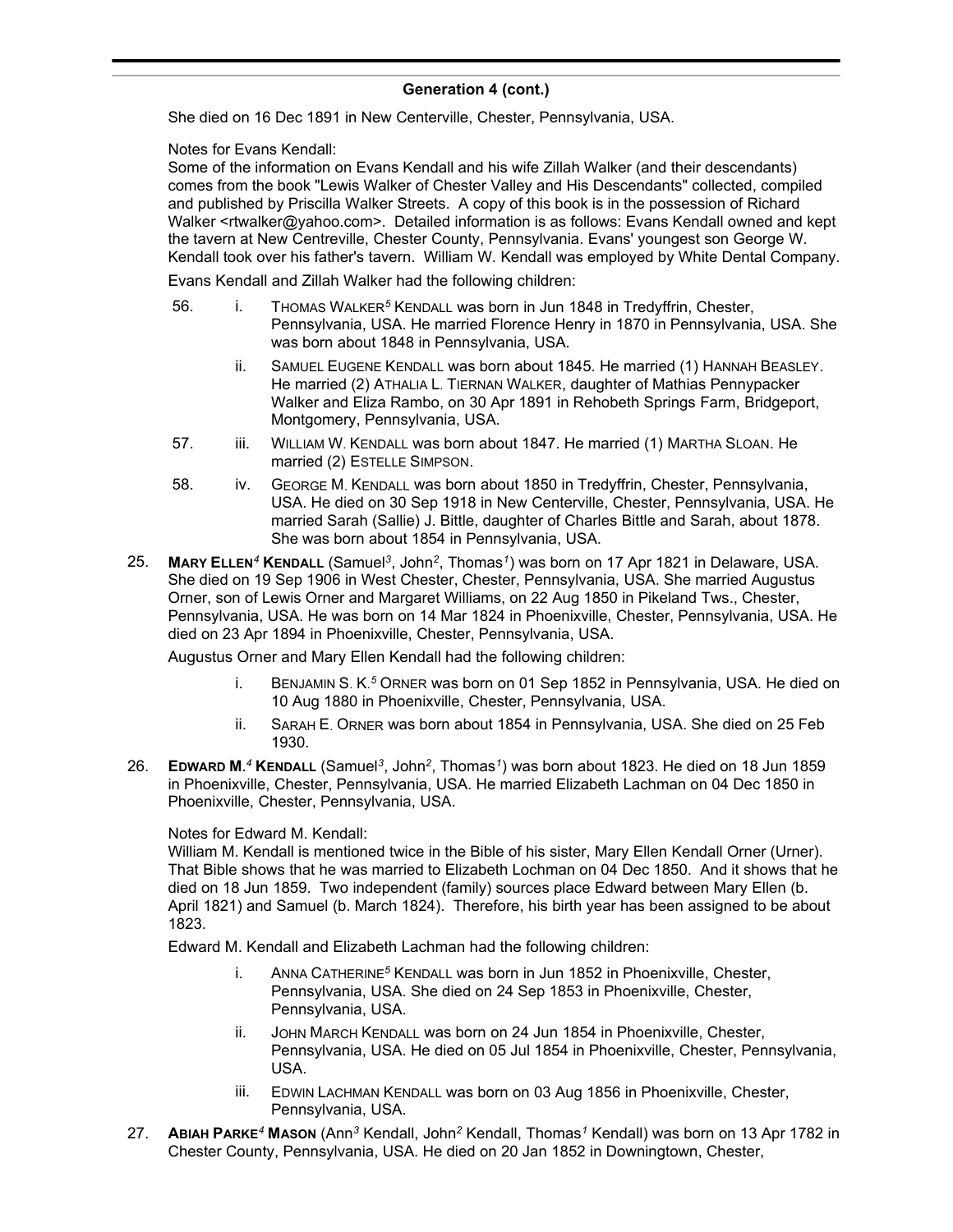She died on 16 Dec 1891 in New Centerville, Chester, Pennsylvania, USA.

Notes for Evans Kendall:

Some of the information on Evans Kendall and his wife Zillah Walker (and their descendants) comes from the book "Lewis Walker of Chester Valley and His Descendants" collected, compiled and published by Priscilla Walker Streets. A copy of this book is in the possession of Richard Walker <rtwalker@yahoo.com>. Detailed information is as follows: Evans Kendall owned and kept the tavern at New Centreville, Chester County, Pennsylvania. Evans' youngest son George W. Kendall took over his father's tavern. William W. Kendall was employed by White Dental Company.

Evans Kendall and Zillah Walker had the following children:

- 56. i. THOMAS WALKER*<sup>5</sup>* KENDALL was born in Jun 1848 in Tredyffrin, Chester, Pennsylvania, USA. He married Florence Henry in 1870 in Pennsylvania, USA. She was born about 1848 in Pennsylvania, USA.
	- ii. SAMUEL EUGENE KENDALL was born about 1845. He married (1) HANNAH BEASLEY. He married (2) ATHALIA L. TIERNAN WALKER, daughter of Mathias Pennypacker Walker and Eliza Rambo, on 30 Apr 1891 in Rehobeth Springs Farm, Bridgeport, Montgomery, Pennsylvania, USA.
- 57. iii. WILLIAM W. KENDALL was born about 1847. He married (1) MARTHA SLOAN. He married (2) ESTELLE SIMPSON.
- 58. iv. GEORGE M. KENDALL was born about 1850 in Tredyffrin, Chester, Pennsylvania, USA. He died on 30 Sep 1918 in New Centerville, Chester, Pennsylvania, USA. He married Sarah (Sallie) J. Bittle, daughter of Charles Bittle and Sarah, about 1878. She was born about 1854 in Pennsylvania, USA.
- 25. **MARY ELLEN***<sup>4</sup>* **KENDALL** (Samuel*<sup>3</sup>* , John*<sup>2</sup>* , Thomas*<sup>1</sup>* ) was born on 17 Apr 1821 in Delaware, USA. She died on 19 Sep 1906 in West Chester, Chester, Pennsylvania, USA. She married Augustus Orner, son of Lewis Orner and Margaret Williams, on 22 Aug 1850 in Pikeland Tws., Chester, Pennsylvania, USA. He was born on 14 Mar 1824 in Phoenixville, Chester, Pennsylvania, USA. He died on 23 Apr 1894 in Phoenixville, Chester, Pennsylvania, USA.

Augustus Orner and Mary Ellen Kendall had the following children:

- i. BENJAMIN S. K. *<sup>5</sup>* ORNER was born on 01 Sep 1852 in Pennsylvania, USA. He died on 10 Aug 1880 in Phoenixville, Chester, Pennsylvania, USA.
- ii. SARAH E. ORNER was born about 1854 in Pennsylvania, USA. She died on 25 Feb 1930.
- 26. **EDWARD M.** *<sup>4</sup>* **KENDALL** (Samuel*<sup>3</sup>* , John*<sup>2</sup>* , Thomas*<sup>1</sup>* ) was born about 1823. He died on 18 Jun 1859 in Phoenixville, Chester, Pennsylvania, USA. He married Elizabeth Lachman on 04 Dec 1850 in Phoenixville, Chester, Pennsylvania, USA.

Notes for Edward M. Kendall:

William M. Kendall is mentioned twice in the Bible of his sister, Mary Ellen Kendall Orner (Urner). That Bible shows that he was married to Elizabeth Lochman on 04 Dec 1850. And it shows that he died on 18 Jun 1859. Two independent (family) sources place Edward between Mary Ellen (b. April 1821) and Samuel (b. March 1824). Therefore, his birth year has been assigned to be about 1823.

Edward M. Kendall and Elizabeth Lachman had the following children:

- i. ANNA CATHERINE*<sup>5</sup>* KENDALL was born in Jun 1852 in Phoenixville, Chester, Pennsylvania, USA. She died on 24 Sep 1853 in Phoenixville, Chester, Pennsylvania, USA.
- ii. JOHN MARCH KENDALL was born on 24 Jun 1854 in Phoenixville, Chester, Pennsylvania, USA. He died on 05 Jul 1854 in Phoenixville, Chester, Pennsylvania, USA.
- iii. EDWIN LACHMAN KENDALL was born on 03 Aug 1856 in Phoenixville, Chester, Pennsylvania, USA.
- 27. **ABIAH PARKE***<sup>4</sup>* **MASON** (Ann*<sup>3</sup>* Kendall, John*<sup>2</sup>* Kendall, Thomas*<sup>1</sup>* Kendall) was born on 13 Apr 1782 in Chester County, Pennsylvania, USA. He died on 20 Jan 1852 in Downingtown, Chester,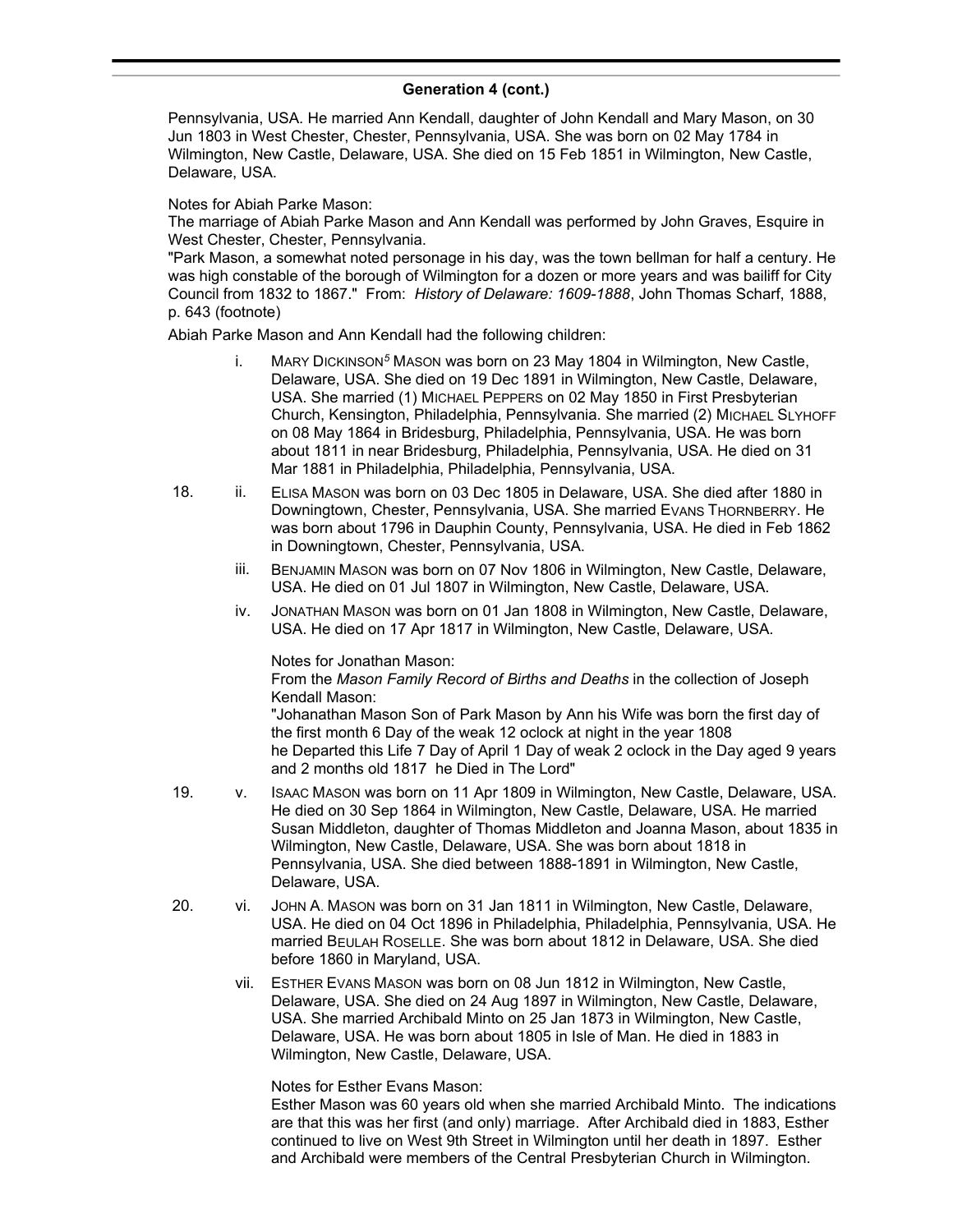Pennsylvania, USA. He married Ann Kendall, daughter of John Kendall and Mary Mason, on 30 Jun 1803 in West Chester, Chester, Pennsylvania, USA. She was born on 02 May 1784 in Wilmington, New Castle, Delaware, USA. She died on 15 Feb 1851 in Wilmington, New Castle, Delaware, USA.

### Notes for Abiah Parke Mason:

The marriage of Abiah Parke Mason and Ann Kendall was performed by John Graves, Esquire in West Chester, Chester, Pennsylvania.

"Park Mason, a somewhat noted personage in his day, was the town bellman for half a century. He was high constable of the borough of Wilmington for a dozen or more years and was bailiff for City Council from 1832 to 1867." From: *History of Delaware: 1609-1888*, John Thomas Scharf, 1888, p. 643 (footnote)

Abiah Parke Mason and Ann Kendall had the following children:

- i. MARY DICKINSON*<sup>5</sup>* MASON was born on 23 May 1804 in Wilmington, New Castle, Delaware, USA. She died on 19 Dec 1891 in Wilmington, New Castle, Delaware, USA. She married (1) MICHAEL PEPPERS on 02 May 1850 in First Presbyterian Church, Kensington, Philadelphia, Pennsylvania. She married (2) MICHAEL SLYHOFF on 08 May 1864 in Bridesburg, Philadelphia, Pennsylvania, USA. He was born about 1811 in near Bridesburg, Philadelphia, Pennsylvania, USA. He died on 31 Mar 1881 in Philadelphia, Philadelphia, Pennsylvania, USA.
- 18. ii. ELISA MASON was born on 03 Dec 1805 in Delaware, USA. She died after 1880 in Downingtown, Chester, Pennsylvania, USA. She married EVANS THORNBERRY. He was born about 1796 in Dauphin County, Pennsylvania, USA. He died in Feb 1862 in Downingtown, Chester, Pennsylvania, USA.
	- iii. BENJAMIN MASON was born on 07 Nov 1806 in Wilmington, New Castle, Delaware, USA. He died on 01 Jul 1807 in Wilmington, New Castle, Delaware, USA.
	- iv. JONATHAN MASON was born on 01 Jan 1808 in Wilmington, New Castle, Delaware, USA. He died on 17 Apr 1817 in Wilmington, New Castle, Delaware, USA.

Notes for Jonathan Mason:

From the *Mason Family Record of Births and Deaths* in the collection of Joseph Kendall Mason:

"Johanathan Mason Son of Park Mason by Ann his Wife was born the first day of the first month 6 Day of the weak 12 oclock at night in the year 1808 he Departed this Life 7 Day of April 1 Day of weak 2 oclock in the Day aged 9 years and 2 months old 1817 he Died in The Lord"

- 19. v. ISAAC MASON was born on 11 Apr 1809 in Wilmington, New Castle, Delaware, USA. He died on 30 Sep 1864 in Wilmington, New Castle, Delaware, USA. He married Susan Middleton, daughter of Thomas Middleton and Joanna Mason, about 1835 in Wilmington, New Castle, Delaware, USA. She was born about 1818 in Pennsylvania, USA. She died between 1888-1891 in Wilmington, New Castle, Delaware, USA.
- 20. vi. JOHN A. MASON was born on 31 Jan 1811 in Wilmington, New Castle, Delaware, USA. He died on 04 Oct 1896 in Philadelphia, Philadelphia, Pennsylvania, USA. He married BEULAH ROSELLE. She was born about 1812 in Delaware, USA. She died before 1860 in Maryland, USA.
	- vii. ESTHER EVANS MASON was born on 08 Jun 1812 in Wilmington, New Castle, Delaware, USA. She died on 24 Aug 1897 in Wilmington, New Castle, Delaware, USA. She married Archibald Minto on 25 Jan 1873 in Wilmington, New Castle, Delaware, USA. He was born about 1805 in Isle of Man. He died in 1883 in Wilmington, New Castle, Delaware, USA.

Notes for Esther Evans Mason:

Esther Mason was 60 years old when she married Archibald Minto. The indications are that this was her first (and only) marriage. After Archibald died in 1883, Esther continued to live on West 9th Street in Wilmington until her death in 1897. Esther and Archibald were members of the Central Presbyterian Church in Wilmington.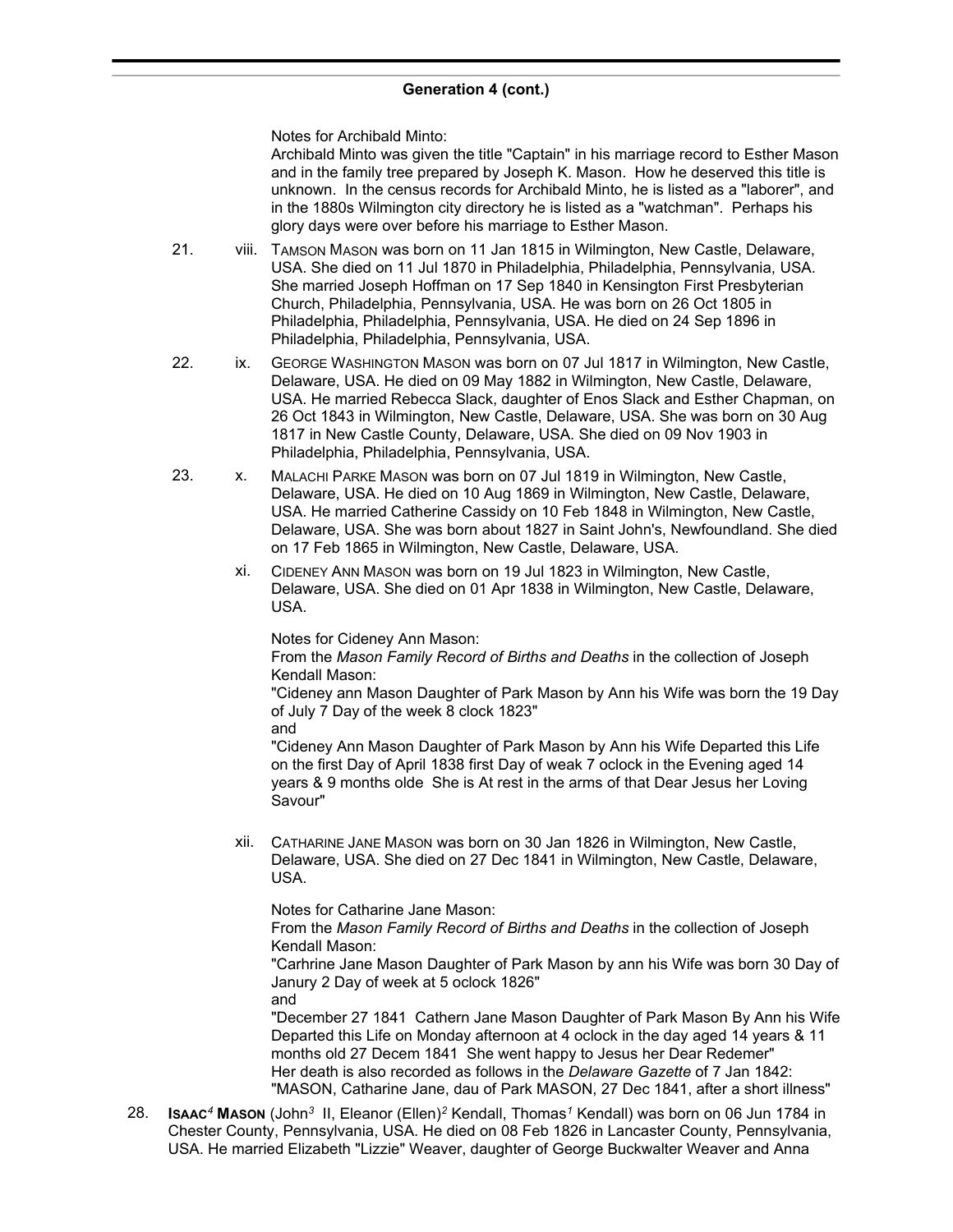Notes for Archibald Minto:

Archibald Minto was given the title "Captain" in his marriage record to Esther Mason and in the family tree prepared by Joseph K. Mason. How he deserved this title is unknown. In the census records for Archibald Minto, he is listed as a "laborer", and in the 1880s Wilmington city directory he is listed as a "watchman". Perhaps his glory days were over before his marriage to Esther Mason.

- 21. viii. TAMSON MASON was born on 11 Jan 1815 in Wilmington, New Castle, Delaware, USA. She died on 11 Jul 1870 in Philadelphia, Philadelphia, Pennsylvania, USA. She married Joseph Hoffman on 17 Sep 1840 in Kensington First Presbyterian Church, Philadelphia, Pennsylvania, USA. He was born on 26 Oct 1805 in Philadelphia, Philadelphia, Pennsylvania, USA. He died on 24 Sep 1896 in Philadelphia, Philadelphia, Pennsylvania, USA.
- 22. ix. GEORGE WASHINGTON MASON was born on 07 Jul 1817 in Wilmington, New Castle, Delaware, USA. He died on 09 May 1882 in Wilmington, New Castle, Delaware, USA. He married Rebecca Slack, daughter of Enos Slack and Esther Chapman, on 26 Oct 1843 in Wilmington, New Castle, Delaware, USA. She was born on 30 Aug 1817 in New Castle County, Delaware, USA. She died on 09 Nov 1903 in Philadelphia, Philadelphia, Pennsylvania, USA.
- 23. x. MALACHI PARKE MASON was born on 07 Jul 1819 in Wilmington, New Castle, Delaware, USA. He died on 10 Aug 1869 in Wilmington, New Castle, Delaware, USA. He married Catherine Cassidy on 10 Feb 1848 in Wilmington, New Castle, Delaware, USA. She was born about 1827 in Saint John's, Newfoundland. She died on 17 Feb 1865 in Wilmington, New Castle, Delaware, USA.
	- xi. CIDENEY ANN MASON was born on 19 Jul 1823 in Wilmington, New Castle, Delaware, USA. She died on 01 Apr 1838 in Wilmington, New Castle, Delaware, USA.

Notes for Cideney Ann Mason:

From the *Mason Family Record of Births and Deaths* in the collection of Joseph Kendall Mason:

"Cideney ann Mason Daughter of Park Mason by Ann his Wife was born the 19 Day of July 7 Day of the week 8 clock 1823"

and

"Cideney Ann Mason Daughter of Park Mason by Ann his Wife Departed this Life on the first Day of April 1838 first Day of weak 7 oclock in the Evening aged 14 years & 9 months olde She is At rest in the arms of that Dear Jesus her Loving Savour"

xii. CATHARINE JANE MASON was born on 30 Jan 1826 in Wilmington, New Castle, Delaware, USA. She died on 27 Dec 1841 in Wilmington, New Castle, Delaware, USA.

Notes for Catharine Jane Mason:

From the *Mason Family Record of Births and Deaths* in the collection of Joseph Kendall Mason:

"Carhrine Jane Mason Daughter of Park Mason by ann his Wife was born 30 Day of Janury 2 Day of week at 5 oclock 1826"

and

"December 27 1841 Cathern Jane Mason Daughter of Park Mason By Ann his Wife Departed this Life on Monday afternoon at 4 oclock in the day aged 14 years & 11 months old 27 Decem 1841 She went happy to Jesus her Dear Redemer" Her death is also recorded as follows in the *Delaware Gazette* of 7 Jan 1842: "MASON, Catharine Jane, dau of Park MASON, 27 Dec 1841, after a short illness"

28. **ISAAC***<sup>4</sup>* **MASON** (John*<sup>3</sup>* II, Eleanor (Ellen)*<sup>2</sup>* Kendall, Thomas*<sup>1</sup>* Kendall) was born on 06 Jun 1784 in Chester County, Pennsylvania, USA. He died on 08 Feb 1826 in Lancaster County, Pennsylvania, USA. He married Elizabeth "Lizzie" Weaver, daughter of George Buckwalter Weaver and Anna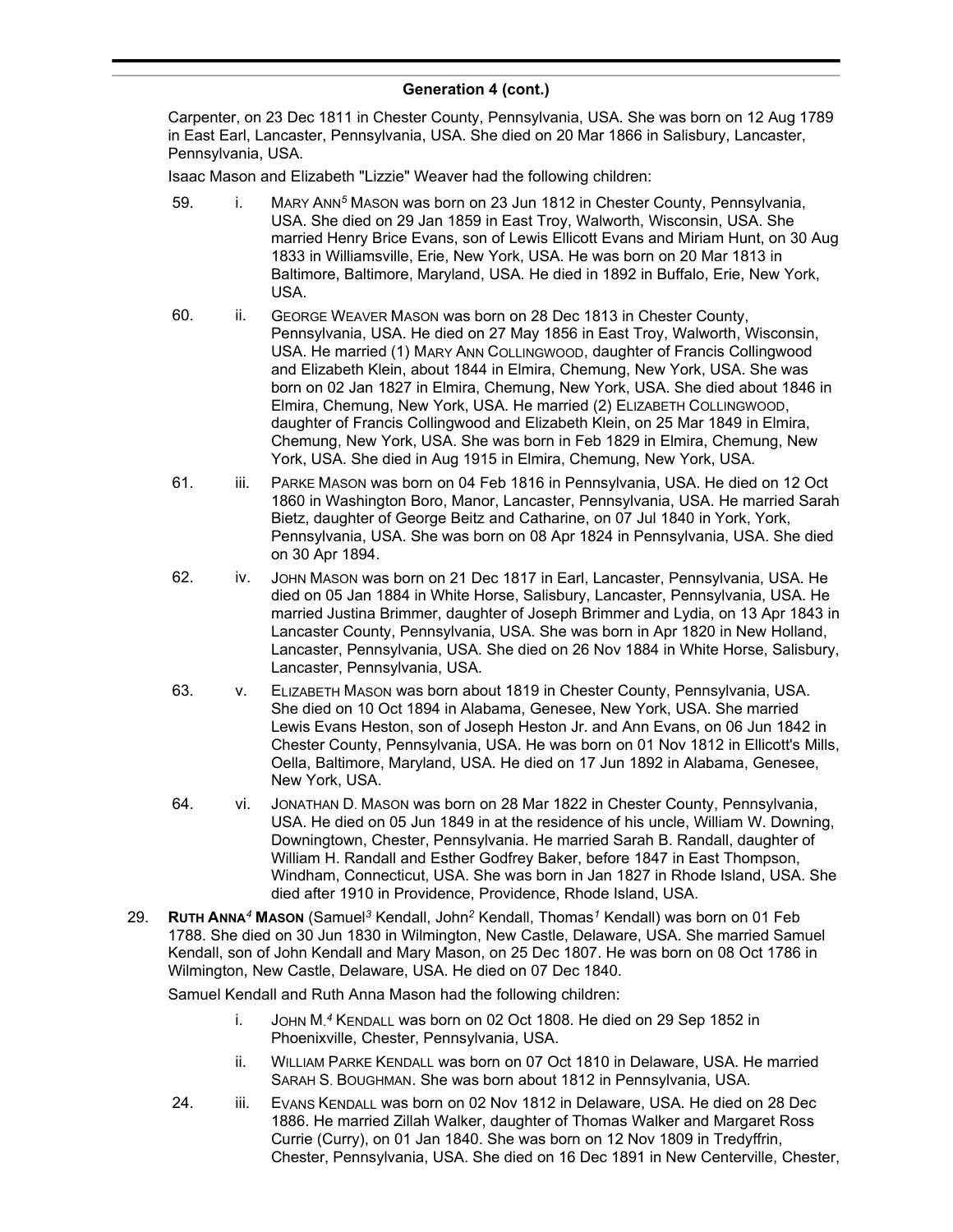Carpenter, on 23 Dec 1811 in Chester County, Pennsylvania, USA. She was born on 12 Aug 1789 in East Earl, Lancaster, Pennsylvania, USA. She died on 20 Mar 1866 in Salisbury, Lancaster, Pennsylvania, USA.

Isaac Mason and Elizabeth "Lizzie" Weaver had the following children:

- 59. i. MARY ANN*<sup>5</sup>* MASON was born on 23 Jun 1812 in Chester County, Pennsylvania, USA. She died on 29 Jan 1859 in East Troy, Walworth, Wisconsin, USA. She married Henry Brice Evans, son of Lewis Ellicott Evans and Miriam Hunt, on 30 Aug 1833 in Williamsville, Erie, New York, USA. He was born on 20 Mar 1813 in Baltimore, Baltimore, Maryland, USA. He died in 1892 in Buffalo, Erie, New York, USA.
- 60. ii. GEORGE WEAVER MASON was born on 28 Dec 1813 in Chester County, Pennsylvania, USA. He died on 27 May 1856 in East Troy, Walworth, Wisconsin, USA. He married (1) MARY ANN COLLINGWOOD, daughter of Francis Collingwood and Elizabeth Klein, about 1844 in Elmira, Chemung, New York, USA. She was born on 02 Jan 1827 in Elmira, Chemung, New York, USA. She died about 1846 in Elmira, Chemung, New York, USA. He married (2) ELIZABETH COLLINGWOOD, daughter of Francis Collingwood and Elizabeth Klein, on 25 Mar 1849 in Elmira, Chemung, New York, USA. She was born in Feb 1829 in Elmira, Chemung, New York, USA. She died in Aug 1915 in Elmira, Chemung, New York, USA.
- 61. iii. PARKE MASON was born on 04 Feb 1816 in Pennsylvania, USA. He died on 12 Oct 1860 in Washington Boro, Manor, Lancaster, Pennsylvania, USA. He married Sarah Bietz, daughter of George Beitz and Catharine, on 07 Jul 1840 in York, York, Pennsylvania, USA. She was born on 08 Apr 1824 in Pennsylvania, USA. She died on 30 Apr 1894.
- 62. iv. JOHN MASON was born on 21 Dec 1817 in Earl, Lancaster, Pennsylvania, USA. He died on 05 Jan 1884 in White Horse, Salisbury, Lancaster, Pennsylvania, USA. He married Justina Brimmer, daughter of Joseph Brimmer and Lydia, on 13 Apr 1843 in Lancaster County, Pennsylvania, USA. She was born in Apr 1820 in New Holland, Lancaster, Pennsylvania, USA. She died on 26 Nov 1884 in White Horse, Salisbury, Lancaster, Pennsylvania, USA.
- 63. v. ELIZABETH MASON was born about 1819 in Chester County, Pennsylvania, USA. She died on 10 Oct 1894 in Alabama, Genesee, New York, USA. She married Lewis Evans Heston, son of Joseph Heston Jr. and Ann Evans, on 06 Jun 1842 in Chester County, Pennsylvania, USA. He was born on 01 Nov 1812 in Ellicott's Mills, Oella, Baltimore, Maryland, USA. He died on 17 Jun 1892 in Alabama, Genesee, New York, USA.
- 64. vi. JONATHAN D. MASON was born on 28 Mar 1822 in Chester County, Pennsylvania, USA. He died on 05 Jun 1849 in at the residence of his uncle, William W. Downing, Downingtown, Chester, Pennsylvania. He married Sarah B. Randall, daughter of William H. Randall and Esther Godfrey Baker, before 1847 in East Thompson, Windham, Connecticut, USA. She was born in Jan 1827 in Rhode Island, USA. She died after 1910 in Providence, Providence, Rhode Island, USA.
- 29. **RUTH ANNA***<sup>4</sup>* **MASON** (Samuel*<sup>3</sup>* Kendall, John*<sup>2</sup>* Kendall, Thomas*<sup>1</sup>* Kendall) was born on 01 Feb 1788. She died on 30 Jun 1830 in Wilmington, New Castle, Delaware, USA. She married Samuel Kendall, son of John Kendall and Mary Mason, on 25 Dec 1807. He was born on 08 Oct 1786 in Wilmington, New Castle, Delaware, USA. He died on 07 Dec 1840.

Samuel Kendall and Ruth Anna Mason had the following children:

- i. JOHN M. *<sup>4</sup>* KENDALL was born on 02 Oct 1808. He died on 29 Sep 1852 in Phoenixville, Chester, Pennsylvania, USA.
- ii. WILLIAM PARKE KENDALL was born on 07 Oct 1810 in Delaware, USA. He married SARAH S. BOUGHMAN. She was born about 1812 in Pennsylvania, USA.
- 24. iii. EVANS KENDALL was born on 02 Nov 1812 in Delaware, USA. He died on 28 Dec 1886. He married Zillah Walker, daughter of Thomas Walker and Margaret Ross Currie (Curry), on 01 Jan 1840. She was born on 12 Nov 1809 in Tredyffrin, Chester, Pennsylvania, USA. She died on 16 Dec 1891 in New Centerville, Chester,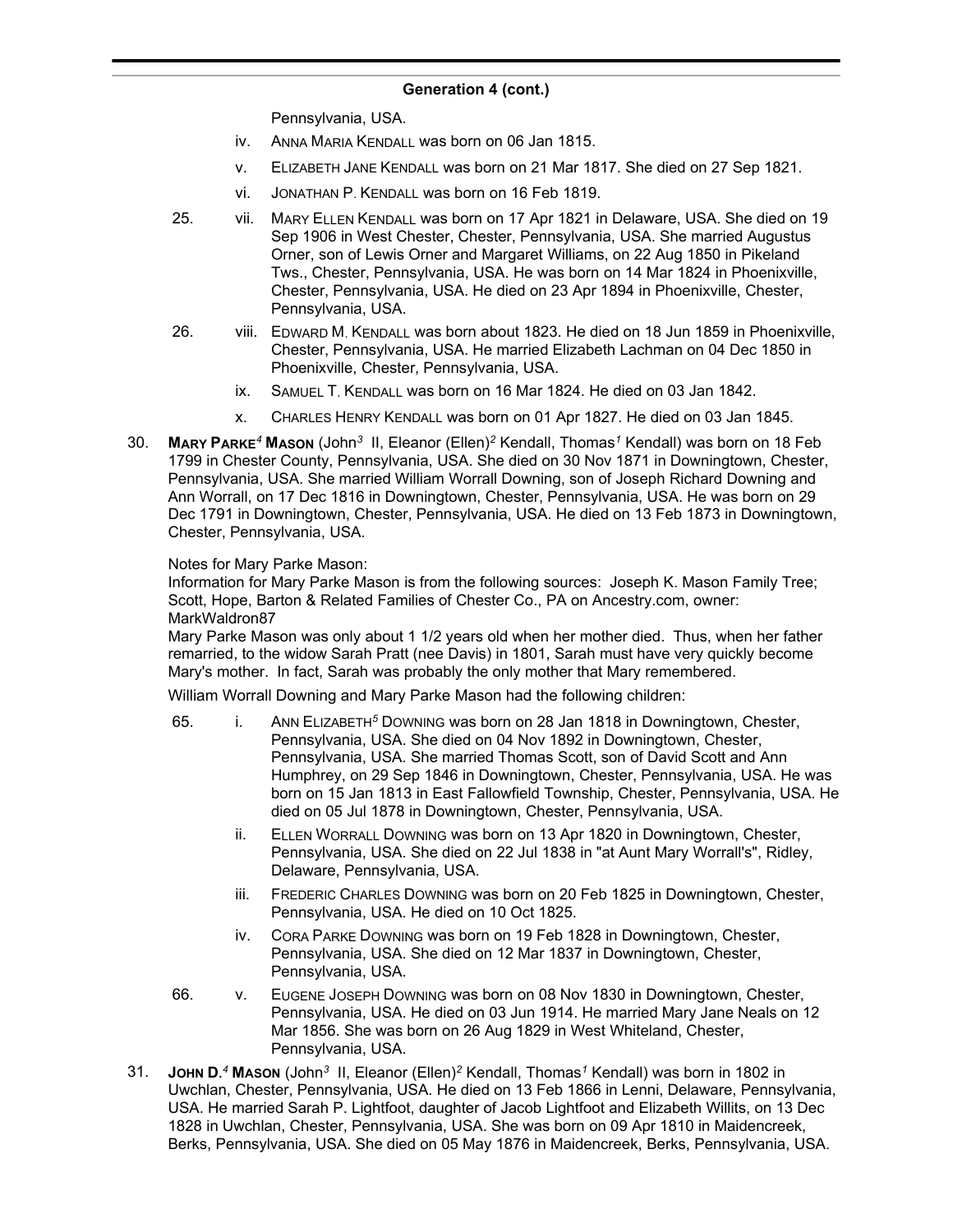Pennsylvania, USA.

- iv. ANNA MARIA KENDALL was born on 06 Jan 1815.
- v. ELIZABETH JANE KENDALL was born on 21 Mar 1817. She died on 27 Sep 1821.
- vi. JONATHAN P. KENDALL was born on 16 Feb 1819.
- 25. vii. MARY ELLEN KENDALL was born on 17 Apr 1821 in Delaware, USA. She died on 19 Sep 1906 in West Chester, Chester, Pennsylvania, USA. She married Augustus Orner, son of Lewis Orner and Margaret Williams, on 22 Aug 1850 in Pikeland Tws., Chester, Pennsylvania, USA. He was born on 14 Mar 1824 in Phoenixville, Chester, Pennsylvania, USA. He died on 23 Apr 1894 in Phoenixville, Chester, Pennsylvania, USA.
- 26. viii. EDWARD M. KENDALL was born about 1823. He died on 18 Jun 1859 in Phoenixville, Chester, Pennsylvania, USA. He married Elizabeth Lachman on 04 Dec 1850 in Phoenixville, Chester, Pennsylvania, USA.
	- ix. SAMUEL T. KENDALL was born on 16 Mar 1824. He died on 03 Jan 1842.
	- x. CHARLES HENRY KENDALL was born on 01 Apr 1827. He died on 03 Jan 1845.
- 30. **MARY PARKE***<sup>4</sup>* **MASON** (John*<sup>3</sup>* II, Eleanor (Ellen)*<sup>2</sup>* Kendall, Thomas*<sup>1</sup>* Kendall) was born on 18 Feb 1799 in Chester County, Pennsylvania, USA. She died on 30 Nov 1871 in Downingtown, Chester, Pennsylvania, USA. She married William Worrall Downing, son of Joseph Richard Downing and Ann Worrall, on 17 Dec 1816 in Downingtown, Chester, Pennsylvania, USA. He was born on 29 Dec 1791 in Downingtown, Chester, Pennsylvania, USA. He died on 13 Feb 1873 in Downingtown, Chester, Pennsylvania, USA.

### Notes for Mary Parke Mason:

Information for Mary Parke Mason is from the following sources: Joseph K. Mason Family Tree; Scott, Hope, Barton & Related Families of Chester Co., PA on Ancestry.com, owner: MarkWaldron87

Mary Parke Mason was only about 1 1/2 years old when her mother died. Thus, when her father remarried, to the widow Sarah Pratt (nee Davis) in 1801, Sarah must have very quickly become Mary's mother. In fact, Sarah was probably the only mother that Mary remembered.

William Worrall Downing and Mary Parke Mason had the following children:

- 65. i. ANN ELIZABETH*<sup>5</sup>* DOWNING was born on 28 Jan 1818 in Downingtown, Chester, Pennsylvania, USA. She died on 04 Nov 1892 in Downingtown, Chester, Pennsylvania, USA. She married Thomas Scott, son of David Scott and Ann Humphrey, on 29 Sep 1846 in Downingtown, Chester, Pennsylvania, USA. He was born on 15 Jan 1813 in East Fallowfield Township, Chester, Pennsylvania, USA. He died on 05 Jul 1878 in Downingtown, Chester, Pennsylvania, USA.
	- ii. ELLEN WORRALL DOWNING was born on 13 Apr 1820 in Downingtown, Chester, Pennsylvania, USA. She died on 22 Jul 1838 in "at Aunt Mary Worrall's", Ridley, Delaware, Pennsylvania, USA.
	- iii. FREDERIC CHARLES DOWNING was born on 20 Feb 1825 in Downingtown, Chester, Pennsylvania, USA. He died on 10 Oct 1825.
	- iv. CORA PARKE DOWNING was born on 19 Feb 1828 in Downingtown, Chester, Pennsylvania, USA. She died on 12 Mar 1837 in Downingtown, Chester, Pennsylvania, USA.
- 66. v. EUGENE JOSEPH DOWNING was born on 08 Nov 1830 in Downingtown, Chester, Pennsylvania, USA. He died on 03 Jun 1914. He married Mary Jane Neals on 12 Mar 1856. She was born on 26 Aug 1829 in West Whiteland, Chester, Pennsylvania, USA.
- 31. **JOHN D.** *<sup>4</sup>* **MASON** (John*<sup>3</sup>* II, Eleanor (Ellen)*<sup>2</sup>* Kendall, Thomas*<sup>1</sup>* Kendall) was born in 1802 in Uwchlan, Chester, Pennsylvania, USA. He died on 13 Feb 1866 in Lenni, Delaware, Pennsylvania, USA. He married Sarah P. Lightfoot, daughter of Jacob Lightfoot and Elizabeth Willits, on 13 Dec 1828 in Uwchlan, Chester, Pennsylvania, USA. She was born on 09 Apr 1810 in Maidencreek, Berks, Pennsylvania, USA. She died on 05 May 1876 in Maidencreek, Berks, Pennsylvania, USA.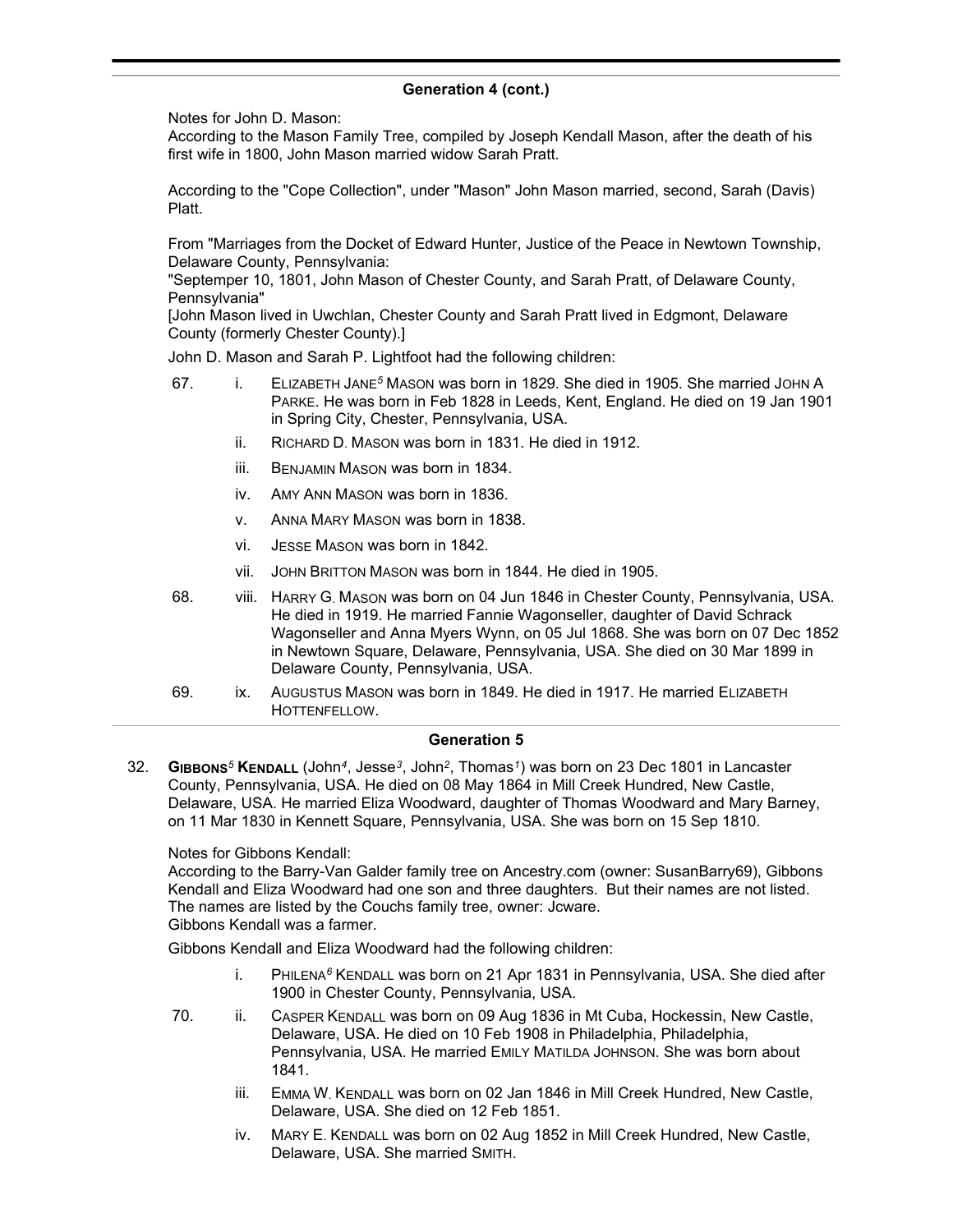Notes for John D. Mason:

According to the Mason Family Tree, compiled by Joseph Kendall Mason, after the death of his first wife in 1800, John Mason married widow Sarah Pratt.

According to the "Cope Collection", under "Mason" John Mason married, second, Sarah (Davis) Platt.

From "Marriages from the Docket of Edward Hunter, Justice of the Peace in Newtown Township, Delaware County, Pennsylvania:

"Septemper 10, 1801, John Mason of Chester County, and Sarah Pratt, of Delaware County, Pennsylvania"

[John Mason lived in Uwchlan, Chester County and Sarah Pratt lived in Edgmont, Delaware County (formerly Chester County).]

John D. Mason and Sarah P. Lightfoot had the following children:

- 67. i. ELIZABETH JANE*<sup>5</sup>* MASON was born in 1829. She died in 1905. She married JOHN A PARKE. He was born in Feb 1828 in Leeds, Kent, England. He died on 19 Jan 1901 in Spring City, Chester, Pennsylvania, USA.
	- ii. RICHARD D. MASON was born in 1831. He died in 1912.
	- iii. BENJAMIN MASON was born in 1834.
	- iv. AMY ANN MASON was born in 1836.
	- v. ANNA MARY MASON was born in 1838.
	- vi. JESSE MASON was born in 1842.
	- vii. JOHN BRITTON MASON was born in 1844. He died in 1905.
- 68. viii. HARRY G. MASON was born on 04 Jun 1846 in Chester County, Pennsylvania, USA. He died in 1919. He married Fannie Wagonseller, daughter of David Schrack Wagonseller and Anna Myers Wynn, on 05 Jul 1868. She was born on 07 Dec 1852 in Newtown Square, Delaware, Pennsylvania, USA. She died on 30 Mar 1899 in Delaware County, Pennsylvania, USA.
- 69. ix. AUGUSTUS MASON was born in 1849. He died in 1917. He married ELIZABETH HOTTENFELLOW.

### **Generation 5**

32. **GIBBONS***<sup>5</sup>* **KENDALL** (John*<sup>4</sup>* , Jesse*<sup>3</sup>* , John*<sup>2</sup>* , Thomas*<sup>1</sup>* ) was born on 23 Dec 1801 in Lancaster County, Pennsylvania, USA. He died on 08 May 1864 in Mill Creek Hundred, New Castle, Delaware, USA. He married Eliza Woodward, daughter of Thomas Woodward and Mary Barney, on 11 Mar 1830 in Kennett Square, Pennsylvania, USA. She was born on 15 Sep 1810.

Notes for Gibbons Kendall:

According to the Barry-Van Galder family tree on Ancestry.com (owner: SusanBarry69), Gibbons Kendall and Eliza Woodward had one son and three daughters. But their names are not listed. The names are listed by the Couchs family tree, owner: Jcware. Gibbons Kendall was a farmer.

Gibbons Kendall and Eliza Woodward had the following children:

- i. PHILENA*<sup>6</sup>* KENDALL was born on 21 Apr 1831 in Pennsylvania, USA. She died after 1900 in Chester County, Pennsylvania, USA.
- 70. ii. CASPER KENDALL was born on 09 Aug 1836 in Mt Cuba, Hockessin, New Castle, Delaware, USA. He died on 10 Feb 1908 in Philadelphia, Philadelphia, Pennsylvania, USA. He married EMILY MATILDA JOHNSON. She was born about 1841.
	- iii. EMMA W. KENDALL was born on 02 Jan 1846 in Mill Creek Hundred, New Castle, Delaware, USA. She died on 12 Feb 1851.
	- iv. MARY E. KENDALL was born on 02 Aug 1852 in Mill Creek Hundred, New Castle, Delaware, USA. She married SMITH.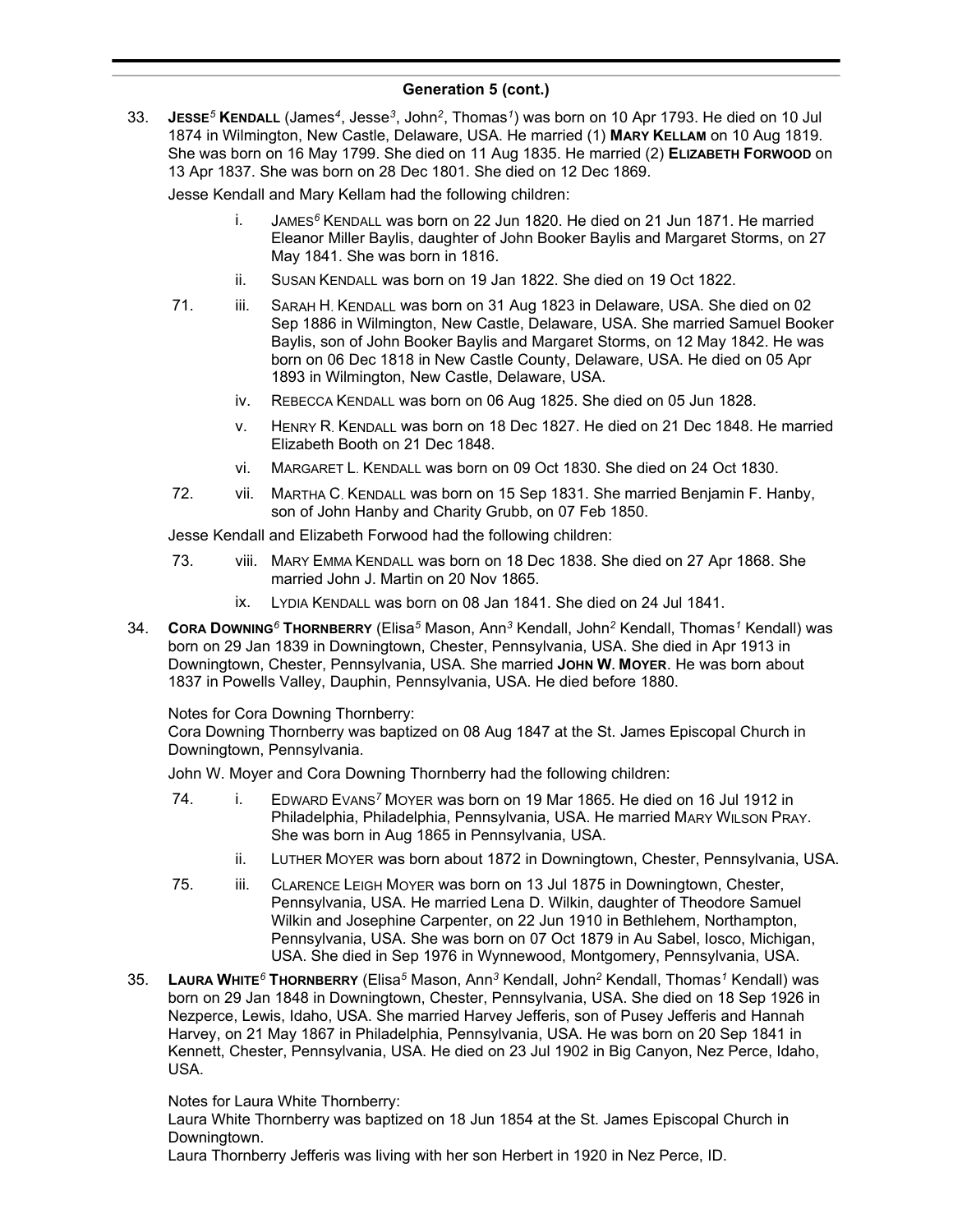33. **JESSE***<sup>5</sup>* **KENDALL** (James*<sup>4</sup>* , Jesse*<sup>3</sup>* , John*<sup>2</sup>* , Thomas*<sup>1</sup>* ) was born on 10 Apr 1793. He died on 10 Jul 1874 in Wilmington, New Castle, Delaware, USA. He married (1) **MARY KELLAM** on 10 Aug 1819. She was born on 16 May 1799. She died on 11 Aug 1835. He married (2) **ELIZABETH FORWOOD** on 13 Apr 1837. She was born on 28 Dec 1801. She died on 12 Dec 1869.

Jesse Kendall and Mary Kellam had the following children:

- i. JAMES*<sup>6</sup>* KENDALL was born on 22 Jun 1820. He died on 21 Jun 1871. He married Eleanor Miller Baylis, daughter of John Booker Baylis and Margaret Storms, on 27 May 1841. She was born in 1816.
- ii. SUSAN KENDALL was born on 19 Jan 1822. She died on 19 Oct 1822.
- 71. iii. SARAH H. KENDALL was born on 31 Aug 1823 in Delaware, USA. She died on 02 Sep 1886 in Wilmington, New Castle, Delaware, USA. She married Samuel Booker Baylis, son of John Booker Baylis and Margaret Storms, on 12 May 1842. He was born on 06 Dec 1818 in New Castle County, Delaware, USA. He died on 05 Apr 1893 in Wilmington, New Castle, Delaware, USA.
	- iv. REBECCA KENDALL was born on 06 Aug 1825. She died on 05 Jun 1828.
	- v. HENRY R. KENDALL was born on 18 Dec 1827. He died on 21 Dec 1848. He married Elizabeth Booth on 21 Dec 1848.
	- vi. MARGARET L. KENDALL was born on 09 Oct 1830. She died on 24 Oct 1830.
- 72. vii. MARTHA C. KENDALL was born on 15 Sep 1831. She married Benjamin F. Hanby, son of John Hanby and Charity Grubb, on 07 Feb 1850.

Jesse Kendall and Elizabeth Forwood had the following children:

- 73. viii. MARY EMMA KENDALL was born on 18 Dec 1838. She died on 27 Apr 1868. She married John J. Martin on 20 Nov 1865.
	- ix. LYDIA KENDALL was born on 08 Jan 1841. She died on 24 Jul 1841.
- 34. **CORA DOWNING***<sup>6</sup>* **THORNBERRY** (Elisa*<sup>5</sup>* Mason, Ann*<sup>3</sup>* Kendall, John*<sup>2</sup>* Kendall, Thomas*<sup>1</sup>* Kendall) was born on 29 Jan 1839 in Downingtown, Chester, Pennsylvania, USA. She died in Apr 1913 in Downingtown, Chester, Pennsylvania, USA. She married **JOHN W. MOYER**. He was born about 1837 in Powells Valley, Dauphin, Pennsylvania, USA. He died before 1880.

Notes for Cora Downing Thornberry:

Cora Downing Thornberry was baptized on 08 Aug 1847 at the St. James Episcopal Church in Downingtown, Pennsylvania.

John W. Moyer and Cora Downing Thornberry had the following children:

- 74. i. EDWARD EVANS*<sup>7</sup>* MOYER was born on 19 Mar 1865. He died on 16 Jul 1912 in Philadelphia, Philadelphia, Pennsylvania, USA. He married MARY WILSON PRAY. She was born in Aug 1865 in Pennsylvania, USA.
	- ii. LUTHER MOYER was born about 1872 in Downingtown, Chester, Pennsylvania, USA.
- 75. iii. CLARENCE LEIGH MOYER was born on 13 Jul 1875 in Downingtown, Chester, Pennsylvania, USA. He married Lena D. Wilkin, daughter of Theodore Samuel Wilkin and Josephine Carpenter, on 22 Jun 1910 in Bethlehem, Northampton, Pennsylvania, USA. She was born on 07 Oct 1879 in Au Sabel, Iosco, Michigan, USA. She died in Sep 1976 in Wynnewood, Montgomery, Pennsylvania, USA.
- 35. **LAURA WHITE***<sup>6</sup>* **THORNBERRY** (Elisa*<sup>5</sup>* Mason, Ann*<sup>3</sup>* Kendall, John*<sup>2</sup>* Kendall, Thomas*<sup>1</sup>* Kendall) was born on 29 Jan 1848 in Downingtown, Chester, Pennsylvania, USA. She died on 18 Sep 1926 in Nezperce, Lewis, Idaho, USA. She married Harvey Jefferis, son of Pusey Jefferis and Hannah Harvey, on 21 May 1867 in Philadelphia, Pennsylvania, USA. He was born on 20 Sep 1841 in Kennett, Chester, Pennsylvania, USA. He died on 23 Jul 1902 in Big Canyon, Nez Perce, Idaho, USA.

Notes for Laura White Thornberry:

Laura White Thornberry was baptized on 18 Jun 1854 at the St. James Episcopal Church in Downingtown.

Laura Thornberry Jefferis was living with her son Herbert in 1920 in Nez Perce, ID.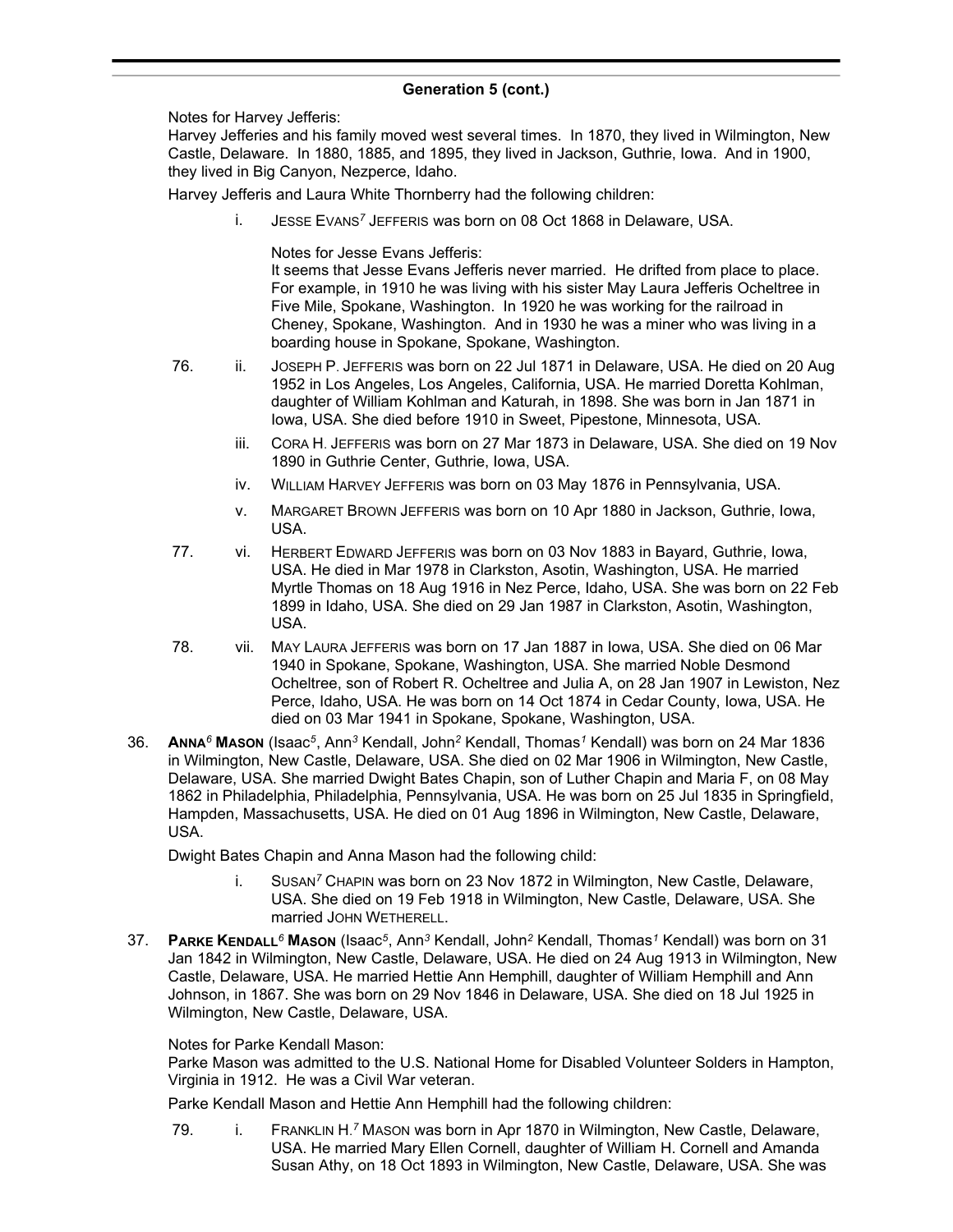Notes for Harvey Jefferis:

Harvey Jefferies and his family moved west several times. In 1870, they lived in Wilmington, New Castle, Delaware. In 1880, 1885, and 1895, they lived in Jackson, Guthrie, Iowa. And in 1900, they lived in Big Canyon, Nezperce, Idaho.

Harvey Jefferis and Laura White Thornberry had the following children:

i. JESSE EVANS*<sup>7</sup>* JEFFERIS was born on 08 Oct 1868 in Delaware, USA.

Notes for Jesse Evans Jefferis:

It seems that Jesse Evans Jefferis never married. He drifted from place to place. For example, in 1910 he was living with his sister May Laura Jefferis Ocheltree in Five Mile, Spokane, Washington. In 1920 he was working for the railroad in Cheney, Spokane, Washington. And in 1930 he was a miner who was living in a boarding house in Spokane, Spokane, Washington.

- 76. ii. JOSEPH P. JEFFERIS was born on 22 Jul 1871 in Delaware, USA. He died on 20 Aug 1952 in Los Angeles, Los Angeles, California, USA. He married Doretta Kohlman, daughter of William Kohlman and Katurah, in 1898. She was born in Jan 1871 in Iowa, USA. She died before 1910 in Sweet, Pipestone, Minnesota, USA.
	- iii. CORA H. JEFFERIS was born on 27 Mar 1873 in Delaware, USA. She died on 19 Nov 1890 in Guthrie Center, Guthrie, Iowa, USA.
	- iv. WILLIAM HARVEY JEFFERIS was born on 03 May 1876 in Pennsylvania, USA.
	- v. MARGARET BROWN JEFFERIS was born on 10 Apr 1880 in Jackson, Guthrie, Iowa, USA.
- 77. vi. HERBERT EDWARD JEFFERIS was born on 03 Nov 1883 in Bayard, Guthrie, Iowa, USA. He died in Mar 1978 in Clarkston, Asotin, Washington, USA. He married Myrtle Thomas on 18 Aug 1916 in Nez Perce, Idaho, USA. She was born on 22 Feb 1899 in Idaho, USA. She died on 29 Jan 1987 in Clarkston, Asotin, Washington, USA.
- 78. vii. MAY LAURA JEFFERIS was born on 17 Jan 1887 in Iowa, USA. She died on 06 Mar 1940 in Spokane, Spokane, Washington, USA. She married Noble Desmond Ocheltree, son of Robert R. Ocheltree and Julia A, on 28 Jan 1907 in Lewiston, Nez Perce, Idaho, USA. He was born on 14 Oct 1874 in Cedar County, Iowa, USA. He died on 03 Mar 1941 in Spokane, Spokane, Washington, USA.
- 36. **ANNA***<sup>6</sup>* **MASON** (Isaac*<sup>5</sup>* , Ann*<sup>3</sup>* Kendall, John*<sup>2</sup>* Kendall, Thomas*<sup>1</sup>* Kendall) was born on 24 Mar 1836 in Wilmington, New Castle, Delaware, USA. She died on 02 Mar 1906 in Wilmington, New Castle, Delaware, USA. She married Dwight Bates Chapin, son of Luther Chapin and Maria F, on 08 May 1862 in Philadelphia, Philadelphia, Pennsylvania, USA. He was born on 25 Jul 1835 in Springfield, Hampden, Massachusetts, USA. He died on 01 Aug 1896 in Wilmington, New Castle, Delaware, USA.

Dwight Bates Chapin and Anna Mason had the following child:

- i. SUSAN*<sup>7</sup>* CHAPIN was born on 23 Nov 1872 in Wilmington, New Castle, Delaware, USA. She died on 19 Feb 1918 in Wilmington, New Castle, Delaware, USA. She married JOHN WETHERELL.
- 37. **PARKE KENDALL***<sup>6</sup>* **MASON** (Isaac*<sup>5</sup>* , Ann*<sup>3</sup>* Kendall, John*<sup>2</sup>* Kendall, Thomas*<sup>1</sup>* Kendall) was born on 31 Jan 1842 in Wilmington, New Castle, Delaware, USA. He died on 24 Aug 1913 in Wilmington, New Castle, Delaware, USA. He married Hettie Ann Hemphill, daughter of William Hemphill and Ann Johnson, in 1867. She was born on 29 Nov 1846 in Delaware, USA. She died on 18 Jul 1925 in Wilmington, New Castle, Delaware, USA.

# Notes for Parke Kendall Mason:

Parke Mason was admitted to the U.S. National Home for Disabled Volunteer Solders in Hampton, Virginia in 1912. He was a Civil War veteran.

Parke Kendall Mason and Hettie Ann Hemphill had the following children:

79. i. FRANKLIN H.<sup>7</sup> Mason was born in Apr 1870 in Wilmington, New Castle, Delaware, USA. He married Mary Ellen Cornell, daughter of William H. Cornell and Amanda Susan Athy, on 18 Oct 1893 in Wilmington, New Castle, Delaware, USA. She was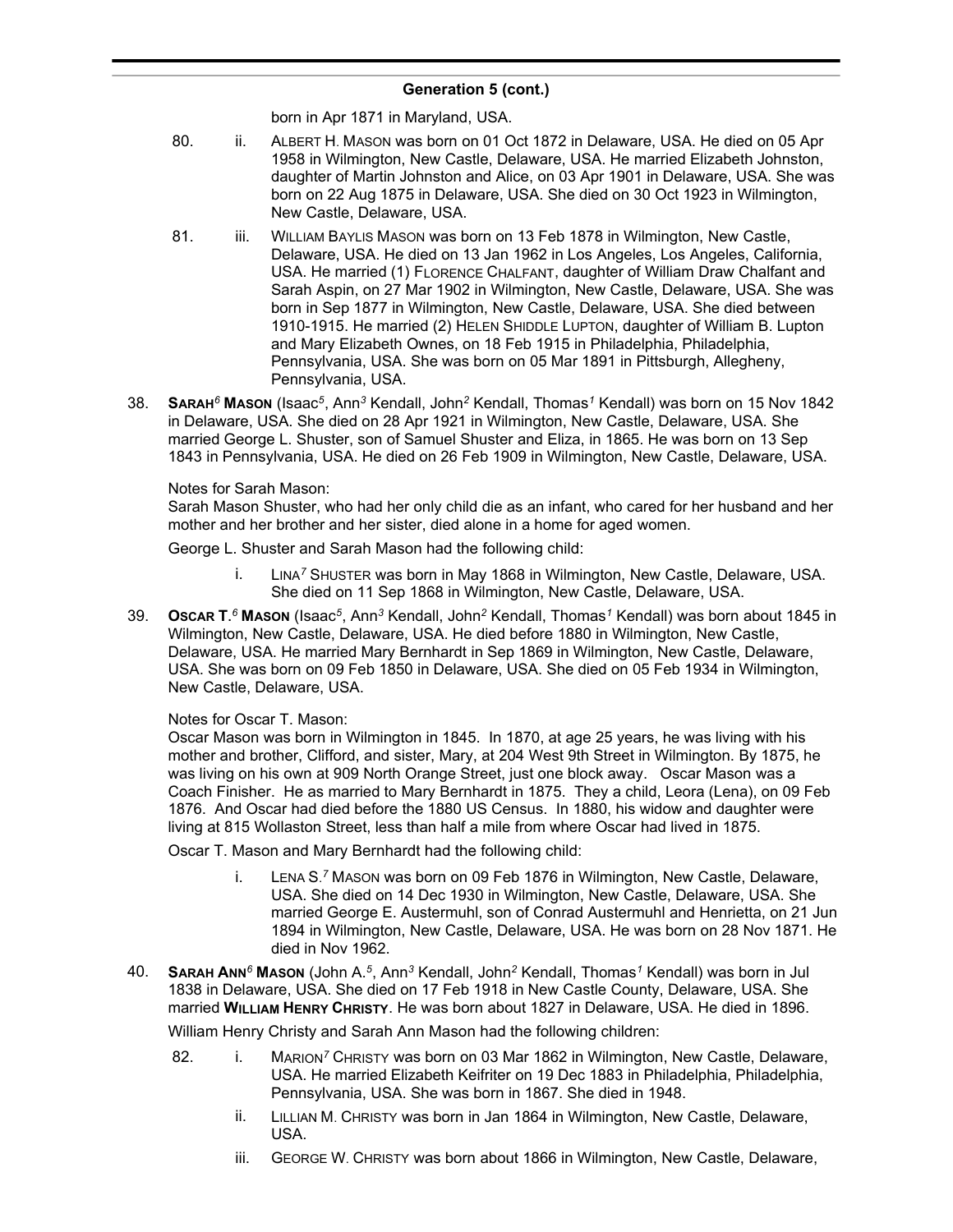born in Apr 1871 in Maryland, USA.

- 80. ii. ALBERT H. MASON was born on 01 Oct 1872 in Delaware, USA. He died on 05 Apr 1958 in Wilmington, New Castle, Delaware, USA. He married Elizabeth Johnston, daughter of Martin Johnston and Alice, on 03 Apr 1901 in Delaware, USA. She was born on 22 Aug 1875 in Delaware, USA. She died on 30 Oct 1923 in Wilmington, New Castle, Delaware, USA.
- 81. iii. WILLIAM BAYLIS MASON was born on 13 Feb 1878 in Wilmington, New Castle, Delaware, USA. He died on 13 Jan 1962 in Los Angeles, Los Angeles, California, USA. He married (1) FLORENCE CHALFANT, daughter of William Draw Chalfant and Sarah Aspin, on 27 Mar 1902 in Wilmington, New Castle, Delaware, USA. She was born in Sep 1877 in Wilmington, New Castle, Delaware, USA. She died between 1910-1915. He married (2) HELEN SHIDDLE LUPTON, daughter of William B. Lupton and Mary Elizabeth Ownes, on 18 Feb 1915 in Philadelphia, Philadelphia, Pennsylvania, USA. She was born on 05 Mar 1891 in Pittsburgh, Allegheny, Pennsylvania, USA.
- 38. **SARAH***<sup>6</sup>* **MASON** (Isaac*<sup>5</sup>* , Ann*<sup>3</sup>* Kendall, John*<sup>2</sup>* Kendall, Thomas*<sup>1</sup>* Kendall) was born on 15 Nov 1842 in Delaware, USA. She died on 28 Apr 1921 in Wilmington, New Castle, Delaware, USA. She married George L. Shuster, son of Samuel Shuster and Eliza, in 1865. He was born on 13 Sep 1843 in Pennsylvania, USA. He died on 26 Feb 1909 in Wilmington, New Castle, Delaware, USA.

### Notes for Sarah Mason:

Sarah Mason Shuster, who had her only child die as an infant, who cared for her husband and her mother and her brother and her sister, died alone in a home for aged women.

George L. Shuster and Sarah Mason had the following child:

- i. LINA*<sup>7</sup>* SHUSTER was born in May 1868 in Wilmington, New Castle, Delaware, USA. She died on 11 Sep 1868 in Wilmington, New Castle, Delaware, USA.
- 39. **OSCAR T.** *<sup>6</sup>* **MASON** (Isaac*<sup>5</sup>* , Ann*<sup>3</sup>* Kendall, John*<sup>2</sup>* Kendall, Thomas*<sup>1</sup>* Kendall) was born about 1845 in Wilmington, New Castle, Delaware, USA. He died before 1880 in Wilmington, New Castle, Delaware, USA. He married Mary Bernhardt in Sep 1869 in Wilmington, New Castle, Delaware, USA. She was born on 09 Feb 1850 in Delaware, USA. She died on 05 Feb 1934 in Wilmington, New Castle, Delaware, USA.

### Notes for Oscar T. Mason:

Oscar Mason was born in Wilmington in 1845. In 1870, at age 25 years, he was living with his mother and brother, Clifford, and sister, Mary, at 204 West 9th Street in Wilmington. By 1875, he was living on his own at 909 North Orange Street, just one block away. Oscar Mason was a Coach Finisher. He as married to Mary Bernhardt in 1875. They a child, Leora (Lena), on 09 Feb 1876. And Oscar had died before the 1880 US Census. In 1880, his widow and daughter were living at 815 Wollaston Street, less than half a mile from where Oscar had lived in 1875.

Oscar T. Mason and Mary Bernhardt had the following child:

- i. LENA S. *<sup>7</sup>* MASON was born on 09 Feb 1876 in Wilmington, New Castle, Delaware, USA. She died on 14 Dec 1930 in Wilmington, New Castle, Delaware, USA. She married George E. Austermuhl, son of Conrad Austermuhl and Henrietta, on 21 Jun 1894 in Wilmington, New Castle, Delaware, USA. He was born on 28 Nov 1871. He died in Nov 1962.
- 40. **SARAH ANN***<sup>6</sup>* **MASON** (John A.*<sup>5</sup>* , Ann*<sup>3</sup>* Kendall, John*<sup>2</sup>* Kendall, Thomas*<sup>1</sup>* Kendall) was born in Jul 1838 in Delaware, USA. She died on 17 Feb 1918 in New Castle County, Delaware, USA. She married **WILLIAM HENRY CHRISTY**. He was born about 1827 in Delaware, USA. He died in 1896.

William Henry Christy and Sarah Ann Mason had the following children:

- 82. i. MARION*<sup>7</sup>* CHRISTY was born on 03 Mar 1862 in Wilmington, New Castle, Delaware, USA. He married Elizabeth Keifriter on 19 Dec 1883 in Philadelphia, Philadelphia, Pennsylvania, USA. She was born in 1867. She died in 1948.
	- ii. LILLIAN M. CHRISTY was born in Jan 1864 in Wilmington, New Castle, Delaware, USA.
	- iii. GEORGE W. CHRISTY was born about 1866 in Wilmington, New Castle, Delaware,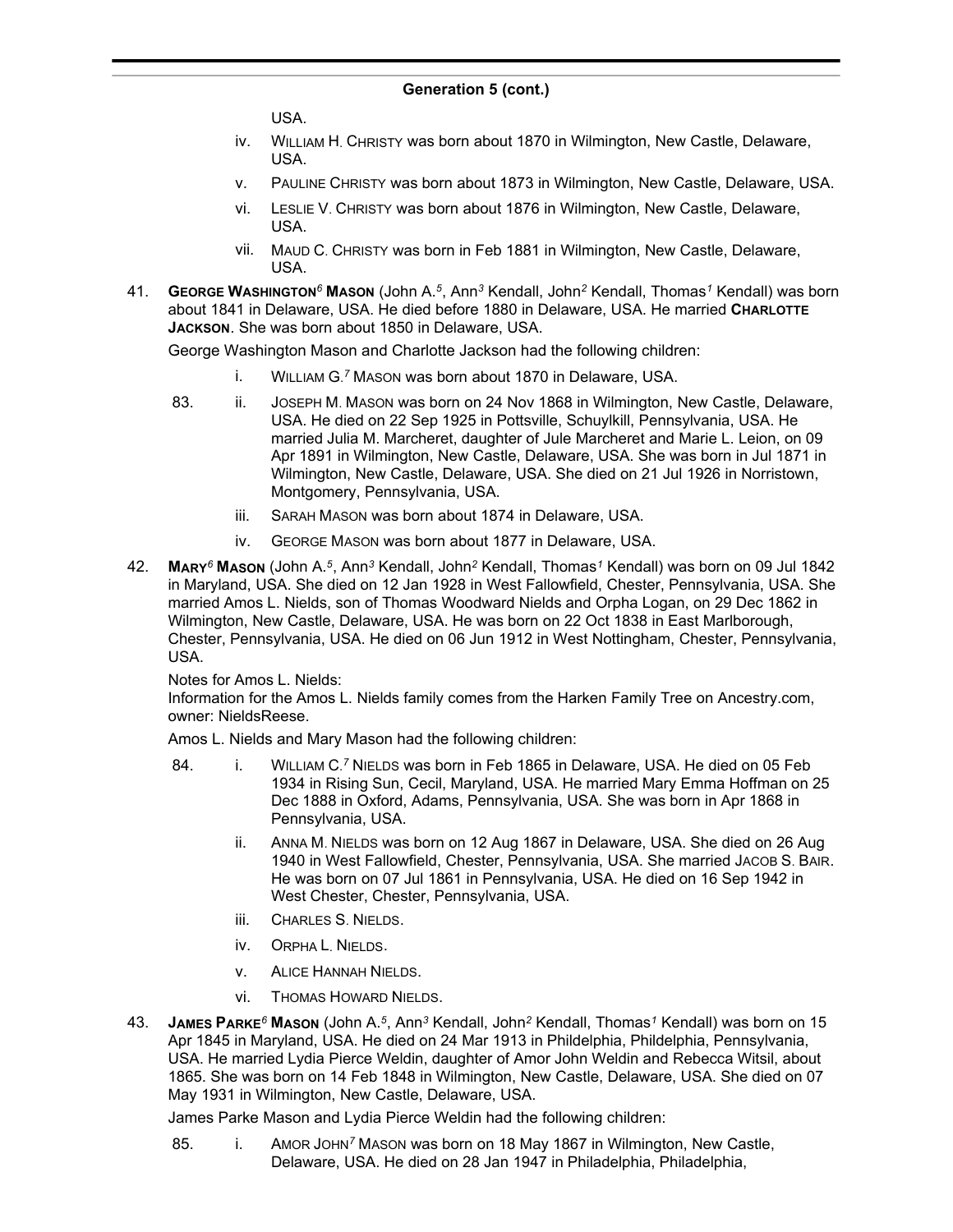USA.

- iv. WILLIAM H. CHRISTY was born about 1870 in Wilmington, New Castle, Delaware, USA.
- v. PAULINE CHRISTY was born about 1873 in Wilmington, New Castle, Delaware, USA.
- vi. LESLIE V. CHRISTY was born about 1876 in Wilmington, New Castle, Delaware, USA.
- vii. MAUD C. CHRISTY was born in Feb 1881 in Wilmington, New Castle, Delaware, USA.
- 41. **GEORGE WASHINGTON***<sup>6</sup>* **MASON** (John A.*<sup>5</sup>* , Ann*<sup>3</sup>* Kendall, John*<sup>2</sup>* Kendall, Thomas*<sup>1</sup>* Kendall) was born about 1841 in Delaware, USA. He died before 1880 in Delaware, USA. He married **CHARLOTTE JACKSON**. She was born about 1850 in Delaware, USA.

George Washington Mason and Charlotte Jackson had the following children:

- i. WILLIAM G. *<sup>7</sup>* MASON was born about 1870 in Delaware, USA.
- 83. ii. JOSEPH M. MASON was born on 24 Nov 1868 in Wilmington, New Castle, Delaware, USA. He died on 22 Sep 1925 in Pottsville, Schuylkill, Pennsylvania, USA. He married Julia M. Marcheret, daughter of Jule Marcheret and Marie L. Leion, on 09 Apr 1891 in Wilmington, New Castle, Delaware, USA. She was born in Jul 1871 in Wilmington, New Castle, Delaware, USA. She died on 21 Jul 1926 in Norristown, Montgomery, Pennsylvania, USA.
	- iii. SARAH MASON was born about 1874 in Delaware, USA.
	- iv. GEORGE MASON was born about 1877 in Delaware, USA.
- 42. **MARY***<sup>6</sup>* **MASON** (John A.*<sup>5</sup>* , Ann*<sup>3</sup>* Kendall, John*<sup>2</sup>* Kendall, Thomas*<sup>1</sup>* Kendall) was born on 09 Jul 1842 in Maryland, USA. She died on 12 Jan 1928 in West Fallowfield, Chester, Pennsylvania, USA. She married Amos L. Nields, son of Thomas Woodward Nields and Orpha Logan, on 29 Dec 1862 in Wilmington, New Castle, Delaware, USA. He was born on 22 Oct 1838 in East Marlborough, Chester, Pennsylvania, USA. He died on 06 Jun 1912 in West Nottingham, Chester, Pennsylvania, USA.

Notes for Amos L. Nields:

Information for the Amos L. Nields family comes from the Harken Family Tree on Ancestry.com, owner: NieldsReese.

Amos L. Nields and Mary Mason had the following children:

- 84. **i.** WILLIAM C.<sup>7</sup> NIELDS was born in Feb 1865 in Delaware, USA. He died on 05 Feb 1934 in Rising Sun, Cecil, Maryland, USA. He married Mary Emma Hoffman on 25 Dec 1888 in Oxford, Adams, Pennsylvania, USA. She was born in Apr 1868 in Pennsylvania, USA.
	- ii. ANNA M. NIELDS was born on 12 Aug 1867 in Delaware, USA. She died on 26 Aug 1940 in West Fallowfield, Chester, Pennsylvania, USA. She married JACOB S. BAIR. He was born on 07 Jul 1861 in Pennsylvania, USA. He died on 16 Sep 1942 in West Chester, Chester, Pennsylvania, USA.
	- iii. CHARLES S. NIELDS.
	- iv. ORPHA L. NIELDS.
	- v. ALICE HANNAH NIELDS.
	- vi. THOMAS HOWARD NIELDS.
- 43. **JAMES PARKE***<sup>6</sup>* **MASON** (John A.*<sup>5</sup>* , Ann*<sup>3</sup>* Kendall, John*<sup>2</sup>* Kendall, Thomas*<sup>1</sup>* Kendall) was born on 15 Apr 1845 in Maryland, USA. He died on 24 Mar 1913 in Phildelphia, Phildelphia, Pennsylvania, USA. He married Lydia Pierce Weldin, daughter of Amor John Weldin and Rebecca Witsil, about 1865. She was born on 14 Feb 1848 in Wilmington, New Castle, Delaware, USA. She died on 07 May 1931 in Wilmington, New Castle, Delaware, USA.

James Parke Mason and Lydia Pierce Weldin had the following children:

85. i. AMOR JOHN*<sup>7</sup>* MASON was born on 18 May 1867 in Wilmington, New Castle, Delaware, USA. He died on 28 Jan 1947 in Philadelphia, Philadelphia,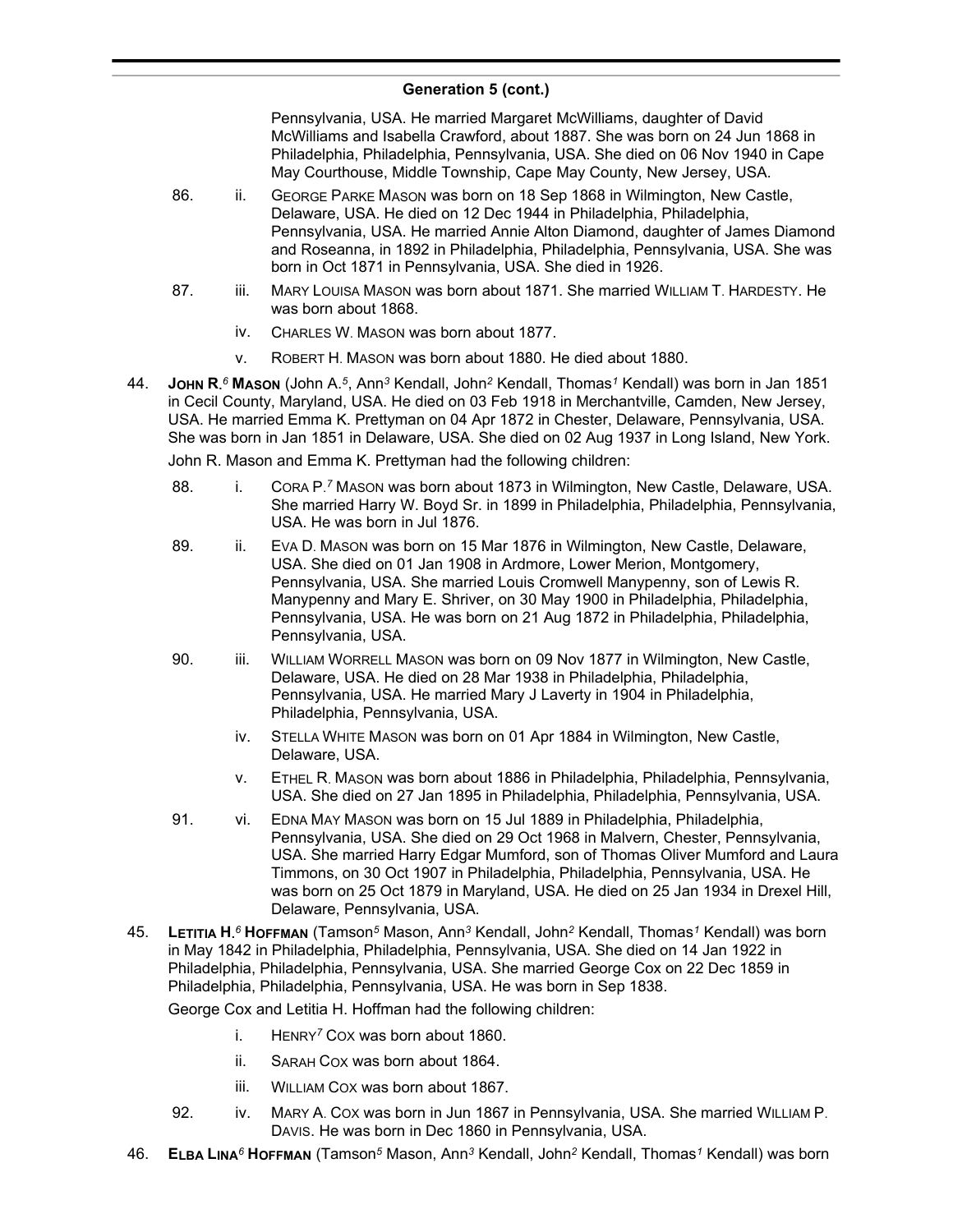Pennsylvania, USA. He married Margaret McWilliams, daughter of David McWilliams and Isabella Crawford, about 1887. She was born on 24 Jun 1868 in Philadelphia, Philadelphia, Pennsylvania, USA. She died on 06 Nov 1940 in Cape May Courthouse, Middle Township, Cape May County, New Jersey, USA.

- 86. ii. GEORGE PARKE MASON was born on 18 Sep 1868 in Wilmington, New Castle, Delaware, USA. He died on 12 Dec 1944 in Philadelphia, Philadelphia, Pennsylvania, USA. He married Annie Alton Diamond, daughter of James Diamond and Roseanna, in 1892 in Philadelphia, Philadelphia, Pennsylvania, USA. She was born in Oct 1871 in Pennsylvania, USA. She died in 1926.
- 87. iii. MARY LOUISA MASON was born about 1871. She married WILLIAM T. HARDESTY. He was born about 1868.
	- iv. CHARLES W. MASON was born about 1877.
	- v. ROBERT H. MASON was born about 1880. He died about 1880.
- 44. **JOHN R.** *<sup>6</sup>* **MASON** (John A.*<sup>5</sup>* , Ann*<sup>3</sup>* Kendall, John*<sup>2</sup>* Kendall, Thomas*<sup>1</sup>* Kendall) was born in Jan 1851 in Cecil County, Maryland, USA. He died on 03 Feb 1918 in Merchantville, Camden, New Jersey, USA. He married Emma K. Prettyman on 04 Apr 1872 in Chester, Delaware, Pennsylvania, USA. She was born in Jan 1851 in Delaware, USA. She died on 02 Aug 1937 in Long Island, New York.

John R. Mason and Emma K. Prettyman had the following children:

- 88. i. CORA P.<sup>7</sup> MASON was born about 1873 in Wilmington, New Castle, Delaware, USA. She married Harry W. Boyd Sr. in 1899 in Philadelphia, Philadelphia, Pennsylvania, USA. He was born in Jul 1876.
- 89. ii. EVA D. MASON was born on 15 Mar 1876 in Wilmington, New Castle, Delaware, USA. She died on 01 Jan 1908 in Ardmore, Lower Merion, Montgomery, Pennsylvania, USA. She married Louis Cromwell Manypenny, son of Lewis R. Manypenny and Mary E. Shriver, on 30 May 1900 in Philadelphia, Philadelphia, Pennsylvania, USA. He was born on 21 Aug 1872 in Philadelphia, Philadelphia, Pennsylvania, USA.
- 90. iii. WILLIAM WORRELL MASON was born on 09 Nov 1877 in Wilmington, New Castle, Delaware, USA. He died on 28 Mar 1938 in Philadelphia, Philadelphia, Pennsylvania, USA. He married Mary J Laverty in 1904 in Philadelphia, Philadelphia, Pennsylvania, USA.
	- iv. STELLA WHITE MASON was born on 01 Apr 1884 in Wilmington, New Castle, Delaware, USA.
	- v. ETHEL R. MASON was born about 1886 in Philadelphia, Philadelphia, Pennsylvania, USA. She died on 27 Jan 1895 in Philadelphia, Philadelphia, Pennsylvania, USA.
- 91. vi. EDNA MAY MASON was born on 15 Jul 1889 in Philadelphia, Philadelphia, Pennsylvania, USA. She died on 29 Oct 1968 in Malvern, Chester, Pennsylvania, USA. She married Harry Edgar Mumford, son of Thomas Oliver Mumford and Laura Timmons, on 30 Oct 1907 in Philadelphia, Philadelphia, Pennsylvania, USA. He was born on 25 Oct 1879 in Maryland, USA. He died on 25 Jan 1934 in Drexel Hill, Delaware, Pennsylvania, USA.
- 45. **LETITIA H.** *<sup>6</sup>* **HOFFMAN** (Tamson*<sup>5</sup>* Mason, Ann*<sup>3</sup>* Kendall, John*<sup>2</sup>* Kendall, Thomas*<sup>1</sup>* Kendall) was born in May 1842 in Philadelphia, Philadelphia, Pennsylvania, USA. She died on 14 Jan 1922 in Philadelphia, Philadelphia, Pennsylvania, USA. She married George Cox on 22 Dec 1859 in Philadelphia, Philadelphia, Pennsylvania, USA. He was born in Sep 1838.

George Cox and Letitia H. Hoffman had the following children:

- i. HENRY*<sup>7</sup>* COX was born about 1860.
- ii. SARAH COX was born about 1864.
- iii. WILLIAM COX was born about 1867.
- 92. iv. MARY A. Cox was born in Jun 1867 in Pennsylvania, USA. She married WILLIAM P. DAVIS. He was born in Dec 1860 in Pennsylvania, USA.
- 46. **ELBA LINA***<sup>6</sup>* **HOFFMAN** (Tamson*<sup>5</sup>* Mason, Ann*<sup>3</sup>* Kendall, John*<sup>2</sup>* Kendall, Thomas*<sup>1</sup>* Kendall) was born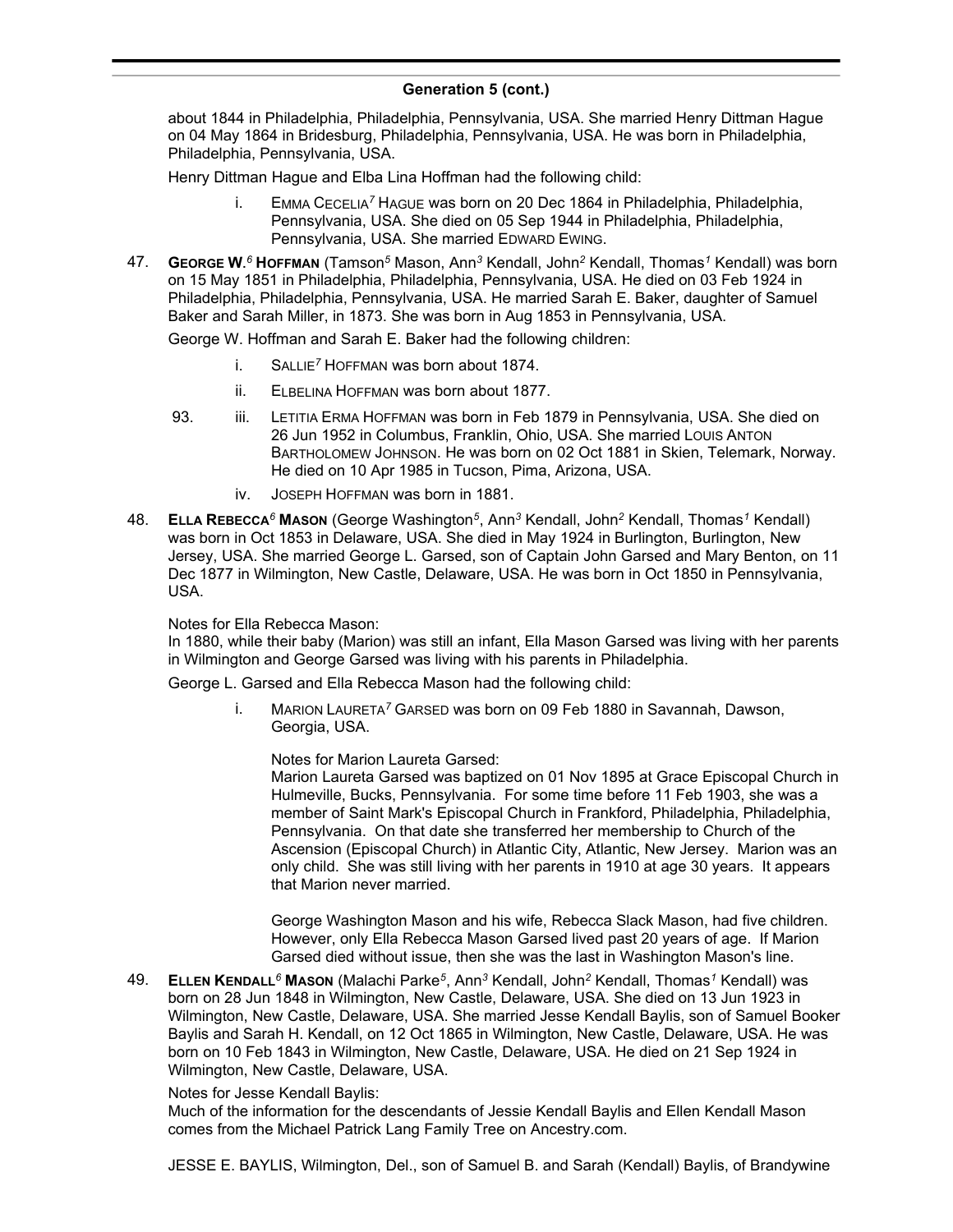about 1844 in Philadelphia, Philadelphia, Pennsylvania, USA. She married Henry Dittman Hague on 04 May 1864 in Bridesburg, Philadelphia, Pennsylvania, USA. He was born in Philadelphia, Philadelphia, Pennsylvania, USA.

Henry Dittman Hague and Elba Lina Hoffman had the following child:

- i. EMMA CECELIA*<sup>7</sup>* HAGUE was born on 20 Dec 1864 in Philadelphia, Philadelphia, Pennsylvania, USA. She died on 05 Sep 1944 in Philadelphia, Philadelphia, Pennsylvania, USA. She married EDWARD EWING.
- 47. **GEORGE W.** *<sup>6</sup>* **HOFFMAN** (Tamson*<sup>5</sup>* Mason, Ann*<sup>3</sup>* Kendall, John*<sup>2</sup>* Kendall, Thomas*<sup>1</sup>* Kendall) was born on 15 May 1851 in Philadelphia, Philadelphia, Pennsylvania, USA. He died on 03 Feb 1924 in Philadelphia, Philadelphia, Pennsylvania, USA. He married Sarah E. Baker, daughter of Samuel Baker and Sarah Miller, in 1873. She was born in Aug 1853 in Pennsylvania, USA.

George W. Hoffman and Sarah E. Baker had the following children:

- i. SALLIE*<sup>7</sup>* HOFFMAN was born about 1874.
- ii. ELBELINA HOFFMAN was born about 1877.
- 93. iii. LETITIA ERMA HOFFMAN was born in Feb 1879 in Pennsylvania, USA. She died on 26 Jun 1952 in Columbus, Franklin, Ohio, USA. She married LOUIS ANTON BARTHOLOMEW JOHNSON. He was born on 02 Oct 1881 in Skien, Telemark, Norway. He died on 10 Apr 1985 in Tucson, Pima, Arizona, USA.
	- iv. JOSEPH HOFFMAN was born in 1881.
- 48. **ELLA REBECCA***<sup>6</sup>* **MASON** (George Washington*<sup>5</sup>* , Ann*<sup>3</sup>* Kendall, John*<sup>2</sup>* Kendall, Thomas*<sup>1</sup>* Kendall) was born in Oct 1853 in Delaware, USA. She died in May 1924 in Burlington, Burlington, New Jersey, USA. She married George L. Garsed, son of Captain John Garsed and Mary Benton, on 11 Dec 1877 in Wilmington, New Castle, Delaware, USA. He was born in Oct 1850 in Pennsylvania, USA.

### Notes for Ella Rebecca Mason:

In 1880, while their baby (Marion) was still an infant, Ella Mason Garsed was living with her parents in Wilmington and George Garsed was living with his parents in Philadelphia.

George L. Garsed and Ella Rebecca Mason had the following child:

i. MARION LAURETA*<sup>7</sup>* GARSED was born on 09 Feb 1880 in Savannah, Dawson, Georgia, USA.

Notes for Marion Laureta Garsed:

Marion Laureta Garsed was baptized on 01 Nov 1895 at Grace Episcopal Church in Hulmeville, Bucks, Pennsylvania. For some time before 11 Feb 1903, she was a member of Saint Mark's Episcopal Church in Frankford, Philadelphia, Philadelphia, Pennsylvania. On that date she transferred her membership to Church of the Ascension (Episcopal Church) in Atlantic City, Atlantic, New Jersey. Marion was an only child. She was still living with her parents in 1910 at age 30 years. It appears that Marion never married.

George Washington Mason and his wife, Rebecca Slack Mason, had five children. However, only Ella Rebecca Mason Garsed lived past 20 years of age. If Marion Garsed died without issue, then she was the last in Washington Mason's line.

49. **ELLEN KENDALL***<sup>6</sup>* **MASON** (Malachi Parke*<sup>5</sup>* , Ann*<sup>3</sup>* Kendall, John*<sup>2</sup>* Kendall, Thomas*<sup>1</sup>* Kendall) was born on 28 Jun 1848 in Wilmington, New Castle, Delaware, USA. She died on 13 Jun 1923 in Wilmington, New Castle, Delaware, USA. She married Jesse Kendall Baylis, son of Samuel Booker Baylis and Sarah H. Kendall, on 12 Oct 1865 in Wilmington, New Castle, Delaware, USA. He was born on 10 Feb 1843 in Wilmington, New Castle, Delaware, USA. He died on 21 Sep 1924 in Wilmington, New Castle, Delaware, USA.

### Notes for Jesse Kendall Baylis:

Much of the information for the descendants of Jessie Kendall Baylis and Ellen Kendall Mason comes from the Michael Patrick Lang Family Tree on Ancestry.com.

JESSE E. BAYLIS, Wilmington, Del., son of Samuel B. and Sarah (Kendall) Baylis, of Brandywine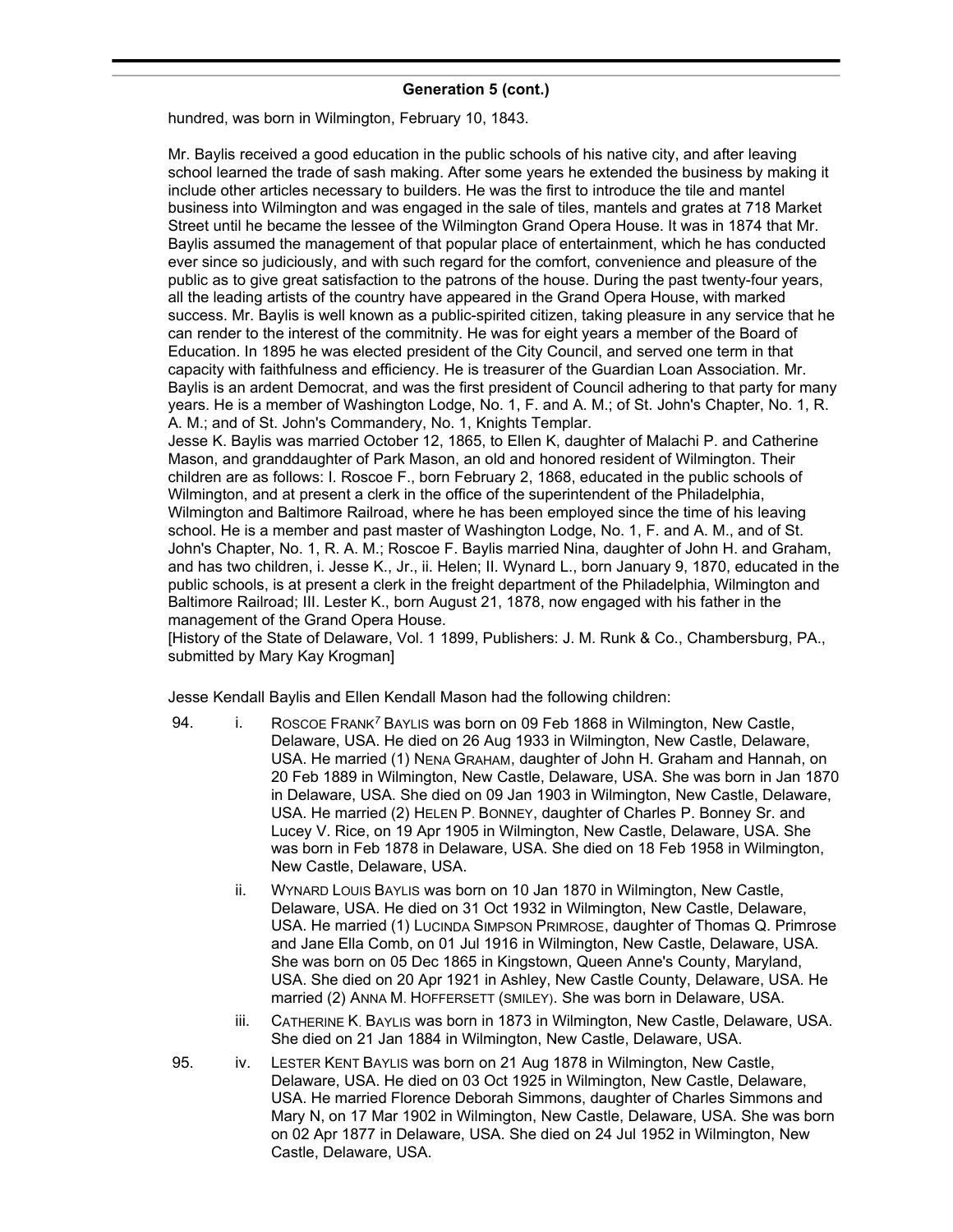hundred, was born in Wilmington, February 10, 1843.

Mr. Baylis received a good education in the public schools of his native city, and after leaving school learned the trade of sash making. After some years he extended the business by making it include other articles necessary to builders. He was the first to introduce the tile and mantel business into Wilmington and was engaged in the sale of tiles, mantels and grates at 718 Market Street until he became the lessee of the Wilmington Grand Opera House. It was in 1874 that Mr. Baylis assumed the management of that popular place of entertainment, which he has conducted ever since so judiciously, and with such regard for the comfort, convenience and pleasure of the public as to give great satisfaction to the patrons of the house. During the past twenty-four years, all the leading artists of the country have appeared in the Grand Opera House, with marked success. Mr. Baylis is well known as a public-spirited citizen, taking pleasure in any service that he can render to the interest of the commitnity. He was for eight years a member of the Board of Education. In 1895 he was elected president of the City Council, and served one term in that capacity with faithfulness and efficiency. He is treasurer of the Guardian Loan Association. Mr. Baylis is an ardent Democrat, and was the first president of Council adhering to that party for many years. He is a member of Washington Lodge, No. 1, F. and A. M.; of St. John's Chapter, No. 1, R. A. M.; and of St. John's Commandery, No. 1, Knights Templar.

Jesse K. Baylis was married October 12, 1865, to Ellen K, daughter of Malachi P. and Catherine Mason, and granddaughter of Park Mason, an old and honored resident of Wilmington. Their children are as follows: I. Roscoe F., born February 2, 1868, educated in the public schools of Wilmington, and at present a clerk in the office of the superintendent of the Philadelphia, Wilmington and Baltimore Railroad, where he has been employed since the time of his leaving school. He is a member and past master of Washington Lodge, No. 1, F. and A. M., and of St. John's Chapter, No. 1, R. A. M.; Roscoe F. Baylis married Nina, daughter of John H. and Graham, and has two children, i. Jesse K., Jr., ii. Helen; II. Wynard L., born January 9, 1870, educated in the public schools, is at present a clerk in the freight department of the Philadelphia, Wilmington and Baltimore Railroad; III. Lester K., born August 21, 1878, now engaged with his father in the management of the Grand Opera House.

[History of the State of Delaware, Vol. 1 1899, Publishers: J. M. Runk & Co., Chambersburg, PA., submitted by Mary Kay Krogman]

Jesse Kendall Baylis and Ellen Kendall Mason had the following children:

- 94. i. ROSCOE FRANK*<sup>7</sup>* BAYLIS was born on 09 Feb 1868 in Wilmington, New Castle, Delaware, USA. He died on 26 Aug 1933 in Wilmington, New Castle, Delaware, USA. He married (1) NENA GRAHAM, daughter of John H. Graham and Hannah, on 20 Feb 1889 in Wilmington, New Castle, Delaware, USA. She was born in Jan 1870 in Delaware, USA. She died on 09 Jan 1903 in Wilmington, New Castle, Delaware, USA. He married (2) HELEN P. BONNEY, daughter of Charles P. Bonney Sr. and Lucey V. Rice, on 19 Apr 1905 in Wilmington, New Castle, Delaware, USA. She was born in Feb 1878 in Delaware, USA. She died on 18 Feb 1958 in Wilmington, New Castle, Delaware, USA.
	- ii. WYNARD LOUIS BAYLIS was born on 10 Jan 1870 in Wilmington, New Castle, Delaware, USA. He died on 31 Oct 1932 in Wilmington, New Castle, Delaware, USA. He married (1) LUCINDA SIMPSON PRIMROSE, daughter of Thomas Q. Primrose and Jane Ella Comb, on 01 Jul 1916 in Wilmington, New Castle, Delaware, USA. She was born on 05 Dec 1865 in Kingstown, Queen Anne's County, Maryland, USA. She died on 20 Apr 1921 in Ashley, New Castle County, Delaware, USA. He married (2) ANNA M. HOFFERSETT (SMILEY). She was born in Delaware, USA.
	- iii. CATHERINE K. BAYLIS was born in 1873 in Wilmington, New Castle, Delaware, USA. She died on 21 Jan 1884 in Wilmington, New Castle, Delaware, USA.
- 95. iv. LESTER KENT BAYLIS was born on 21 Aug 1878 in Wilmington, New Castle, Delaware, USA. He died on 03 Oct 1925 in Wilmington, New Castle, Delaware, USA. He married Florence Deborah Simmons, daughter of Charles Simmons and Mary N, on 17 Mar 1902 in Wilmington, New Castle, Delaware, USA. She was born on 02 Apr 1877 in Delaware, USA. She died on 24 Jul 1952 in Wilmington, New Castle, Delaware, USA.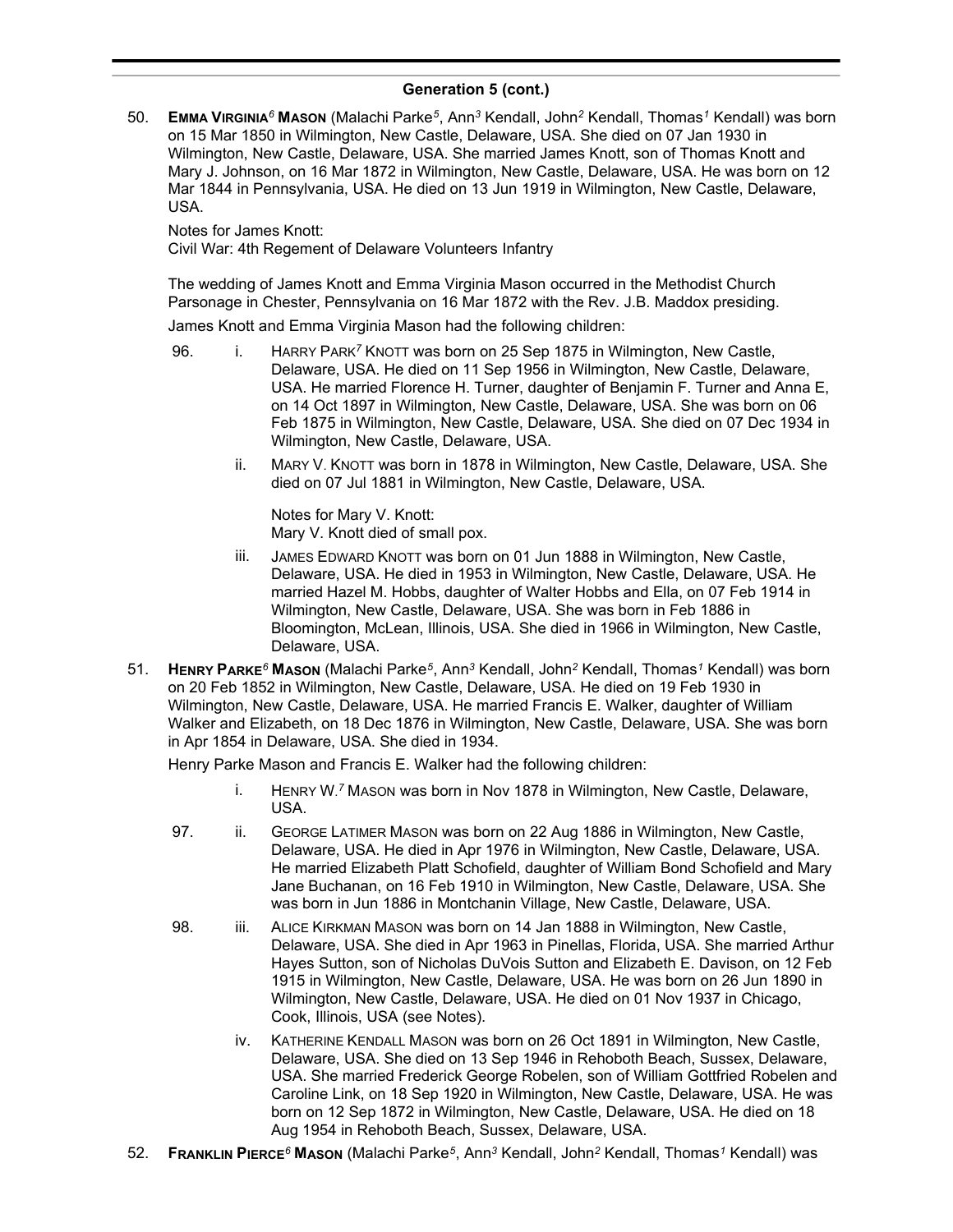50. **EMMA VIRGINIA***<sup>6</sup>* **MASON** (Malachi Parke*<sup>5</sup>* , Ann*<sup>3</sup>* Kendall, John*<sup>2</sup>* Kendall, Thomas*<sup>1</sup>* Kendall) was born on 15 Mar 1850 in Wilmington, New Castle, Delaware, USA. She died on 07 Jan 1930 in Wilmington, New Castle, Delaware, USA. She married James Knott, son of Thomas Knott and Mary J. Johnson, on 16 Mar 1872 in Wilmington, New Castle, Delaware, USA. He was born on 12 Mar 1844 in Pennsylvania, USA. He died on 13 Jun 1919 in Wilmington, New Castle, Delaware, USA.

Notes for James Knott:

Civil War: 4th Regement of Delaware Volunteers Infantry

The wedding of James Knott and Emma Virginia Mason occurred in the Methodist Church Parsonage in Chester, Pennsylvania on 16 Mar 1872 with the Rev. J.B. Maddox presiding.

James Knott and Emma Virginia Mason had the following children:

- 96. i. HARRY PARK*<sup>7</sup>* KNOTT was born on 25 Sep 1875 in Wilmington, New Castle, Delaware, USA. He died on 11 Sep 1956 in Wilmington, New Castle, Delaware, USA. He married Florence H. Turner, daughter of Benjamin F. Turner and Anna E, on 14 Oct 1897 in Wilmington, New Castle, Delaware, USA. She was born on 06 Feb 1875 in Wilmington, New Castle, Delaware, USA. She died on 07 Dec 1934 in Wilmington, New Castle, Delaware, USA.
	- ii. MARY V. KNOTT was born in 1878 in Wilmington, New Castle, Delaware, USA. She died on 07 Jul 1881 in Wilmington, New Castle, Delaware, USA.

Notes for Mary V. Knott: Mary V. Knott died of small pox.

- iii. JAMES EDWARD KNOTT was born on 01 Jun 1888 in Wilmington, New Castle, Delaware, USA. He died in 1953 in Wilmington, New Castle, Delaware, USA. He married Hazel M. Hobbs, daughter of Walter Hobbs and Ella, on 07 Feb 1914 in Wilmington, New Castle, Delaware, USA. She was born in Feb 1886 in Bloomington, McLean, Illinois, USA. She died in 1966 in Wilmington, New Castle, Delaware, USA.
- 51. **HENRY PARKE***<sup>6</sup>* **MASON** (Malachi Parke*<sup>5</sup>* , Ann*<sup>3</sup>* Kendall, John*<sup>2</sup>* Kendall, Thomas*<sup>1</sup>* Kendall) was born on 20 Feb 1852 in Wilmington, New Castle, Delaware, USA. He died on 19 Feb 1930 in Wilmington, New Castle, Delaware, USA. He married Francis E. Walker, daughter of William Walker and Elizabeth, on 18 Dec 1876 in Wilmington, New Castle, Delaware, USA. She was born in Apr 1854 in Delaware, USA. She died in 1934.

Henry Parke Mason and Francis E. Walker had the following children:

- i. HENRY W. *<sup>7</sup>* MASON was born in Nov 1878 in Wilmington, New Castle, Delaware, USA.
- 97. ii. GEORGE LATIMER MASON was born on 22 Aug 1886 in Wilmington, New Castle, Delaware, USA. He died in Apr 1976 in Wilmington, New Castle, Delaware, USA. He married Elizabeth Platt Schofield, daughter of William Bond Schofield and Mary Jane Buchanan, on 16 Feb 1910 in Wilmington, New Castle, Delaware, USA. She was born in Jun 1886 in Montchanin Village, New Castle, Delaware, USA.
- 98. iii. ALICE KIRKMAN MASON was born on 14 Jan 1888 in Wilmington, New Castle, Delaware, USA. She died in Apr 1963 in Pinellas, Florida, USA. She married Arthur Hayes Sutton, son of Nicholas DuVois Sutton and Elizabeth E. Davison, on 12 Feb 1915 in Wilmington, New Castle, Delaware, USA. He was born on 26 Jun 1890 in Wilmington, New Castle, Delaware, USA. He died on 01 Nov 1937 in Chicago, Cook, Illinois, USA (see Notes).
	- iv. KATHERINE KENDALL MASON was born on 26 Oct 1891 in Wilmington, New Castle, Delaware, USA. She died on 13 Sep 1946 in Rehoboth Beach, Sussex, Delaware, USA. She married Frederick George Robelen, son of William Gottfried Robelen and Caroline Link, on 18 Sep 1920 in Wilmington, New Castle, Delaware, USA. He was born on 12 Sep 1872 in Wilmington, New Castle, Delaware, USA. He died on 18 Aug 1954 in Rehoboth Beach, Sussex, Delaware, USA.
- 52. **FRANKLIN PIERCE***<sup>6</sup>* **MASON** (Malachi Parke*<sup>5</sup>* , Ann*<sup>3</sup>* Kendall, John*<sup>2</sup>* Kendall, Thomas*<sup>1</sup>* Kendall) was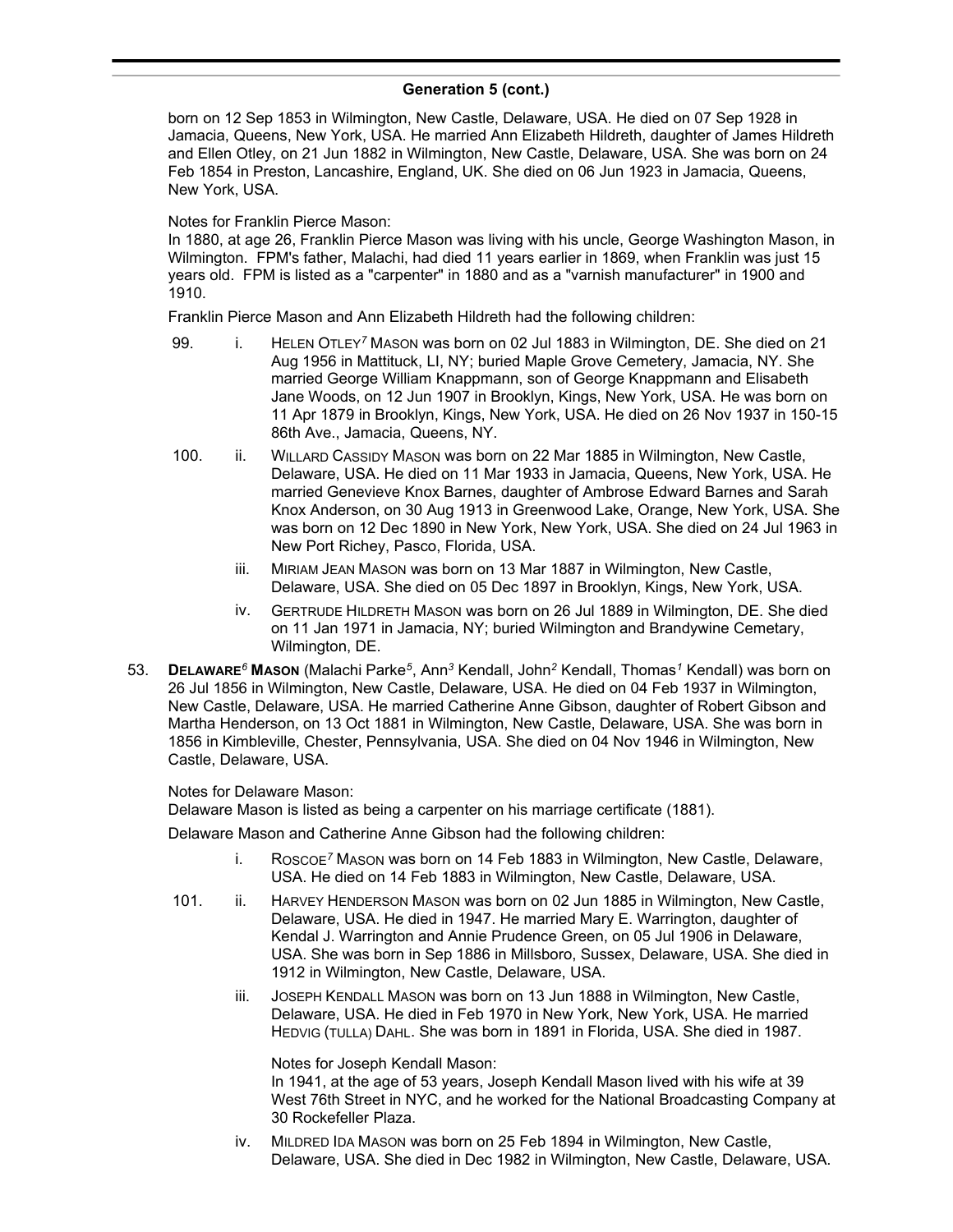### **Generation 5 (cont.)** , Ann*<sup>3</sup>* Kendall, John*<sup>2</sup>* Kendall, Thomas*<sup>1</sup>* Kendall) was

born on 12 Sep 1853 in Wilmington, New Castle, Delaware, USA. He died on 07 Sep 1928 in Jamacia, Queens, New York, USA. He married Ann Elizabeth Hildreth, daughter of James Hildreth and Ellen Otley, on 21 Jun 1882 in Wilmington, New Castle, Delaware, USA. She was born on 24 Feb 1854 in Preston, Lancashire, England, UK. She died on 06 Jun 1923 in Jamacia, Queens, New York, USA.

### Notes for Franklin Pierce Mason:

In 1880, at age 26, Franklin Pierce Mason was living with his uncle, George Washington Mason, in Wilmington. FPM's father, Malachi, had died 11 years earlier in 1869, when Franklin was just 15 years old. FPM is listed as a "carpenter" in 1880 and as a "varnish manufacturer" in 1900 and 1910.

Franklin Pierce Mason and Ann Elizabeth Hildreth had the following children:

- 99. i. HELEN OTLEY*<sup>7</sup>* MASON was born on 02 Jul 1883 in Wilmington, DE. She died on 21 Aug 1956 in Mattituck, LI, NY; buried Maple Grove Cemetery, Jamacia, NY. She married George William Knappmann, son of George Knappmann and Elisabeth Jane Woods, on 12 Jun 1907 in Brooklyn, Kings, New York, USA. He was born on 11 Apr 1879 in Brooklyn, Kings, New York, USA. He died on 26 Nov 1937 in 150-15 86th Ave., Jamacia, Queens, NY.
- 100. ii. WILLARD CASSIDY MASON was born on 22 Mar 1885 in Wilmington, New Castle, Delaware, USA. He died on 11 Mar 1933 in Jamacia, Queens, New York, USA. He married Genevieve Knox Barnes, daughter of Ambrose Edward Barnes and Sarah Knox Anderson, on 30 Aug 1913 in Greenwood Lake, Orange, New York, USA. She was born on 12 Dec 1890 in New York, New York, USA. She died on 24 Jul 1963 in New Port Richey, Pasco, Florida, USA.
	- iii. MIRIAM JEAN MASON was born on 13 Mar 1887 in Wilmington, New Castle, Delaware, USA. She died on 05 Dec 1897 in Brooklyn, Kings, New York, USA.
	- iv. GERTRUDE HILDRETH MASON was born on 26 Jul 1889 in Wilmington, DE. She died on 11 Jan 1971 in Jamacia, NY; buried Wilmington and Brandywine Cemetary, Wilmington, DE.
- 53. **DELAWARE***<sup>6</sup>* **MASON** (Malachi Parke*<sup>5</sup>* , Ann*<sup>3</sup>* Kendall, John*<sup>2</sup>* Kendall, Thomas*<sup>1</sup>* Kendall) was born on 26 Jul 1856 in Wilmington, New Castle, Delaware, USA. He died on 04 Feb 1937 in Wilmington, New Castle, Delaware, USA. He married Catherine Anne Gibson, daughter of Robert Gibson and Martha Henderson, on 13 Oct 1881 in Wilmington, New Castle, Delaware, USA. She was born in 1856 in Kimbleville, Chester, Pennsylvania, USA. She died on 04 Nov 1946 in Wilmington, New Castle, Delaware, USA.

### Notes for Delaware Mason:

Delaware Mason is listed as being a carpenter on his marriage certificate (1881).

Delaware Mason and Catherine Anne Gibson had the following children:

- i. ROSCOE*<sup>7</sup>* MASON was born on 14 Feb 1883 in Wilmington, New Castle, Delaware, USA. He died on 14 Feb 1883 in Wilmington, New Castle, Delaware, USA.
- 101. ii. HARVEY HENDERSON MASON was born on 02 Jun 1885 in Wilmington, New Castle, Delaware, USA. He died in 1947. He married Mary E. Warrington, daughter of Kendal J. Warrington and Annie Prudence Green, on 05 Jul 1906 in Delaware, USA. She was born in Sep 1886 in Millsboro, Sussex, Delaware, USA. She died in 1912 in Wilmington, New Castle, Delaware, USA.
	- iii. JOSEPH KENDALL MASON was born on 13 Jun 1888 in Wilmington, New Castle, Delaware, USA. He died in Feb 1970 in New York, New York, USA. He married HEDVIG (TULLA) DAHL. She was born in 1891 in Florida, USA. She died in 1987.

Notes for Joseph Kendall Mason:

In 1941, at the age of 53 years, Joseph Kendall Mason lived with his wife at 39 West 76th Street in NYC, and he worked for the National Broadcasting Company at 30 Rockefeller Plaza.

iv. MILDRED IDA MASON was born on 25 Feb 1894 in Wilmington, New Castle, Delaware, USA. She died in Dec 1982 in Wilmington, New Castle, Delaware, USA.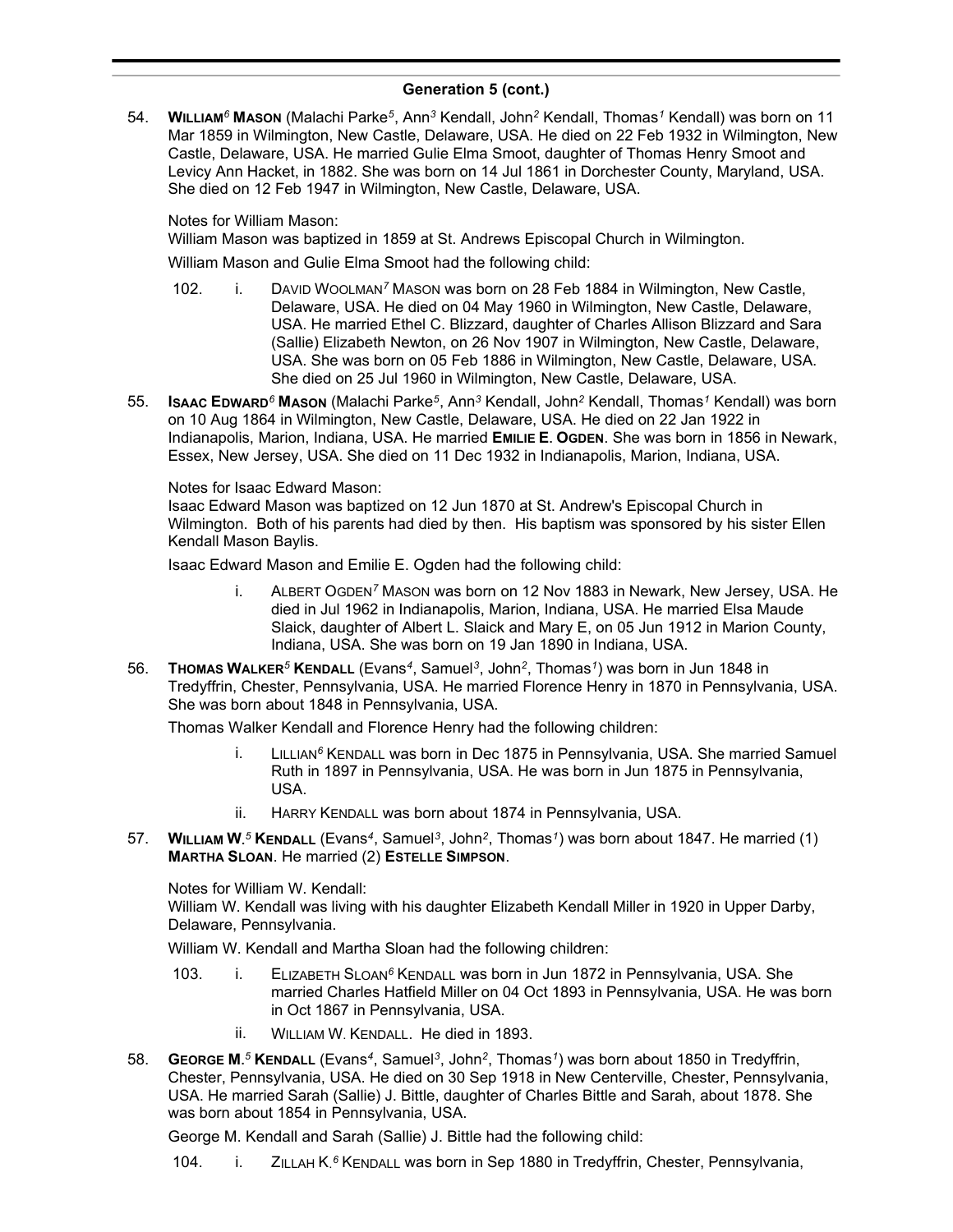54. **WILLIAM***<sup>6</sup>* **MASON** (Malachi Parke*<sup>5</sup>* , Ann*<sup>3</sup>* Kendall, John*<sup>2</sup>* Kendall, Thomas*<sup>1</sup>* Kendall) was born on 11 Mar 1859 in Wilmington, New Castle, Delaware, USA. He died on 22 Feb 1932 in Wilmington, New Castle, Delaware, USA. He married Gulie Elma Smoot, daughter of Thomas Henry Smoot and Levicy Ann Hacket, in 1882. She was born on 14 Jul 1861 in Dorchester County, Maryland, USA. She died on 12 Feb 1947 in Wilmington, New Castle, Delaware, USA.

Notes for William Mason:

William Mason was baptized in 1859 at St. Andrews Episcopal Church in Wilmington.

William Mason and Gulie Elma Smoot had the following child:

- 102. i. DAVID WOOLMAN*<sup>7</sup>* MASON was born on 28 Feb 1884 in Wilmington, New Castle, Delaware, USA. He died on 04 May 1960 in Wilmington, New Castle, Delaware, USA. He married Ethel C. Blizzard, daughter of Charles Allison Blizzard and Sara (Sallie) Elizabeth Newton, on 26 Nov 1907 in Wilmington, New Castle, Delaware, USA. She was born on 05 Feb 1886 in Wilmington, New Castle, Delaware, USA. She died on 25 Jul 1960 in Wilmington, New Castle, Delaware, USA.
- 55. **ISAAC EDWARD***<sup>6</sup>* **MASON** (Malachi Parke*<sup>5</sup>* , Ann*<sup>3</sup>* Kendall, John*<sup>2</sup>* Kendall, Thomas*<sup>1</sup>* Kendall) was born on 10 Aug 1864 in Wilmington, New Castle, Delaware, USA. He died on 22 Jan 1922 in Indianapolis, Marion, Indiana, USA. He married **EMILIE E. OGDEN**. She was born in 1856 in Newark, Essex, New Jersey, USA. She died on 11 Dec 1932 in Indianapolis, Marion, Indiana, USA.

Notes for Isaac Edward Mason:

Isaac Edward Mason was baptized on 12 Jun 1870 at St. Andrew's Episcopal Church in Wilmington. Both of his parents had died by then. His baptism was sponsored by his sister Ellen Kendall Mason Baylis.

Isaac Edward Mason and Emilie E. Ogden had the following child:

- i. ALBERT OGDEN*<sup>7</sup>* MASON was born on 12 Nov 1883 in Newark, New Jersey, USA. He died in Jul 1962 in Indianapolis, Marion, Indiana, USA. He married Elsa Maude Slaick, daughter of Albert L. Slaick and Mary E, on 05 Jun 1912 in Marion County, Indiana, USA. She was born on 19 Jan 1890 in Indiana, USA.
- 56. **THOMAS WALKER***<sup>5</sup>* **KENDALL** (Evans*<sup>4</sup>* , Samuel*<sup>3</sup>* , John*<sup>2</sup>* , Thomas*<sup>1</sup>* ) was born in Jun 1848 in Tredyffrin, Chester, Pennsylvania, USA. He married Florence Henry in 1870 in Pennsylvania, USA. She was born about 1848 in Pennsylvania, USA.

Thomas Walker Kendall and Florence Henry had the following children:

- i. LILLIAN*<sup>6</sup>* KENDALL was born in Dec 1875 in Pennsylvania, USA. She married Samuel Ruth in 1897 in Pennsylvania, USA. He was born in Jun 1875 in Pennsylvania, USA.
- ii. HARRY KENDALL was born about 1874 in Pennsylvania, USA.
- 57. **WILLIAM W.** *<sup>5</sup>* **KENDALL** (Evans*<sup>4</sup>* , Samuel*<sup>3</sup>* , John*<sup>2</sup>* , Thomas*<sup>1</sup>* ) was born about 1847. He married (1) **MARTHA SLOAN**. He married (2) **ESTELLE SIMPSON**.

Notes for William W. Kendall:

William W. Kendall was living with his daughter Elizabeth Kendall Miller in 1920 in Upper Darby, Delaware, Pennsylvania.

William W. Kendall and Martha Sloan had the following children:

- 103. i. ELIZABETH SLOAN*<sup>6</sup>* KENDALL was born in Jun 1872 in Pennsylvania, USA. She married Charles Hatfield Miller on 04 Oct 1893 in Pennsylvania, USA. He was born in Oct 1867 in Pennsylvania, USA.
	- ii. WILLIAM W. KENDALL. He died in 1893.
- 58. **GEORGE M.** *<sup>5</sup>* **KENDALL** (Evans*<sup>4</sup>* , Samuel*<sup>3</sup>* , John*<sup>2</sup>* , Thomas*<sup>1</sup>* ) was born about 1850 in Tredyffrin, Chester, Pennsylvania, USA. He died on 30 Sep 1918 in New Centerville, Chester, Pennsylvania, USA. He married Sarah (Sallie) J. Bittle, daughter of Charles Bittle and Sarah, about 1878. She was born about 1854 in Pennsylvania, USA.

George M. Kendall and Sarah (Sallie) J. Bittle had the following child:

104. i. ZILLAH K.<sup>6</sup> KENDALL was born in Sep 1880 in Tredyffrin, Chester, Pennsylvania,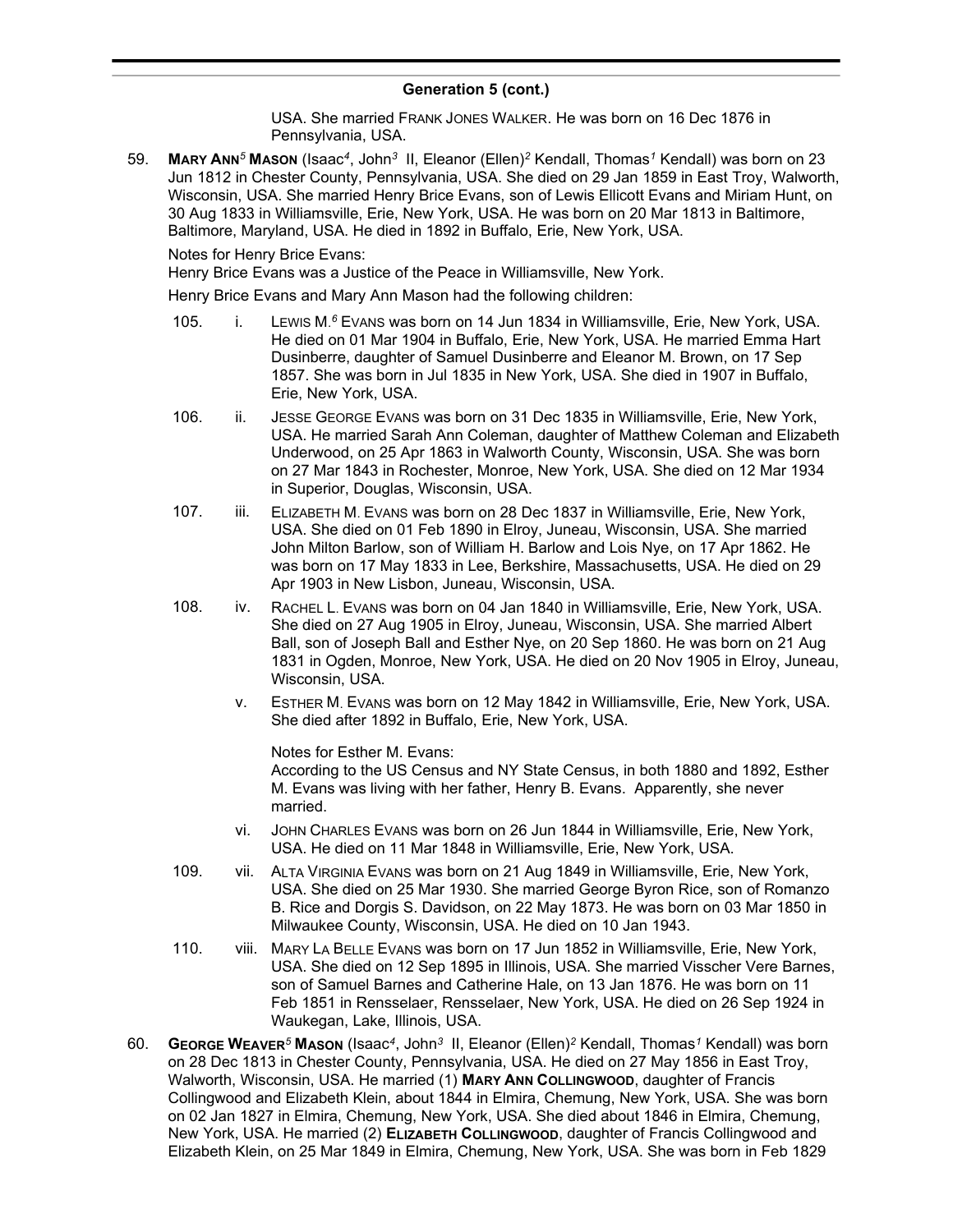#### **Generation 5 (cont.) 6** Generation 6 (John)

USA. She married FRANK JONES WALKER. He was born on 16 Dec 1876 in Pennsylvania, USA.

59. **MARY ANN***<sup>5</sup>* **MASON** (Isaac*<sup>4</sup>* , John*<sup>3</sup>* II, Eleanor (Ellen)*<sup>2</sup>* Kendall, Thomas*<sup>1</sup>* Kendall) was born on 23 Jun 1812 in Chester County, Pennsylvania, USA. She died on 29 Jan 1859 in East Troy, Walworth, Wisconsin, USA. She married Henry Brice Evans, son of Lewis Ellicott Evans and Miriam Hunt, on 30 Aug 1833 in Williamsville, Erie, New York, USA. He was born on 20 Mar 1813 in Baltimore, Baltimore, Maryland, USA. He died in 1892 in Buffalo, Erie, New York, USA.

Notes for Henry Brice Evans:

Henry Brice Evans was a Justice of the Peace in Williamsville, New York.

Henry Brice Evans and Mary Ann Mason had the following children:

- 105. i. LEWIS M.<sup>6</sup> EVANS was born on 14 Jun 1834 in Williamsville, Erie, New York, USA. He died on 01 Mar 1904 in Buffalo, Erie, New York, USA. He married Emma Hart Dusinberre, daughter of Samuel Dusinberre and Eleanor M. Brown, on 17 Sep 1857. She was born in Jul 1835 in New York, USA. She died in 1907 in Buffalo, Erie, New York, USA.
- 106. ii. JESSE GEORGE EVANS was born on 31 Dec 1835 in Williamsville, Erie, New York, USA. He married Sarah Ann Coleman, daughter of Matthew Coleman and Elizabeth Underwood, on 25 Apr 1863 in Walworth County, Wisconsin, USA. She was born on 27 Mar 1843 in Rochester, Monroe, New York, USA. She died on 12 Mar 1934 in Superior, Douglas, Wisconsin, USA.
- 107. iii. ELIZABETH M. EVANS was born on 28 Dec 1837 in Williamsville, Erie, New York, USA. She died on 01 Feb 1890 in Elroy, Juneau, Wisconsin, USA. She married John Milton Barlow, son of William H. Barlow and Lois Nye, on 17 Apr 1862. He was born on 17 May 1833 in Lee, Berkshire, Massachusetts, USA. He died on 29 Apr 1903 in New Lisbon, Juneau, Wisconsin, USA.
- 108. iv. RACHEL L. EVANS was born on 04 Jan 1840 in Williamsville, Erie, New York, USA. She died on 27 Aug 1905 in Elroy, Juneau, Wisconsin, USA. She married Albert Ball, son of Joseph Ball and Esther Nye, on 20 Sep 1860. He was born on 21 Aug 1831 in Ogden, Monroe, New York, USA. He died on 20 Nov 1905 in Elroy, Juneau, Wisconsin, USA.
	- v. ESTHER M. EVANS was born on 12 May 1842 in Williamsville, Erie, New York, USA. She died after 1892 in Buffalo, Erie, New York, USA.

Notes for Esther M. Evans: According to the US Census and NY State Census, in both 1880 and 1892, Esther M. Evans was living with her father, Henry B. Evans. Apparently, she never married.

- vi. JOHN CHARLES EVANS was born on 26 Jun 1844 in Williamsville, Erie, New York, USA. He died on 11 Mar 1848 in Williamsville, Erie, New York, USA.
- 109. vii. ALTA VIRGINIA EVANS was born on 21 Aug 1849 in Williamsville, Erie, New York, USA. She died on 25 Mar 1930. She married George Byron Rice, son of Romanzo B. Rice and Dorgis S. Davidson, on 22 May 1873. He was born on 03 Mar 1850 in Milwaukee County, Wisconsin, USA. He died on 10 Jan 1943.
- 110. viii. MARY LA BELLE EVANS was born on 17 Jun 1852 in Williamsville, Erie, New York, USA. She died on 12 Sep 1895 in Illinois, USA. She married Visscher Vere Barnes, son of Samuel Barnes and Catherine Hale, on 13 Jan 1876. He was born on 11 Feb 1851 in Rensselaer, Rensselaer, New York, USA. He died on 26 Sep 1924 in Waukegan, Lake, Illinois, USA.
- 60. **GEORGE WEAVER***<sup>5</sup>* **MASON** (Isaac*<sup>4</sup>* , John*<sup>3</sup>* II, Eleanor (Ellen)*<sup>2</sup>* Kendall, Thomas*<sup>1</sup>* Kendall) was born on 28 Dec 1813 in Chester County, Pennsylvania, USA. He died on 27 May 1856 in East Troy, Walworth, Wisconsin, USA. He married (1) **MARY ANN COLLINGWOOD**, daughter of Francis Collingwood and Elizabeth Klein, about 1844 in Elmira, Chemung, New York, USA. She was born on 02 Jan 1827 in Elmira, Chemung, New York, USA. She died about 1846 in Elmira, Chemung, New York, USA. He married (2) **ELIZABETH COLLINGWOOD**, daughter of Francis Collingwood and Elizabeth Klein, on 25 Mar 1849 in Elmira, Chemung, New York, USA. She was born in Feb 1829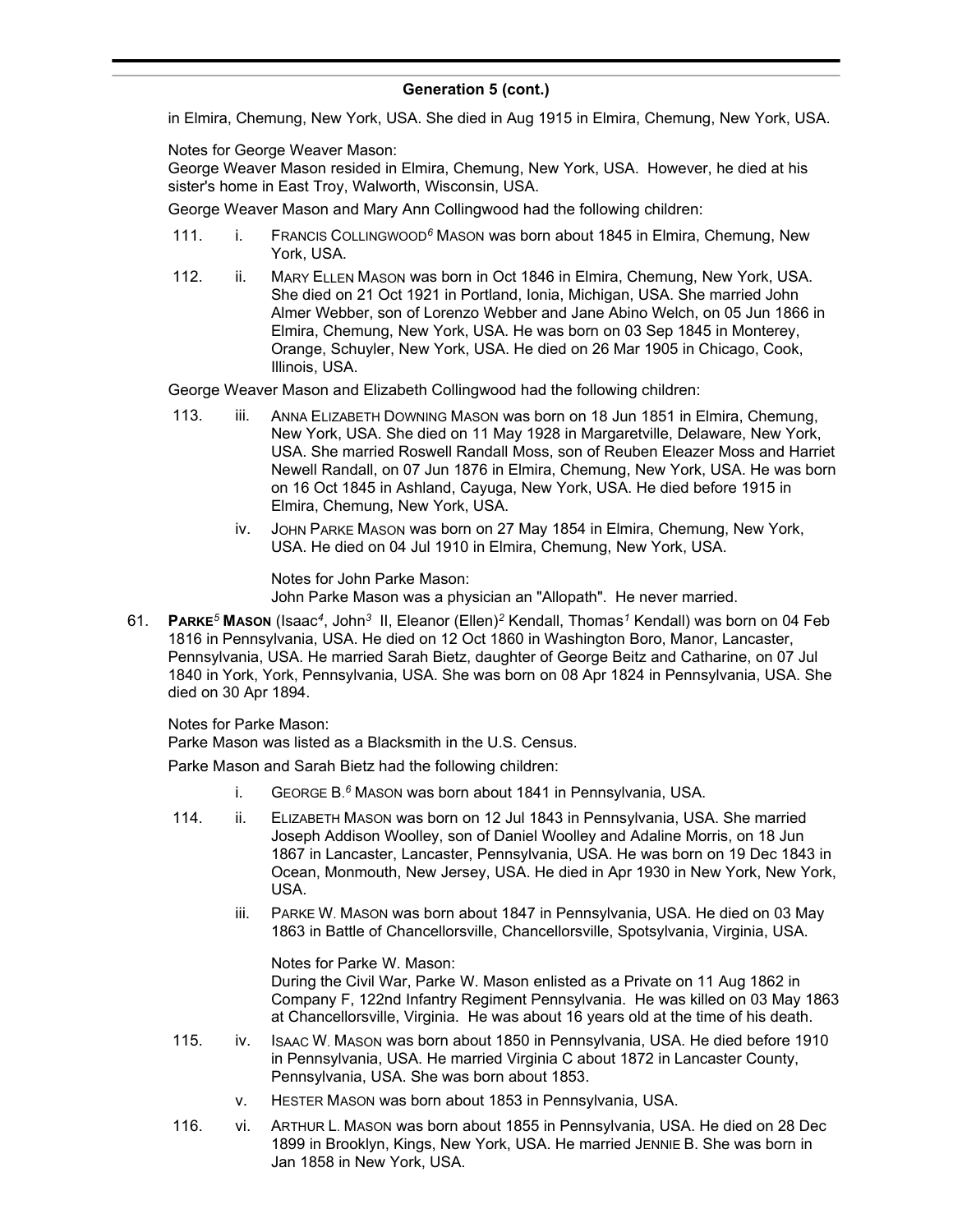in Elmira, Chemung, New York, USA. She died in Aug 1915 in Elmira, Chemung, New York, USA.

Notes for George Weaver Mason:

George Weaver Mason resided in Elmira, Chemung, New York, USA. However, he died at his sister's home in East Troy, Walworth, Wisconsin, USA.

George Weaver Mason and Mary Ann Collingwood had the following children:

- 111. i. FRANCIS COLLINGWOOD*<sup>6</sup>* MASON was born about 1845 in Elmira, Chemung, New York, USA.
- 112. ii. MARY ELLEN MASON was born in Oct 1846 in Elmira, Chemung, New York, USA. She died on 21 Oct 1921 in Portland, Ionia, Michigan, USA. She married John Almer Webber, son of Lorenzo Webber and Jane Abino Welch, on 05 Jun 1866 in Elmira, Chemung, New York, USA. He was born on 03 Sep 1845 in Monterey, Orange, Schuyler, New York, USA. He died on 26 Mar 1905 in Chicago, Cook, Illinois, USA.

George Weaver Mason and Elizabeth Collingwood had the following children:

- 113. iii. ANNA ELIZABETH DOWNING MASON was born on 18 Jun 1851 in Elmira, Chemung, New York, USA. She died on 11 May 1928 in Margaretville, Delaware, New York, USA. She married Roswell Randall Moss, son of Reuben Eleazer Moss and Harriet Newell Randall, on 07 Jun 1876 in Elmira, Chemung, New York, USA. He was born on 16 Oct 1845 in Ashland, Cayuga, New York, USA. He died before 1915 in Elmira, Chemung, New York, USA.
	- iv. JOHN PARKE MASON was born on 27 May 1854 in Elmira, Chemung, New York, USA. He died on 04 Jul 1910 in Elmira, Chemung, New York, USA.

Notes for John Parke Mason: John Parke Mason was a physician an "Allopath". He never married.

61. **PARKE***<sup>5</sup>* **MASON** (Isaac*<sup>4</sup>* , John*<sup>3</sup>* II, Eleanor (Ellen)*<sup>2</sup>* Kendall, Thomas*<sup>1</sup>* Kendall) was born on 04 Feb 1816 in Pennsylvania, USA. He died on 12 Oct 1860 in Washington Boro, Manor, Lancaster, Pennsylvania, USA. He married Sarah Bietz, daughter of George Beitz and Catharine, on 07 Jul 1840 in York, York, Pennsylvania, USA. She was born on 08 Apr 1824 in Pennsylvania, USA. She died on 30 Apr 1894.

Notes for Parke Mason:

Parke Mason was listed as a Blacksmith in the U.S. Census.

Parke Mason and Sarah Bietz had the following children:

- i. GEORGE B. *<sup>6</sup>* MASON was born about 1841 in Pennsylvania, USA.
- 114. ii. ELIZABETH MASON was born on 12 Jul 1843 in Pennsylvania, USA. She married Joseph Addison Woolley, son of Daniel Woolley and Adaline Morris, on 18 Jun 1867 in Lancaster, Lancaster, Pennsylvania, USA. He was born on 19 Dec 1843 in Ocean, Monmouth, New Jersey, USA. He died in Apr 1930 in New York, New York, USA.
	- iii. PARKE W. MASON was born about 1847 in Pennsylvania, USA. He died on 03 May 1863 in Battle of Chancellorsville, Chancellorsville, Spotsylvania, Virginia, USA.

Notes for Parke W. Mason: During the Civil War, Parke W. Mason enlisted as a Private on 11 Aug 1862 in Company F, 122nd Infantry Regiment Pennsylvania. He was killed on 03 May 1863 at Chancellorsville, Virginia. He was about 16 years old at the time of his death.

- 115. iv. ISAAC W. MASON was born about 1850 in Pennsylvania, USA. He died before 1910 in Pennsylvania, USA. He married Virginia C about 1872 in Lancaster County, Pennsylvania, USA. She was born about 1853.
	- v. HESTER MASON was born about 1853 in Pennsylvania, USA.
- 116. vi. ARTHUR L. MASON was born about 1855 in Pennsylvania, USA. He died on 28 Dec 1899 in Brooklyn, Kings, New York, USA. He married JENNIE B. She was born in Jan 1858 in New York, USA.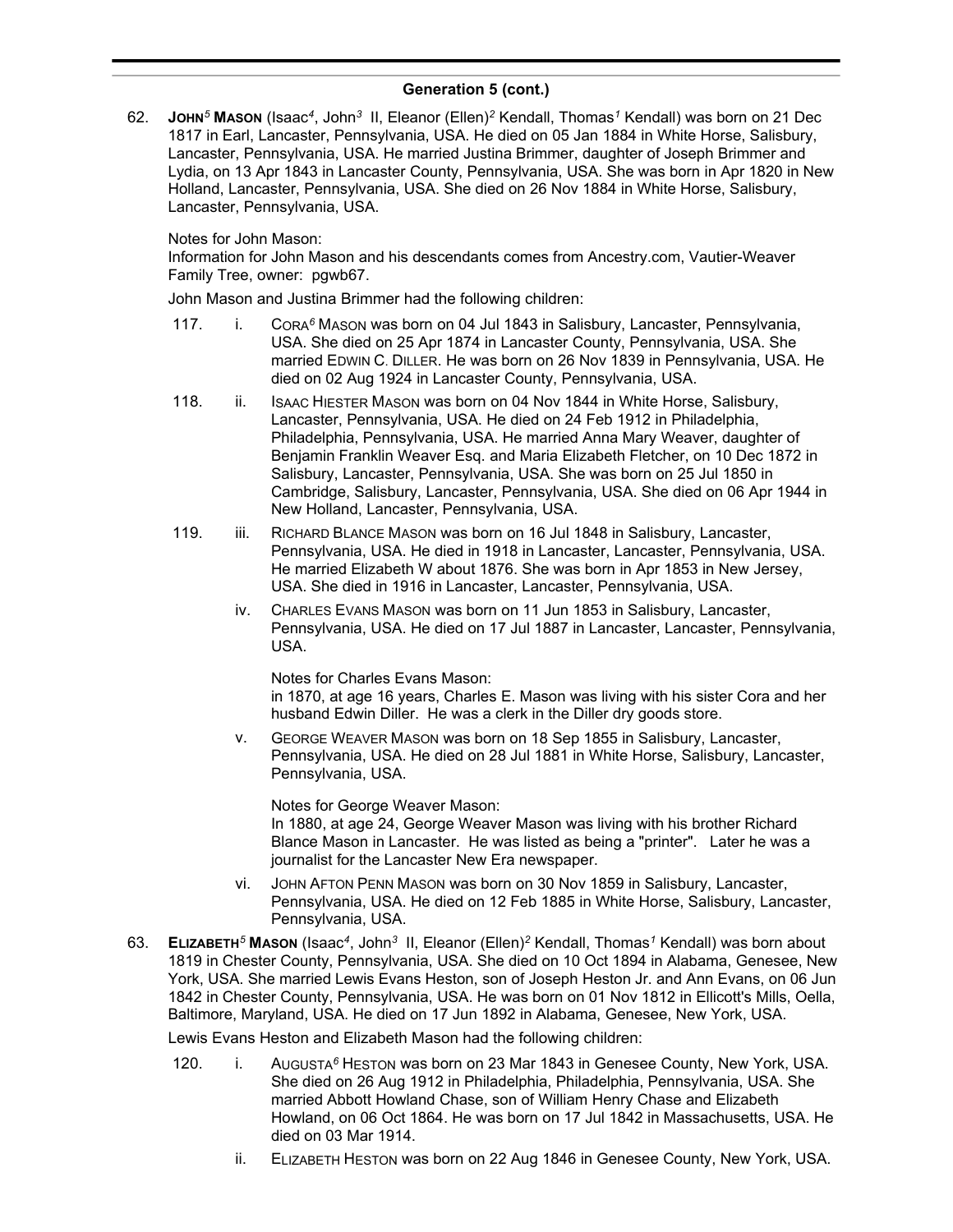62. **JOHN***<sup>5</sup>* **MASON** (Isaac*<sup>4</sup>* , John*<sup>3</sup>* II, Eleanor (Ellen)*<sup>2</sup>* Kendall, Thomas*<sup>1</sup>* Kendall) was born on 21 Dec 1817 in Earl, Lancaster, Pennsylvania, USA. He died on 05 Jan 1884 in White Horse, Salisbury, Lancaster, Pennsylvania, USA. He married Justina Brimmer, daughter of Joseph Brimmer and Lydia, on 13 Apr 1843 in Lancaster County, Pennsylvania, USA. She was born in Apr 1820 in New Holland, Lancaster, Pennsylvania, USA. She died on 26 Nov 1884 in White Horse, Salisbury, Lancaster, Pennsylvania, USA.

### Notes for John Mason:

Information for John Mason and his descendants comes from Ancestry.com, Vautier-Weaver Family Tree, owner: pgwb67.

John Mason and Justina Brimmer had the following children:

- 117. i. CORA*<sup>6</sup>* MASON was born on 04 Jul 1843 in Salisbury, Lancaster, Pennsylvania, USA. She died on 25 Apr 1874 in Lancaster County, Pennsylvania, USA. She married EDWIN C. DILLER. He was born on 26 Nov 1839 in Pennsylvania, USA. He died on 02 Aug 1924 in Lancaster County, Pennsylvania, USA.
- 118. ii. ISAAC HIESTER MASON was born on 04 Nov 1844 in White Horse, Salisbury, Lancaster, Pennsylvania, USA. He died on 24 Feb 1912 in Philadelphia, Philadelphia, Pennsylvania, USA. He married Anna Mary Weaver, daughter of Benjamin Franklin Weaver Esq. and Maria Elizabeth Fletcher, on 10 Dec 1872 in Salisbury, Lancaster, Pennsylvania, USA. She was born on 25 Jul 1850 in Cambridge, Salisbury, Lancaster, Pennsylvania, USA. She died on 06 Apr 1944 in New Holland, Lancaster, Pennsylvania, USA.
- 119. iii. RICHARD BLANCE MASON was born on 16 Jul 1848 in Salisbury, Lancaster, Pennsylvania, USA. He died in 1918 in Lancaster, Lancaster, Pennsylvania, USA. He married Elizabeth W about 1876. She was born in Apr 1853 in New Jersey, USA. She died in 1916 in Lancaster, Lancaster, Pennsylvania, USA.
	- iv. CHARLES EVANS MASON was born on 11 Jun 1853 in Salisbury, Lancaster, Pennsylvania, USA. He died on 17 Jul 1887 in Lancaster, Lancaster, Pennsylvania, USA.

Notes for Charles Evans Mason:

in 1870, at age 16 years, Charles E. Mason was living with his sister Cora and her husband Edwin Diller. He was a clerk in the Diller dry goods store.

v. GEORGE WEAVER MASON was born on 18 Sep 1855 in Salisbury, Lancaster, Pennsylvania, USA. He died on 28 Jul 1881 in White Horse, Salisbury, Lancaster, Pennsylvania, USA.

Notes for George Weaver Mason:

In 1880, at age 24, George Weaver Mason was living with his brother Richard Blance Mason in Lancaster. He was listed as being a "printer". Later he was a journalist for the Lancaster New Era newspaper.

- vi. JOHN AFTON PENN MASON was born on 30 Nov 1859 in Salisbury, Lancaster, Pennsylvania, USA. He died on 12 Feb 1885 in White Horse, Salisbury, Lancaster, Pennsylvania, USA.
- 63. **ELIZABETH***<sup>5</sup>* **MASON** (Isaac*<sup>4</sup>* , John*<sup>3</sup>* II, Eleanor (Ellen)*<sup>2</sup>* Kendall, Thomas*<sup>1</sup>* Kendall) was born about 1819 in Chester County, Pennsylvania, USA. She died on 10 Oct 1894 in Alabama, Genesee, New York, USA. She married Lewis Evans Heston, son of Joseph Heston Jr. and Ann Evans, on 06 Jun 1842 in Chester County, Pennsylvania, USA. He was born on 01 Nov 1812 in Ellicott's Mills, Oella, Baltimore, Maryland, USA. He died on 17 Jun 1892 in Alabama, Genesee, New York, USA.

Lewis Evans Heston and Elizabeth Mason had the following children:

- 120. i. AUGUSTA*<sup>6</sup>* HESTON was born on 23 Mar 1843 in Genesee County, New York, USA. She died on 26 Aug 1912 in Philadelphia, Philadelphia, Pennsylvania, USA. She married Abbott Howland Chase, son of William Henry Chase and Elizabeth Howland, on 06 Oct 1864. He was born on 17 Jul 1842 in Massachusetts, USA. He died on 03 Mar 1914.
	- ii. ELIZABETH HESTON was born on 22 Aug 1846 in Genesee County, New York, USA.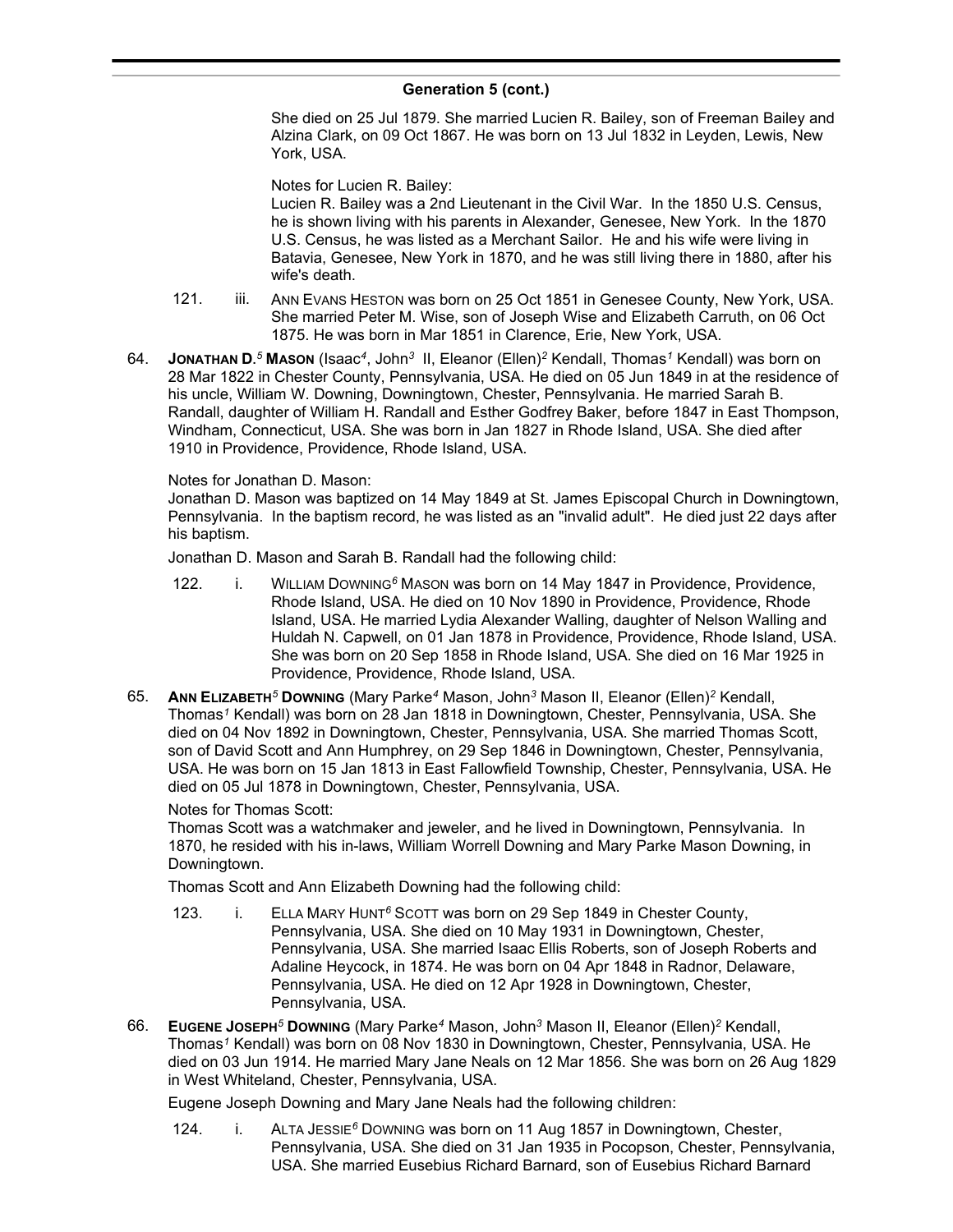She died on 25 Jul 1879. She married Lucien R. Bailey, son of Freeman Bailey and Alzina Clark, on 09 Oct 1867. He was born on 13 Jul 1832 in Leyden, Lewis, New York, USA.

Notes for Lucien R. Bailey:

Lucien R. Bailey was a 2nd Lieutenant in the Civil War. In the 1850 U.S. Census, he is shown living with his parents in Alexander, Genesee, New York. In the 1870 U.S. Census, he was listed as a Merchant Sailor. He and his wife were living in Batavia, Genesee, New York in 1870, and he was still living there in 1880, after his wife's death.

- 121. iii. ANN EVANS HESTON was born on 25 Oct 1851 in Genesee County, New York, USA. She married Peter M. Wise, son of Joseph Wise and Elizabeth Carruth, on 06 Oct 1875. He was born in Mar 1851 in Clarence, Erie, New York, USA.
- 64. **JONATHAN D.** *<sup>5</sup>* **MASON** (Isaac*<sup>4</sup>* , John*<sup>3</sup>* II, Eleanor (Ellen)*<sup>2</sup>* Kendall, Thomas*<sup>1</sup>* Kendall) was born on 28 Mar 1822 in Chester County, Pennsylvania, USA. He died on 05 Jun 1849 in at the residence of his uncle, William W. Downing, Downingtown, Chester, Pennsylvania. He married Sarah B. Randall, daughter of William H. Randall and Esther Godfrey Baker, before 1847 in East Thompson, Windham, Connecticut, USA. She was born in Jan 1827 in Rhode Island, USA. She died after 1910 in Providence, Providence, Rhode Island, USA.

### Notes for Jonathan D. Mason:

Jonathan D. Mason was baptized on 14 May 1849 at St. James Episcopal Church in Downingtown, Pennsylvania. In the baptism record, he was listed as an "invalid adult". He died just 22 days after his baptism.

Jonathan D. Mason and Sarah B. Randall had the following child:

- 122. i. WILLIAM DOWNING*<sup>6</sup>* MASON was born on 14 May 1847 in Providence, Providence, Rhode Island, USA. He died on 10 Nov 1890 in Providence, Providence, Rhode Island, USA. He married Lydia Alexander Walling, daughter of Nelson Walling and Huldah N. Capwell, on 01 Jan 1878 in Providence, Providence, Rhode Island, USA. She was born on 20 Sep 1858 in Rhode Island, USA. She died on 16 Mar 1925 in Providence, Providence, Rhode Island, USA.
- 65. **ANN ELIZABETH***<sup>5</sup>* **DOWNING** (Mary Parke*<sup>4</sup>* Mason, John*<sup>3</sup>* Mason II, Eleanor (Ellen)*<sup>2</sup>* Kendall, Thomas*<sup>1</sup>* Kendall) was born on 28 Jan 1818 in Downingtown, Chester, Pennsylvania, USA. She died on 04 Nov 1892 in Downingtown, Chester, Pennsylvania, USA. She married Thomas Scott, son of David Scott and Ann Humphrey, on 29 Sep 1846 in Downingtown, Chester, Pennsylvania, USA. He was born on 15 Jan 1813 in East Fallowfield Township, Chester, Pennsylvania, USA. He died on 05 Jul 1878 in Downingtown, Chester, Pennsylvania, USA.

# Notes for Thomas Scott:

Thomas Scott was a watchmaker and jeweler, and he lived in Downingtown, Pennsylvania. In 1870, he resided with his in-laws, William Worrell Downing and Mary Parke Mason Downing, in Downingtown.

Thomas Scott and Ann Elizabeth Downing had the following child:

- 123. i. ELLA MARY HUNT*<sup>6</sup>* SCOTT was born on 29 Sep 1849 in Chester County, Pennsylvania, USA. She died on 10 May 1931 in Downingtown, Chester, Pennsylvania, USA. She married Isaac Ellis Roberts, son of Joseph Roberts and Adaline Heycock, in 1874. He was born on 04 Apr 1848 in Radnor, Delaware, Pennsylvania, USA. He died on 12 Apr 1928 in Downingtown, Chester, Pennsylvania, USA.
- 66. **EUGENE JOSEPH***<sup>5</sup>* **DOWNING** (Mary Parke*<sup>4</sup>* Mason, John*<sup>3</sup>* Mason II, Eleanor (Ellen)*<sup>2</sup>* Kendall, Thomas*<sup>1</sup>* Kendall) was born on 08 Nov 1830 in Downingtown, Chester, Pennsylvania, USA. He died on 03 Jun 1914. He married Mary Jane Neals on 12 Mar 1856. She was born on 26 Aug 1829 in West Whiteland, Chester, Pennsylvania, USA.

Eugene Joseph Downing and Mary Jane Neals had the following children:

124. i. ALTA JESSIE*<sup>6</sup>* DOWNING was born on 11 Aug 1857 in Downingtown, Chester, Pennsylvania, USA. She died on 31 Jan 1935 in Pocopson, Chester, Pennsylvania, USA. She married Eusebius Richard Barnard, son of Eusebius Richard Barnard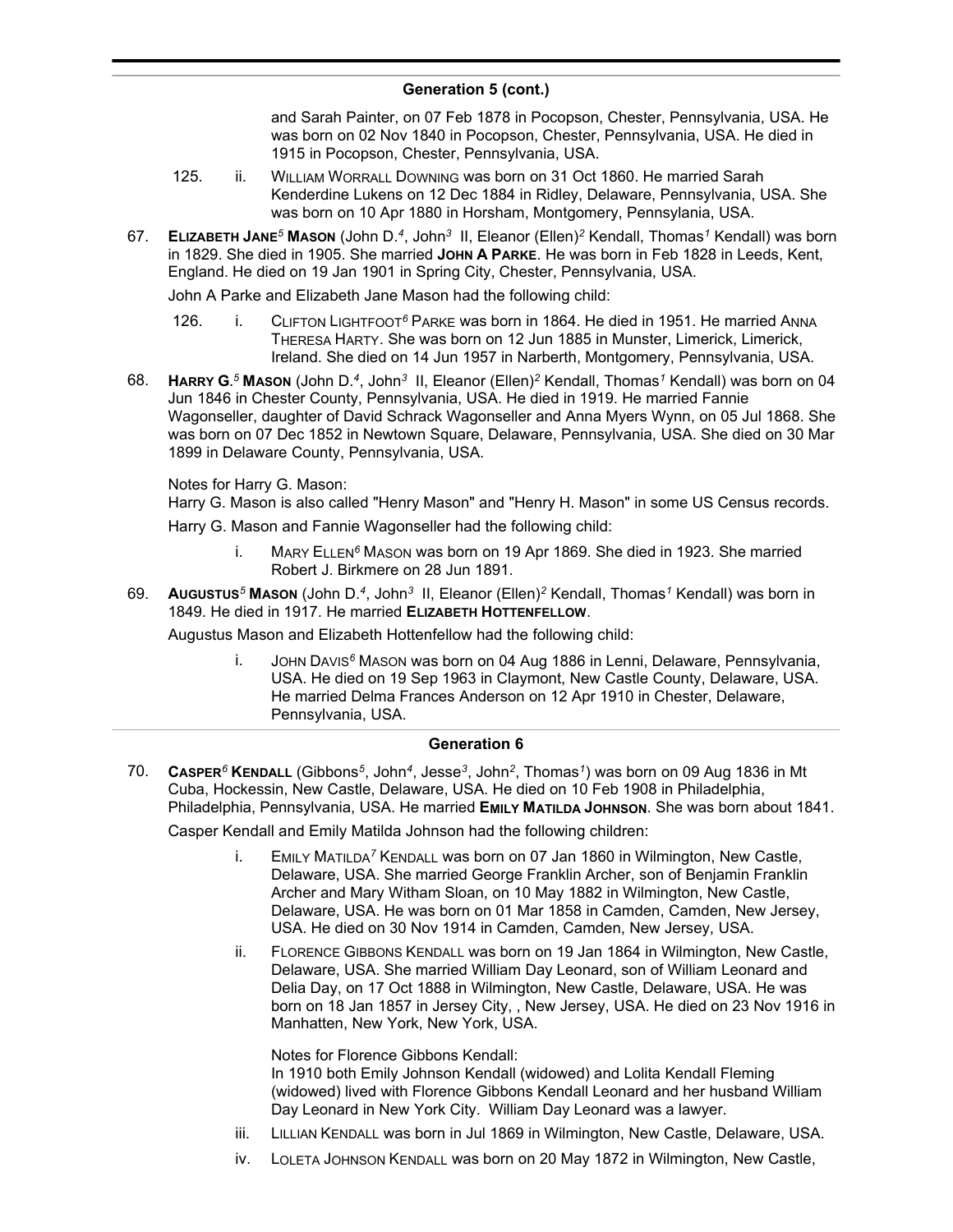and Sarah Painter, on 07 Feb 1878 in Pocopson, Chester, Pennsylvania, USA. He was born on 02 Nov 1840 in Pocopson, Chester, Pennsylvania, USA. He died in 1915 in Pocopson, Chester, Pennsylvania, USA.

- 125. ii. WILLIAM WORRALL DOWNING was born on 31 Oct 1860. He married Sarah Kenderdine Lukens on 12 Dec 1884 in Ridley, Delaware, Pennsylvania, USA. She was born on 10 Apr 1880 in Horsham, Montgomery, Pennsylania, USA.
- 67. **ELIZABETH JANE***<sup>5</sup>* **MASON** (John D.*<sup>4</sup>* , John*<sup>3</sup>* II, Eleanor (Ellen)*<sup>2</sup>* Kendall, Thomas*<sup>1</sup>* Kendall) was born in 1829. She died in 1905. She married **JOHN A PARKE**. He was born in Feb 1828 in Leeds, Kent, England. He died on 19 Jan 1901 in Spring City, Chester, Pennsylvania, USA.

John A Parke and Elizabeth Jane Mason had the following child:

- 126. i. CLIFTON LIGHTFOOT*<sup>6</sup>* PARKE was born in 1864. He died in 1951. He married ANNA THERESA HARTY. She was born on 12 Jun 1885 in Munster, Limerick, Limerick, Ireland. She died on 14 Jun 1957 in Narberth, Montgomery, Pennsylvania, USA.
- 68. **HARRY G.** *<sup>5</sup>* **MASON** (John D.*<sup>4</sup>* , John*<sup>3</sup>* II, Eleanor (Ellen)*<sup>2</sup>* Kendall, Thomas*<sup>1</sup>* Kendall) was born on 04 Jun 1846 in Chester County, Pennsylvania, USA. He died in 1919. He married Fannie Wagonseller, daughter of David Schrack Wagonseller and Anna Myers Wynn, on 05 Jul 1868. She was born on 07 Dec 1852 in Newtown Square, Delaware, Pennsylvania, USA. She died on 30 Mar 1899 in Delaware County, Pennsylvania, USA.

Notes for Harry G. Mason:

Harry G. Mason is also called "Henry Mason" and "Henry H. Mason" in some US Census records.

Harry G. Mason and Fannie Wagonseller had the following child:

- i. MARY ELLEN*<sup>6</sup>* MASON was born on 19 Apr 1869. She died in 1923. She married Robert J. Birkmere on 28 Jun 1891.
- 69. **AUGUSTUS***<sup>5</sup>* **MASON** (John D.*<sup>4</sup>* , John*<sup>3</sup>* II, Eleanor (Ellen)*<sup>2</sup>* Kendall, Thomas*<sup>1</sup>* Kendall) was born in 1849. He died in 1917. He married **ELIZABETH HOTTENFELLOW**.

Augustus Mason and Elizabeth Hottenfellow had the following child:

i. JOHN DAVIS*<sup>6</sup>* MASON was born on 04 Aug 1886 in Lenni, Delaware, Pennsylvania, USA. He died on 19 Sep 1963 in Claymont, New Castle County, Delaware, USA. He married Delma Frances Anderson on 12 Apr 1910 in Chester, Delaware, Pennsylvania, USA.

### **Generation 6**

70. **CASPER***<sup>6</sup>* **KENDALL** (Gibbons*<sup>5</sup>* , John*<sup>4</sup>* , Jesse*<sup>3</sup>* , John*<sup>2</sup>* , Thomas*<sup>1</sup>* ) was born on 09 Aug 1836 in Mt Cuba, Hockessin, New Castle, Delaware, USA. He died on 10 Feb 1908 in Philadelphia, Philadelphia, Pennsylvania, USA. He married **EMILY MATILDA JOHNSON**. She was born about 1841.

Casper Kendall and Emily Matilda Johnson had the following children:

- i. EMILY MATILDA*<sup>7</sup>* KENDALL was born on 07 Jan 1860 in Wilmington, New Castle, Delaware, USA. She married George Franklin Archer, son of Benjamin Franklin Archer and Mary Witham Sloan, on 10 May 1882 in Wilmington, New Castle, Delaware, USA. He was born on 01 Mar 1858 in Camden, Camden, New Jersey, USA. He died on 30 Nov 1914 in Camden, Camden, New Jersey, USA.
- ii. FLORENCE GIBBONS KENDALL was born on 19 Jan 1864 in Wilmington, New Castle, Delaware, USA. She married William Day Leonard, son of William Leonard and Delia Day, on 17 Oct 1888 in Wilmington, New Castle, Delaware, USA. He was born on 18 Jan 1857 in Jersey City, , New Jersey, USA. He died on 23 Nov 1916 in Manhatten, New York, New York, USA.

Notes for Florence Gibbons Kendall:

In 1910 both Emily Johnson Kendall (widowed) and Lolita Kendall Fleming (widowed) lived with Florence Gibbons Kendall Leonard and her husband William Day Leonard in New York City. William Day Leonard was a lawyer.

- iii. LILLIAN KENDALL was born in Jul 1869 in Wilmington, New Castle, Delaware, USA.
- iv. LOLETA JOHNSON KENDALL was born on 20 May 1872 in Wilmington, New Castle,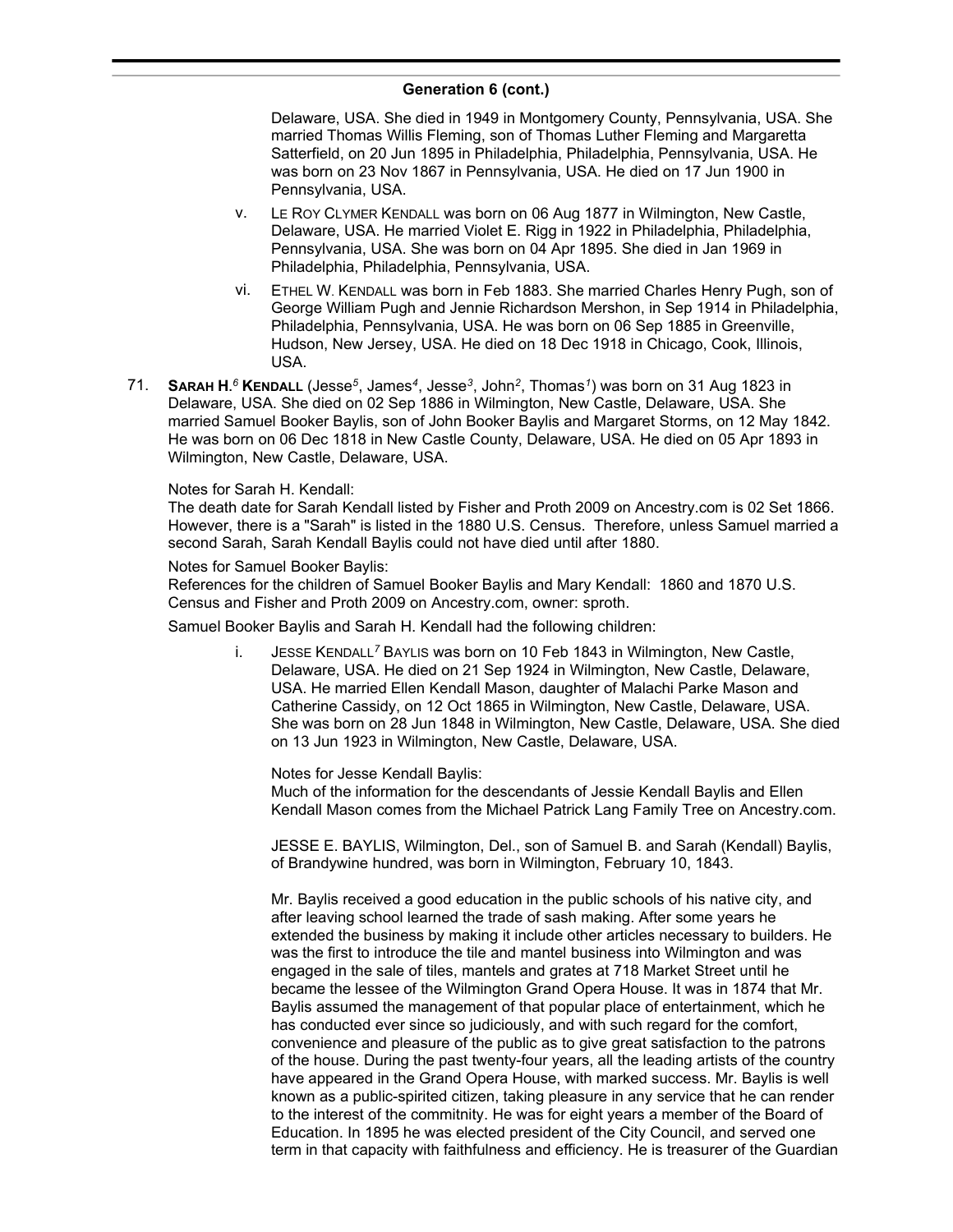Delaware, USA. She died in 1949 in Montgomery County, Pennsylvania, USA. She married Thomas Willis Fleming, son of Thomas Luther Fleming and Margaretta Satterfield, on 20 Jun 1895 in Philadelphia, Philadelphia, Pennsylvania, USA. He was born on 23 Nov 1867 in Pennsylvania, USA. He died on 17 Jun 1900 in Pennsylvania, USA.

- v. LE ROY CLYMER KENDALL was born on 06 Aug 1877 in Wilmington, New Castle, Delaware, USA. He married Violet E. Rigg in 1922 in Philadelphia, Philadelphia, Pennsylvania, USA. She was born on 04 Apr 1895. She died in Jan 1969 in Philadelphia, Philadelphia, Pennsylvania, USA.
- vi. ETHEL W. KENDALL was born in Feb 1883. She married Charles Henry Pugh, son of George William Pugh and Jennie Richardson Mershon, in Sep 1914 in Philadelphia, Philadelphia, Pennsylvania, USA. He was born on 06 Sep 1885 in Greenville, Hudson, New Jersey, USA. He died on 18 Dec 1918 in Chicago, Cook, Illinois, USA.
- 71. **SARAH H.** *<sup>6</sup>* **KENDALL** (Jesse*<sup>5</sup>* , James*<sup>4</sup>* , Jesse*<sup>3</sup>* , John*<sup>2</sup>* , Thomas*<sup>1</sup>* ) was born on 31 Aug 1823 in Delaware, USA. She died on 02 Sep 1886 in Wilmington, New Castle, Delaware, USA. She married Samuel Booker Baylis, son of John Booker Baylis and Margaret Storms, on 12 May 1842. He was born on 06 Dec 1818 in New Castle County, Delaware, USA. He died on 05 Apr 1893 in Wilmington, New Castle, Delaware, USA.

### Notes for Sarah H. Kendall:

The death date for Sarah Kendall listed by Fisher and Proth 2009 on Ancestry.com is 02 Set 1866. However, there is a "Sarah" is listed in the 1880 U.S. Census. Therefore, unless Samuel married a second Sarah, Sarah Kendall Baylis could not have died until after 1880.

### Notes for Samuel Booker Baylis:

References for the children of Samuel Booker Baylis and Mary Kendall: 1860 and 1870 U.S. Census and Fisher and Proth 2009 on Ancestry.com, owner: sproth.

Samuel Booker Baylis and Sarah H. Kendall had the following children:

i. JESSE KENDALL*<sup>7</sup>* BAYLIS was born on 10 Feb 1843 in Wilmington, New Castle, Delaware, USA. He died on 21 Sep 1924 in Wilmington, New Castle, Delaware, USA. He married Ellen Kendall Mason, daughter of Malachi Parke Mason and Catherine Cassidy, on 12 Oct 1865 in Wilmington, New Castle, Delaware, USA. She was born on 28 Jun 1848 in Wilmington, New Castle, Delaware, USA. She died on 13 Jun 1923 in Wilmington, New Castle, Delaware, USA.

Notes for Jesse Kendall Baylis:

Much of the information for the descendants of Jessie Kendall Baylis and Ellen Kendall Mason comes from the Michael Patrick Lang Family Tree on Ancestry.com.

JESSE E. BAYLIS, Wilmington, Del., son of Samuel B. and Sarah (Kendall) Baylis, of Brandywine hundred, was born in Wilmington, February 10, 1843.

Mr. Baylis received a good education in the public schools of his native city, and after leaving school learned the trade of sash making. After some years he extended the business by making it include other articles necessary to builders. He was the first to introduce the tile and mantel business into Wilmington and was engaged in the sale of tiles, mantels and grates at 718 Market Street until he became the lessee of the Wilmington Grand Opera House. It was in 1874 that Mr. Baylis assumed the management of that popular place of entertainment, which he has conducted ever since so judiciously, and with such regard for the comfort, convenience and pleasure of the public as to give great satisfaction to the patrons of the house. During the past twenty-four years, all the leading artists of the country have appeared in the Grand Opera House, with marked success. Mr. Baylis is well known as a public-spirited citizen, taking pleasure in any service that he can render to the interest of the commitnity. He was for eight years a member of the Board of Education. In 1895 he was elected president of the City Council, and served one term in that capacity with faithfulness and efficiency. He is treasurer of the Guardian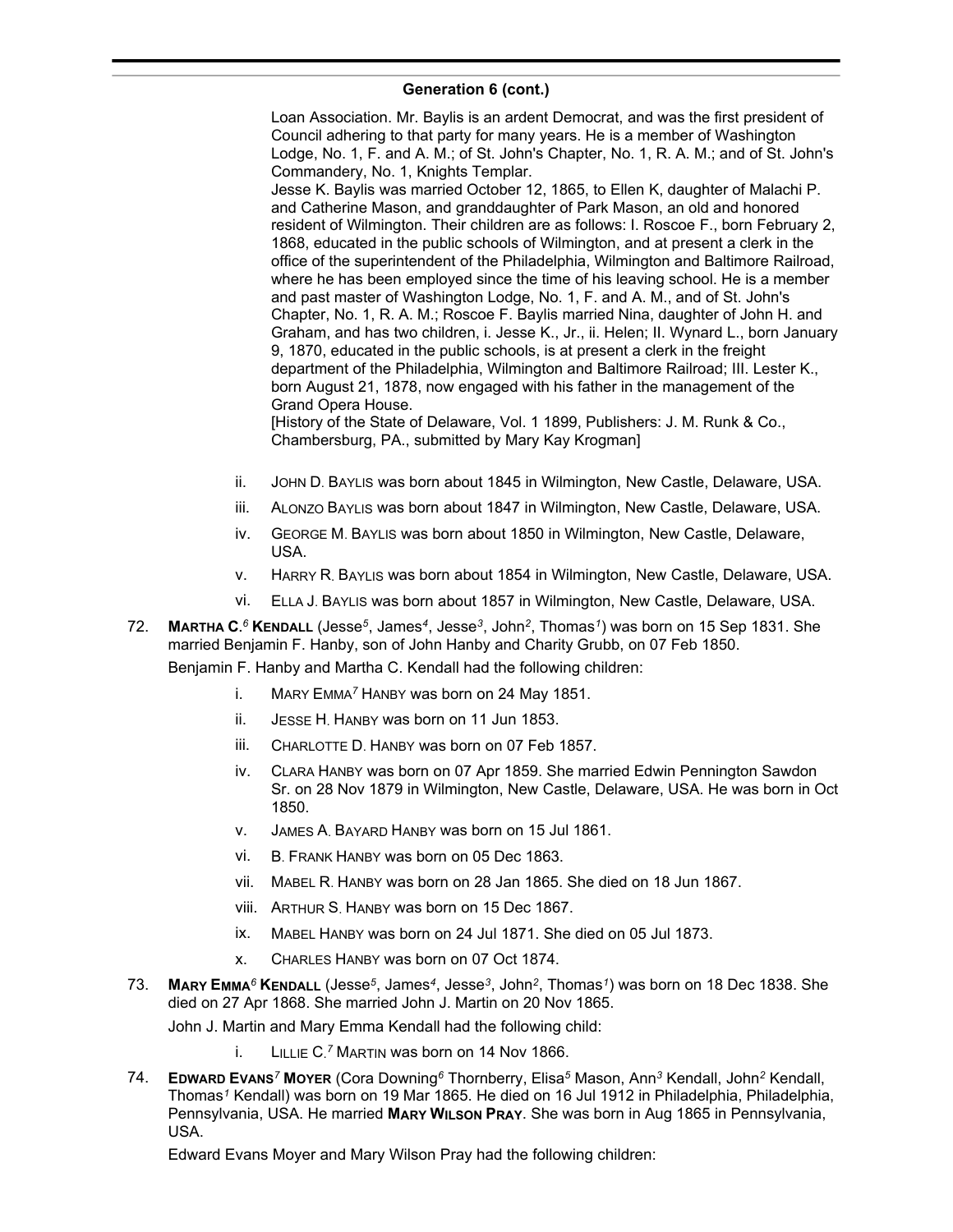Loan Association. Mr. Baylis is an ardent Democrat, and was the first president of Council adhering to that party for many years. He is a member of Washington Lodge, No. 1, F. and A. M.; of St. John's Chapter, No. 1, R. A. M.; and of St. John's Commandery, No. 1, Knights Templar. Jesse K. Baylis was married October 12, 1865, to Ellen K, daughter of Malachi P. and Catherine Mason, and granddaughter of Park Mason, an old and honored resident of Wilmington. Their children are as follows: I. Roscoe F., born February 2, 1868, educated in the public schools of Wilmington, and at present a clerk in the office of the superintendent of the Philadelphia, Wilmington and Baltimore Railroad, where he has been employed since the time of his leaving school. He is a member and past master of Washington Lodge, No. 1, F. and A. M., and of St. John's Chapter, No. 1, R. A. M.; Roscoe F. Baylis married Nina, daughter of John H. and Graham, and has two children, i. Jesse K., Jr., ii. Helen; II. Wynard L., born January 9, 1870, educated in the public schools, is at present a clerk in the freight department of the Philadelphia, Wilmington and Baltimore Railroad; III. Lester K., born August 21, 1878, now engaged with his father in the management of the Grand Opera House.

[History of the State of Delaware, Vol. 1 1899, Publishers: J. M. Runk & Co., Chambersburg, PA., submitted by Mary Kay Krogman]

- ii. JOHN D. BAYLIS was born about 1845 in Wilmington, New Castle, Delaware, USA.
- iii. ALONZO BAYLIS was born about 1847 in Wilmington, New Castle, Delaware, USA.
- iv. GEORGE M. BAYLIS was born about 1850 in Wilmington, New Castle, Delaware, USA.
- v. HARRY R. BAYLIS was born about 1854 in Wilmington, New Castle, Delaware, USA.
- vi. ELLA J. BAYLIS was born about 1857 in Wilmington, New Castle, Delaware, USA.
- 72. **MARTHA C.** *<sup>6</sup>* **KENDALL** (Jesse*<sup>5</sup>* , James*<sup>4</sup>* , Jesse*<sup>3</sup>* , John*<sup>2</sup>* , Thomas*<sup>1</sup>* ) was born on 15 Sep 1831. She married Benjamin F. Hanby, son of John Hanby and Charity Grubb, on 07 Feb 1850.

Benjamin F. Hanby and Martha C. Kendall had the following children:

- i. MARY EMMA*<sup>7</sup>* HANBY was born on 24 May 1851.
- ii. JESSE H. HANBY was born on 11 Jun 1853.
- iii. CHARLOTTE D. HANBY was born on 07 Feb 1857.
- iv. CLARA HANBY was born on 07 Apr 1859. She married Edwin Pennington Sawdon Sr. on 28 Nov 1879 in Wilmington, New Castle, Delaware, USA. He was born in Oct 1850.
- v. JAMES A. BAYARD HANBY was born on 15 Jul 1861.
- vi. B. FRANK HANBY was born on 05 Dec 1863.
- vii. MABEL R. HANBY was born on 28 Jan 1865. She died on 18 Jun 1867.
- viii. ARTHUR S. HANBY was born on 15 Dec 1867.
- ix. MABEL HANBY was born on 24 Jul 1871. She died on 05 Jul 1873.
- x. CHARLES HANBY was born on 07 Oct 1874.
- 73. **MARY EMMA***<sup>6</sup>* **KENDALL** (Jesse*<sup>5</sup>* , James*<sup>4</sup>* , Jesse*<sup>3</sup>* , John*<sup>2</sup>* , Thomas*<sup>1</sup>* ) was born on 18 Dec 1838. She died on 27 Apr 1868. She married John J. Martin on 20 Nov 1865.

John J. Martin and Mary Emma Kendall had the following child:

- i. LILLIE C. *<sup>7</sup>* MARTIN was born on 14 Nov 1866.
- 74. **EDWARD EVANS***<sup>7</sup>* **MOYER** (Cora Downing*<sup>6</sup>* Thornberry, Elisa*<sup>5</sup>* Mason, Ann*<sup>3</sup>* Kendall, John*<sup>2</sup>* Kendall, Thomas*<sup>1</sup>* Kendall) was born on 19 Mar 1865. He died on 16 Jul 1912 in Philadelphia, Philadelphia, Pennsylvania, USA. He married **MARY WILSON PRAY**. She was born in Aug 1865 in Pennsylvania, USA.

Edward Evans Moyer and Mary Wilson Pray had the following children: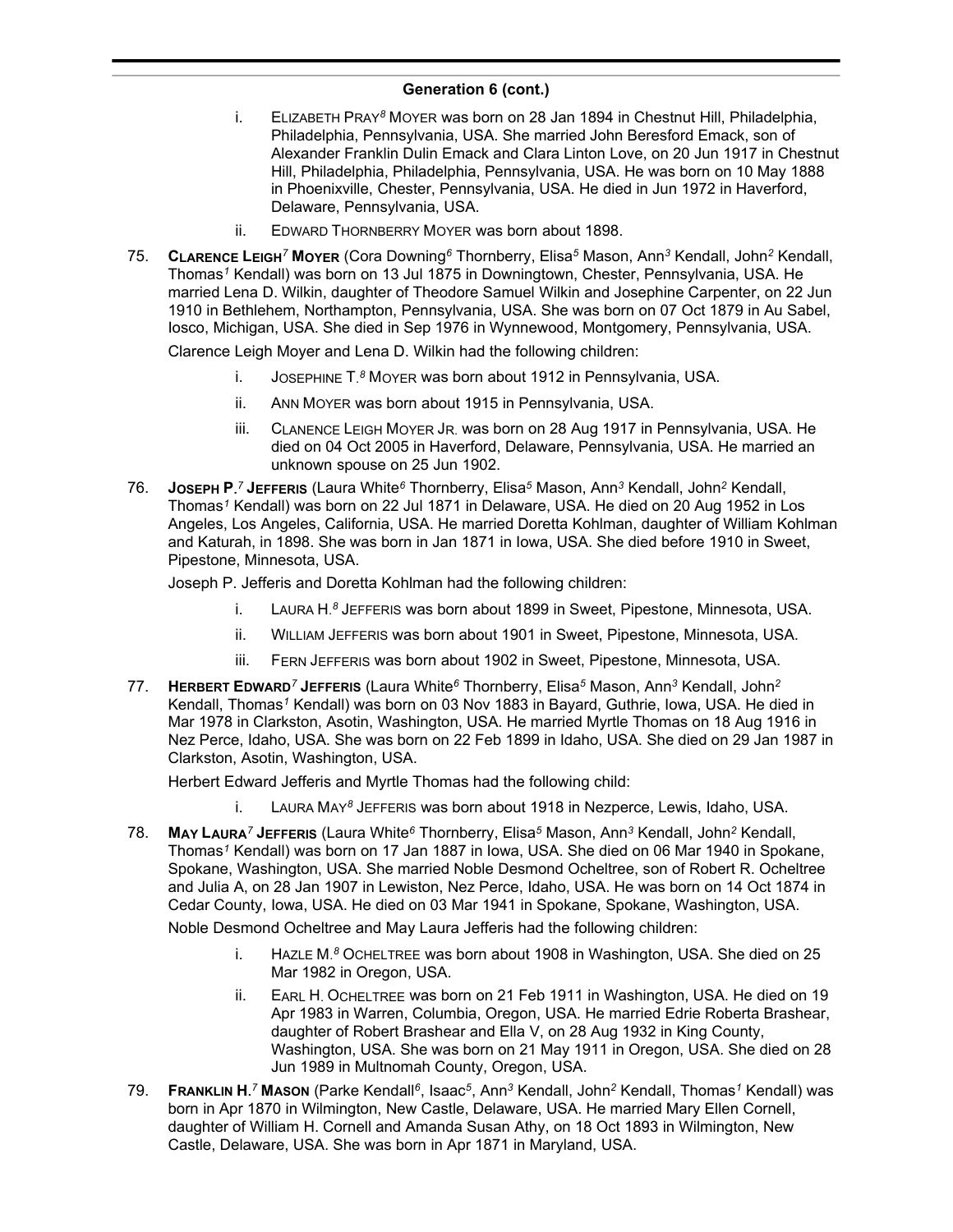- i. ELIZABETH PRAY*<sup>8</sup>* MOYER was born on 28 Jan 1894 in Chestnut Hill, Philadelphia, Philadelphia, Pennsylvania, USA. She married John Beresford Emack, son of Alexander Franklin Dulin Emack and Clara Linton Love, on 20 Jun 1917 in Chestnut Hill, Philadelphia, Philadelphia, Pennsylvania, USA. He was born on 10 May 1888 in Phoenixville, Chester, Pennsylvania, USA. He died in Jun 1972 in Haverford, Delaware, Pennsylvania, USA.
- ii. EDWARD THORNBERRY MOYER was born about 1898.
- 75. **CLARENCE LEIGH***<sup>7</sup>* **MOYER** (Cora Downing*<sup>6</sup>* Thornberry, Elisa*<sup>5</sup>* Mason, Ann*<sup>3</sup>* Kendall, John*<sup>2</sup>* Kendall, Thomas*<sup>1</sup>* Kendall) was born on 13 Jul 1875 in Downingtown, Chester, Pennsylvania, USA. He married Lena D. Wilkin, daughter of Theodore Samuel Wilkin and Josephine Carpenter, on 22 Jun 1910 in Bethlehem, Northampton, Pennsylvania, USA. She was born on 07 Oct 1879 in Au Sabel, Iosco, Michigan, USA. She died in Sep 1976 in Wynnewood, Montgomery, Pennsylvania, USA.

Clarence Leigh Moyer and Lena D. Wilkin had the following children:

- i. JOSEPHINE T. *<sup>8</sup>* MOYER was born about 1912 in Pennsylvania, USA.
- ii. ANN MOYER was born about 1915 in Pennsylvania, USA.
- iii. CLANENCE LEIGH MOYER JR. was born on 28 Aug 1917 in Pennsylvania, USA. He died on 04 Oct 2005 in Haverford, Delaware, Pennsylvania, USA. He married an unknown spouse on 25 Jun 1902.
- 76. **JOSEPH P.** *<sup>7</sup>* **JEFFERIS** (Laura White*<sup>6</sup>* Thornberry, Elisa*<sup>5</sup>* Mason, Ann*<sup>3</sup>* Kendall, John*<sup>2</sup>* Kendall, Thomas*<sup>1</sup>* Kendall) was born on 22 Jul 1871 in Delaware, USA. He died on 20 Aug 1952 in Los Angeles, Los Angeles, California, USA. He married Doretta Kohlman, daughter of William Kohlman and Katurah, in 1898. She was born in Jan 1871 in Iowa, USA. She died before 1910 in Sweet, Pipestone, Minnesota, USA.

Joseph P. Jefferis and Doretta Kohlman had the following children:

- i. LAURA H. *<sup>8</sup>* JEFFERIS was born about 1899 in Sweet, Pipestone, Minnesota, USA.
- ii. WILLIAM JEFFERIS was born about 1901 in Sweet, Pipestone, Minnesota, USA.
- iii. FERN JEFFERIS was born about 1902 in Sweet, Pipestone, Minnesota, USA.
- 77. **HERBERT EDWARD***<sup>7</sup>* **JEFFERIS** (Laura White*<sup>6</sup>* Thornberry, Elisa*<sup>5</sup>* Mason, Ann*<sup>3</sup>* Kendall, John*<sup>2</sup>* Kendall, Thomas*<sup>1</sup>* Kendall) was born on 03 Nov 1883 in Bayard, Guthrie, Iowa, USA. He died in Mar 1978 in Clarkston, Asotin, Washington, USA. He married Myrtle Thomas on 18 Aug 1916 in Nez Perce, Idaho, USA. She was born on 22 Feb 1899 in Idaho, USA. She died on 29 Jan 1987 in Clarkston, Asotin, Washington, USA.

Herbert Edward Jefferis and Myrtle Thomas had the following child:

- i. LAURA MAY*<sup>8</sup>* JEFFERIS was born about 1918 in Nezperce, Lewis, Idaho, USA.
- 78. **MAY LAURA***<sup>7</sup>* **JEFFERIS** (Laura White*<sup>6</sup>* Thornberry, Elisa*<sup>5</sup>* Mason, Ann*<sup>3</sup>* Kendall, John*<sup>2</sup>* Kendall, Thomas*<sup>1</sup>* Kendall) was born on 17 Jan 1887 in Iowa, USA. She died on 06 Mar 1940 in Spokane, Spokane, Washington, USA. She married Noble Desmond Ocheltree, son of Robert R. Ocheltree and Julia A, on 28 Jan 1907 in Lewiston, Nez Perce, Idaho, USA. He was born on 14 Oct 1874 in Cedar County, Iowa, USA. He died on 03 Mar 1941 in Spokane, Spokane, Washington, USA.

Noble Desmond Ocheltree and May Laura Jefferis had the following children:

- i. HAZLE M. *<sup>8</sup>* OCHELTREE was born about 1908 in Washington, USA. She died on 25 Mar 1982 in Oregon, USA.
- ii. EARL H. OCHELTREE was born on 21 Feb 1911 in Washington, USA. He died on 19 Apr 1983 in Warren, Columbia, Oregon, USA. He married Edrie Roberta Brashear, daughter of Robert Brashear and Ella V, on 28 Aug 1932 in King County, Washington, USA. She was born on 21 May 1911 in Oregon, USA. She died on 28 Jun 1989 in Multnomah County, Oregon, USA.
- 79. **FRANKLIN H.** *<sup>7</sup>* **MASON** (Parke Kendall*<sup>6</sup>* , Isaac*<sup>5</sup>* , Ann*<sup>3</sup>* Kendall, John*<sup>2</sup>* Kendall, Thomas*<sup>1</sup>* Kendall) was born in Apr 1870 in Wilmington, New Castle, Delaware, USA. He married Mary Ellen Cornell, daughter of William H. Cornell and Amanda Susan Athy, on 18 Oct 1893 in Wilmington, New Castle, Delaware, USA. She was born in Apr 1871 in Maryland, USA.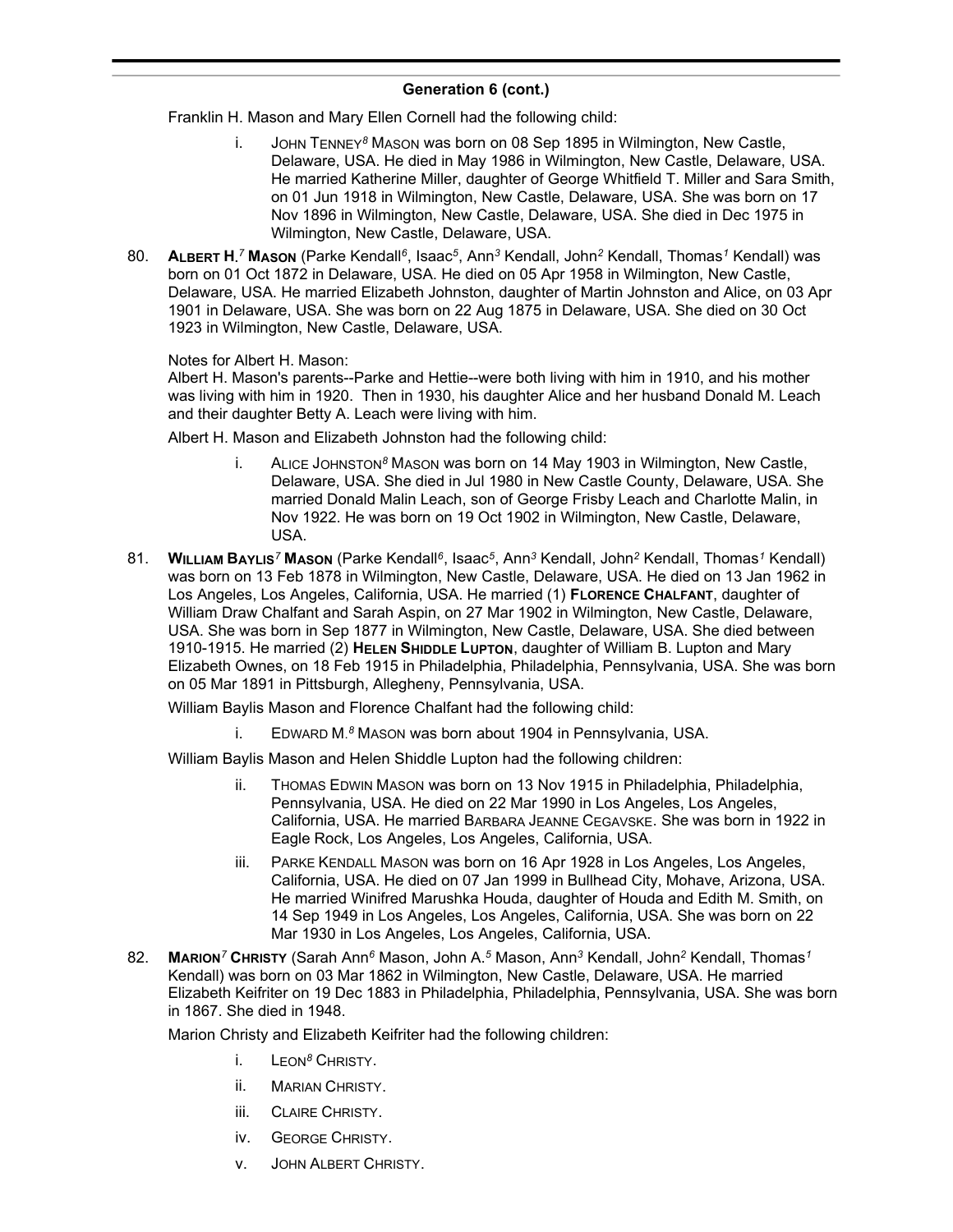Franklin H. Mason and Mary Ellen Cornell had the following child:

- i. JOHN TENNEY*<sup>8</sup>* MASON was born on 08 Sep 1895 in Wilmington, New Castle, Delaware, USA. He died in May 1986 in Wilmington, New Castle, Delaware, USA. He married Katherine Miller, daughter of George Whitfield T. Miller and Sara Smith, on 01 Jun 1918 in Wilmington, New Castle, Delaware, USA. She was born on 17 Nov 1896 in Wilmington, New Castle, Delaware, USA. She died in Dec 1975 in Wilmington, New Castle, Delaware, USA.
- 80. **ALBERT H.** *<sup>7</sup>* **MASON** (Parke Kendall*<sup>6</sup>* , Isaac*<sup>5</sup>* , Ann*<sup>3</sup>* Kendall, John*<sup>2</sup>* Kendall, Thomas*<sup>1</sup>* Kendall) was born on 01 Oct 1872 in Delaware, USA. He died on 05 Apr 1958 in Wilmington, New Castle, Delaware, USA. He married Elizabeth Johnston, daughter of Martin Johnston and Alice, on 03 Apr 1901 in Delaware, USA. She was born on 22 Aug 1875 in Delaware, USA. She died on 30 Oct 1923 in Wilmington, New Castle, Delaware, USA.

Notes for Albert H. Mason:

Albert H. Mason's parents--Parke and Hettie--were both living with him in 1910, and his mother was living with him in 1920. Then in 1930, his daughter Alice and her husband Donald M. Leach and their daughter Betty A. Leach were living with him.

Albert H. Mason and Elizabeth Johnston had the following child:

- i. ALICE JOHNSTON*<sup>8</sup>* MASON was born on 14 May 1903 in Wilmington, New Castle, Delaware, USA. She died in Jul 1980 in New Castle County, Delaware, USA. She married Donald Malin Leach, son of George Frisby Leach and Charlotte Malin, in Nov 1922. He was born on 19 Oct 1902 in Wilmington, New Castle, Delaware, USA.
- 81. **WILLIAM BAYLIS***<sup>7</sup>* **MASON** (Parke Kendall*<sup>6</sup>* , Isaac*<sup>5</sup>* , Ann*<sup>3</sup>* Kendall, John*<sup>2</sup>* Kendall, Thomas*<sup>1</sup>* Kendall) was born on 13 Feb 1878 in Wilmington, New Castle, Delaware, USA. He died on 13 Jan 1962 in Los Angeles, Los Angeles, California, USA. He married (1) **FLORENCE CHALFANT**, daughter of William Draw Chalfant and Sarah Aspin, on 27 Mar 1902 in Wilmington, New Castle, Delaware, USA. She was born in Sep 1877 in Wilmington, New Castle, Delaware, USA. She died between 1910-1915. He married (2) **HELEN SHIDDLE LUPTON**, daughter of William B. Lupton and Mary Elizabeth Ownes, on 18 Feb 1915 in Philadelphia, Philadelphia, Pennsylvania, USA. She was born on 05 Mar 1891 in Pittsburgh, Allegheny, Pennsylvania, USA.

William Baylis Mason and Florence Chalfant had the following child:

i. EDWARD M. *<sup>8</sup>* MASON was born about 1904 in Pennsylvania, USA.

William Baylis Mason and Helen Shiddle Lupton had the following children:

- ii. THOMAS EDWIN MASON was born on 13 Nov 1915 in Philadelphia, Philadelphia, Pennsylvania, USA. He died on 22 Mar 1990 in Los Angeles, Los Angeles, California, USA. He married BARBARA JEANNE CEGAVSKE. She was born in 1922 in Eagle Rock, Los Angeles, Los Angeles, California, USA.
- iii. PARKE KENDALL MASON was born on 16 Apr 1928 in Los Angeles, Los Angeles, California, USA. He died on 07 Jan 1999 in Bullhead City, Mohave, Arizona, USA. He married Winifred Marushka Houda, daughter of Houda and Edith M. Smith, on 14 Sep 1949 in Los Angeles, Los Angeles, California, USA. She was born on 22 Mar 1930 in Los Angeles, Los Angeles, California, USA.
- 82. **MARION***<sup>7</sup>* **CHRISTY** (Sarah Ann*<sup>6</sup>* Mason, John A.*<sup>5</sup>* Mason, Ann*<sup>3</sup>* Kendall, John*<sup>2</sup>* Kendall, Thomas*<sup>1</sup>* Kendall) was born on 03 Mar 1862 in Wilmington, New Castle, Delaware, USA. He married Elizabeth Keifriter on 19 Dec 1883 in Philadelphia, Philadelphia, Pennsylvania, USA. She was born in 1867. She died in 1948.

Marion Christy and Elizabeth Keifriter had the following children:

- i. LEON*<sup>8</sup>* CHRISTY.
- ii. MARIAN CHRISTY.
- iii. CLAIRE CHRISTY.
- iv. GEORGE CHRISTY.
- v. JOHN ALBERT CHRISTY.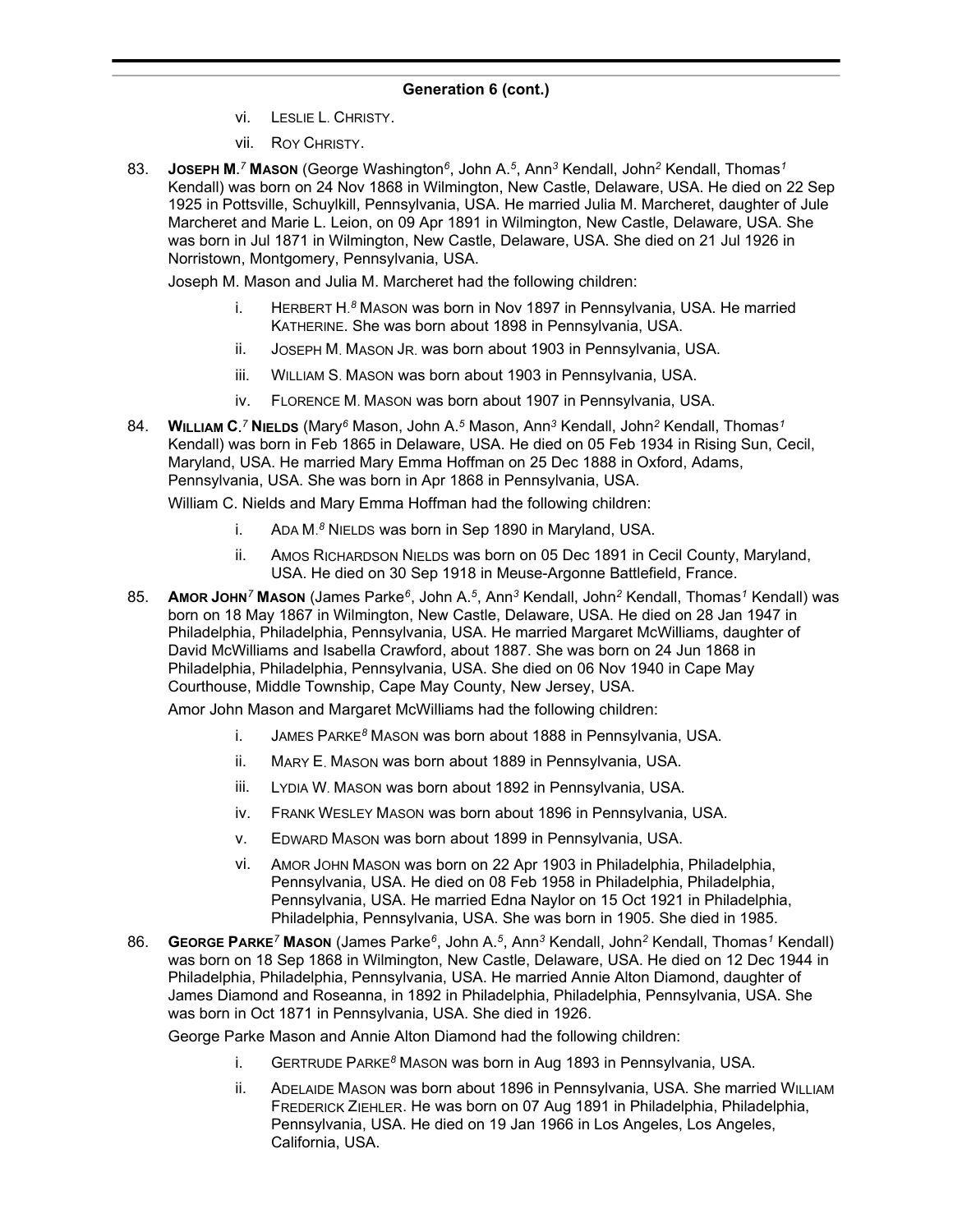- vi. LESLIE L. CHRISTY.
- vii. ROY CHRISTY.
- 83. **JOSEPH M.** *<sup>7</sup>* **MASON** (George Washington*<sup>6</sup>* , John A.*<sup>5</sup>* , Ann*<sup>3</sup>* Kendall, John*<sup>2</sup>* Kendall, Thomas*<sup>1</sup>* Kendall) was born on 24 Nov 1868 in Wilmington, New Castle, Delaware, USA. He died on 22 Sep 1925 in Pottsville, Schuylkill, Pennsylvania, USA. He married Julia M. Marcheret, daughter of Jule Marcheret and Marie L. Leion, on 09 Apr 1891 in Wilmington, New Castle, Delaware, USA. She was born in Jul 1871 in Wilmington, New Castle, Delaware, USA. She died on 21 Jul 1926 in Norristown, Montgomery, Pennsylvania, USA.

Joseph M. Mason and Julia M. Marcheret had the following children:

- i. HERBERT H.<sup>8</sup> MASON was born in Nov 1897 in Pennsylvania, USA. He married KATHERINE. She was born about 1898 in Pennsylvania, USA.
- ii. JOSEPH M. MASON JR. was born about 1903 in Pennsylvania, USA.
- iii. WILLIAM S. MASON was born about 1903 in Pennsylvania, USA.
- iv. FLORENCE M. MASON was born about 1907 in Pennsylvania, USA.
- 84. **WILLIAM C.** *<sup>7</sup>* **NIELDS** (Mary*<sup>6</sup>* Mason, John A.*<sup>5</sup>* Mason, Ann*<sup>3</sup>* Kendall, John*<sup>2</sup>* Kendall, Thomas*<sup>1</sup>* Kendall) was born in Feb 1865 in Delaware, USA. He died on 05 Feb 1934 in Rising Sun, Cecil, Maryland, USA. He married Mary Emma Hoffman on 25 Dec 1888 in Oxford, Adams, Pennsylvania, USA. She was born in Apr 1868 in Pennsylvania, USA.

William C. Nields and Mary Emma Hoffman had the following children:

- i. ADA M. *<sup>8</sup>* NIELDS was born in Sep 1890 in Maryland, USA.
- ii. AMOS RICHARDSON NIELDS was born on 05 Dec 1891 in Cecil County, Maryland, USA. He died on 30 Sep 1918 in Meuse-Argonne Battlefield, France.
- 85. **AMOR JOHN***<sup>7</sup>* **MASON** (James Parke*<sup>6</sup>* , John A.*<sup>5</sup>* , Ann*<sup>3</sup>* Kendall, John*<sup>2</sup>* Kendall, Thomas*<sup>1</sup>* Kendall) was born on 18 May 1867 in Wilmington, New Castle, Delaware, USA. He died on 28 Jan 1947 in Philadelphia, Philadelphia, Pennsylvania, USA. He married Margaret McWilliams, daughter of David McWilliams and Isabella Crawford, about 1887. She was born on 24 Jun 1868 in Philadelphia, Philadelphia, Pennsylvania, USA. She died on 06 Nov 1940 in Cape May Courthouse, Middle Township, Cape May County, New Jersey, USA.

Amor John Mason and Margaret McWilliams had the following children:

- i. JAMES PARKE*<sup>8</sup>* MASON was born about 1888 in Pennsylvania, USA.
- ii. MARY E. MASON was born about 1889 in Pennsylvania, USA.
- iii. LYDIA W. MASON was born about 1892 in Pennsylvania, USA.
- iv. FRANK WESLEY MASON was born about 1896 in Pennsylvania, USA.
- v. EDWARD MASON was born about 1899 in Pennsylvania, USA.
- vi. AMOR JOHN MASON was born on 22 Apr 1903 in Philadelphia, Philadelphia, Pennsylvania, USA. He died on 08 Feb 1958 in Philadelphia, Philadelphia, Pennsylvania, USA. He married Edna Naylor on 15 Oct 1921 in Philadelphia, Philadelphia, Pennsylvania, USA. She was born in 1905. She died in 1985.
- 86. **GEORGE PARKE***<sup>7</sup>* **MASON** (James Parke*<sup>6</sup>* , John A.*<sup>5</sup>* , Ann*<sup>3</sup>* Kendall, John*<sup>2</sup>* Kendall, Thomas*<sup>1</sup>* Kendall) was born on 18 Sep 1868 in Wilmington, New Castle, Delaware, USA. He died on 12 Dec 1944 in Philadelphia, Philadelphia, Pennsylvania, USA. He married Annie Alton Diamond, daughter of James Diamond and Roseanna, in 1892 in Philadelphia, Philadelphia, Pennsylvania, USA. She was born in Oct 1871 in Pennsylvania, USA. She died in 1926.

George Parke Mason and Annie Alton Diamond had the following children:

- i. GERTRUDE PARKE*<sup>8</sup>* MASON was born in Aug 1893 in Pennsylvania, USA.
- ii. ADELAIDE MASON was born about 1896 in Pennsylvania, USA. She married WILLIAM FREDERICK ZIEHLER. He was born on 07 Aug 1891 in Philadelphia, Philadelphia, Pennsylvania, USA. He died on 19 Jan 1966 in Los Angeles, Los Angeles, California, USA.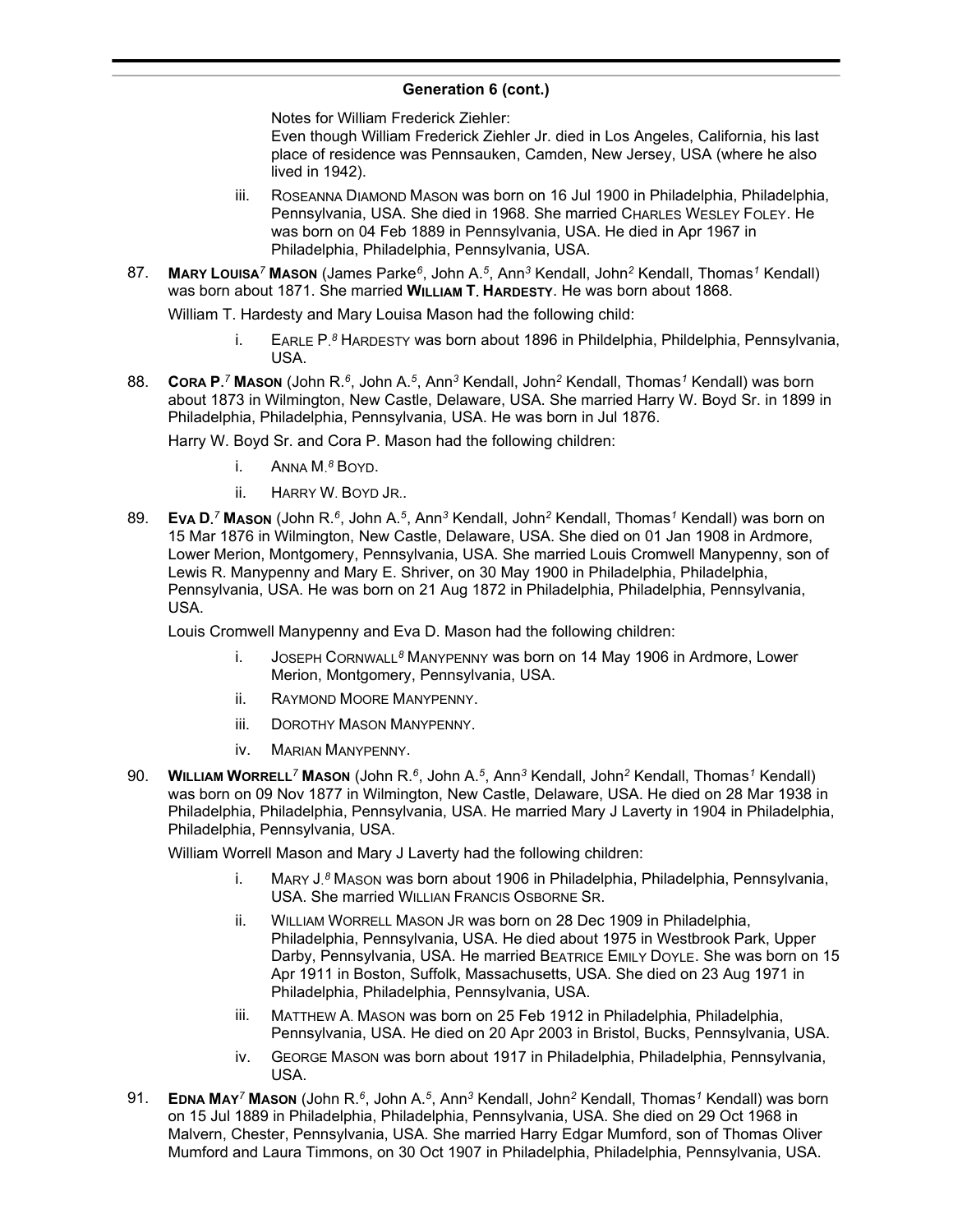Notes for William Frederick Ziehler:

Even though William Frederick Ziehler Jr. died in Los Angeles, California, his last place of residence was Pennsauken, Camden, New Jersey, USA (where he also lived in 1942).

- iii. ROSEANNA DIAMOND MASON was born on 16 Jul 1900 in Philadelphia, Philadelphia, Pennsylvania, USA. She died in 1968. She married CHARLES WESLEY FOLEY. He was born on 04 Feb 1889 in Pennsylvania, USA. He died in Apr 1967 in Philadelphia, Philadelphia, Pennsylvania, USA.
- 87. **MARY LOUISA***<sup>7</sup>* **MASON** (James Parke*<sup>6</sup>* , John A.*<sup>5</sup>* , Ann*<sup>3</sup>* Kendall, John*<sup>2</sup>* Kendall, Thomas*<sup>1</sup>* Kendall) was born about 1871. She married **WILLIAM T. HARDESTY**. He was born about 1868.

William T. Hardesty and Mary Louisa Mason had the following child:

- i. EARLE P. *<sup>8</sup>* HARDESTY was born about 1896 in Phildelphia, Phildelphia, Pennsylvania, USA.
- 88. **CORA P.** *<sup>7</sup>* **MASON** (John R.*<sup>6</sup>* , John A.*<sup>5</sup>* , Ann*<sup>3</sup>* Kendall, John*<sup>2</sup>* Kendall, Thomas*<sup>1</sup>* Kendall) was born about 1873 in Wilmington, New Castle, Delaware, USA. She married Harry W. Boyd Sr. in 1899 in Philadelphia, Philadelphia, Pennsylvania, USA. He was born in Jul 1876.

Harry W. Boyd Sr. and Cora P. Mason had the following children:

- i. ANNA M. *<sup>8</sup>* BOYD.
- ii. HARRY W. BOYD JR..
- 89. **EVA D.** *<sup>7</sup>* **MASON** (John R.*<sup>6</sup>* , John A.*<sup>5</sup>* , Ann*<sup>3</sup>* Kendall, John*<sup>2</sup>* Kendall, Thomas*<sup>1</sup>* Kendall) was born on 15 Mar 1876 in Wilmington, New Castle, Delaware, USA. She died on 01 Jan 1908 in Ardmore, Lower Merion, Montgomery, Pennsylvania, USA. She married Louis Cromwell Manypenny, son of Lewis R. Manypenny and Mary E. Shriver, on 30 May 1900 in Philadelphia, Philadelphia, Pennsylvania, USA. He was born on 21 Aug 1872 in Philadelphia, Philadelphia, Pennsylvania, USA.

Louis Cromwell Manypenny and Eva D. Mason had the following children:

- i. JOSEPH CORNWALL*<sup>8</sup>* MANYPENNY was born on 14 May 1906 in Ardmore, Lower Merion, Montgomery, Pennsylvania, USA.
- ii. RAYMOND MOORE MANYPENNY.
- iii. DOROTHY MASON MANYPENNY.
- iv. MARIAN MANYPENNY.
- 90. **WILLIAM WORRELL***<sup>7</sup>* **MASON** (John R.*<sup>6</sup>* , John A.*<sup>5</sup>* , Ann*<sup>3</sup>* Kendall, John*<sup>2</sup>* Kendall, Thomas*<sup>1</sup>* Kendall) was born on 09 Nov 1877 in Wilmington, New Castle, Delaware, USA. He died on 28 Mar 1938 in Philadelphia, Philadelphia, Pennsylvania, USA. He married Mary J Laverty in 1904 in Philadelphia, Philadelphia, Pennsylvania, USA.

William Worrell Mason and Mary J Laverty had the following children:

- i. MARY J. *<sup>8</sup>* MASON was born about 1906 in Philadelphia, Philadelphia, Pennsylvania, USA. She married WILLIAN FRANCIS OSBORNE SR.
- ii. WILLIAM WORRELL MASON JR was born on 28 Dec 1909 in Philadelphia, Philadelphia, Pennsylvania, USA. He died about 1975 in Westbrook Park, Upper Darby, Pennsylvania, USA. He married BEATRICE EMILY DOYLE. She was born on 15 Apr 1911 in Boston, Suffolk, Massachusetts, USA. She died on 23 Aug 1971 in Philadelphia, Philadelphia, Pennsylvania, USA.
- iii. MATTHEW A. MASON was born on 25 Feb 1912 in Philadelphia, Philadelphia, Pennsylvania, USA. He died on 20 Apr 2003 in Bristol, Bucks, Pennsylvania, USA.
- iv. GEORGE MASON was born about 1917 in Philadelphia, Philadelphia, Pennsylvania, USA.
- 91. **EDNA MAY***<sup>7</sup>* **MASON** (John R.*<sup>6</sup>* , John A.*<sup>5</sup>* , Ann*<sup>3</sup>* Kendall, John*<sup>2</sup>* Kendall, Thomas*<sup>1</sup>* Kendall) was born on 15 Jul 1889 in Philadelphia, Philadelphia, Pennsylvania, USA. She died on 29 Oct 1968 in Malvern, Chester, Pennsylvania, USA. She married Harry Edgar Mumford, son of Thomas Oliver Mumford and Laura Timmons, on 30 Oct 1907 in Philadelphia, Philadelphia, Pennsylvania, USA.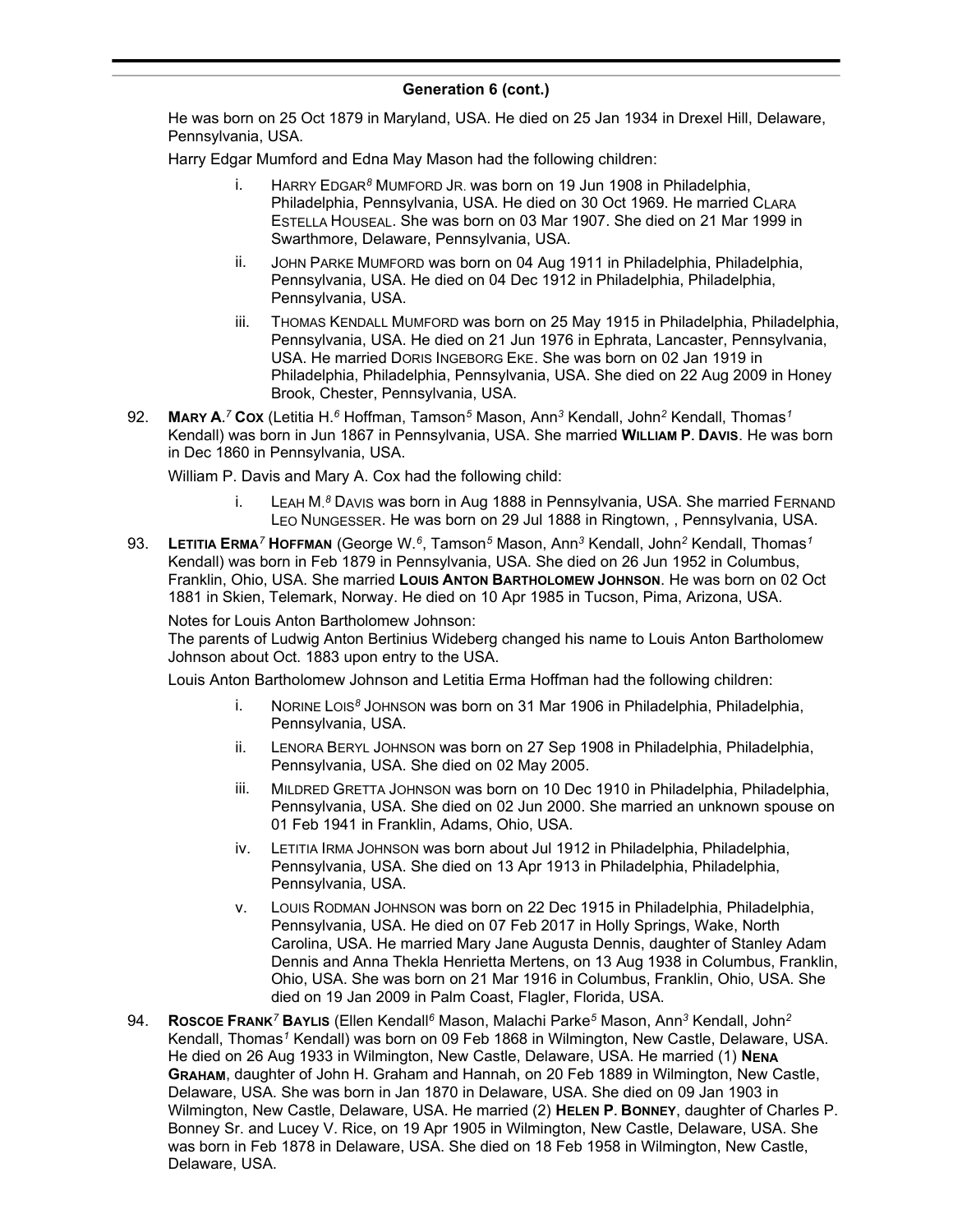He was born on 25 Oct 1879 in Maryland, USA. He died on 25 Jan 1934 in Drexel Hill, Delaware, Pennsylvania, USA.

Harry Edgar Mumford and Edna May Mason had the following children:

- HARRY EDGAR<sup>8</sup> MUMFORD JR. was born on 19 Jun 1908 in Philadelphia, Philadelphia, Pennsylvania, USA. He died on 30 Oct 1969. He married CLARA ESTELLA HOUSEAL. She was born on 03 Mar 1907. She died on 21 Mar 1999 in Swarthmore, Delaware, Pennsylvania, USA.
- ii. JOHN PARKE MUMFORD was born on 04 Aug 1911 in Philadelphia, Philadelphia, Pennsylvania, USA. He died on 04 Dec 1912 in Philadelphia, Philadelphia, Pennsylvania, USA.
- iii. THOMAS KENDALL MUMFORD was born on 25 May 1915 in Philadelphia, Philadelphia, Pennsylvania, USA. He died on 21 Jun 1976 in Ephrata, Lancaster, Pennsylvania, USA. He married DORIS INGEBORG EKE. She was born on 02 Jan 1919 in Philadelphia, Philadelphia, Pennsylvania, USA. She died on 22 Aug 2009 in Honey Brook, Chester, Pennsylvania, USA.
- 92. **MARY A.** *<sup>7</sup>* **COX** (Letitia H.*<sup>6</sup>* Hoffman, Tamson*<sup>5</sup>* Mason, Ann*<sup>3</sup>* Kendall, John*<sup>2</sup>* Kendall, Thomas*<sup>1</sup>* Kendall) was born in Jun 1867 in Pennsylvania, USA. She married **WILLIAM P. DAVIS**. He was born in Dec 1860 in Pennsylvania, USA.

William P. Davis and Mary A. Cox had the following child:

- i. LEAH M. *<sup>8</sup>* DAVIS was born in Aug 1888 in Pennsylvania, USA. She married FERNAND LEO NUNGESSER. He was born on 29 Jul 1888 in Ringtown, , Pennsylvania, USA.
- 93. **LETITIA ERMA***<sup>7</sup>* **HOFFMAN** (George W.*<sup>6</sup>* , Tamson*<sup>5</sup>* Mason, Ann*<sup>3</sup>* Kendall, John*<sup>2</sup>* Kendall, Thomas*<sup>1</sup>* Kendall) was born in Feb 1879 in Pennsylvania, USA. She died on 26 Jun 1952 in Columbus, Franklin, Ohio, USA. She married **LOUIS ANTON BARTHOLOMEW JOHNSON**. He was born on 02 Oct 1881 in Skien, Telemark, Norway. He died on 10 Apr 1985 in Tucson, Pima, Arizona, USA.

Notes for Louis Anton Bartholomew Johnson:

The parents of Ludwig Anton Bertinius Wideberg changed his name to Louis Anton Bartholomew Johnson about Oct. 1883 upon entry to the USA.

Louis Anton Bartholomew Johnson and Letitia Erma Hoffman had the following children:

- i. NORINE LOIS*<sup>8</sup>* JOHNSON was born on 31 Mar 1906 in Philadelphia, Philadelphia, Pennsylvania, USA.
- ii. LENORA BERYL JOHNSON was born on 27 Sep 1908 in Philadelphia, Philadelphia, Pennsylvania, USA. She died on 02 May 2005.
- iii. MILDRED GRETTA JOHNSON was born on 10 Dec 1910 in Philadelphia, Philadelphia, Pennsylvania, USA. She died on 02 Jun 2000. She married an unknown spouse on 01 Feb 1941 in Franklin, Adams, Ohio, USA.
- iv. LETITIA IRMA JOHNSON was born about Jul 1912 in Philadelphia, Philadelphia, Pennsylvania, USA. She died on 13 Apr 1913 in Philadelphia, Philadelphia, Pennsylvania, USA.
- v. LOUIS RODMAN JOHNSON was born on 22 Dec 1915 in Philadelphia, Philadelphia, Pennsylvania, USA. He died on 07 Feb 2017 in Holly Springs, Wake, North Carolina, USA. He married Mary Jane Augusta Dennis, daughter of Stanley Adam Dennis and Anna Thekla Henrietta Mertens, on 13 Aug 1938 in Columbus, Franklin, Ohio, USA. She was born on 21 Mar 1916 in Columbus, Franklin, Ohio, USA. She died on 19 Jan 2009 in Palm Coast, Flagler, Florida, USA.
- 94. **ROSCOE FRANK***<sup>7</sup>* **BAYLIS** (Ellen Kendall*<sup>6</sup>* Mason, Malachi Parke*<sup>5</sup>* Mason, Ann*<sup>3</sup>* Kendall, John*<sup>2</sup>* Kendall, Thomas*<sup>1</sup>* Kendall) was born on 09 Feb 1868 in Wilmington, New Castle, Delaware, USA. He died on 26 Aug 1933 in Wilmington, New Castle, Delaware, USA. He married (1) **NENA GRAHAM**, daughter of John H. Graham and Hannah, on 20 Feb 1889 in Wilmington, New Castle, Delaware, USA. She was born in Jan 1870 in Delaware, USA. She died on 09 Jan 1903 in Wilmington, New Castle, Delaware, USA. He married (2) **HELEN P. BONNEY**, daughter of Charles P. Bonney Sr. and Lucey V. Rice, on 19 Apr 1905 in Wilmington, New Castle, Delaware, USA. She was born in Feb 1878 in Delaware, USA. She died on 18 Feb 1958 in Wilmington, New Castle, Delaware, USA.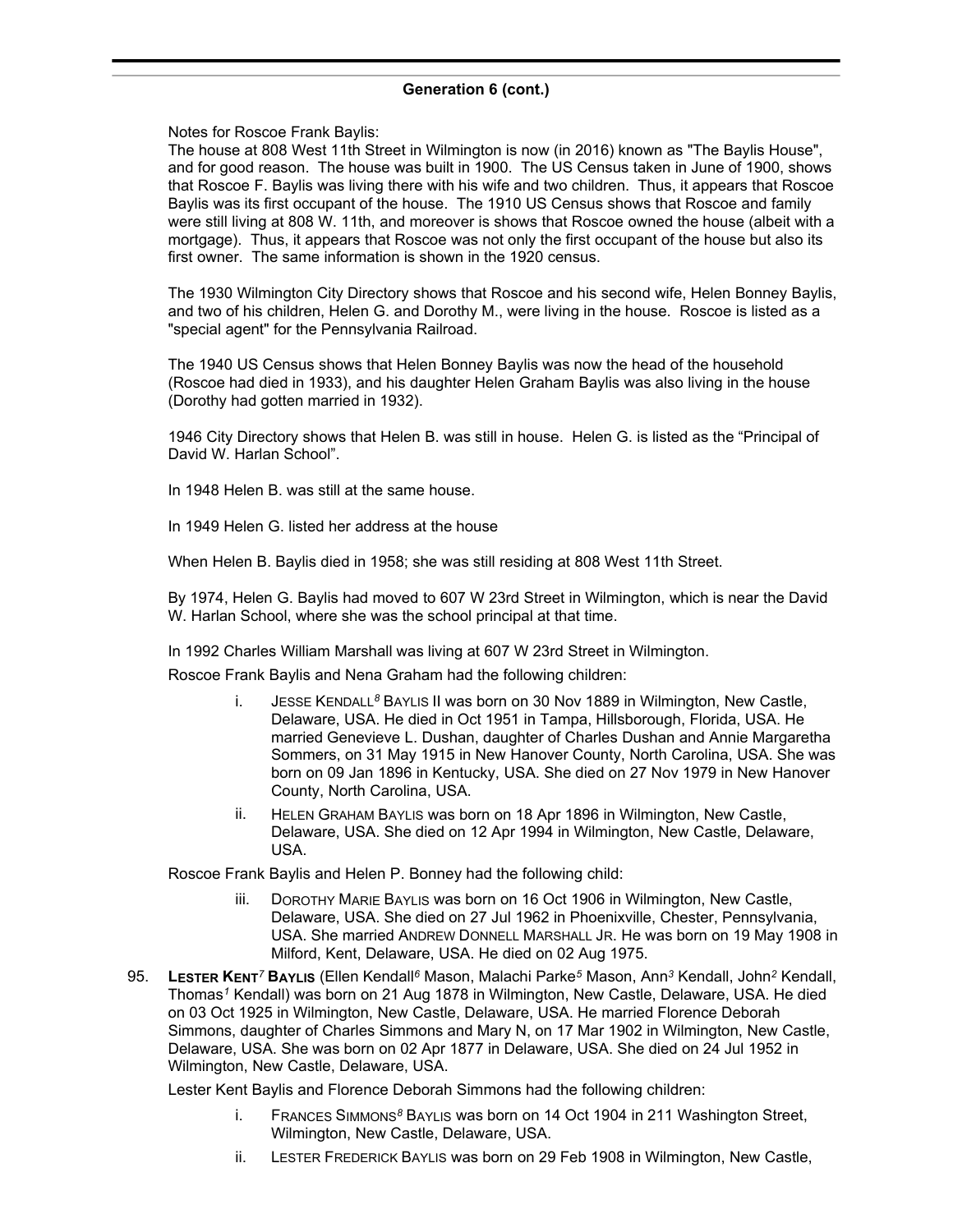Notes for Roscoe Frank Baylis:

The house at 808 West 11th Street in Wilmington is now (in 2016) known as "The Baylis House", and for good reason. The house was built in 1900. The US Census taken in June of 1900, shows that Roscoe F. Baylis was living there with his wife and two children. Thus, it appears that Roscoe Baylis was its first occupant of the house. The 1910 US Census shows that Roscoe and family were still living at 808 W. 11th, and moreover is shows that Roscoe owned the house (albeit with a mortgage). Thus, it appears that Roscoe was not only the first occupant of the house but also its first owner. The same information is shown in the 1920 census.

The 1930 Wilmington City Directory shows that Roscoe and his second wife, Helen Bonney Baylis, and two of his children, Helen G. and Dorothy M., were living in the house. Roscoe is listed as a "special agent" for the Pennsylvania Railroad.

The 1940 US Census shows that Helen Bonney Baylis was now the head of the household (Roscoe had died in 1933), and his daughter Helen Graham Baylis was also living in the house (Dorothy had gotten married in 1932).

1946 City Directory shows that Helen B. was still in house. Helen G. is listed as the "Principal of David W. Harlan School".

In 1948 Helen B. was still at the same house.

In 1949 Helen G. listed her address at the house

When Helen B. Baylis died in 1958; she was still residing at 808 West 11th Street.

By 1974, Helen G. Baylis had moved to 607 W 23rd Street in Wilmington, which is near the David W. Harlan School, where she was the school principal at that time.

In 1992 Charles William Marshall was living at 607 W 23rd Street in Wilmington.

Roscoe Frank Baylis and Nena Graham had the following children:

- i. JESSE KENDALL*<sup>8</sup>* BAYLIS II was born on 30 Nov 1889 in Wilmington, New Castle, Delaware, USA. He died in Oct 1951 in Tampa, Hillsborough, Florida, USA. He married Genevieve L. Dushan, daughter of Charles Dushan and Annie Margaretha Sommers, on 31 May 1915 in New Hanover County, North Carolina, USA. She was born on 09 Jan 1896 in Kentucky, USA. She died on 27 Nov 1979 in New Hanover County, North Carolina, USA.
- ii. HELEN GRAHAM BAYLIS was born on 18 Apr 1896 in Wilmington, New Castle, Delaware, USA. She died on 12 Apr 1994 in Wilmington, New Castle, Delaware, USA.

Roscoe Frank Baylis and Helen P. Bonney had the following child:

- DOROTHY MARIE BAYLIS was born on 16 Oct 1906 in Wilmington, New Castle, Delaware, USA. She died on 27 Jul 1962 in Phoenixville, Chester, Pennsylvania, USA. She married ANDREW DONNELL MARSHALL JR. He was born on 19 May 1908 in Milford, Kent, Delaware, USA. He died on 02 Aug 1975.
- 95. **LESTER KENT***<sup>7</sup>* **BAYLIS** (Ellen Kendall*<sup>6</sup>* Mason, Malachi Parke*<sup>5</sup>* Mason, Ann*<sup>3</sup>* Kendall, John*<sup>2</sup>* Kendall, Thomas*<sup>1</sup>* Kendall) was born on 21 Aug 1878 in Wilmington, New Castle, Delaware, USA. He died on 03 Oct 1925 in Wilmington, New Castle, Delaware, USA. He married Florence Deborah Simmons, daughter of Charles Simmons and Mary N, on 17 Mar 1902 in Wilmington, New Castle, Delaware, USA. She was born on 02 Apr 1877 in Delaware, USA. She died on 24 Jul 1952 in Wilmington, New Castle, Delaware, USA.

Lester Kent Baylis and Florence Deborah Simmons had the following children:

- i. FRANCES SIMMONS*<sup>8</sup>* BAYLIS was born on 14 Oct 1904 in 211 Washington Street, Wilmington, New Castle, Delaware, USA.
- ii. LESTER FREDERICK BAYLIS was born on 29 Feb 1908 in Wilmington, New Castle,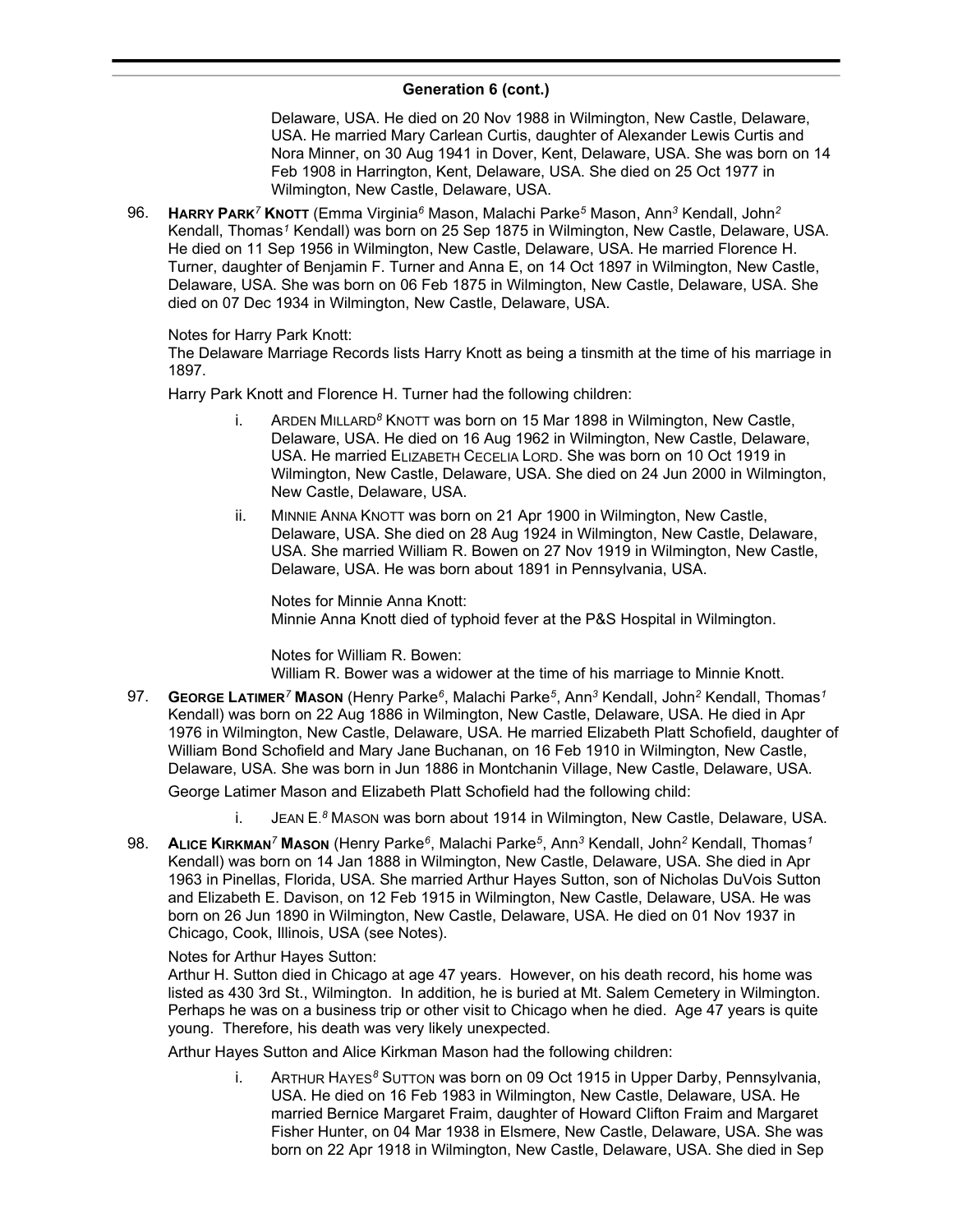Delaware, USA. He died on 20 Nov 1988 in Wilmington, New Castle, Delaware, USA. He married Mary Carlean Curtis, daughter of Alexander Lewis Curtis and Nora Minner, on 30 Aug 1941 in Dover, Kent, Delaware, USA. She was born on 14 Feb 1908 in Harrington, Kent, Delaware, USA. She died on 25 Oct 1977 in Wilmington, New Castle, Delaware, USA.

96. **HARRY PARK***<sup>7</sup>* **KNOTT** (Emma Virginia*<sup>6</sup>* Mason, Malachi Parke*<sup>5</sup>* Mason, Ann*<sup>3</sup>* Kendall, John*<sup>2</sup>* Kendall, Thomas*<sup>1</sup>* Kendall) was born on 25 Sep 1875 in Wilmington, New Castle, Delaware, USA. He died on 11 Sep 1956 in Wilmington, New Castle, Delaware, USA. He married Florence H. Turner, daughter of Benjamin F. Turner and Anna E, on 14 Oct 1897 in Wilmington, New Castle, Delaware, USA. She was born on 06 Feb 1875 in Wilmington, New Castle, Delaware, USA. She died on 07 Dec 1934 in Wilmington, New Castle, Delaware, USA.

### Notes for Harry Park Knott:

The Delaware Marriage Records lists Harry Knott as being a tinsmith at the time of his marriage in 1897.

Harry Park Knott and Florence H. Turner had the following children:

- i. ARDEN MILLARD*<sup>8</sup>* KNOTT was born on 15 Mar 1898 in Wilmington, New Castle, Delaware, USA. He died on 16 Aug 1962 in Wilmington, New Castle, Delaware, USA. He married ELIZABETH CECELIA LORD. She was born on 10 Oct 1919 in Wilmington, New Castle, Delaware, USA. She died on 24 Jun 2000 in Wilmington, New Castle, Delaware, USA.
- ii. MINNIE ANNA KNOTT was born on 21 Apr 1900 in Wilmington, New Castle, Delaware, USA. She died on 28 Aug 1924 in Wilmington, New Castle, Delaware, USA. She married William R. Bowen on 27 Nov 1919 in Wilmington, New Castle, Delaware, USA. He was born about 1891 in Pennsylvania, USA.

Notes for Minnie Anna Knott: Minnie Anna Knott died of typhoid fever at the P&S Hospital in Wilmington.

Notes for William R. Bowen: William R. Bower was a widower at the time of his marriage to Minnie Knott.

97. **GEORGE LATIMER***<sup>7</sup>* **MASON** (Henry Parke*<sup>6</sup>* , Malachi Parke*<sup>5</sup>* , Ann*<sup>3</sup>* Kendall, John*<sup>2</sup>* Kendall, Thomas*<sup>1</sup>* Kendall) was born on 22 Aug 1886 in Wilmington, New Castle, Delaware, USA. He died in Apr 1976 in Wilmington, New Castle, Delaware, USA. He married Elizabeth Platt Schofield, daughter of William Bond Schofield and Mary Jane Buchanan, on 16 Feb 1910 in Wilmington, New Castle, Delaware, USA. She was born in Jun 1886 in Montchanin Village, New Castle, Delaware, USA.

George Latimer Mason and Elizabeth Platt Schofield had the following child:

i. JEAN E. *<sup>8</sup>* MASON was born about 1914 in Wilmington, New Castle, Delaware, USA.

98. **ALICE KIRKMAN***<sup>7</sup>* **MASON** (Henry Parke*<sup>6</sup>* , Malachi Parke*<sup>5</sup>* , Ann*<sup>3</sup>* Kendall, John*<sup>2</sup>* Kendall, Thomas*<sup>1</sup>* Kendall) was born on 14 Jan 1888 in Wilmington, New Castle, Delaware, USA. She died in Apr 1963 in Pinellas, Florida, USA. She married Arthur Hayes Sutton, son of Nicholas DuVois Sutton and Elizabeth E. Davison, on 12 Feb 1915 in Wilmington, New Castle, Delaware, USA. He was born on 26 Jun 1890 in Wilmington, New Castle, Delaware, USA. He died on 01 Nov 1937 in Chicago, Cook, Illinois, USA (see Notes).

### Notes for Arthur Hayes Sutton:

Arthur H. Sutton died in Chicago at age 47 years. However, on his death record, his home was listed as 430 3rd St., Wilmington. In addition, he is buried at Mt. Salem Cemetery in Wilmington. Perhaps he was on a business trip or other visit to Chicago when he died. Age 47 years is quite young. Therefore, his death was very likely unexpected.

Arthur Hayes Sutton and Alice Kirkman Mason had the following children:

i. ARTHUR HAYES*<sup>8</sup>* SUTTON was born on 09 Oct 1915 in Upper Darby, Pennsylvania, USA. He died on 16 Feb 1983 in Wilmington, New Castle, Delaware, USA. He married Bernice Margaret Fraim, daughter of Howard Clifton Fraim and Margaret Fisher Hunter, on 04 Mar 1938 in Elsmere, New Castle, Delaware, USA. She was born on 22 Apr 1918 in Wilmington, New Castle, Delaware, USA. She died in Sep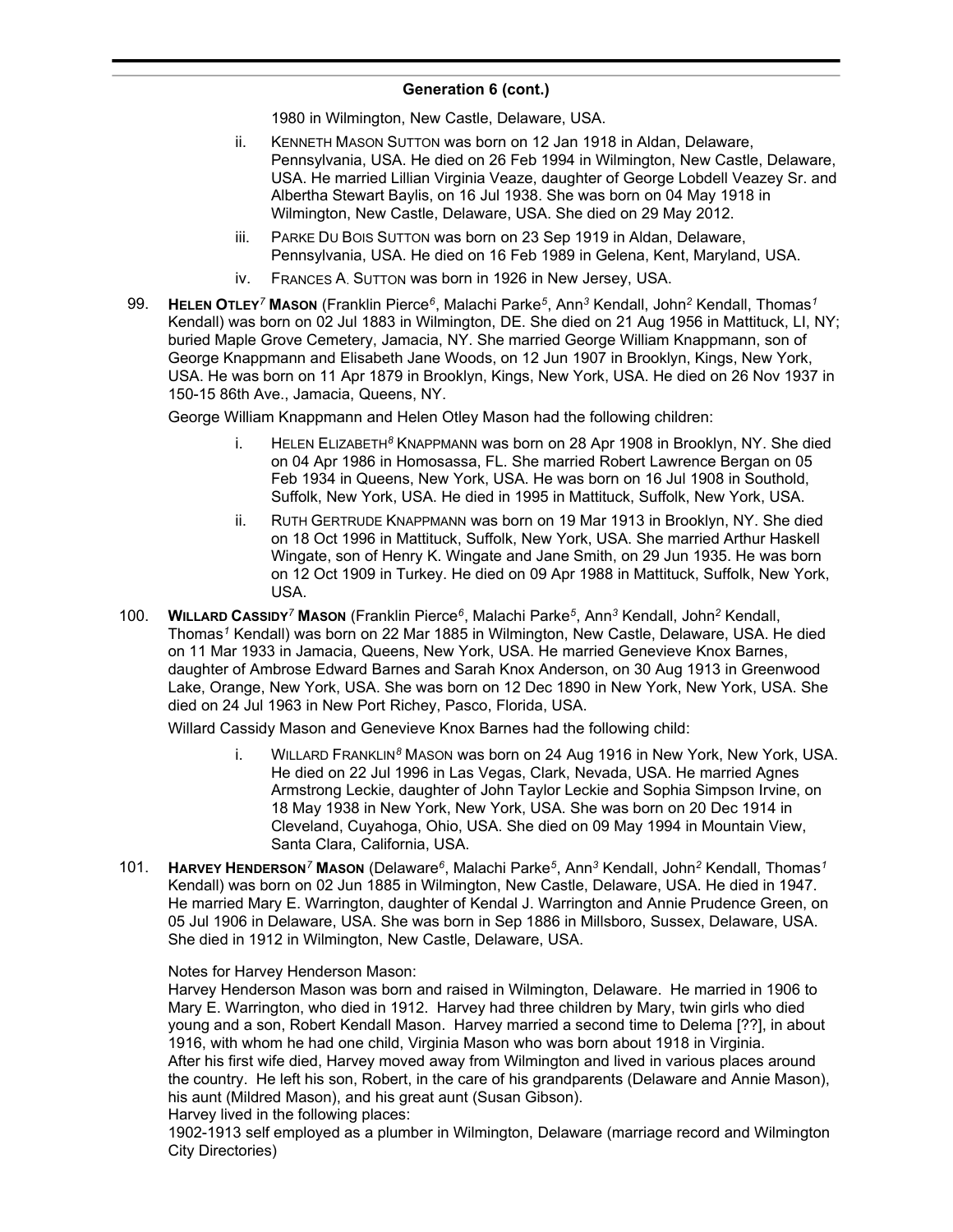1980 in Wilmington, New Castle, Delaware, USA.

- ii. KENNETH MASON SUTTON was born on 12 Jan 1918 in Aldan, Delaware, Pennsylvania, USA. He died on 26 Feb 1994 in Wilmington, New Castle, Delaware, USA. He married Lillian Virginia Veaze, daughter of George Lobdell Veazey Sr. and Albertha Stewart Baylis, on 16 Jul 1938. She was born on 04 May 1918 in Wilmington, New Castle, Delaware, USA. She died on 29 May 2012.
- iii. PARKE DU BOIS SUTTON was born on 23 Sep 1919 in Aldan, Delaware, Pennsylvania, USA. He died on 16 Feb 1989 in Gelena, Kent, Maryland, USA.
- iv. FRANCES A. SUTTON was born in 1926 in New Jersey, USA.
- 99. **HELEN OTLEY***<sup>7</sup>* **MASON** (Franklin Pierce*<sup>6</sup>* , Malachi Parke*<sup>5</sup>* , Ann*<sup>3</sup>* Kendall, John*<sup>2</sup>* Kendall, Thomas*<sup>1</sup>* Kendall) was born on 02 Jul 1883 in Wilmington, DE. She died on 21 Aug 1956 in Mattituck, LI, NY; buried Maple Grove Cemetery, Jamacia, NY. She married George William Knappmann, son of George Knappmann and Elisabeth Jane Woods, on 12 Jun 1907 in Brooklyn, Kings, New York, USA. He was born on 11 Apr 1879 in Brooklyn, Kings, New York, USA. He died on 26 Nov 1937 in 150-15 86th Ave., Jamacia, Queens, NY.

George William Knappmann and Helen Otley Mason had the following children:

- i. HELEN ELIZABETH*<sup>8</sup>* KNAPPMANN was born on 28 Apr 1908 in Brooklyn, NY. She died on 04 Apr 1986 in Homosassa, FL. She married Robert Lawrence Bergan on 05 Feb 1934 in Queens, New York, USA. He was born on 16 Jul 1908 in Southold, Suffolk, New York, USA. He died in 1995 in Mattituck, Suffolk, New York, USA.
- ii. RUTH GERTRUDE KNAPPMANN was born on 19 Mar 1913 in Brooklyn, NY. She died on 18 Oct 1996 in Mattituck, Suffolk, New York, USA. She married Arthur Haskell Wingate, son of Henry K. Wingate and Jane Smith, on 29 Jun 1935. He was born on 12 Oct 1909 in Turkey. He died on 09 Apr 1988 in Mattituck, Suffolk, New York, USA.
- 100. **WILLARD CASSIDY***<sup>7</sup>* **MASON** (Franklin Pierce*<sup>6</sup>* , Malachi Parke*<sup>5</sup>* , Ann*<sup>3</sup>* Kendall, John*<sup>2</sup>* Kendall, Thomas*<sup>1</sup>* Kendall) was born on 22 Mar 1885 in Wilmington, New Castle, Delaware, USA. He died on 11 Mar 1933 in Jamacia, Queens, New York, USA. He married Genevieve Knox Barnes, daughter of Ambrose Edward Barnes and Sarah Knox Anderson, on 30 Aug 1913 in Greenwood Lake, Orange, New York, USA. She was born on 12 Dec 1890 in New York, New York, USA. She died on 24 Jul 1963 in New Port Richey, Pasco, Florida, USA.

Willard Cassidy Mason and Genevieve Knox Barnes had the following child:

- i. WILLARD FRANKLIN*<sup>8</sup>* MASON was born on 24 Aug 1916 in New York, New York, USA. He died on 22 Jul 1996 in Las Vegas, Clark, Nevada, USA. He married Agnes Armstrong Leckie, daughter of John Taylor Leckie and Sophia Simpson Irvine, on 18 May 1938 in New York, New York, USA. She was born on 20 Dec 1914 in Cleveland, Cuyahoga, Ohio, USA. She died on 09 May 1994 in Mountain View, Santa Clara, California, USA.
- 101. **HARVEY HENDERSON***<sup>7</sup>* **MASON** (Delaware*<sup>6</sup>* , Malachi Parke*<sup>5</sup>* , Ann*<sup>3</sup>* Kendall, John*<sup>2</sup>* Kendall, Thomas*<sup>1</sup>* Kendall) was born on 02 Jun 1885 in Wilmington, New Castle, Delaware, USA. He died in 1947. He married Mary E. Warrington, daughter of Kendal J. Warrington and Annie Prudence Green, on 05 Jul 1906 in Delaware, USA. She was born in Sep 1886 in Millsboro, Sussex, Delaware, USA. She died in 1912 in Wilmington, New Castle, Delaware, USA.

### Notes for Harvey Henderson Mason:

Harvey Henderson Mason was born and raised in Wilmington, Delaware. He married in 1906 to Mary E. Warrington, who died in 1912. Harvey had three children by Mary, twin girls who died young and a son, Robert Kendall Mason. Harvey married a second time to Delema [??], in about 1916, with whom he had one child, Virginia Mason who was born about 1918 in Virginia. After his first wife died, Harvey moved away from Wilmington and lived in various places around the country. He left his son, Robert, in the care of his grandparents (Delaware and Annie Mason), his aunt (Mildred Mason), and his great aunt (Susan Gibson). Harvey lived in the following places:

1902-1913 self employed as a plumber in Wilmington, Delaware (marriage record and Wilmington City Directories)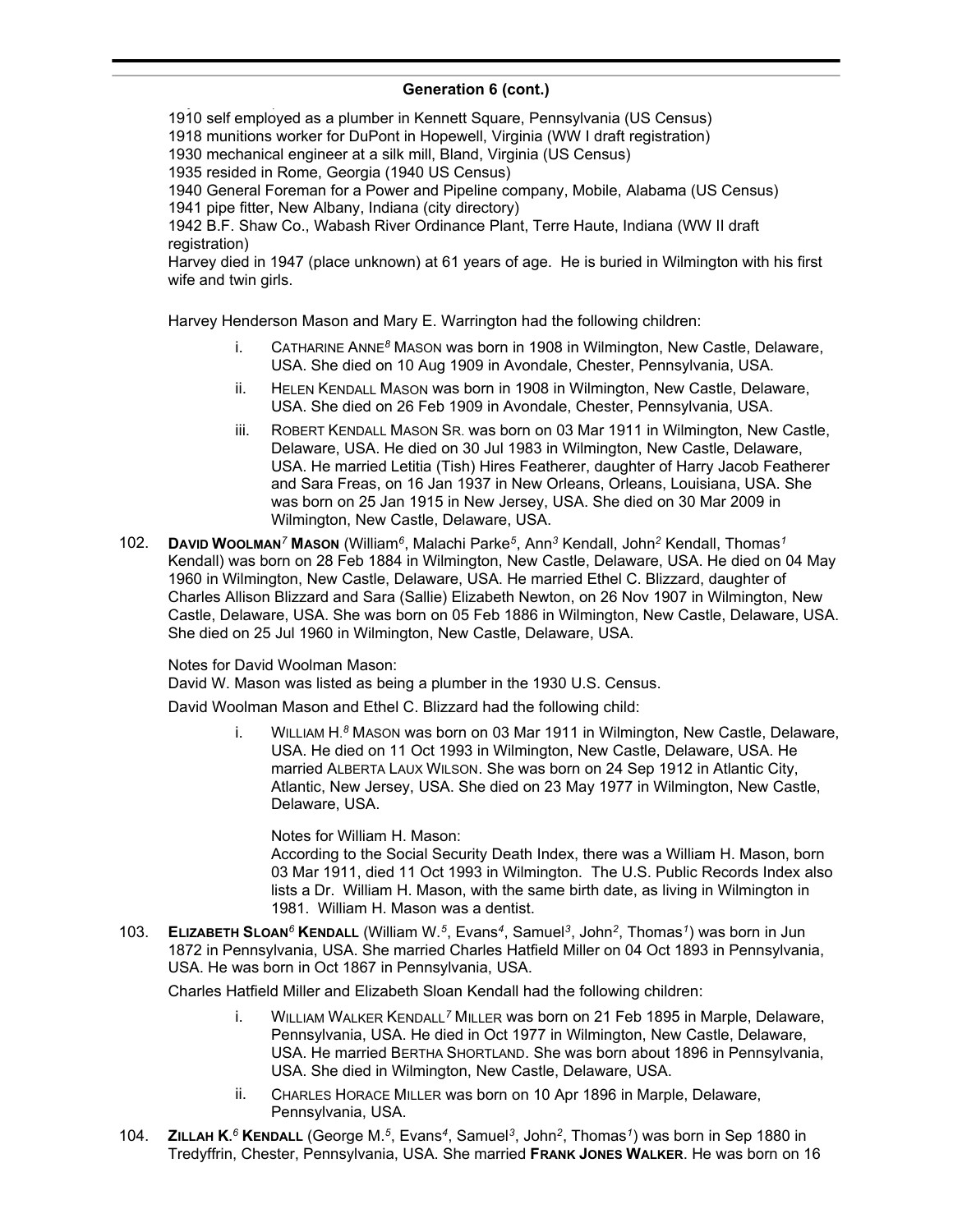self employed as a plumber in Kennett Square, Pennsylvania (US Census) munitions worker for DuPont in Hopewell, Virginia (WW I draft registration) mechanical engineer at a silk mill, Bland, Virginia (US Census) resided in Rome, Georgia (1940 US Census) General Foreman for a Power and Pipeline company, Mobile, Alabama (US Census) pipe fitter, New Albany, Indiana (city directory) B.F. Shaw Co., Wabash River Ordinance Plant, Terre Haute, Indiana (WW II draft registration)

Harvey died in 1947 (place unknown) at 61 years of age. He is buried in Wilmington with his first wife and twin girls.

Harvey Henderson Mason and Mary E. Warrington had the following children:

- i. CATHARINE ANNE*<sup>8</sup>* MASON was born in 1908 in Wilmington, New Castle, Delaware, USA. She died on 10 Aug 1909 in Avondale, Chester, Pennsylvania, USA.
- ii. HELEN KENDALL MASON was born in 1908 in Wilmington, New Castle, Delaware, USA. She died on 26 Feb 1909 in Avondale, Chester, Pennsylvania, USA.
- iii. ROBERT KENDALL MASON SR. was born on 03 Mar 1911 in Wilmington, New Castle, Delaware, USA. He died on 30 Jul 1983 in Wilmington, New Castle, Delaware, USA. He married Letitia (Tish) Hires Featherer, daughter of Harry Jacob Featherer and Sara Freas, on 16 Jan 1937 in New Orleans, Orleans, Louisiana, USA. She was born on 25 Jan 1915 in New Jersey, USA. She died on 30 Mar 2009 in Wilmington, New Castle, Delaware, USA.
- 102. **DAVID WOOLMAN***<sup>7</sup>* **MASON** (William*<sup>6</sup>* , Malachi Parke*<sup>5</sup>* , Ann*<sup>3</sup>* Kendall, John*<sup>2</sup>* Kendall, Thomas*<sup>1</sup>* Kendall) was born on 28 Feb 1884 in Wilmington, New Castle, Delaware, USA. He died on 04 May 1960 in Wilmington, New Castle, Delaware, USA. He married Ethel C. Blizzard, daughter of Charles Allison Blizzard and Sara (Sallie) Elizabeth Newton, on 26 Nov 1907 in Wilmington, New Castle, Delaware, USA. She was born on 05 Feb 1886 in Wilmington, New Castle, Delaware, USA. She died on 25 Jul 1960 in Wilmington, New Castle, Delaware, USA.

Notes for David Woolman Mason:

David W. Mason was listed as being a plumber in the 1930 U.S. Census.

David Woolman Mason and Ethel C. Blizzard had the following child:

i. WILLIAM H. *<sup>8</sup>* MASON was born on 03 Mar 1911 in Wilmington, New Castle, Delaware, USA. He died on 11 Oct 1993 in Wilmington, New Castle, Delaware, USA. He married ALBERTA LAUX WILSON. She was born on 24 Sep 1912 in Atlantic City, Atlantic, New Jersey, USA. She died on 23 May 1977 in Wilmington, New Castle, Delaware, USA.

Notes for William H. Mason: According to the Social Security Death Index, there was a William H. Mason, born 03 Mar 1911, died 11 Oct 1993 in Wilmington. The U.S. Public Records Index also lists a Dr. William H. Mason, with the same birth date, as living in Wilmington in 1981. William H. Mason was a dentist.

103. **ELIZABETH SLOAN***<sup>6</sup>* **KENDALL** (William W.*<sup>5</sup>* , Evans*<sup>4</sup>* , Samuel*<sup>3</sup>* , John*<sup>2</sup>* , Thomas*<sup>1</sup>* ) was born in Jun 1872 in Pennsylvania, USA. She married Charles Hatfield Miller on 04 Oct 1893 in Pennsylvania, USA. He was born in Oct 1867 in Pennsylvania, USA.

Charles Hatfield Miller and Elizabeth Sloan Kendall had the following children:

- i. WILLIAM WALKER KENDALL*<sup>7</sup>* MILLER was born on 21 Feb 1895 in Marple, Delaware, Pennsylvania, USA. He died in Oct 1977 in Wilmington, New Castle, Delaware, USA. He married BERTHA SHORTLAND. She was born about 1896 in Pennsylvania, USA. She died in Wilmington, New Castle, Delaware, USA.
- ii. CHARLES HORACE MILLER was born on 10 Apr 1896 in Marple, Delaware, Pennsylvania, USA.
- 104. **ZILLAH K.** *<sup>6</sup>* **KENDALL** (George M.*<sup>5</sup>* , Evans*<sup>4</sup>* , Samuel*<sup>3</sup>* , John*<sup>2</sup>* , Thomas*<sup>1</sup>* ) was born in Sep 1880 in Tredyffrin, Chester, Pennsylvania, USA. She married **FRANK JONES WALKER**. He was born on 16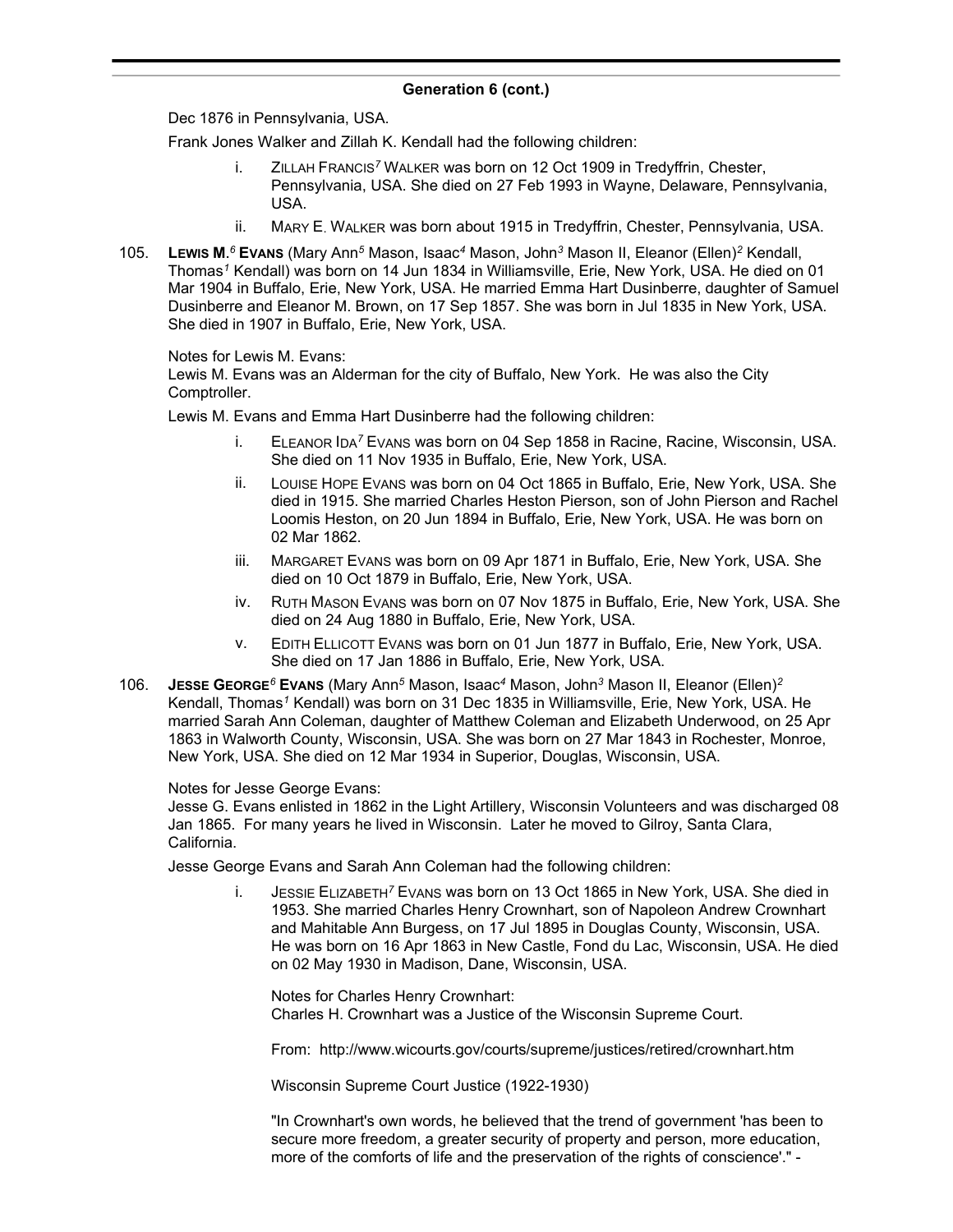Dec 1876 in Pennsylvania, USA.

Frank Jones Walker and Zillah K. Kendall had the following children:

- i. ZILLAH FRANCIS*<sup>7</sup>* WALKER was born on 12 Oct 1909 in Tredyffrin, Chester, Pennsylvania, USA. She died on 27 Feb 1993 in Wayne, Delaware, Pennsylvania, USA.
- ii. MARY E. WALKER was born about 1915 in Tredyffrin, Chester, Pennsylvania, USA.
- 105. **LEWIS M.** *<sup>6</sup>* **EVANS** (Mary Ann*<sup>5</sup>* Mason, Isaac*<sup>4</sup>* Mason, John*<sup>3</sup>* Mason II, Eleanor (Ellen)*<sup>2</sup>* Kendall, Thomas*<sup>1</sup>* Kendall) was born on 14 Jun 1834 in Williamsville, Erie, New York, USA. He died on 01 Mar 1904 in Buffalo, Erie, New York, USA. He married Emma Hart Dusinberre, daughter of Samuel Dusinberre and Eleanor M. Brown, on 17 Sep 1857. She was born in Jul 1835 in New York, USA. She died in 1907 in Buffalo, Erie, New York, USA.

Notes for Lewis M. Evans:

Lewis M. Evans was an Alderman for the city of Buffalo, New York. He was also the City Comptroller.

Lewis M. Evans and Emma Hart Dusinberre had the following children:

- i. ELEANOR IDA*<sup>7</sup>* EVANS was born on 04 Sep 1858 in Racine, Racine, Wisconsin, USA. She died on 11 Nov 1935 in Buffalo, Erie, New York, USA.
- ii. LOUISE HOPE EVANS was born on 04 Oct 1865 in Buffalo, Erie, New York, USA. She died in 1915. She married Charles Heston Pierson, son of John Pierson and Rachel Loomis Heston, on 20 Jun 1894 in Buffalo, Erie, New York, USA. He was born on 02 Mar 1862.
- iii. MARGARET EVANS was born on 09 Apr 1871 in Buffalo, Erie, New York, USA. She died on 10 Oct 1879 in Buffalo, Erie, New York, USA.
- iv. RUTH MASON EVANS was born on 07 Nov 1875 in Buffalo, Erie, New York, USA. She died on 24 Aug 1880 in Buffalo, Erie, New York, USA.
- v. EDITH ELLICOTT EVANS was born on 01 Jun 1877 in Buffalo, Erie, New York, USA. She died on 17 Jan 1886 in Buffalo, Erie, New York, USA.
- 106. **JESSE GEORGE***<sup>6</sup>* **EVANS** (Mary Ann*<sup>5</sup>* Mason, Isaac*<sup>4</sup>* Mason, John*<sup>3</sup>* Mason II, Eleanor (Ellen)*<sup>2</sup>* Kendall, Thomas*<sup>1</sup>* Kendall) was born on 31 Dec 1835 in Williamsville, Erie, New York, USA. He married Sarah Ann Coleman, daughter of Matthew Coleman and Elizabeth Underwood, on 25 Apr 1863 in Walworth County, Wisconsin, USA. She was born on 27 Mar 1843 in Rochester, Monroe, New York, USA. She died on 12 Mar 1934 in Superior, Douglas, Wisconsin, USA.

### Notes for Jesse George Evans:

Jesse G. Evans enlisted in 1862 in the Light Artillery, Wisconsin Volunteers and was discharged 08 Jan 1865. For many years he lived in Wisconsin. Later he moved to Gilroy, Santa Clara, California.

Jesse George Evans and Sarah Ann Coleman had the following children:

i. JESSIE ELIZABETH*<sup>7</sup>* EVANS was born on 13 Oct 1865 in New York, USA. She died in 1953. She married Charles Henry Crownhart, son of Napoleon Andrew Crownhart and Mahitable Ann Burgess, on 17 Jul 1895 in Douglas County, Wisconsin, USA. He was born on 16 Apr 1863 in New Castle, Fond du Lac, Wisconsin, USA. He died on 02 May 1930 in Madison, Dane, Wisconsin, USA.

Notes for Charles Henry Crownhart: Charles H. Crownhart was a Justice of the Wisconsin Supreme Court.

From: http://www.wicourts.gov/courts/supreme/justices/retired/crownhart.htm

Wisconsin Supreme Court Justice (1922-1930)

"In Crownhart's own words, he believed that the trend of government 'has been to secure more freedom, a greater security of property and person, more education, more of the comforts of life and the preservation of the rights of conscience'." -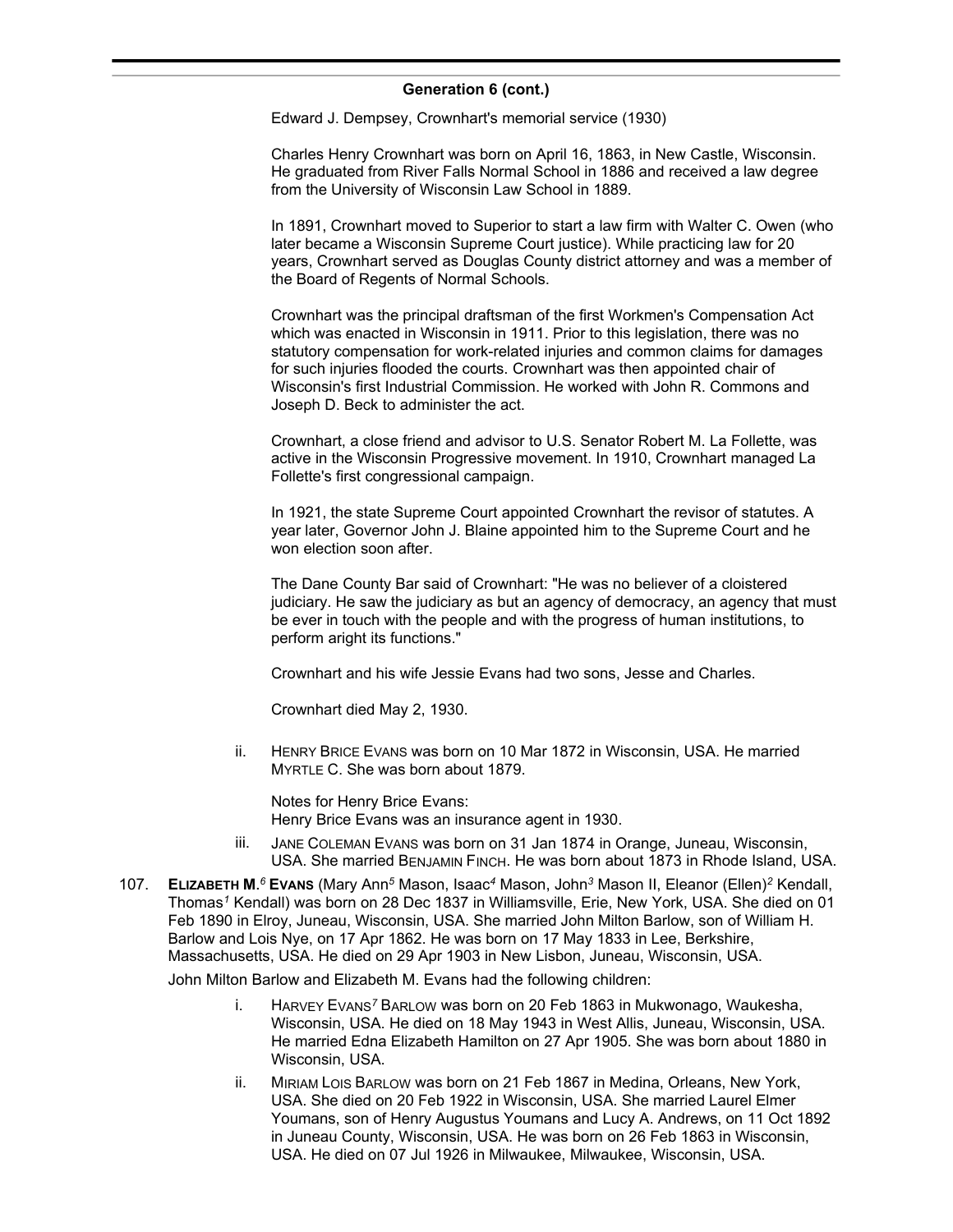#### **Generation 6 (cont.)**  $\sum_{i=1}^n$

Edward J. Dempsey, Crownhart's memorial service (1930)

Charles Henry Crownhart was born on April 16, 1863, in New Castle, Wisconsin. He graduated from River Falls Normal School in 1886 and received a law degree from the University of Wisconsin Law School in 1889.

In 1891, Crownhart moved to Superior to start a law firm with Walter C. Owen (who later became a Wisconsin Supreme Court justice). While practicing law for 20 years, Crownhart served as Douglas County district attorney and was a member of the Board of Regents of Normal Schools.

Crownhart was the principal draftsman of the first Workmen's Compensation Act which was enacted in Wisconsin in 1911. Prior to this legislation, there was no statutory compensation for work-related injuries and common claims for damages for such injuries flooded the courts. Crownhart was then appointed chair of Wisconsin's first Industrial Commission. He worked with John R. Commons and Joseph D. Beck to administer the act.

Crownhart, a close friend and advisor to U.S. Senator Robert M. La Follette, was active in the Wisconsin Progressive movement. In 1910, Crownhart managed La Follette's first congressional campaign.

In 1921, the state Supreme Court appointed Crownhart the revisor of statutes. A year later, Governor John J. Blaine appointed him to the Supreme Court and he won election soon after.

The Dane County Bar said of Crownhart: "He was no believer of a cloistered judiciary. He saw the judiciary as but an agency of democracy, an agency that must be ever in touch with the people and with the progress of human institutions, to perform aright its functions."

Crownhart and his wife Jessie Evans had two sons, Jesse and Charles.

Crownhart died May 2, 1930.

ii. HENRY BRICE EVANS was born on 10 Mar 1872 in Wisconsin, USA. He married MYRTLE C. She was born about 1879.

Notes for Henry Brice Evans: Henry Brice Evans was an insurance agent in 1930.

- iii. JANE COLEMAN EVANS was born on 31 Jan 1874 in Orange, Juneau, Wisconsin, USA. She married BENJAMIN FINCH. He was born about 1873 in Rhode Island, USA.
- 107. **ELIZABETH M.** *<sup>6</sup>* **EVANS** (Mary Ann*<sup>5</sup>* Mason, Isaac*<sup>4</sup>* Mason, John*<sup>3</sup>* Mason II, Eleanor (Ellen)*<sup>2</sup>* Kendall, Thomas*<sup>1</sup>* Kendall) was born on 28 Dec 1837 in Williamsville, Erie, New York, USA. She died on 01 Feb 1890 in Elroy, Juneau, Wisconsin, USA. She married John Milton Barlow, son of William H. Barlow and Lois Nye, on 17 Apr 1862. He was born on 17 May 1833 in Lee, Berkshire, Massachusetts, USA. He died on 29 Apr 1903 in New Lisbon, Juneau, Wisconsin, USA.

John Milton Barlow and Elizabeth M. Evans had the following children:

- i. HARVEY EVANS*<sup>7</sup>* BARLOW was born on 20 Feb 1863 in Mukwonago, Waukesha, Wisconsin, USA. He died on 18 May 1943 in West Allis, Juneau, Wisconsin, USA. He married Edna Elizabeth Hamilton on 27 Apr 1905. She was born about 1880 in Wisconsin, USA.
- ii. MIRIAM LOIS BARLOW was born on 21 Feb 1867 in Medina, Orleans, New York, USA. She died on 20 Feb 1922 in Wisconsin, USA. She married Laurel Elmer Youmans, son of Henry Augustus Youmans and Lucy A. Andrews, on 11 Oct 1892 in Juneau County, Wisconsin, USA. He was born on 26 Feb 1863 in Wisconsin, USA. He died on 07 Jul 1926 in Milwaukee, Milwaukee, Wisconsin, USA.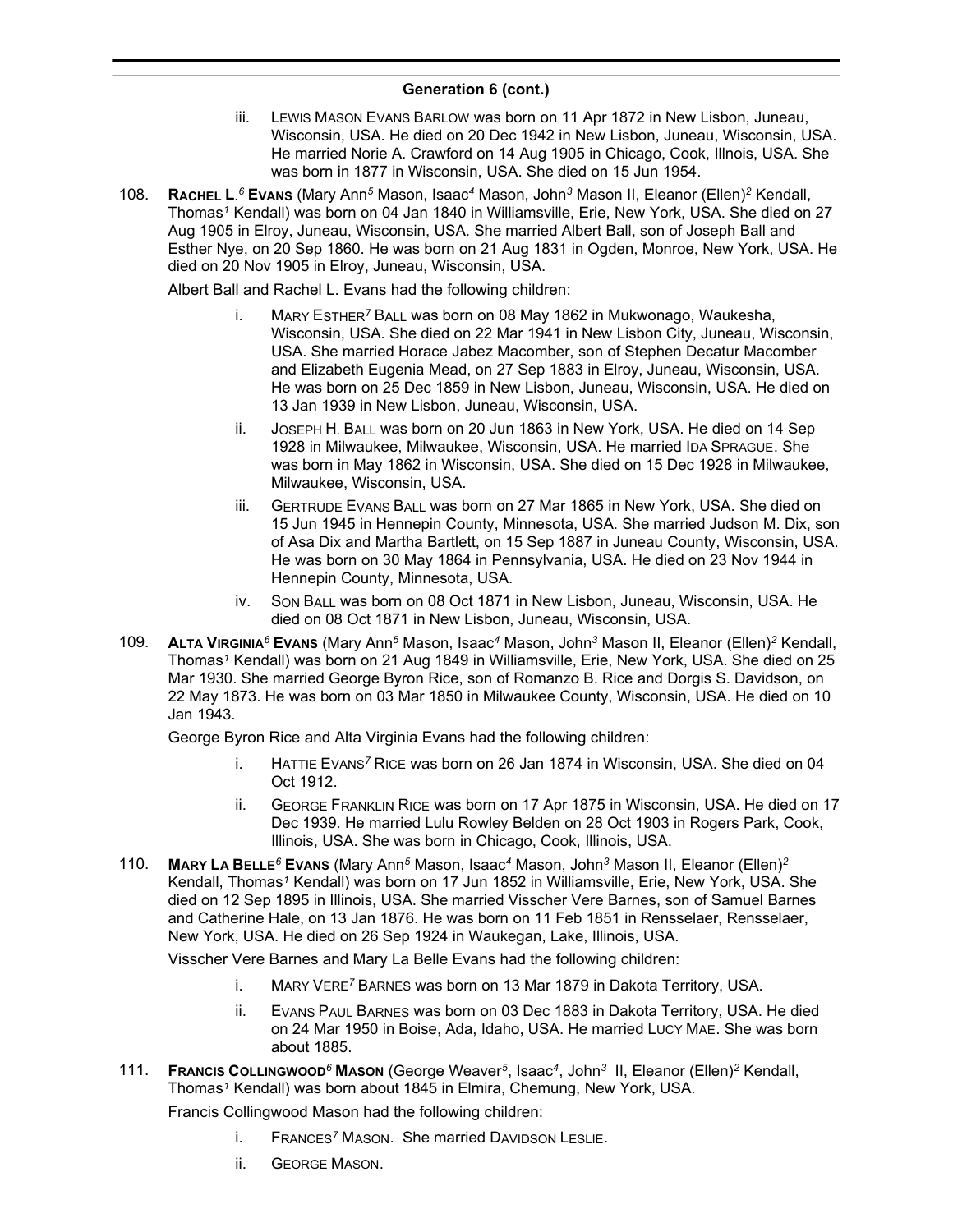- iii. LEWIS MASON EVANS BARLOW was born on 11 Apr 1872 in New Lisbon, Juneau, Wisconsin, USA. He died on 20 Dec 1942 in New Lisbon, Juneau, Wisconsin, USA. He married Norie A. Crawford on 14 Aug 1905 in Chicago, Cook, Illnois, USA. She was born in 1877 in Wisconsin, USA. She died on 15 Jun 1954.
- 108. **RACHEL L.** *<sup>6</sup>* **EVANS** (Mary Ann*<sup>5</sup>* Mason, Isaac*<sup>4</sup>* Mason, John*<sup>3</sup>* Mason II, Eleanor (Ellen)*<sup>2</sup>* Kendall, Thomas*<sup>1</sup>* Kendall) was born on 04 Jan 1840 in Williamsville, Erie, New York, USA. She died on 27 Aug 1905 in Elroy, Juneau, Wisconsin, USA. She married Albert Ball, son of Joseph Ball and Esther Nye, on 20 Sep 1860. He was born on 21 Aug 1831 in Ogden, Monroe, New York, USA. He died on 20 Nov 1905 in Elroy, Juneau, Wisconsin, USA.

Albert Ball and Rachel L. Evans had the following children:

- i. MARY ESTHER*<sup>7</sup>* BALL was born on 08 May 1862 in Mukwonago, Waukesha, Wisconsin, USA. She died on 22 Mar 1941 in New Lisbon City, Juneau, Wisconsin, USA. She married Horace Jabez Macomber, son of Stephen Decatur Macomber and Elizabeth Eugenia Mead, on 27 Sep 1883 in Elroy, Juneau, Wisconsin, USA. He was born on 25 Dec 1859 in New Lisbon, Juneau, Wisconsin, USA. He died on 13 Jan 1939 in New Lisbon, Juneau, Wisconsin, USA.
- ii. JOSEPH H. BALL was born on 20 Jun 1863 in New York, USA. He died on 14 Sep 1928 in Milwaukee, Milwaukee, Wisconsin, USA. He married IDA SPRAGUE. She was born in May 1862 in Wisconsin, USA. She died on 15 Dec 1928 in Milwaukee, Milwaukee, Wisconsin, USA.
- iii. GERTRUDE EVANS BALL was born on 27 Mar 1865 in New York, USA. She died on 15 Jun 1945 in Hennepin County, Minnesota, USA. She married Judson M. Dix, son of Asa Dix and Martha Bartlett, on 15 Sep 1887 in Juneau County, Wisconsin, USA. He was born on 30 May 1864 in Pennsylvania, USA. He died on 23 Nov 1944 in Hennepin County, Minnesota, USA.
- iv. SON BALL was born on 08 Oct 1871 in New Lisbon, Juneau, Wisconsin, USA. He died on 08 Oct 1871 in New Lisbon, Juneau, Wisconsin, USA.
- 109. **ALTA VIRGINIA***<sup>6</sup>* **EVANS** (Mary Ann*<sup>5</sup>* Mason, Isaac*<sup>4</sup>* Mason, John*<sup>3</sup>* Mason II, Eleanor (Ellen)*<sup>2</sup>* Kendall, Thomas*<sup>1</sup>* Kendall) was born on 21 Aug 1849 in Williamsville, Erie, New York, USA. She died on 25 Mar 1930. She married George Byron Rice, son of Romanzo B. Rice and Dorgis S. Davidson, on 22 May 1873. He was born on 03 Mar 1850 in Milwaukee County, Wisconsin, USA. He died on 10 Jan 1943.

George Byron Rice and Alta Virginia Evans had the following children:

- i. HATTIE EVANS*<sup>7</sup>* RICE was born on 26 Jan 1874 in Wisconsin, USA. She died on 04 Oct 1912.
- ii. GEORGE FRANKLIN RICE was born on 17 Apr 1875 in Wisconsin, USA. He died on 17 Dec 1939. He married Lulu Rowley Belden on 28 Oct 1903 in Rogers Park, Cook, Illinois, USA. She was born in Chicago, Cook, Illinois, USA.
- 110. **MARY LA BELLE***<sup>6</sup>* **EVANS** (Mary Ann*<sup>5</sup>* Mason, Isaac*<sup>4</sup>* Mason, John*<sup>3</sup>* Mason II, Eleanor (Ellen)*<sup>2</sup>* Kendall, Thomas*<sup>1</sup>* Kendall) was born on 17 Jun 1852 in Williamsville, Erie, New York, USA. She died on 12 Sep 1895 in Illinois, USA. She married Visscher Vere Barnes, son of Samuel Barnes and Catherine Hale, on 13 Jan 1876. He was born on 11 Feb 1851 in Rensselaer, Rensselaer, New York, USA. He died on 26 Sep 1924 in Waukegan, Lake, Illinois, USA.

Visscher Vere Barnes and Mary La Belle Evans had the following children:

- i. MARY VERE*<sup>7</sup>* BARNES was born on 13 Mar 1879 in Dakota Territory, USA.
- ii. EVANS PAUL BARNES was born on 03 Dec 1883 in Dakota Territory, USA. He died on 24 Mar 1950 in Boise, Ada, Idaho, USA. He married LUCY MAE. She was born about 1885.
- 111. **FRANCIS COLLINGWOOD***<sup>6</sup>* **MASON** (George Weaver*<sup>5</sup>* , Isaac*<sup>4</sup>* , John*<sup>3</sup>* II, Eleanor (Ellen)*<sup>2</sup>* Kendall, Thomas*<sup>1</sup>* Kendall) was born about 1845 in Elmira, Chemung, New York, USA.

Francis Collingwood Mason had the following children:

- i. FRANCES*<sup>7</sup>* MASON. She married DAVIDSON LESLIE.
- ii. GEORGE MASON.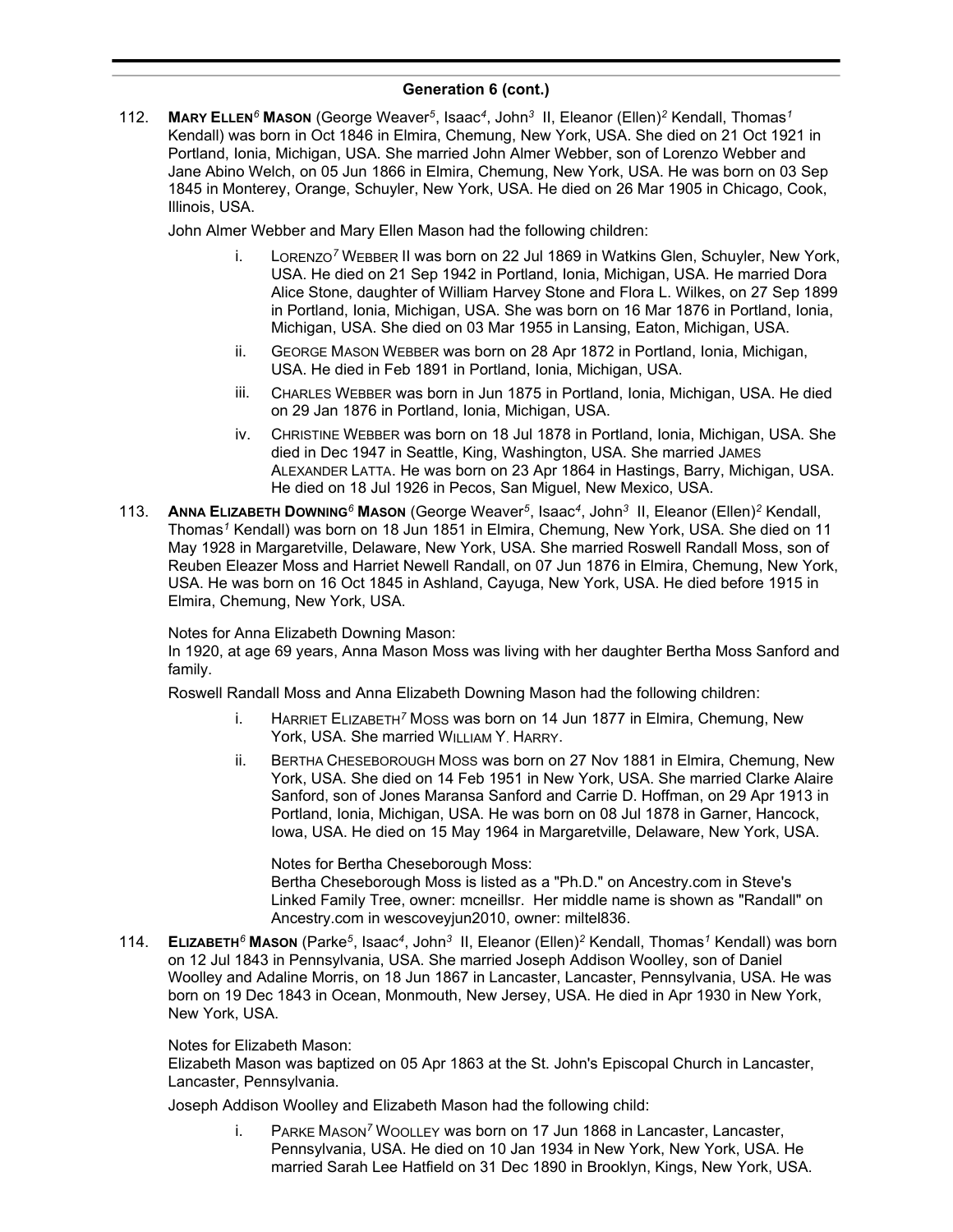112. **MARY ELLEN***<sup>6</sup>* **MASON** (George Weaver*<sup>5</sup>* , Isaac*<sup>4</sup>* , John*<sup>3</sup>* II, Eleanor (Ellen)*<sup>2</sup>* Kendall, Thomas*<sup>1</sup>* Kendall) was born in Oct 1846 in Elmira, Chemung, New York, USA. She died on 21 Oct 1921 in Portland, Ionia, Michigan, USA. She married John Almer Webber, son of Lorenzo Webber and Jane Abino Welch, on 05 Jun 1866 in Elmira, Chemung, New York, USA. He was born on 03 Sep 1845 in Monterey, Orange, Schuyler, New York, USA. He died on 26 Mar 1905 in Chicago, Cook, Illinois, USA.

John Almer Webber and Mary Ellen Mason had the following children:

- i. LORENZO*<sup>7</sup>* WEBBER II was born on 22 Jul 1869 in Watkins Glen, Schuyler, New York, USA. He died on 21 Sep 1942 in Portland, Ionia, Michigan, USA. He married Dora Alice Stone, daughter of William Harvey Stone and Flora L. Wilkes, on 27 Sep 1899 in Portland, Ionia, Michigan, USA. She was born on 16 Mar 1876 in Portland, Ionia, Michigan, USA. She died on 03 Mar 1955 in Lansing, Eaton, Michigan, USA.
- ii. GEORGE MASON WEBBER was born on 28 Apr 1872 in Portland, Ionia, Michigan, USA. He died in Feb 1891 in Portland, Ionia, Michigan, USA.
- iii. CHARLES WEBBER was born in Jun 1875 in Portland, Ionia, Michigan, USA. He died on 29 Jan 1876 in Portland, Ionia, Michigan, USA.
- iv. CHRISTINE WEBBER was born on 18 Jul 1878 in Portland, Ionia, Michigan, USA. She died in Dec 1947 in Seattle, King, Washington, USA. She married JAMES ALEXANDER LATTA. He was born on 23 Apr 1864 in Hastings, Barry, Michigan, USA. He died on 18 Jul 1926 in Pecos, San Miguel, New Mexico, USA.
- 113. **ANNA ELIZABETH DOWNING***<sup>6</sup>* **MASON** (George Weaver*<sup>5</sup>* , Isaac*<sup>4</sup>* , John*<sup>3</sup>* II, Eleanor (Ellen)*<sup>2</sup>* Kendall, Thomas*<sup>1</sup>* Kendall) was born on 18 Jun 1851 in Elmira, Chemung, New York, USA. She died on 11 May 1928 in Margaretville, Delaware, New York, USA. She married Roswell Randall Moss, son of Reuben Eleazer Moss and Harriet Newell Randall, on 07 Jun 1876 in Elmira, Chemung, New York, USA. He was born on 16 Oct 1845 in Ashland, Cayuga, New York, USA. He died before 1915 in Elmira, Chemung, New York, USA.

Notes for Anna Elizabeth Downing Mason:

In 1920, at age 69 years, Anna Mason Moss was living with her daughter Bertha Moss Sanford and family.

Roswell Randall Moss and Anna Elizabeth Downing Mason had the following children:

- i. HARRIET ELIZABETH*<sup>7</sup>* MOSS was born on 14 Jun 1877 in Elmira, Chemung, New York, USA. She married WILLIAM Y. HARRY.
- ii. BERTHA CHESEBOROUGH MOSS was born on 27 Nov 1881 in Elmira, Chemung, New York, USA. She died on 14 Feb 1951 in New York, USA. She married Clarke Alaire Sanford, son of Jones Maransa Sanford and Carrie D. Hoffman, on 29 Apr 1913 in Portland, Ionia, Michigan, USA. He was born on 08 Jul 1878 in Garner, Hancock, Iowa, USA. He died on 15 May 1964 in Margaretville, Delaware, New York, USA.

Notes for Bertha Cheseborough Moss: Bertha Cheseborough Moss is listed as a "Ph.D." on Ancestry.com in Steve's Linked Family Tree, owner: mcneillsr. Her middle name is shown as "Randall" on Ancestry.com in wescoveyjun2010, owner: miltel836.

114. **ELIZABETH***<sup>6</sup>* **MASON** (Parke*<sup>5</sup>* , Isaac*<sup>4</sup>* , John*<sup>3</sup>* II, Eleanor (Ellen)*<sup>2</sup>* Kendall, Thomas*<sup>1</sup>* Kendall) was born on 12 Jul 1843 in Pennsylvania, USA. She married Joseph Addison Woolley, son of Daniel Woolley and Adaline Morris, on 18 Jun 1867 in Lancaster, Lancaster, Pennsylvania, USA. He was born on 19 Dec 1843 in Ocean, Monmouth, New Jersey, USA. He died in Apr 1930 in New York, New York, USA.

### Notes for Elizabeth Mason:

Elizabeth Mason was baptized on 05 Apr 1863 at the St. John's Episcopal Church in Lancaster, Lancaster, Pennsylvania.

Joseph Addison Woolley and Elizabeth Mason had the following child:

i. PARKE MASON*<sup>7</sup>* WOOLLEY was born on 17 Jun 1868 in Lancaster, Lancaster, Pennsylvania, USA. He died on 10 Jan 1934 in New York, New York, USA. He married Sarah Lee Hatfield on 31 Dec 1890 in Brooklyn, Kings, New York, USA.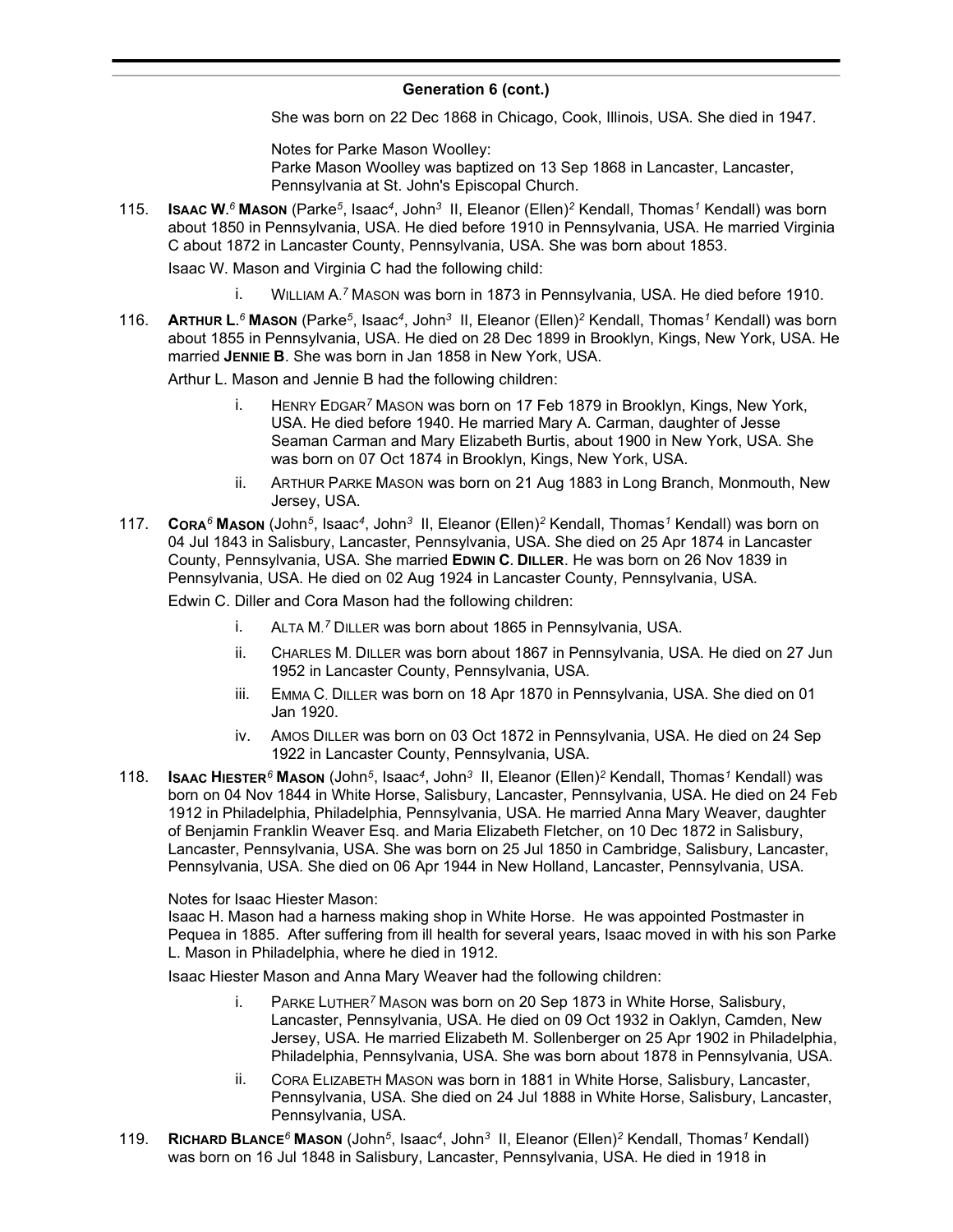She was born on 22 Dec 1868 in Chicago, Cook, Illinois, USA. She died in 1947.

Notes for Parke Mason Woolley: Parke Mason Woolley was baptized on 13 Sep 1868 in Lancaster, Lancaster, Pennsylvania at St. John's Episcopal Church.

115. **ISAAC W.** *<sup>6</sup>* **MASON** (Parke*<sup>5</sup>* , Isaac*<sup>4</sup>* , John*<sup>3</sup>* II, Eleanor (Ellen)*<sup>2</sup>* Kendall, Thomas*<sup>1</sup>* Kendall) was born about 1850 in Pennsylvania, USA. He died before 1910 in Pennsylvania, USA. He married Virginia C about 1872 in Lancaster County, Pennsylvania, USA. She was born about 1853.

Isaac W. Mason and Virginia C had the following child:

- i. WILLIAM A. *<sup>7</sup>* MASON was born in 1873 in Pennsylvania, USA. He died before 1910.
- 116. **ARTHUR L.** *<sup>6</sup>* **MASON** (Parke*<sup>5</sup>* , Isaac*<sup>4</sup>* , John*<sup>3</sup>* II, Eleanor (Ellen)*<sup>2</sup>* Kendall, Thomas*<sup>1</sup>* Kendall) was born about 1855 in Pennsylvania, USA. He died on 28 Dec 1899 in Brooklyn, Kings, New York, USA. He married **JENNIE B**. She was born in Jan 1858 in New York, USA.

Arthur L. Mason and Jennie B had the following children:

- i. HENRY EDGAR*<sup>7</sup>* MASON was born on 17 Feb 1879 in Brooklyn, Kings, New York, USA. He died before 1940. He married Mary A. Carman, daughter of Jesse Seaman Carman and Mary Elizabeth Burtis, about 1900 in New York, USA. She was born on 07 Oct 1874 in Brooklyn, Kings, New York, USA.
- ii. ARTHUR PARKE MASON was born on 21 Aug 1883 in Long Branch, Monmouth, New Jersey, USA.
- 117. **CORA***<sup>6</sup>* **MASON** (John*<sup>5</sup>* , Isaac*<sup>4</sup>* , John*<sup>3</sup>* II, Eleanor (Ellen)*<sup>2</sup>* Kendall, Thomas*<sup>1</sup>* Kendall) was born on 04 Jul 1843 in Salisbury, Lancaster, Pennsylvania, USA. She died on 25 Apr 1874 in Lancaster County, Pennsylvania, USA. She married **EDWIN C. DILLER**. He was born on 26 Nov 1839 in Pennsylvania, USA. He died on 02 Aug 1924 in Lancaster County, Pennsylvania, USA.

Edwin C. Diller and Cora Mason had the following children:

- i. ALTA M. *<sup>7</sup>* DILLER was born about 1865 in Pennsylvania, USA.
- ii. CHARLES M. DILLER was born about 1867 in Pennsylvania, USA. He died on 27 Jun 1952 in Lancaster County, Pennsylvania, USA.
- iii. EMMA C. DILLER was born on 18 Apr 1870 in Pennsylvania, USA. She died on 01 Jan 1920.
- iv. AMOS DILLER was born on 03 Oct 1872 in Pennsylvania, USA. He died on 24 Sep 1922 in Lancaster County, Pennsylvania, USA.
- 118. **ISAAC HIESTER***<sup>6</sup>* **MASON** (John*<sup>5</sup>* , Isaac*<sup>4</sup>* , John*<sup>3</sup>* II, Eleanor (Ellen)*<sup>2</sup>* Kendall, Thomas*<sup>1</sup>* Kendall) was born on 04 Nov 1844 in White Horse, Salisbury, Lancaster, Pennsylvania, USA. He died on 24 Feb 1912 in Philadelphia, Philadelphia, Pennsylvania, USA. He married Anna Mary Weaver, daughter of Benjamin Franklin Weaver Esq. and Maria Elizabeth Fletcher, on 10 Dec 1872 in Salisbury, Lancaster, Pennsylvania, USA. She was born on 25 Jul 1850 in Cambridge, Salisbury, Lancaster, Pennsylvania, USA. She died on 06 Apr 1944 in New Holland, Lancaster, Pennsylvania, USA.

Notes for Isaac Hiester Mason:

Isaac H. Mason had a harness making shop in White Horse. He was appointed Postmaster in Pequea in 1885. After suffering from ill health for several years, Isaac moved in with his son Parke L. Mason in Philadelphia, where he died in 1912.

Isaac Hiester Mason and Anna Mary Weaver had the following children:

- i. PARKE LUTHER*<sup>7</sup>* MASON was born on 20 Sep 1873 in White Horse, Salisbury, Lancaster, Pennsylvania, USA. He died on 09 Oct 1932 in Oaklyn, Camden, New Jersey, USA. He married Elizabeth M. Sollenberger on 25 Apr 1902 in Philadelphia, Philadelphia, Pennsylvania, USA. She was born about 1878 in Pennsylvania, USA.
- ii. CORA ELIZABETH MASON was born in 1881 in White Horse, Salisbury, Lancaster, Pennsylvania, USA. She died on 24 Jul 1888 in White Horse, Salisbury, Lancaster, Pennsylvania, USA.
- 119. **RICHARD BLANCE***<sup>6</sup>* **MASON** (John*<sup>5</sup>* , Isaac*<sup>4</sup>* , John*<sup>3</sup>* II, Eleanor (Ellen)*<sup>2</sup>* Kendall, Thomas*<sup>1</sup>* Kendall) was born on 16 Jul 1848 in Salisbury, Lancaster, Pennsylvania, USA. He died in 1918 in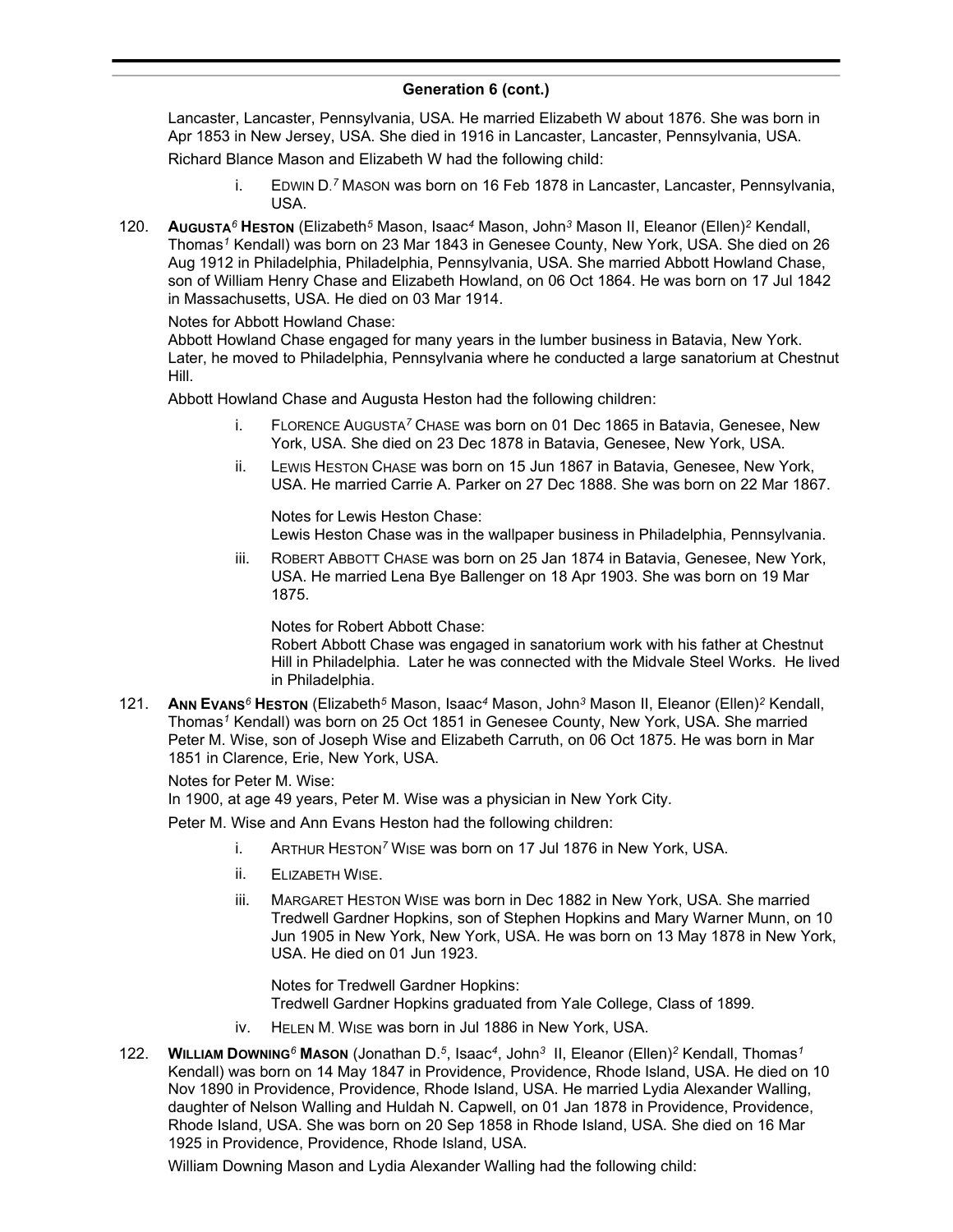### **Generation 6 (cont.)**  $concentration$   $\bullet$   $(oon)$

Lancaster, Lancaster, Pennsylvania, USA. He married Elizabeth W about 1876. She was born in Apr 1853 in New Jersey, USA. She died in 1916 in Lancaster, Lancaster, Pennsylvania, USA.

Richard Blance Mason and Elizabeth W had the following child:

- i. EDWIN D. *<sup>7</sup>* MASON was born on 16 Feb 1878 in Lancaster, Lancaster, Pennsylvania, USA.
- 120. **AUGUSTA***<sup>6</sup>* **HESTON** (Elizabeth*<sup>5</sup>* Mason, Isaac*<sup>4</sup>* Mason, John*<sup>3</sup>* Mason II, Eleanor (Ellen)*<sup>2</sup>* Kendall, Thomas*<sup>1</sup>* Kendall) was born on 23 Mar 1843 in Genesee County, New York, USA. She died on 26 Aug 1912 in Philadelphia, Philadelphia, Pennsylvania, USA. She married Abbott Howland Chase, son of William Henry Chase and Elizabeth Howland, on 06 Oct 1864. He was born on 17 Jul 1842 in Massachusetts, USA. He died on 03 Mar 1914.

Notes for Abbott Howland Chase:

Abbott Howland Chase engaged for many years in the lumber business in Batavia, New York. Later, he moved to Philadelphia, Pennsylvania where he conducted a large sanatorium at Chestnut Hill.

Abbott Howland Chase and Augusta Heston had the following children:

- i. FLORENCE AUGUSTA*<sup>7</sup>* CHASE was born on 01 Dec 1865 in Batavia, Genesee, New York, USA. She died on 23 Dec 1878 in Batavia, Genesee, New York, USA.
- ii. LEWIS HESTON CHASE was born on 15 Jun 1867 in Batavia, Genesee, New York, USA. He married Carrie A. Parker on 27 Dec 1888. She was born on 22 Mar 1867.

Notes for Lewis Heston Chase:

Lewis Heston Chase was in the wallpaper business in Philadelphia, Pennsylvania.

iii. ROBERT ABBOTT CHASE was born on 25 Jan 1874 in Batavia, Genesee, New York, USA. He married Lena Bye Ballenger on 18 Apr 1903. She was born on 19 Mar 1875.

Notes for Robert Abbott Chase:

Robert Abbott Chase was engaged in sanatorium work with his father at Chestnut Hill in Philadelphia. Later he was connected with the Midvale Steel Works. He lived in Philadelphia.

121. **ANN EVANS***<sup>6</sup>* **HESTON** (Elizabeth*<sup>5</sup>* Mason, Isaac*<sup>4</sup>* Mason, John*<sup>3</sup>* Mason II, Eleanor (Ellen)*<sup>2</sup>* Kendall, Thomas*<sup>1</sup>* Kendall) was born on 25 Oct 1851 in Genesee County, New York, USA. She married Peter M. Wise, son of Joseph Wise and Elizabeth Carruth, on 06 Oct 1875. He was born in Mar 1851 in Clarence, Erie, New York, USA.

Notes for Peter M. Wise:

In 1900, at age 49 years, Peter M. Wise was a physician in New York City.

Peter M. Wise and Ann Evans Heston had the following children:

- i. ARTHUR HESTON*<sup>7</sup>* WISE was born on 17 Jul 1876 in New York, USA.
- ii. ELIZABETH WISE.
- iii. MARGARET HESTON WISE was born in Dec 1882 in New York, USA. She married Tredwell Gardner Hopkins, son of Stephen Hopkins and Mary Warner Munn, on 10 Jun 1905 in New York, New York, USA. He was born on 13 May 1878 in New York, USA. He died on 01 Jun 1923.

Notes for Tredwell Gardner Hopkins: Tredwell Gardner Hopkins graduated from Yale College, Class of 1899.

- iv. HELEN M. WISE was born in Jul 1886 in New York, USA.
- 122. **WILLIAM DOWNING***<sup>6</sup>* **MASON** (Jonathan D.*<sup>5</sup>* , Isaac*<sup>4</sup>* , John*<sup>3</sup>* II, Eleanor (Ellen)*<sup>2</sup>* Kendall, Thomas*<sup>1</sup>* Kendall) was born on 14 May 1847 in Providence, Providence, Rhode Island, USA. He died on 10 Nov 1890 in Providence, Providence, Rhode Island, USA. He married Lydia Alexander Walling, daughter of Nelson Walling and Huldah N. Capwell, on 01 Jan 1878 in Providence, Providence, Rhode Island, USA. She was born on 20 Sep 1858 in Rhode Island, USA. She died on 16 Mar 1925 in Providence, Providence, Rhode Island, USA.

William Downing Mason and Lydia Alexander Walling had the following child: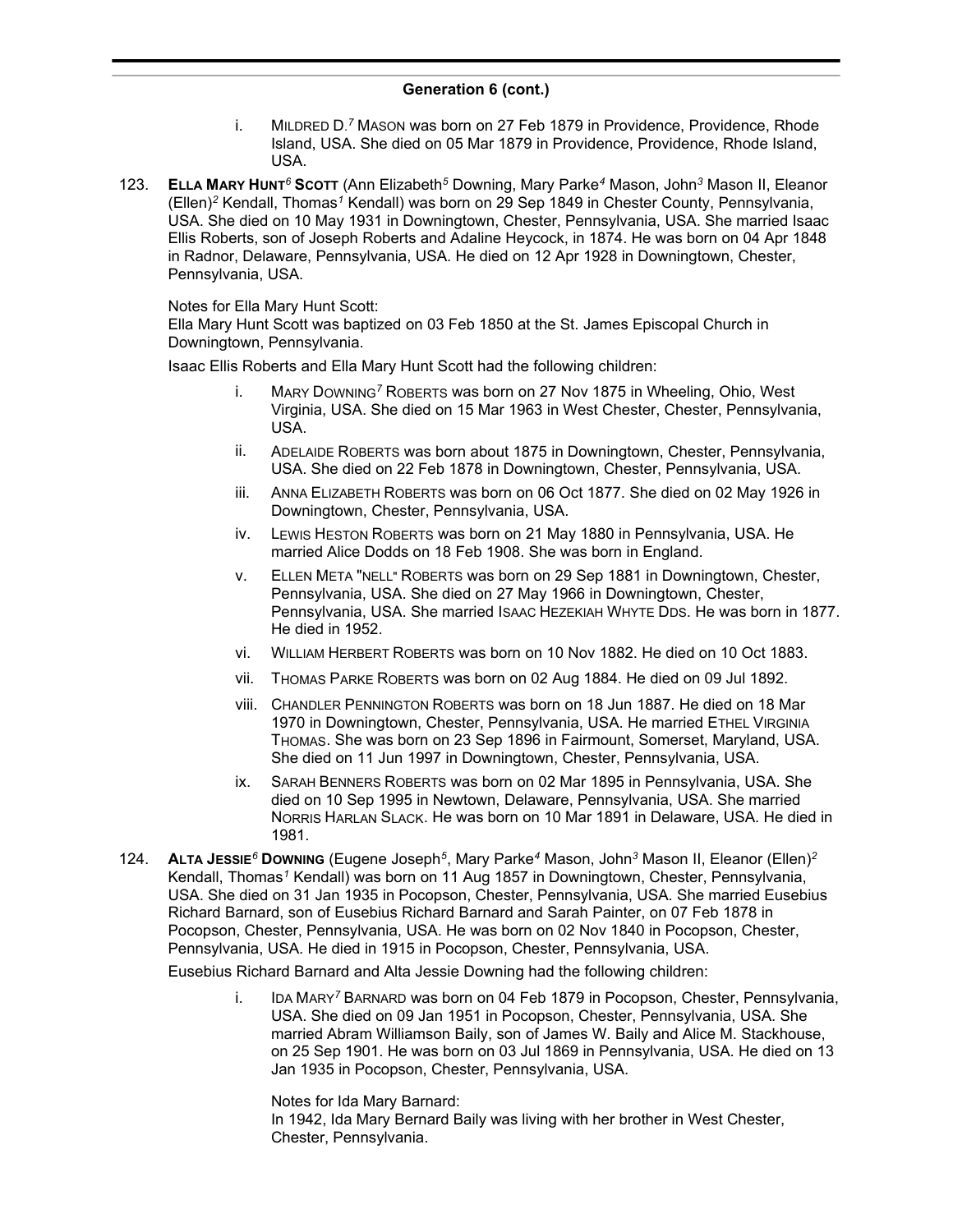- i. MILDRED D. *<sup>7</sup>* MASON was born on 27 Feb 1879 in Providence, Providence, Rhode Island, USA. She died on 05 Mar 1879 in Providence, Providence, Rhode Island, USA.
- 123. **ELLA MARY HUNT***<sup>6</sup>* **SCOTT** (Ann Elizabeth*<sup>5</sup>* Downing, Mary Parke*<sup>4</sup>* Mason, John*<sup>3</sup>* Mason II, Eleanor (Ellen)*<sup>2</sup>* Kendall, Thomas*<sup>1</sup>* Kendall) was born on 29 Sep 1849 in Chester County, Pennsylvania, USA. She died on 10 May 1931 in Downingtown, Chester, Pennsylvania, USA. She married Isaac Ellis Roberts, son of Joseph Roberts and Adaline Heycock, in 1874. He was born on 04 Apr 1848 in Radnor, Delaware, Pennsylvania, USA. He died on 12 Apr 1928 in Downingtown, Chester, Pennsylvania, USA.

### Notes for Ella Mary Hunt Scott:

Ella Mary Hunt Scott was baptized on 03 Feb 1850 at the St. James Episcopal Church in Downingtown, Pennsylvania.

Isaac Ellis Roberts and Ella Mary Hunt Scott had the following children:

- i. MARY DOWNING*<sup>7</sup>* ROBERTS was born on 27 Nov 1875 in Wheeling, Ohio, West Virginia, USA. She died on 15 Mar 1963 in West Chester, Chester, Pennsylvania, USA.
- ii. ADELAIDE ROBERTS was born about 1875 in Downingtown, Chester, Pennsylvania, USA. She died on 22 Feb 1878 in Downingtown, Chester, Pennsylvania, USA.
- iii. ANNA ELIZABETH ROBERTS was born on 06 Oct 1877. She died on 02 May 1926 in Downingtown, Chester, Pennsylvania, USA.
- iv. LEWIS HESTON ROBERTS was born on 21 May 1880 in Pennsylvania, USA. He married Alice Dodds on 18 Feb 1908. She was born in England.
- v. ELLEN META "NELL" ROBERTS was born on 29 Sep 1881 in Downingtown, Chester, Pennsylvania, USA. She died on 27 May 1966 in Downingtown, Chester, Pennsylvania, USA. She married ISAAC HEZEKIAH WHYTE DDS. He was born in 1877. He died in 1952.
- vi. WILLIAM HERBERT ROBERTS was born on 10 Nov 1882. He died on 10 Oct 1883.
- vii. THOMAS PARKE ROBERTS was born on 02 Aug 1884. He died on 09 Jul 1892.
- viii. CHANDLER PENNINGTON ROBERTS was born on 18 Jun 1887. He died on 18 Mar 1970 in Downingtown, Chester, Pennsylvania, USA. He married ETHEL VIRGINIA THOMAS. She was born on 23 Sep 1896 in Fairmount, Somerset, Maryland, USA. She died on 11 Jun 1997 in Downingtown, Chester, Pennsylvania, USA.
- ix. SARAH BENNERS ROBERTS was born on 02 Mar 1895 in Pennsylvania, USA. She died on 10 Sep 1995 in Newtown, Delaware, Pennsylvania, USA. She married NORRIS HARLAN SLACK. He was born on 10 Mar 1891 in Delaware, USA. He died in 1981.
- 124. **ALTA JESSIE***<sup>6</sup>* **DOWNING** (Eugene Joseph*<sup>5</sup>* , Mary Parke*<sup>4</sup>* Mason, John*<sup>3</sup>* Mason II, Eleanor (Ellen)*<sup>2</sup>* Kendall, Thomas*<sup>1</sup>* Kendall) was born on 11 Aug 1857 in Downingtown, Chester, Pennsylvania, USA. She died on 31 Jan 1935 in Pocopson, Chester, Pennsylvania, USA. She married Eusebius Richard Barnard, son of Eusebius Richard Barnard and Sarah Painter, on 07 Feb 1878 in Pocopson, Chester, Pennsylvania, USA. He was born on 02 Nov 1840 in Pocopson, Chester, Pennsylvania, USA. He died in 1915 in Pocopson, Chester, Pennsylvania, USA.

Eusebius Richard Barnard and Alta Jessie Downing had the following children:

i. IDA MARY*<sup>7</sup>* BARNARD was born on 04 Feb 1879 in Pocopson, Chester, Pennsylvania, USA. She died on 09 Jan 1951 in Pocopson, Chester, Pennsylvania, USA. She married Abram Williamson Baily, son of James W. Baily and Alice M. Stackhouse, on 25 Sep 1901. He was born on 03 Jul 1869 in Pennsylvania, USA. He died on 13 Jan 1935 in Pocopson, Chester, Pennsylvania, USA.

Notes for Ida Mary Barnard: In 1942, Ida Mary Bernard Baily was living with her brother in West Chester, Chester, Pennsylvania.